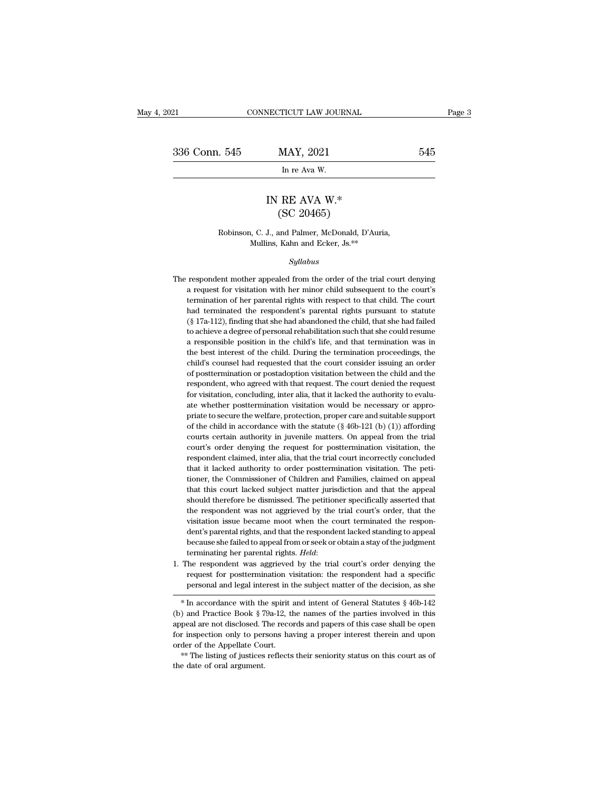| 2021          | CONNECTICUT LAW JOURNAL                         |     | Page 3 |
|---------------|-------------------------------------------------|-----|--------|
|               |                                                 |     |        |
| 336 Conn. 545 | MAY, 2021                                       | 545 |        |
|               | In re Ava W.                                    |     |        |
|               | IN RE AVA $W^*$<br>(SC 20465)                   |     |        |
|               | Robinson, C. J., and Palmer, McDonald, D'Auria, |     |        |

### IN RE AVA W.\*<br>
(SC 20465)<br>
Robinson, C. J., and Palmer, McDonald, D'Auria,<br>
Mullins, Kahn and Ecker, Js.\*\* IN RE AVA W.\*<br>
(SC 20465)<br>
Robinson, C. J., and Palmer, McDonald, D'Auria,<br>
Mullins, Kahn and Ecker, Js.\*\*

### *Syllabus*

- Robinson, C. J., and Palmer, McDonald, D'Auria,<br>Mullins, Kahn and Ecker, Js.<sup>\*\*</sup><br>Syllabus<br>The respondent mother appealed from the order of the trial court denying<br>a request for visitation with her minor child subsequent to Robinson, C. J., and Palmer, McDonald, D'Auria,<br>Mullins, Kahn and Ecker, Js.<sup>\*\*</sup><br>Syllabus<br>respondent mother appealed from the order of the trial court denying<br>a request for visitation with her minor child subsequent to the The respondent mother appealed from the order of the trial court denying<br>a request for visitation with her minor child subsequent to the court's<br>termination of her parental rights with respect to that child. The court<br>had Syllabus<br>
sexpondent mother appealed from the order of the trial court denying<br>
a request for visitation with her minor child subsequent to the court's<br>
termination of her parental rights with respect to that child. The co Syudous<br>
she had court denying<br>
a request for visitation with her minor child subsequent to the court's<br>
termination of her parental rights with respect to that child. The court<br>
had terminated the respondent's parental ri respondent mother appealed from the order of the trial court denying<br>a request for visitation with her minor child subsequent to the court's<br>termination of her parental rights with respect to that child. The court<br>had term a request for visitation with her minor child subsequent to the court's termination of her parental rights with respect to that child. The court had terminated the respondent's parental rights pursuant to statute  $(\S 17a$ a requestion of her parental rights with respect to that child. The court<br>had terminated the respondent's parental rights pursuant to statute<br>(§ 17a-112), finding that she had abandoned the child, that she had failed<br>to ac had terminated the respondent's parental rights pursuant to statute (§ 17a-112), finding that she had abandoned the child, that she had failed to achieve a degree of personal rehabilitation such that she could resume a re ( $\S$  17a-112), finding that she had abandoned the child, that she had failed to achieve a degree of personal rehabilitation such that she could resume a responsible position in the child's life, and that termination was i  $\alpha$  and  $\alpha$  alone a degree of personal rehabilitation such that she could resume a responsible position in the child's life, and that termination was in the best interest of the child. During the termination proceedings a responsible position in the child's life, and that termination was in the best interest of the child. During the termination proceedings, the child's counsel had requested that the court consider issuing an order of post the best interest of the child. During the termination proceedings, the child's counsel had requested that the court consider issuing an order of posttermination or postadoption visitation between the child and the respond child's counsel had requested that the court consider issuing an order of posttermination or postadoption visitation between the child and the respondent, who agreed with that request. The court denied the request for vis of posttermination or postadoption visitation between the child and the respondent, who agreed with that request. The court denied the request for visitation, concluding, inter alia, that it lacked the authority to evalua respondent, who agreed with that request. The court denied the request<br>for visitation, concluding, inter alia, that it lacked the authority to evalu-<br>ate whether posttermination visitation would be necessary or appro-<br>pria for visitation, concluding, inter alia, that it lacked the authority to evaluate whether posttermination visitation would be necessary or appropriate to secure the welfare, protection, proper care and suitable support of ate whether posttermination visitation would be necessary or appro-<br>priate to secure the welfare, protection, proper care and suitable support<br>of the child in accordance with the statute  $(\S 46b-121 (b) (1))$  affording<br>court ate whether posttermination visitation would be necessary or appro-<br>priate to secure the welfare, protection, proper care and suitable support<br>of the child in accordance with the statute  $(\S 46b-121 \, (b) \, (1))$  affording<br>c of the child in accordance with the statute  $(\S 46b-121 (b) (1))$  affording courts certain authority in juvenile matters. On appeal from the trial court's order denying the request for posttermination visitation, the respond courts certain authority in juvenile matters. On appeal from the trial court's order denying the request for posttermination visitation, the respondent claimed, inter alia, that the trial court incorrectly concluded that i court's order denying the request for posttermination visitation, the respondent claimed, inter alia, that the trial court incorrectly concluded that it lacked authority to order posttermination visitation. The petitioner, respondent claimed, inter alia, that the trial court incorrectly concluded that it lacked authority to order posttermination visitation. The petitioner, the Commissioner of Children and Families, claimed on appeal that thi tioner, the Commissioner of Children and Families, claimed on appeal<br>that this court lacked subject matter jurisdiction and that the appeal<br>should therefore be dismissed. The petitioner specifically asserted that<br>the respo tioner, the Commissioner of Children and Families, claimed on appeal<br>that this court lacked subject matter jurisdiction and that the appeal<br>should therefore be dismissed. The petitioner specifically asserted that<br>the respo that this court lacked subject matter jurisdiction and that the appeal should therefore be dismissed. The petitioner specifically asserted that the respondent was not aggrieved by the trial court's order, that the visitati should therefore be dismissed. The petitioner specifically asserted that<br>the respondent was not aggrieved by the trial court's order, that the<br>visitation issue became moot when the court terminated the respon-<br>dent's paren visitation issue became moot when the court terminated the respondent's parental rights, and that the respondent lacked standing to appeal because she failed to appeal from or seek or obtain a stay of the judgment terminat dent's parental rights, and that the respondent lacked standing to appeal<br>because she failed to appeal from or seek or obtain a stay of the judgment<br>terminating her parental rights. *Held*:<br>The respondent was aggrieved by
- because she ranea to appear nont of seek of obtain a stay of the judgment<br>terminating her parental rights. *Held*:<br>The respondent was aggrieved by the trial court's order denying the<br>request for posttermination visitation:

<sup>1.</sup> The respondent was aggrieved by the trial court's order denying the request for posttermination visitation: the respondent had a specific personal and legal interest in the subject matter of the decision, as she  $*$  In From the responsion was appreved by the trial courts of der deriying the<br>request for posttermination visitation: the respondent had a specific<br>personal and legal interest in the subject matter of the decision, as she<br> $*$  for inspection only to persons having a proper interest therein and upon<br>order of the decision, as she<br> $*$  In accordance with the spirit and intent of General Statutes § 46b-142<br>(b) and Practice Book § 79a-12, the names of <sup>or</sup> In accordance with the spirit and intent of General Statutes § 46b-142 (b) and Practice Book § 79a-12, the names of the parties involved in this appeal are not disclosed. The records and papers of this case shall be o the date of oral argument and practice Book § 7<br>appeal are not disclosed. The date of the Appellate Counting with the date of oral argument.<br>the date of oral argument.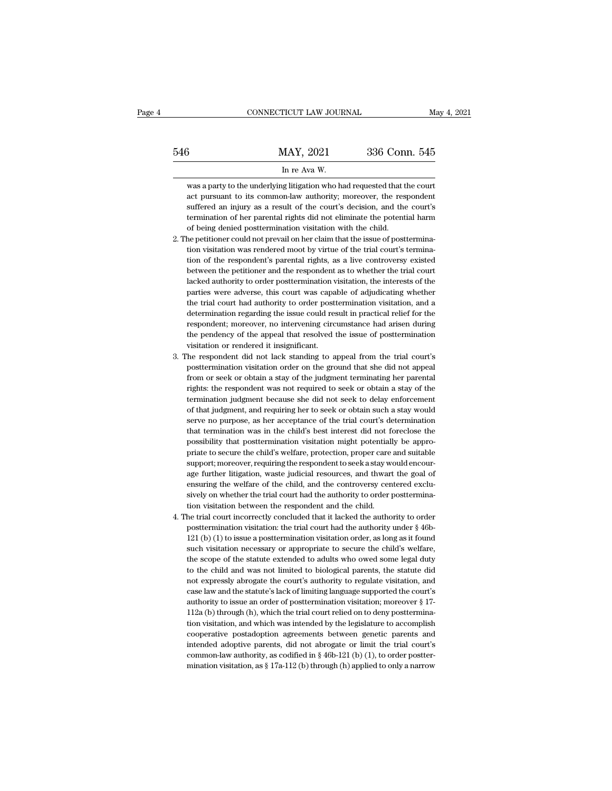|     | CONNECTICUT LAW JOURNAL                                                                                                                         | May 4, 2021   |
|-----|-------------------------------------------------------------------------------------------------------------------------------------------------|---------------|
| 546 | MAY, 2021                                                                                                                                       | 336 Conn. 545 |
|     | In re Ava W.                                                                                                                                    |               |
|     | was a party to the underlying litigation who had requested that the court<br>act pursuant to its common-law authority; moreover, the respondent |               |

336 Conn. 545<br>
In re Ava W.<br>
Was a party to the underlying litigation who had requested that the court<br>
act pursuant to its common-law authority; moreover, the respondent<br>
suffered an injury as a result of the court's deci Suffered an injury as a result of the court's decision, and the court<br>suffered an injury as a result of the court's decision, and the court's decision, and the court's termination of her parental rights did not eliminate t In re Ava W.<br>
Was a party to the underlying litigation who had requested that the court<br>
act pursuant to its common-law authority; moreover, the respondent<br>
suffered an injury as a result of the court's decision, and the c In re Ava W.<br>
Was a party to the underlying litigation who had requested that t<br>
act pursuant to its common-law authority; moreover, the res<br>
suffered an injury as a result of the court's decision, and the<br>
termination of was a party to the underlying litigation who had requested that the court<br>act pursuant to its common-law authority; moreover, the respondent<br>suffered an injury as a result of the court's decision, and the court's<br>terminati

- act pursuant to its common-law authority; moreover, the respondent suffered an injury as a result of the court's decision, and the court's termination of her parental rights did not eliminate the potential harm of being de suffered an injury as a result of the court's decision, and the court's termination of her parental rights did not eliminate the potential harm of being denied posttermination visitation with the child.<br>The petitioner coul termination of her parental rights did not eliminate the potential harm<br>of being denied posttermination visitation with the child.<br>he petitioner could not prevail on her claim that the issue of posttermina-<br>tion visitation of being denied posttermination visitation with the child.<br>he petitioner could not prevail on her claim that the issue of posttermina-<br>tion visitation was rendered moot by virtue of the trial court's termina-<br>tion of the r lacked authority to order posttermination visitation, the interests of the parties were adverse, this court was capable of adjudicating whether the trial court had authority to order posttermination visitation, and a deter tion visitation was rendered moot by virtue of the trial court's termination of the respondent's parental rights, as a live controversy existed between the petitioner and the respondent as to whether the trial court lacked tion of the respondent's parental rights, as a live controversy existed<br>between the petitioner and the respondent as to whether the trial court<br>lacked authority to order posttermination visitation, the interests of the<br>par between the petitioner and the respondent as to whether the trial court lacked authority to order posttermination visitation, the interests of the parties were adverse, this court was capable of adjudicating whether the tr lacked authority to order posttermination visitation, the interests of the parties were adverse, this court was capable of adjudicating whether the trial court had authority to order posttermination visitation, and a deter parties were adverse, this court was capa<br>the trial court had authority to order post<br>determination regarding the issue could re:<br>respondent; moreover, no intervening circ<br>the pendency of the appeal that resolved<br>visitatio the trial court had authority to order posttermination visitation, and a determination regarding the issue could result in practical relief for the respondent; moreover, no intervening circumstance had arisen during the pe determination regarding the issue could result in practical relief for the respondent; moreover, no intervening circumstance had arisen during the pendency of the appeal that resolved the issue of posttermination visitatio
- respondent; moreover, no intervening circumstance had arisen during<br>the pendency of the appeal that resolved the issue of posttermination<br>visitation or rendered it insignificant.<br>he respondent did not lack standing to appe the pendency of the appeal that resolved the issue of posttermination visitation or rendered it insignificant.<br>The respondent did not lack standing to appeal from the trial court's posttermination visitation order on the g visitation or rendered it insignificant.<br>The respondent did not lack standing to appeal from the trial court's<br>posttermination visitation order on the ground that she did not appeal<br>from or seek or obtain a stay of the jud The respondent did not lack standing to appeal from the trial court's posttermination visitation order on the ground that she did not appeal from or seek or obtain a stay of the judgment terminating her parental rights: th posttermination visitation order on the ground that she did not appeal<br>from or seek or obtain a stay of the judgment terminating her parental<br>rights: the respondent was not required to seek or obtain a stay of the<br>terminat from or seek or obtain a stay of the judgment terminating her parental<br>rights: the respondent was not required to seek or obtain a stay of the<br>termination judgment because she did not seek to delay enforcement<br>of that judg rights: the respondent was not required to seek or obtain a stay of the termination judgment because she did not seek to delay enforcement of that judgment, and requiring her to seek or obtain such a stay would serve no pu termination judgment because she did not seek to delay enforcement<br>of that judgment, and requiring her to seek or obtain such a stay would<br>serve no purpose, as her acceptance of the trial court's determination<br>that termina of that judgment, and requiring her to seek or obtain such a stay would<br>serve no purpose, as her acceptance of the trial court's determination<br>that termination was in the child's best interest did not foreclose the<br>possibi serve no purpose, as her acceptance of the trial court's determination that termination was in the child's best interest did not foreclose the possibility that posttermination visitation might potentially be appropriate to that termination was in the child's best interest did not foreclose the possibility that posttermination visitation might potentially be appropriate to secure the child's welfare, protection, proper care and suitable suppo possibility that posttermination visitation might potentially be appro-<br>priate to secure the child's welfare, protection, proper care and suitable<br>support; moreover, requiring the respondent to seek a stay would encour-<br>ag priate to secure the child's welfare, protection, proper care<br>support; moreover, requiring the respondent to seek a stay w<br>age further litigation, waste judicial resources, and thwart<br>ensuring the welfare of the child, and support; moreover, requiring the respondent to seek a stay would encourage further litigation, waste judicial resources, and thwart the goal of ensuring the welfare of the child, and the controversy centered exclusively o age further litigation, waste judicial resources, and thwart the goal of<br>ensuring the welfare of the child, and the controversy centered exclu-<br>sively on whether the trial court had the authority to order posttermina-<br>tion
- ensuring the welfare of the child, and the controversy centered exclusively on whether the trial court had the authority to order posttermination visitation between the respondent and the child.<br>he trial court incorrectly sively on whether the trial court had the authority to order posttermination visitation between the respondent and the child.<br>he trial court incorrectly concluded that it lacked the authority to order posttermination visit tion visitation between the respondent and the child.<br>he trial court incorrectly concluded that it lacked the authority to order<br>posttermination visitation: the trial court had the authority under  $\S$  46b-<br>121 (b) (1) to the trial court incorrectly concluded that it lacked the authority to order post<br>termination visitation: the trial court had the authority under<br> $\S$ 46b-121 (b) (1) to issue a post<br>termination visitation order, as long as posttermination visitation: the trial court had the authority under § 46b-121 (b) (1) to issue a posttermination visitation order, as long as it found such visitation necessary or appropriate to secure the child's welfare, 121 (b) (1) to issue a posttermination visitation order, as long as it found such visitation necessary or appropriate to secure the child's welfare, the scope of the statute extended to adults who owed some legal duty to such visitation necessary or appropriate to secure the child's welfare,<br>the scope of the statute extended to adults who owed some legal duty<br>to the child and was not limited to biological parents, the statute did<br>not expre the scope of the statute extended to adults who owed some legal duty<br>to the child and was not limited to biological parents, the statute did<br>not expressly abrogate the court's authority to regulate visitation, and<br>case law to the child and was not limited to biological parents, the statute did<br>not expressly abrogate the court's authority to regulate visitation, and<br>case law and the statute's lack of limiting language supported the court's<br>a not expressly abrogate the court's authority to regulate visitation, and<br>case law and the statute's lack of limiting language supported the court's<br>authority to issue an order of posttermination visitation; moreover  $\S 17$ case law and the statute's lack of limiting language supported the court's authority to issue an order of posttermination visitation; moreover  $\S$  17-112a (b) through (h), which the trial court relied on to deny posttermi authority to issue an order of posttermination visitation; moreover § 17-112a (b) through (h), which the trial court relied on to deny posttermination visitation, and which was intended by the legislature to accomplish co 112a (b) through (h), which the trial court relied on to deny posttermination visitation, and which was intended by the legislature to accomplish cooperative postadoption agreements between genetic parents and intended ad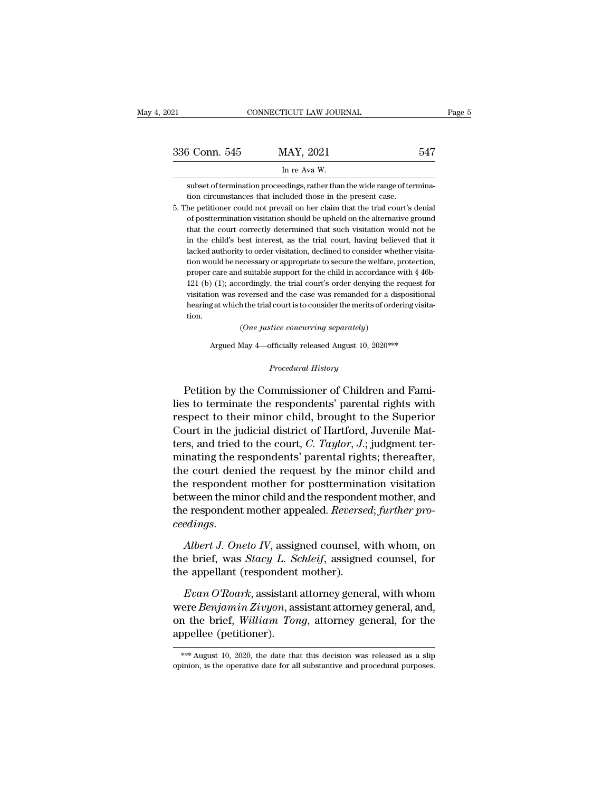| 021           | CONNECTICUT LAW JOURNAL                                                                                                                                    |     | Page 5 |
|---------------|------------------------------------------------------------------------------------------------------------------------------------------------------------|-----|--------|
| 336 Conn. 545 | MAY, 2021                                                                                                                                                  | 547 |        |
|               | In re Ava W.                                                                                                                                               |     |        |
|               | subset of termination proceedings, rather than the wide range of termina-<br>tion circumstances that included those in the present case.                   |     |        |
|               | 5. The petitioner could not prevail on her claim that the trial court's denial<br>of posttermination visitation should be upheld on the alternative ground |     |        |

In re Ava W.<br>
subset of termination proceedings, rather than the wide range of termina-<br>
tion circumstances that included those in the present case.<br>
the petitioner could not prevail on her claim that the trial court's den In re Ava W.<br>
subset of termination proceedings, rather than the wide range of termina-<br>
tion circumstances that included those in the present case.<br>
the petitioner could not prevail on her claim that the trial court's den subset of termination proceedings, rather than the wide range of termination circumstances that included those in the present case.<br>he petitioner could not prevail on her claim that the trial court's denial<br>of postterminat tion circumstances that included those in the present case.<br>he petitioner could not prevail on her claim that the trial court's denial<br>of posttermination visitation should be upheld on the alternative ground<br>that the court the petitioner could not prevail on her claim that the trial court's denial of posttermination visitation should be upheld on the alternative ground that the court correctly determined that such visitation would not be in of posttermination visitation should be upheld on the alternative ground that the court correctly determined that such visitation would not be in the child's best interest, as the trial court, having believed that it lack that the court correctly determined that such visitation would not be<br>in the child's best interest, as the trial court, having believed that it<br>lacked authority to order visitation, declined to consider whether visita-<br>tio in the child's best interest, as the trial court, having believed that it lacked authority to order visitation, declined to consider whether visitation would be necessary or appropriate to secure the welfare, protection, lacked authority to order visitation, declined to consider whether visita-<br>tion would be necessary or appropriate to secure the welfare, protection,<br>proper care and suitable support for the child in accordance with § 46btion. proper care and suitable support for the child in accordance with § 46bvisitation was reversed and the case was remanded for a dispositional<br>hearing at which the trial court is to consider the merits of ordering visita-<br>tion. <br>  $(One\;justice\;concurring\;separately)$ <br> <br> Argued May 4—officially released August 10

Argued May 4—officially released August 10, 2020\*\*\*<br>*Procedural History*<br>Petition by the Commissioner of Children and Fami-Frame of Children and Fami-<br>
(One justice concurring separately)<br>
Argued May 4—officially released August 10, 2020\*\*\*<br>
Procedural History<br>
Petition by the Commissioner of Children and Fami-<br>
s to terminate the respondents' (One justice concurring separately)<br>
Argued May 4—officially released August 10, 2020\*\*\*<br>
Procedural History<br>
Petition by the Commissioner of Children and Fami-<br>
lies to terminate the respondents' parental rights with<br>
re Argued May 4—officially released August 10, 2020<sup>\*\*\*</sup><br>Procedural History<br>Petition by the Commissioner of Children and Fami-<br>lies to terminate the respondents' parental rights with<br>respect to their minor child, brought to t Procedural History<br>Procedural History<br>Petition by the Commissioner of Children and Fami-<br>lies to terminate the respondents' parental rights with<br>respect to their minor child, brought to the Superior<br>Court in the judicial d *Procedural History*<br>Petition by the Commissioner of Children and Fami-<br>lies to terminate the respondents' parental rights with<br>respect to their minor child, brought to the Superior<br>Court in the judicial district of Hartfo Petition by the Commissioner of Children and Fami-<br>lies to terminate the respondents' parental rights with<br>respect to their minor child, brought to the Superior<br>Court in the judicial district of Hartford, Juvenile Mat-<br>te Petition by the Commissioner of Children and Fami-<br>lies to terminate the respondents' parental rights with<br>respect to their minor child, brought to the Superior<br>Court in the judicial district of Hartford, Juvenile Mat-<br>te lies to terminate the respondents' parental rights with<br>respect to their minor child, brought to the Superior<br>Court in the judicial district of Hartford, Juvenile Mat-<br>ters, and tried to the court, *C. Taylor*, *J.*; judg respect to their minor child, brought to the Superior<br>Court in the judicial district of Hartford, Juvenile Mat-<br>ters, and tried to the court, *C. Taylor*, *J.*; judgment ter-<br>minating the respondents' parental rights; the Court in the judicial district of Hartford, Juvenile Matters, and tried to the court, *C. Taylor*, *J*.; judgment terminating the respondents' parental rights; thereafter, the court denied the request by the minor child an *chief* the court denied the request by the minor child and the respondent mother for posttermination visitation between the minor child and the respondent mother, and the respondent mother appealed. *Reversed*; *further p* the respondent mother for posttermination visitation<br>between the minor child and the respondent mother, and<br>the respondent mother appealed. *Reversed*; further pro-<br>ceedings.<br>Albert J. Oneto IV, assigned counsel, with whom between the minor child and the responde<br>the respondent mother appealed. *Reverse*<br>ceedings.<br>Albert J. Oneto IV, assigned counsel, v<br>the brief, was *Stacy L. Schleif*, assigned<br>the appellant (respondent mother).<br>Evan O'Roa

*Evan O'Roark*, assigned counsel, with whom, on<br>*Evan J. Oneto IV*, assigned counsel, with whom, on<br>a brief, was *Stacy L. Schleif*, assigned counsel, for<br>e appellant (respondent mother).<br>*Evan O'Roark*, assistant attorney

eveatings.<br>
Albert J. Oneto IV, assigned counsel, with whom, on<br>
the brief, was *Stacy L. Schleif*, assigned counsel, for<br>
the appellant (respondent mother).<br> *Evan O'Roark*, assistant attorney general, with whom<br>
were *Be* Albert J. Oneto IV, assigned counsel, with whom, on<br>the brief, was *Stacy L. Schleif*, assigned counsel, for<br>the appellant (respondent mother).<br>Evan O'Roark, assistant attorney general, with whom<br>were Benjamin Zivyon, assi the brief, was *Stacy L. Schleif*, assigned counsel, for<br>the appellant (respondent mother).<br> $Evan O'Roark$ , assistant attorney general, with whom<br>were *Benjamin Zivyon*, assistant attorney general, and,<br>on the brief, *William T* were *Benjamin Zivyon*, assistant attorney general, and, on the brief, *William Tong*, attorney general, for the appellee (petitioner).<br> **EXECUTE:**  $\frac{1}{100}$  and  $\frac{1}{2020}$ , the date that this decision was released as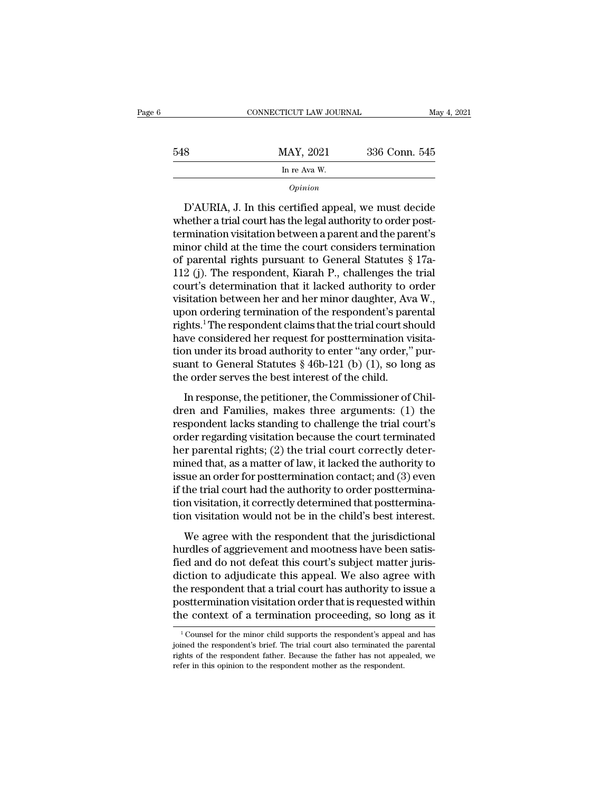|     | CONNECTICUT LAW JOURNAL | May 4, 2021   |
|-----|-------------------------|---------------|
| 548 | MAY, 2021               | 336 Conn. 545 |
|     | In re Ava W.            |               |
|     | Opinion                 |               |

MAY, 2021 336 Conn. 545<br>
In re Ava W.<br>
Opinion<br>
D'AURIA, J. In this certified appeal, we must decide<br>
whether a trial court has the legal authority to order post-<br>
termination visitation between a parent and the parent's<br> baby MAY, 2021 336 Conn. baby<br>
In re Ava W.<br>
Opinion<br>
D'AURIA, J. In this certified appeal, we must decide<br>
whether a trial court has the legal authority to order post-<br>
termination visitation between a parent and the par minor child at the time the court considers the trial<br>
minor child at the time the court considers termination visitation between a parent and the parent's<br>
minor child at the time the court considers termination<br>
of pare  $\frac{1}{2}$  opinion<br>D'AURIA, J. In this certified appeal, we must decide<br>whether a trial court has the legal authority to order post-<br>termination visitation between a parent and the parent's<br>minor child at the time the cour D'AURIA, J. In this certified appeal, we must decide<br>whether a trial court has the legal authority to order post-<br>termination visitation between a parent and the parent's<br>minor child at the time the court considers termin D'AURIA, J. In this certified appeal, we must decide<br>whether a trial court has the legal authority to order post-<br>termination visitation between a parent and the parent's<br>minor child at the time the court considers termina whether a trial court has the legal authority to order post-<br>termination visitation between a parent and the parent's<br>minor child at the time the court considers termination<br>of parental rights pursuant to General Statutes termination visitation between a parent and the parent's<br>minor child at the time the court considers termination<br>of parental rights pursuant to General Statutes § 17a-<br>112 (j). The respondent, Kiarah P., challenges the tri minor child at the time the court considers termination<br>of parental rights pursuant to General Statutes § 17a-<br>112 (j). The respondent, Kiarah P., challenges the trial<br>court's determination that it lacked authority to orde of parental rights pursuant to General Statutes § 17a-<br>112 (j). The respondent, Kiarah P., challenges the trial<br>court's determination that it lacked authority to order<br>visitation between her and her minor daughter, Ava W. 112 (j). The respondent, Kiarah P., challenges the trial court's determination that it lacked authority to order visitation between her and her minor daughter, Ava W., upon ordering termination of the respondent's parenta court's determination that it lacked authority to order<br>visitation between her and her minor daughter, Ava W.,<br>upon ordering termination of the respondent's parental<br>rights.<sup>1</sup>The respondent claims that the trial court sho visitation between her and her minor daughter, Avayon ordering termination of the respondent's pararights.<sup>1</sup>The respondent claims that the trial court shave considered her request for posttermination vion under its broad on ordering ermination of the responseries parental<br>fhts.<sup>1</sup> The respondent claims that the trial court should<br>we considered her request for posttermination visita-<br>on under its broad authority to enter "any order," pur-<br>a rights. The respondent enams and the and courtshout<br>have considered her request for posttermination visita-<br>tion under its broad authority to enter "any order," pur-<br>suant to General Statutes § 46b-121 (b) (1), so long as

response that the requirement of the trial control in the order serves the best interest of the child.<br>In response, the petitioner, the Commissioner of Children and Families, makes three arguments: (1) the respondent lack suant to General Statutes § 46b-121 (b) (1), so long as<br>the order serves the best interest of the child.<br>In response, the petitioner, the Commissioner of Chil-<br>dren and Families, makes three arguments: (1) the<br>respondent the order serves the best interest of the child.<br>In response, the petitioner, the Commissioner of Children and Families, makes three arguments: (1) the respondent lacks standing to challenge the trial court's order regard In response, the petitioner, the Commissioner of Children and Families, makes three arguments: (1) the respondent lacks standing to challenge the trial court's order regarding visitation because the court terminated her pa In response, the petitioner, the Commissioner of Children and Families, makes three arguments: (1) the respondent lacks standing to challenge the trial court's order regarding visitation because the court terminated her pa dren and Families, makes three arguments: (1) the<br>respondent lacks standing to challenge the trial court's<br>order regarding visitation because the court terminated<br>her parental rights; (2) the trial court correctly deter-<br>m respondent lacks standing to challenge the trial court's<br>order regarding visitation because the court terminated<br>her parental rights; (2) the trial court correctly deter-<br>mined that, as a matter of law, it lacked the autho order regarding visitation because the court terminated<br>her parental rights; (2) the trial court correctly deter-<br>mined that, as a matter of law, it lacked the authority to<br>issue an order for posttermination contact; and (  $\mu$  parental rights), (2) are trial court correcting actor<br>ined that, as a matter of law, it lacked the authority to<br>sue an order for posttermination contact; and (3) even<br>the trial court had the authority to order postt hurded and, as a finally of allem and mother issue an order for posttermination contact; and (3) even<br>if the trial court had the authority to order posttermina-<br>tion visitation, it correctly determined that posttermina-<br>ti

field and the authority to order posttermination visitation, it correctly determined that posttermination visitation would not be in the child's best interest.<br>We agree with the respondent that the jurisdictional hurdles o dion visitation, it correctly determined that posttermination visitation would not be in the child's best interest.<br>We agree with the respondent that the jurisdictional<br>hurdles of aggrievement and mootness have been satistion visitation, a correctly accommined that postecularity<br>tion visitation would not be in the child's best interest.<br>We agree with the respondent that the jurisdictional<br>hurdles of aggrievement and mootness have been sati We agree with the respondent that the jurisdictional<br>hurdles of aggrievement and mootness have been satis-<br>fied and do not defeat this court's subject matter juris-<br>diction to adjudicate this appeal. We also agree with<br>the We agree with the respondent that the jurisdictional<br>hurdles of aggrievement and mootness have been satis-<br>fied and do not defeat this court's subject matter juris-<br>diction to adjudicate this appeal. We also agree with<br>th iction to adjudicate this appeal. We also agree with<br>the respondent that a trial court has authority to issue a<br>osttermination visitation order that is requested within<br>the context of a termination proceeding, so long as i the respondent that a trial court has authority to issue a posttermination visitation order that is requested within the context of a termination proceeding, so long as it  $\frac{1}{1}$  Counsel for the minor child supports th

posttermination visitation order that is requested within<br>the context of a termination proceeding, so long as it<br><sup>1</sup>Counsel for the minor child supports the respondent's appeal and has<br>joined the respondent's brief. The tr The context of a termination proceeding, so lon <br><sup>1</sup>Counsel for the minor child supports the respondent's appeal<br>joined the respondent's brief. The trial court also terminated the<br>rights of the respondent father. Because t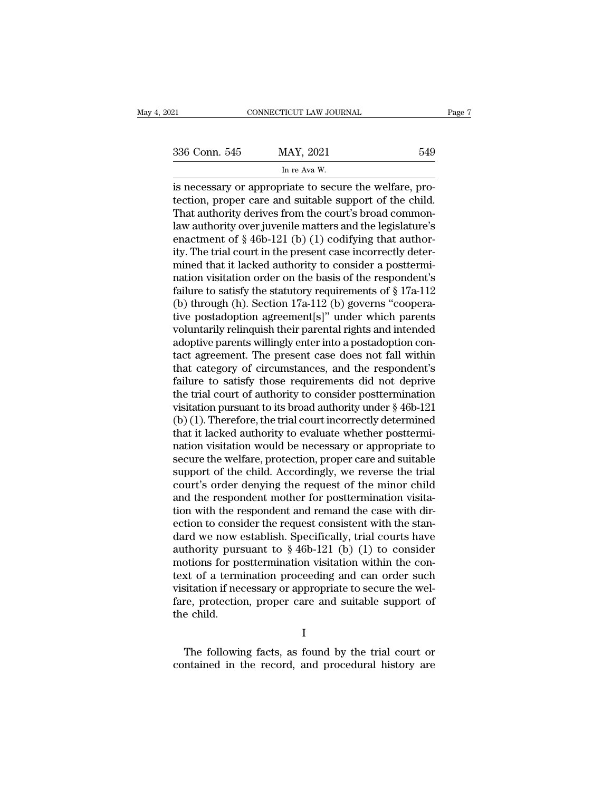| 021           | CONNECTICUT LAW JOURNAL                                                                                                                                                    | Page 7 |
|---------------|----------------------------------------------------------------------------------------------------------------------------------------------------------------------------|--------|
| 336 Conn. 545 | MAY, 2021                                                                                                                                                                  | 549    |
|               | In re Ava W.                                                                                                                                                               |        |
|               | is necessary or appropriate to secure the welfare, pro-<br>tection, proper care and suitable support of the child.<br>That authority dorives from the court's broad common |        |

336 Conn. 545 MAY, 2021 549<br>
In re Ava W.<br>
is necessary or appropriate to secure the welfare, pro-<br>
tection, proper care and suitable support of the child.<br>
That authority derives from the court's broad common-<br>
law author 336 Conn. 545 MAY, 2021 549<br>
In re Ava W.<br>
is necessary or appropriate to secure the welfare, pro-<br>
tection, proper care and suitable support of the child.<br>
That authority derives from the court's broad common-<br>
law autho 336 Conn. 545 MAY, 2021 549<br>
In re Ava W.<br>
is necessary or appropriate to secure the welfare, pro-<br>
tection, proper care and suitable support of the child.<br>
That authority derives from the court's broad common-<br>
law autho In re Ava W.<br>
In re Ava W.<br>
is necessary or appropriate to secure the welfare, pro-<br>
tection, proper care and suitable support of the child.<br>
That authority derives from the court's broad common-<br>
law authority over juven In re Ava W.<br>
is necessary or appropriate to secure the welfare, pro-<br>
tection, proper care and suitable support of the child.<br>
That authority derives from the court's broad common-<br>
law authority over juvenile matters an is necessary or appropriate to secure the welfare, pro-<br>tection, proper care and suitable support of the child.<br>That authority derives from the court's broad common-<br>law authority over juvenile matters and the legislature tection, proper care and suitable support of the child.<br>That authority derives from the court's broad common-<br>law authority over juvenile matters and the legislature's<br>enactment of § 46b-121 (b) (1) codifying that author-That authority derives from the court's broad common-<br>law authority over juvenile matters and the legislature's<br>enactment of § 46b-121 (b) (1) codifying that author-<br>ity. The trial court in the present case incorrectly de law authority over juvenile matters and the legislature's<br>enactment of § 46b-121 (b) (1) codifying that author-<br>ity. The trial court in the present case incorrectly deter-<br>mined that it lacked authority to consider a postt enactment of § 46b-121 (b) (1) codifying that author-<br>ity. The trial court in the present case incorrectly deter-<br>mined that it lacked authority to consider a posttermi-<br>nation visitation order on the basis of the respond ity. The trial court in the present case incorrectly deter-<br>mined that it lacked authority to consider a posttermi-<br>nation visitation order on the basis of the respondent's<br>failure to satisfy the statutory requirements of mined that it lacked authority to consider a posttermination visitation order on the basis of the respondent's failure to satisfy the statutory requirements of  $\S 17a-112$  (b) through (h). Section 17a-112 (b) governs "coo nation visitation order on the basis of the respondent's<br>failure to satisfy the statutory requirements of § 17a-112<br>(b) through (h). Section 17a-112 (b) governs "coopera-<br>tive postadoption agreement[s]" under which parents failure to satisfy the statutory requirements of § 17a-112<br>(b) through (h). Section 17a-112 (b) governs "cooperative postadoption agreement[s]" under which parents<br>voluntarily relinquish their parental rights and intended<br> (b) through (h). Section 17a-112 (b) governs "cooperative postadoption agreement[s]" under which parents<br>voluntarily relinquish their parental rights and intended<br>adoptive parents willingly enter into a postadoption con-<br> tive postadoption agreement[s]" under which parents<br>voluntarily relinquish their parental rights and intended<br>adoptive parents willingly enter into a postadoption con-<br>tact agreement. The present case does not fall within<br> voluntarily relinquish their parental rights and intended<br>adoptive parents willingly enter into a postadoption con-<br>tact agreement. The present case does not fall within<br>that category of circumstances, and the respondent's adoptive parents willingly enter into a postadoption contact agreement. The present case does not fall within<br>that category of circumstances, and the respondent's<br>failure to satisfy those requirements did not deprive<br>the t tact agreement. The present case does not fall within<br>that category of circumstances, and the respondent's<br>failure to satisfy those requirements did not deprive<br>the trial court of authority to consider posttermination<br>visi that category of circumstances, and the respondent's<br>failure to satisfy those requirements did not deprive<br>the trial court of authority to consider posttermination<br>visitation pursuant to its broad authority under § 46b-121 failure to satisfy those requirements did not deprive<br>the trial court of authority to consider posttermination<br>visitation pursuant to its broad authority under § 46b-121<br>(b) (1). Therefore, the trial court incorrectly dete the trial court of authority to consider posttermination<br>visitation pursuant to its broad authority under § 46b-121<br>(b) (1). Therefore, the trial court incorrectly determined<br>that it lacked authority to evaluate whether po visitation pursuant to its broad authority under § 46b-121<br>(b) (1). Therefore, the trial court incorrectly determined<br>that it lacked authority to evaluate whether posttermi-<br>nation visitation would be necessary or appropri (b) (1). Therefore, the trial court incorrectly determined<br>that it lacked authority to evaluate whether posttermi-<br>nation visitation would be necessary or appropriate to<br>secure the welfare, protection, proper care and suit that it lacked authority to evaluate whether posttermination visitation would be necessary or appropriate to secure the welfare, protection, proper care and suitable support of the child. Accordingly, we reverse the trial nation visitation would be necessary or appropriate to<br>secure the welfare, protection, proper care and suitable<br>support of the child. Accordingly, we reverse the trial<br>court's order denying the request of the minor child<br> secure the welfare, protection, proper care and suitable<br>support of the child. Accordingly, we reverse the trial<br>court's order denying the request of the minor child<br>and the respondent mother for posttermination visita-<br>t support of the child. Accordingly, we reverse the trial<br>court's order denying the request of the minor child<br>and the respondent mother for posttermination visita-<br>tion with the respondent and remand the case with dir-<br>ect court's order denying the request of the minor child<br>and the respondent mother for posttermination visita-<br>tion with the respondent and remand the case with dir-<br>ection to consider the request consistent with the stan-<br>da and the respondent mother for posttermination visitation with the respondent and remand the case with direction to consider the request consistent with the standard we now establish. Specifically, trial courts have author tion with the respondent and remand the case with direction to consider the request consistent with the standard we now establish. Specifically, trial courts have authority pursuant to  $\S$  46b-121 (b) (1) to consider moti ection to consider the request consistent with the standard we now establish. Specifically, trial courts have authority pursuant to § 46b-121 (b) (1) to consider motions for posttermination visitation within the context of dard we now  $\epsilon$ <br>authority purs<br>motions for po<br>text of a term<br>visitation if nee<br>fare, protectio<br>the child. % xt of a termination proceeding and can order such<br>sitation if necessary or appropriate to secure the wel-<br>re, protection, proper care and suitable support of<br>e child.<br>I<br>The following facts, as found by the trial court or visitation if necessary or appropriate to secure the welfare, protection, proper care and suitable support of the child.<br>
I<br>
The following facts, as found by the trial court or contained in the record, and procedural histo

I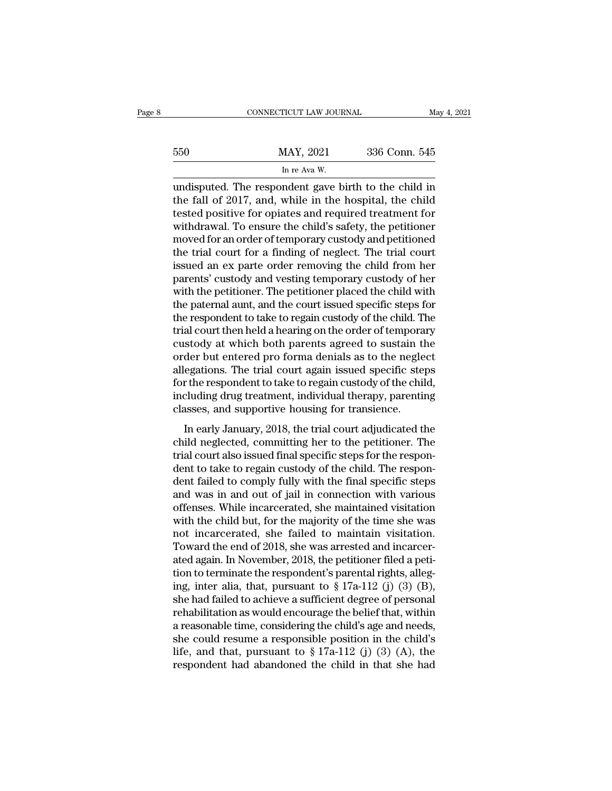|     | CONNECTICUT LAW JOURNAL                               |               | May 4, 2021 |
|-----|-------------------------------------------------------|---------------|-------------|
|     |                                                       |               |             |
| 550 | MAY, 2021                                             | 336 Conn. 545 |             |
|     | In re Ava W.                                          |               |             |
|     | undisputed. The respondent gave hirth to the child in |               |             |

CONNECTICUT LAW JOURNAL May 4, 2021<br>550 MAY, 2021 336 Conn. 545<br>In re Ava W.<br>undisputed. The respondent gave birth to the child in<br>the fall of 2017, and, while in the hospital, the child<br>tosted positive for enjates and req the fall of 2017, and, while in the hospital, the child in the fall of 2017, and, while in the hospital, the child tested positive for opiates and required treatment for withdrawal. To ensure the child's safety, the positi  $\frac{\text{MAX, 2021}}{\text{In re Ava W.}}$ <br>
In re Ava W.<br>
undisputed. The respondent gave birth to the child in<br>
the fall of 2017, and, while in the hospital, the child<br>
tested positive for opiates and required treatment for<br>
withdrawal.  $\frac{\text{MAX}}{\text{In re Ava W}}$ <br>
In re Ava W.<br>
undisputed. The respondent gave birth to the child in<br>
the fall of 2017, and, while in the hospital, the child<br>
tested positive for opiates and required treatment for<br>
withdrawal. To ensu In re Ava W.<br>
In re Ava W.<br>
undisputed. The respondent gave birth to the child in<br>
the fall of 2017, and, while in the hospital, the child<br>
tested positive for opiates and required treatment for<br>
withdrawal. To ensure the In re Ava W.<br>
undisputed. The respondent gave birth to the child in<br>
the fall of 2017, and, while in the hospital, the child<br>
tested positive for opiates and required treatment for<br>
withdrawal. To ensure the child's safet undisputed. The respondent gave birth to the child in<br>the fall of 2017, and, while in the hospital, the child<br>tested positive for opiates and required treatment for<br>withdrawal. To ensure the child's safety, the petitioner<br> the fall of 2017, and, while in the hospital, the child<br>tested positive for opiates and required treatment for<br>withdrawal. To ensure the child's safety, the petitioner<br>moved for an order of temporary custody and petitioned tested positive for opiates and required treatment for<br>withdrawal. To ensure the child's safety, the petitioner<br>moved for an order of temporary custody and petitioned<br>the trial court for a finding of neglect. The trial cou withdrawal. To ensure the child's safety, the petitioner<br>moved for an order of temporary custody and petitioned<br>the trial court for a finding of neglect. The trial court<br>issued an ex parte order removing the child from her moved for an order of temporary custody and petitioned<br>the trial court for a finding of neglect. The trial court<br>issued an ex parte order removing the child from her<br>parents' custody and vesting temporary custody of her<br>wi the trial court for a finding of neglect. The trial court<br>issued an ex parte order removing the child from her<br>parents' custody and vesting temporary custody of her<br>with the petitioner. The petitioner placed the child with issued an ex parte order removing the child from her<br>parents' custody and vesting temporary custody of her<br>with the petitioner. The petitioner placed the child with<br>the paternal aunt, and the court issued specific steps fo parents' custody and vesting temporary custody of her<br>with the petitioner. The petitioner placed the child with<br>the paternal aunt, and the court issued specific steps for<br>the respondent to take to regain custody of the chi with the petitioner. The petitioner placed the child with<br>the paternal aunt, and the court issued specific steps for<br>the respondent to take to regain custody of the child. The<br>trial court then held a hearing on the order o the paternal aunt, and the court issued specific steps for<br>the respondent to take to regain custody of the child. The<br>trial court then held a hearing on the order of temporary<br>custody at which both parents agreed to sustai the respondent to take to regain custody of the child. The<br>trial court then held a hearing on the order of temporary<br>custody at which both parents agreed to sustain the<br>order but entered pro forma denials as to the neglect trial court then held a hearing on the order of tempora<br>custody at which both parents agreed to sustain tl<br>order but entered pro forma denials as to the negle<br>allegations. The trial court again issued specific stel<br>for the Blocky at which boat parents agreed to statum the<br>der but entered pro forma denials as to the neglect<br>egations. The trial court again issued specific steps<br>r the respondent to take to regain custody of the child,<br>cluding d child neglections. The trial court again issued specific steps<br>for the respondent to take to regain custody of the child,<br>including drug treatment, individual therapy, parenting<br>classes, and supportive housing for transien

and the respondent to take to regain assued specific steps<br>for the respondent to take to regain custody of the child,<br>including drug treatment, individual therapy, parenting<br>classes, and supportive housing for transience.<br> dent to take to regain custody of the child,<br>including drug treatment, individual therapy, parenting<br>classes, and supportive housing for transience.<br>In early January, 2018, the trial court adjudicated the<br>child neglected, dentically distributed to complete the final specific steps, parameters of the child neglected, committing her to the petitioner. The trial court also issued final specific steps for the respondent to take to regain custod In early January, 2018, the trial court adjudicated the<br>child neglected, committing her to the petitioner. The<br>trial court also issued final specific steps for the respon-<br>dent to take to regain custody of the child. The r In early January, 2018, the trial court adjudicated the<br>child neglected, committing her to the petitioner. The<br>trial court also issued final specific steps for the respon-<br>dent to take to regain custody of the child. The r child neglected, committing her to the petitioner. The<br>trial court also issued final specific steps for the respon-<br>dent to take to regain custody of the child. The respon-<br>dent failed to comply fully with the final specif trial court also issued final specific steps for the respondent to take to regain custody of the child. The respondent failed to comply fully with the final specific steps and was in and out of jail in connection with vari dent to take to regain custody of the child. The respondent failed to comply fully with the final specific steps<br>and was in and out of jail in connection with various<br>offenses. While incarcerated, she maintained visitation dent failed to comply fully with the final specific steps<br>and was in and out of jail in connection with various<br>offenses. While incarcerated, she maintained visitation<br>with the child but, for the majority of the time she and was in and out of jail in connection with various<br>offenses. While incarcerated, she maintained visitation<br>with the child but, for the majority of the time she was<br>not incarcerated, she failed to maintain visitation.<br>T offenses. While incarcerated, she maintained visitation<br>with the child but, for the majority of the time she was<br>not incarcerated, she failed to maintain visitation.<br>Toward the end of 2018, she was arrested and incarcer-<br>a with the child but, for the majority of the time she was<br>not incarcerated, she failed to maintain visitation.<br>Toward the end of 2018, she was arrested and incarcer-<br>ated again. In November, 2018, the petitioner filed a pet not incarcerated, she failed to maintain visitation.<br>Toward the end of 2018, she was arrested and incarcer-<br>ated again. In November, 2018, the petitioner filed a peti-<br>tion to terminate the respondent's parental rights, a Toward the end of 2018, she was arrested and incarcer-<br>ated again. In November, 2018, the petitioner filed a peti-<br>tion to terminate the respondent's parental rights, alleg-<br>ing, inter alia, that, pursuant to § 17a-112 (j ated again. In November, 2018, the petitioner filed a petition to terminate the respondent's parental rights, alleging, inter alia, that, pursuant to § 17a-112 (j) (3) (B), she had failed to achieve a sufficient degree of tion to terminate the respondent's parental rights, alleging, inter alia, that, pursuant to  $\S 17a-112$  (j) (3) (B), she had failed to achieve a sufficient degree of personal rehabilitation as would encourage the belief t ing, inter alia, that, pursuant to  $\S 17a-112$  (j) (3) (B),<br>she had failed to achieve a sufficient degree of personal<br>rehabilitation as would encourage the belief that, within<br>a reasonable time, considering the child's ag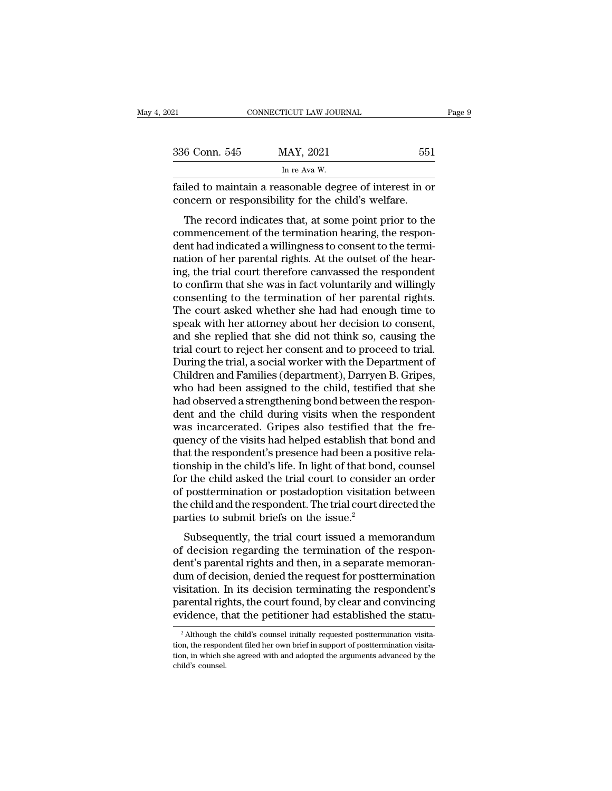| 121           | CONNECTICUT LAW JOURNAL                                                                                                                                                   | Page 9 |
|---------------|---------------------------------------------------------------------------------------------------------------------------------------------------------------------------|--------|
|               |                                                                                                                                                                           |        |
| 336 Conn. 545 | MAY, 2021                                                                                                                                                                 | 551    |
|               | In re Ava W.                                                                                                                                                              |        |
|               | failed to maintain a reasonable degree of interest in or<br>concern or responsibility for the child's welfare.                                                            |        |
|               | The record indicates that, at some point prior to the<br>commencement of the termination hearing, the respon-<br>dont had indicated a willingness to consent to the termi |        |

336 Conn. 545 MAY, 2021 551<br>
In re Ava W.<br>
failed to maintain a reasonable degree of interest in or<br>
concern or responsibility for the child's welfare.<br>
The record indicates that, at some point prior to the<br>
commencement In re Ava W.<br>
failed to maintain a reasonable degree of interest in or<br>
concern or responsibility for the child's welfare.<br>
The record indicates that, at some point prior to the<br>
commencement of the termination hearing, th failed to maintain a reasonable degree of interest in or<br>concern or responsibility for the child's welfare.<br>The record indicates that, at some point prior to the<br>commencement of the termination hearing, the respon-<br>dent ha rance to manual a reasonable degree of interest in or<br>concern or responsibility for the child's welfare.<br>The record indicates that, at some point prior to the<br>commencement of the termination hearing, the respon-<br>dent had i The record indicates that, at some point prior to the commencement of the termination hearing, the respondent had indicated a willingness to consent to the termination of her parental rights. At the outset of the hearing, The record indicates that, at some point prior to the commencement of the termination hearing, the respondent had indicated a willingness to consent to the termination of her parental rights. At the outset of the hearing, commencement of the termination hearing, the respondent had indicated a willingness to consent to the termination of her parental rights. At the outset of the hearing, the trial court therefore canvassed the respondent to dent had indicated a willingness to consent to the termi-<br>nation of her parental rights. At the outset of the hear-<br>ing, the trial court therefore canvassed the respondent<br>to confirm that she was in fact voluntarily and wi nation of her parental rights. At the outset of the hear-<br>ing, the trial court therefore canvassed the respondent<br>to confirm that she was in fact voluntarily and willingly<br>consenting to the termination of her parental righ ing, the trial court therefore canvassed the respondent<br>to confirm that she was in fact voluntarily and willingly<br>consenting to the termination of her parental rights.<br>The court asked whether she had had enough time to<br>spe to confirm that she was in fact voluntarily and willingly<br>consenting to the termination of her parental rights.<br>The court asked whether she had had enough time to<br>speak with her attorney about her decision to consent,<br>and consenting to the termination of her parental rights.<br>The court asked whether she had had enough time to<br>speak with her attorney about her decision to consent,<br>and she replied that she did not think so, causing the<br>trial c The court asked whether she had had enough time to<br>speak with her attorney about her decision to consent,<br>and she replied that she did not think so, causing the<br>trial court to reject her consent and to proceed to trial.<br>Du speak with her attorney about her decision to consent,<br>and she replied that she did not think so, causing the<br>trial court to reject her consent and to proceed to trial.<br>During the trial, a social worker with the Department and she replied that she did not think so, causing the<br>trial court to reject her consent and to proceed to trial.<br>During the trial, a social worker with the Department of<br>Children and Families (department), Darryen B. Grip trial court to reject her consent and to proceed to trial.<br>During the trial, a social worker with the Department of<br>Children and Families (department), Darryen B. Gripes,<br>who had been assigned to the child, testified that During the trial, a social worker with the Department of<br>Children and Families (department), Darryen B. Gripes,<br>who had been assigned to the child, testified that she<br>had observed a strengthening bond between the respon-<br>d Children and Families (department), Darryen B. Gripes,<br>who had been assigned to the child, testified that she<br>had observed a strengthening bond between the respondent<br>and the child during visits when the respondent<br>was inc who had been assigned to the child, testified that she<br>had observed a strengthening bond between the respon-<br>dent and the child during visits when the respondent<br>was incarcerated. Gripes also testified that the fre-<br>quency had observed a strengthening bond between the respondent and the child during visits when the respondent was incarcerated. Gripes also testified that the frequency of the visits had helped establish that bond and that the dent and the child during visits when the respondent<br>was incarcerated. Gripes also testified that the fre-<br>quency of the visits had helped establish that bond and<br>that the respondent's presence had been a positive rela-<br>ti was incarcerated. Gripes also testified that the frequency of the visits had helped establish that bond and that the respondent's presence had been a positive relationship in the child's life. In light of that bond, counse quency of the visits had helped establish that<br>that the respondent's presence had been a po<br>tionship in the child's life. In light of that bor<br>for the child asked the trial court to conside<br>of posttermination or postadopti at the respondent's presence had been a positive rela-<br>
inship in the child's life. In light of that bond, counsel<br>
r the child asked the trial court to consider an order<br>
posttermination or postadoption visitation between for the child asked the trial court to consider an order<br>for the child asked the trial court to consider an order<br>of posttermination or postadoption visitation between<br>the child and the respondent. The trial court directed

for the child asked the that court to consider an order<br>of posttermination or postadoption visitation between<br>the child and the respondent. The trial court directed the<br>parties to submit briefs on the issue.<sup>2</sup><br>Subsequentl or posternmation or postatoption visitation between<br>the child and the respondent. The trial court directed the<br>parties to submit briefs on the issue.<sup>2</sup><br>Subsequently, the trial court issued a memorandum<br>of decision regardi Fraction. In the single sponsor and the response of parties to submit briefs on the issue.<sup>2</sup><br>Subsequently, the trial court issued a memorandum<br>of decision regarding the termination of the respon-<br>dent's parental rights an parties to submit briefs of the issue.<br>Subsequently, the trial court issued a memorandum<br>of decision regarding the termination of the respon-<br>dent's parental rights and then, in a separate memoran-<br>dum of decision, denied Subsequently, the trial court issued a memorandum<br>of decision regarding the termination of the respon-<br>dent's parental rights and then, in a separate memoran-<br>dum of decision, denied the request for posttermination<br>visita um of decision, denied the request for posttermination<br>sitation. In its decision terminating the respondent's<br>arental rights, the court found, by clear and convincing<br>vidence, that the petitioner had established the statuvisitation. In its decision terminating the respondent's parental rights, the court found, by clear and convincing evidence, that the petitioner had established the statu-<br><sup>2</sup> Although the child's counsel initially reques

parental rights, the court found, by clear and convincing<br>evidence, that the petitioner had established the statu-<br><sup>2</sup> Although the child's counsel initially requested posttermination visita-<br>tion, the respondent filed her evidence, the selection of the response of the responsion, in which selecting the selection of the selection of the selection of the selection of the selection of the selection of the selection of the selection of the sele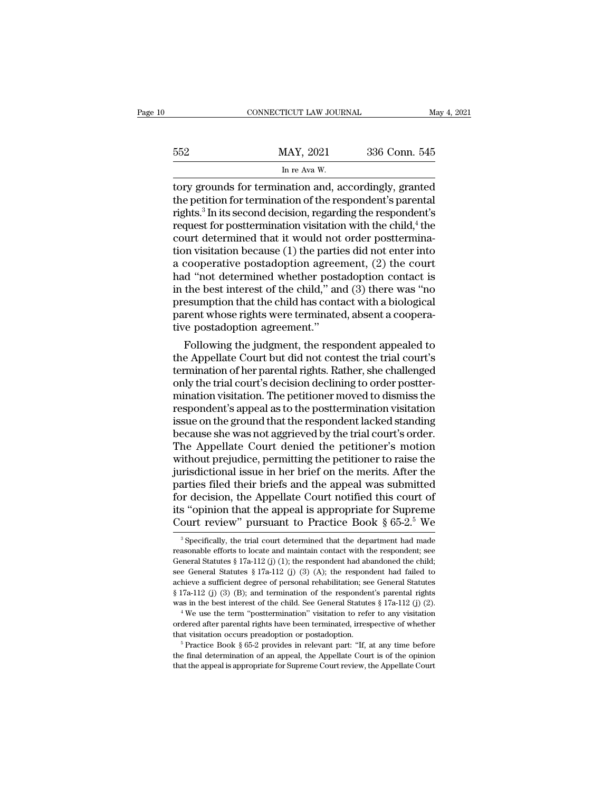|     | CONNECTICUT LAW JOURNAL                              | May 4, 2021   |
|-----|------------------------------------------------------|---------------|
| 552 | MAY, 2021                                            | 336 Conn. 545 |
|     | In re Ava W.                                         |               |
|     | tory grounds for termination and accordingly granted |               |

CONNECTICUT LAW JOURNAL May 4, 2021<br>552 MAY, 2021 336 Conn. 545<br>In re Ava W.<br>The Ava W.<br>The petition for termination and, accordingly, granted<br>the petition for termination of the respondent's parental<br>rights <sup>3</sup> In its soc MAY, 2021 336 Conn. 545<br>
In re Ava W.<br>
tory grounds for termination and, accordingly, granted<br>
the petition for termination of the respondent's parental<br>
rights.<sup>3</sup> In its second decision, regarding the respondent's<br>
reque  $\frac{\text{MAX, 2021}}{\text{In re Ava W.}}$ <br>
In re Ava W.<br>
tory grounds for termination and, accordingly, granted<br>
the petition for termination of the respondent's parental<br>
rights.<sup>3</sup> In its second decision, regarding the respondent's<br>
re  $\frac{\text{MAX}}{\text{Inv} \cdot \text{Conv}}$  and  $\frac{\text{Var} \cdot \text{Var} \cdot \text{Var} \cdot \text{Var} \cdot \text{Var}}{\text{Inv} \cdot \text{prox} \cdot \text{Var} \cdot \text{Var} \cdot \text{Var} \cdot \text{Var} \cdot \text{Var} \cdot \text{Var} \cdot \text{Var} \cdot \text{Var} \cdot \text{Var} \cdot \text{Var} \cdot \text{Var} \cdot \text{Var} \cdot \text{Var} \cdot \text{Var} \cdot \text{Var} \cdot \text{Var} \cdot \text{Var} \cdot \text{Var} \cdot \text{Var} \cdot \text{Var} \cdot \text{Var}$ For a set of the set of the court of the petition for termination and, accordingly, granted<br>the petition for termination of the respondent's parental<br>rights.<sup>3</sup> In its second decision, regarding the respondent's<br>request f In re Ava W.<br>
tory grounds for termination and, accordingly, granted<br>
the petition for termination of the respondent's parental<br>
rights.<sup>3</sup> In its second decision, regarding the respondent's<br>
request for posttermination v tory grounds for termination and, accordingly, granted<br>the petition for termination of the respondent's parental<br>rights.<sup>3</sup> In its second decision, regarding the respondent's<br>request for posttermination visitation with the the petition for termination of the respondent's parental<br>rights.<sup>3</sup> In its second decision, regarding the respondent's<br>request for posttermination visitation with the child,<sup>4</sup> the<br>court determined that it would not order rights.<sup>3</sup> In its second decision, regarding the respondent's<br>request for posttermination visitation with the child,<sup>4</sup> the<br>court determined that it would not order posttermina-<br>tion visitation because (1) the parties did request for posttermination visitation with the child,<sup>4</sup> the<br>court determined that it would not order posttermina-<br>tion visitation because (1) the parties did not enter into<br>a cooperative postadoption agreement, (2) the court determined that it would not order posttermination visitation because (1) the parties did not enter into a cooperative postadoption agreement, (2) the court had "not determined whether postadoption contact is in the tion visitation because (1) the partion<br>a cooperative postadoption agree:<br>had "not determined whether post<br>in the best interest of the child," an<br>presumption that the child has cont<br>parent whose rights were terminate<br>tive cooperative postadoption agreement, (2) the court<br>d "not determined whether postadoption contact is<br>the best interest of the child," and (3) there was "no<br>esumption that the child has contact with a biological<br>rent whose r had "not determined whether postadoption contact is<br>in the best interest of the child," and (3) there was "no<br>presumption that the child has contact with a biological<br>parent whose rights were terminated, absent a coopera-<br>

In the best interest of the child," and (3) there was "no<br>presumption that the child has contact with a biological<br>parent whose rights were terminated, absent a coopera-<br>tive postadoption agreement."<br>Following the judgment presumption that the child has contact with a biological<br>parent whose rights were terminated, absent a coopera-<br>tive postadoption agreement."<br>Following the judgment, the respondent appealed to<br>the Appellate Court but did n parent whose rights were terminated, absent a cooperative postadoption agreement."<br>Following the judgment, the respondent appealed to<br>the Appellate Court but did not contest the trial court's<br>termination of her parental ri tive postadoption agreement."<br>Following the judgment, the respondent appealed to<br>the Appellate Court but did not contest the trial court's<br>termination of her parental rights. Rather, she challenged<br>only the trial court's d Following the judgment, the respondent appealed to<br>the Appellate Court but did not contest the trial court's<br>termination of her parental rights. Rather, she challenged<br>only the trial court's decision declining to order pos the Appellate Court but did not contest the trial court's<br>termination of her parental rights. Rather, she challenged<br>only the trial court's decision declining to order postter-<br>mination visitation. The petitioner moved to termination of her parental rights. Rather, she challenged<br>only the trial court's decision declining to order postter-<br>mination visitation. The petitioner moved to dismiss the<br>respondent's appeal as to the posttermination only the trial court's decision declining to order postter-<br>mination visitation. The petitioner moved to dismiss the<br>respondent's appeal as to the posttermination visitation<br>issue on the ground that the respondent lacked s mination visitation. The petitioner moved to dismiss the respondent's appeal as to the posttermination visitation issue on the ground that the respondent lacked standing because she was not aggrieved by the trial court's o respondent's appeal as to the posttermination visitation<br>issue on the ground that the respondent lacked standing<br>because she was not aggrieved by the trial court's order.<br>The Appellate Court denied the petitioner's motion<br> issue on the ground that the respondent lacked standing<br>because she was not aggrieved by the trial court's order.<br>The Appellate Court denied the petitioner's motion<br>without prejudice, permitting the petitioner to raise th because she was not aggrieved by the trial court's order.<br>The Appellate Court denied the petitioner's motion<br>without prejudice, permitting the petitioner to raise the<br>jurisdictional issue in her brief on the merits. After The Appellate Court denied the petitioner's motion<br>without prejudice, permitting the petitioner to raise the<br>jurisdictional issue in her brief on the merits. After the<br>parties filed their briefs and the appeal was submitt arties filed their briefs and the appeal was submitted<br>or decision, the Appellate Court notified this court of<br>s "opinion that the appeal is appropriate for Supreme<br>ourt review" pursuant to Practice Book  $\S 65-2.5$  We<br> $\frac$ for decision, the Appellate Court notified this court of<br>its "opinion that the appeal is appropriate for Supreme<br>Court review" pursuant to Practice Book § 65-2.<sup>5</sup> We<br><sup>3</sup> Specifically, the trial court determined that the

its "opinion that the appeal is appropriate for Supreme<br>Court review" pursuant to Practice Book § 65-2.<sup>5</sup> We<br><sup>3</sup> Specifically, the trial court determined that the department had made<br>reasonable efforts to locate and main Court review" pursuant to Practice Book § 65-2.<sup>5</sup> We<br><sup>3</sup> Specifically, the trial court determined that the department had made<br>reasonable efforts to locate and maintain contact with the respondent; see<br>General Statutes § COUTT FEVIEW PUTSUALTE TO FTACTICE BOOK 8 09-2. We<br>
<sup>3</sup> Specifically, the trial court determined that the department had made<br>
reasonable efforts to locate and maintain contact with the respondent; see<br>
General Statutes § <sup>3</sup> Specifically, the trial court determined that the department had made reasonable efforts to locate and maintain contact with the respondent; see General Statutes § 17a-112 (j) (3) (A); the respondent had failed to ach reasonable efforts to locate and maintain contact with the respondent; see<br>General Statutes § 17a-112 (j) (1); the respondent had abandoned the child;<br>see General Statutes § 17a-112 (j) (3) (A); the respondent had failed see General Statutes § 17a-112 (j) (3) (A); the respondent had failed to achieve a sufficient degree of personal rehabilitation; see General Statutes § 17a-112 (j) (3) (B); and termination of the respondent's parental rig active a sufficient degree of personal rehabilitation; see General Statutes § 17a-112 (j) (3) (B); and termination of the respondent's parental rights was in the best interest of the child. See General Statutes § 17a-112

A real of the best interest of the child. See General Statutes  $\S 17a-112$  (j) (2).<br>
<sup>4</sup> We use the term "posttermination" visitation to refer to any visitation<br>
ordered after parental rights have been terminated, irrespe

<sup>%</sup> ordered after parental rights have been terminated, irrespective of whether that visitation occurs preadoption or postadoption.<br>  $\frac{5}{16}$  Practice Book § 65-2 provides in relevant part: "If, at any time before the fin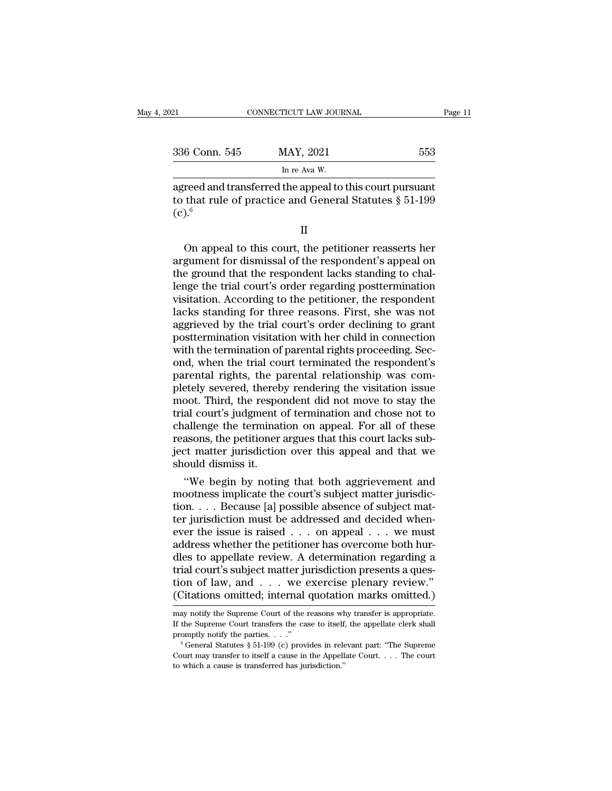| 021               | CONNECTICUT LAW JOURNAL                                                                                               | Page 11 |
|-------------------|-----------------------------------------------------------------------------------------------------------------------|---------|
| 336 Conn. 545     | MAY, 2021                                                                                                             | 553     |
|                   | In re Ava W.                                                                                                          |         |
| (c). <sup>6</sup> | agreed and transferred the appeal to this court pursuant<br>to that rule of practice and General Statutes $\S 51-199$ |         |

 $(c).<sup>6</sup>$ In re Ava W.<br>
Treed and transferred the appeal to this court pursuant<br>
that rule of practice and General Statutes  $\S 51-199$ <br>  $\frac{\text{II}}{\text{O}}$ <br>
On appeal to this court, the petitioner reasserts her<br>
gument for dismissal of

II

agreed and transferred the appeal to this court pursuant<br>to that rule of practice and General Statutes  $\S 51-199$ <br>(c).<br> $\Pi$ <br>On appeal to this court, the petitioner reasserts her<br>argument for dismissal of the respondent's to that rule of practice and General Statutes § 51-199<br>
(c).<sup>6</sup><br>
II<br>
On appeal to this court, the petitioner reasserts her<br>
argument for dismissal of the respondent's appeal on<br>
the ground that the respondent lacks standin (c).<sup>6</sup><br>II<br>On appeal to this court, the petitioner reasserts her<br>argument for dismissal of the respondent's appeal on<br>the ground that the respondent lacks standing to chal-<br>lenge the trial court's order regarding postterm II<br>
On appeal to this court, the petitioner reasserts her<br>
argument for dismissal of the respondent's appeal on<br>
the ground that the respondent lacks standing to chal-<br>
lenge the trial court's order regarding postterminati II<br>
On appeal to this court, the petitioner reasserts her<br>
argument for dismissal of the respondent's appeal on<br>
the ground that the respondent lacks standing to chal-<br>
lenge the trial court's order regarding postterminati On appeal to this court, the petitioner reasserts her argument for dismissal of the respondent's appeal on the ground that the respondent lacks standing to challenge the trial court's order regarding posttermination visita argument for dismissal of the respondent's appeal on<br>the ground that the respondent lacks standing to chal-<br>lenge the trial court's order regarding posttermination<br>visitation. According to the petitioner, the respondent<br>la the ground that the respondent lacks standing to challenge the trial court's order regarding posttermination visitation. According to the petitioner, the respondent lacks standing for three reasons. First, she was not aggr lenge the trial court's order regarding posttermination<br>visitation. According to the petitioner, the respondent<br>lacks standing for three reasons. First, she was not<br>aggrieved by the trial court's order declining to grant<br>p visitation. According to the petitioner, the respondent lacks standing for three reasons. First, she was not aggrieved by the trial court's order declining to grant posttermination visitation with her child in connection w lacks standing for three reasons. First, she was not aggrieved by the trial court's order declining to grant posttermination visitation with her child in connection with the termination of parental rights proceeding. Secon aggrieved by the trial court's order declining to grant<br>posttermination visitation with her child in connection<br>with the termination of parental rights proceeding. Sec-<br>ond, when the trial court terminated the respondent's posttermination visitation with her child in connection<br>with the termination of parental rights proceeding. Sec-<br>ond, when the trial court terminated the respondent's<br>parental rights, the parental relationship was com-<br>ple with the termination of parental rights proceeding. Second, when the trial court terminated the respondent's<br>parental rights, the parental relationship was completely severed, thereby rendering the visitation issue<br>moot. T ond, when the trial court terminated the respondent's<br>parental rights, the parental relationship was com-<br>pletely severed, thereby rendering the visitation issue<br>moot. Third, the respondent did not move to stay the<br>trial c parental rights, the parental relationship was completely severed, thereby rendering the visitation issue moot. Third, the respondent did not move to stay the trial court's judgment of termination and chose not to challeng pletely severed, thereb<br>moot. Third, the respo<br>trial court's judgment<br>challenge the terminat<br>reasons, the petitioner<br>ject matter jurisdiction<br>should dismiss it.<br>"We begin by notin oot. Third, the respondent did not move to stay the<br>al court's judgment of termination and chose not to<br>allenge the termination on appeal. For all of these<br>asons, the petitioner argues that this court lacks sub-<br>ct matter trial court's judgment of termination and chose not to<br>challenge the termination on appeal. For all of these<br>reasons, the petitioner argues that this court lacks sub-<br>ject matter jurisdiction over this appeal and that we<br>s

challenge the termination on appeal. For all of these<br>reasons, the petitioner argues that this court lacks sub-<br>ject matter jurisdiction over this appeal and that we<br>should dismiss it.<br>"We begin by noting that both aggriev reasons, the petitioner argues that this court lacks subject matter jurisdiction over this appeal and that we<br>should dismiss it.<br>"We begin by noting that both aggrievement and<br>mootness implicate the court's subject matter exercise that the should dismiss it.<br>
"We begin by noting that both aggrievement and<br>
mootness implicate the court's subject matter jurisdic-<br>
tion. . . . Because [a] possible absence of subject mat-<br>
ter jurisdiction mus should dismiss it.<br>
"We begin by noting that both aggrievement and<br>
mootness implicate the court's subject matter jurisdic-<br>
tion. . . . Because [a] possible absence of subject mat-<br>
ter jurisdiction must be addressed and "We begin by noting that both aggrievement and<br>mootness implicate the court's subject matter jurisdic-<br>tion....Because [a] possible absence of subject mat-<br>ter jurisdiction must be addressed and decided when-<br>ever the iss mootness implicate the court's subject matter jurisdiction. . . . Because [a] possible absence of subject matter jurisdiction must be addressed and decided whenever the issue is raised . . . on appeal . . . we must addres tion. . . . Because [a] possible absence of subject matter jurisdiction must be addressed and decided when-<br>ever the issue is raised . . . on appeal . . . we must<br>address whether the petitioner has overcome both hur-<br>dles ter jurisdiction must be addressed and decided when-<br>ever the issue is raised . . . on appeal . . . we must<br>address whether the petitioner has overcome both hur-<br>dles to appellate review. A determination regarding a<br>trial dles to appellate review. A determination regarding a<br>trial court's subject matter jurisdiction presents a ques-<br>tion of law, and . . . we exercise plenary review."<br>(Citations omitted; internal quotation marks omitted.)<br>ma If the Supreme Court is subject matter jurisdiction presents a question of law, and . . . we exercise plenary review."<br>
(Citations omitted; internal quotation marks omitted.)<br>
may notify the Supreme Court of the reasons w tion of law, and . . . we exercise plenary review."<br>(Citations omitted; internal quotation marks omitted.)<br>may notify the Supreme Court of the reasons why transfer is appropriate.<br>If the Supreme Court transfers the case t

The Court may notify the Supreme Court of the reasons why transfer is appropriate.<br>If the Supreme Court transfers the case to itself, the appellate clerk shall<br>promptly notify the parties. . . ."<br><sup>6</sup> General Statutes § 51may notify the Supreme Court of the reasons where the Supreme Court transfers the case to itself promptly notify the parties. . . ."<br> $\degree$  (General Statutes § 51-199 (c) provides in relection."<br>Court may transfer to itself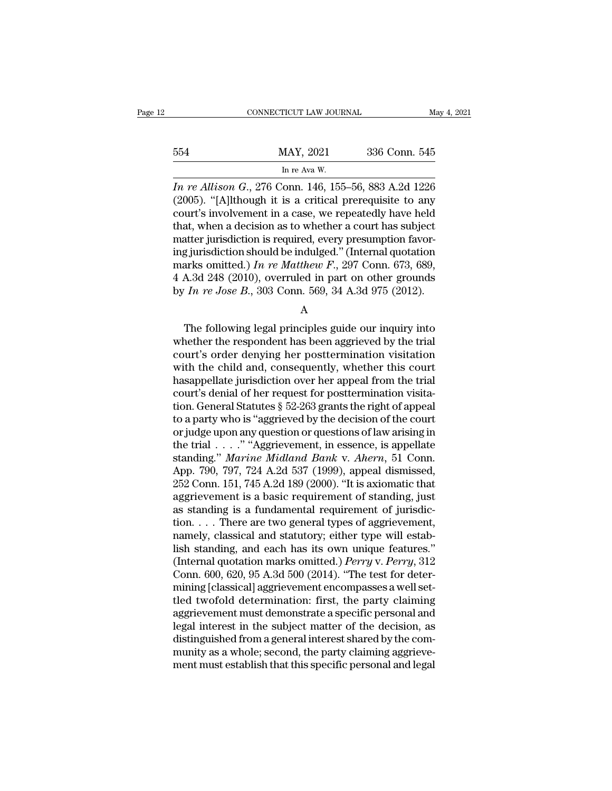|     | CONNECTICUT LAW JOURNAL                                  | May 4, 2021   |
|-----|----------------------------------------------------------|---------------|
| 554 | MAY, 2021                                                | 336 Conn. 545 |
|     | In re Ava W.                                             |               |
|     | <i>In re Allison G</i> 276 Conn 146 155–56 883 A 2d 1226 |               |

*In re Allison G.*, 276 Conn. 146, 155–56, 883 A.2d 1226<br>*In re Allison G.*, 276 Conn. 146, 155–56, 883 A.2d 1226<br>*In re Allison G.*, 276 Conn. 146, 155–56, 883 A.2d 1226<br>(2005). "[A]lthough it is a critical prerequisite t (2005).  $\frac{1}{2}$  MAY, 2021 336 Conn. 545<br>  $\frac{1}{2}$  In re Allison G., 276 Conn. 146, 155–56, 883 A.2d 1226<br>
(2005). "[A]lthough it is a critical prerequisite to any court's involvement in a case, we repeatedly have held<br> 554 MAY, 2021 336 Conn. 545<br>
In re Allison G., 276 Conn. 146, 155–56, 883 A.2d 1226<br>
(2005). "[A]lthough it is a critical prerequisite to any<br>
court's involvement in a case, we repeatedly have held<br>
that, when a decision 554 MAY, 2021 336 Conn. 545<br>
In re Allison G., 276 Conn. 146, 155–56, 883 A.2d 1226<br>
(2005). "[A]lthough it is a critical prerequisite to any<br>
court's involvement in a case, we repeatedly have held<br>
that, when a decision MAY, 2021 336 Conn. 545<br>
In re Auison G., 276 Conn. 146, 155–56, 883 A.2d 1226<br>
(2005). "[A]lthough it is a critical prerequisite to any<br>
court's involvement in a case, we repeatedly have held<br>
that, when a decision as to In re Allison G., 276 Conn. 146, 155–56, 883 A.2d 1226<br>(2005). "[A]lthough it is a critical prerequisite to any<br>court's involvement in a case, we repeatedly have held<br>that, when a decision as to whether a court has subjec *In re Allison G.*, 276 Conn. 146, 155–56, 883 A.2d 1226 (2005). "[A]lthough it is a critical prerequisite to any court's involvement in a case, we repeatedly have held that, when a decision as to whether a court has subj (2005). "[A]lthough it is a critical prerequisite to any court's involvement in a case, we repeatedly have held that, when a decision as to whether a court has subject matter jurisdiction is required, every presumption fa court's involvement in a case, we repeatedly have held<br>that, when a decision as to whether a court has subject<br>matter jurisdiction is required, every presumption favor-<br>ing jurisdiction should be indulged." (Internal quota g jurisdiction should be indulged." (Internal quotation<br>arks omitted.) In re Matthew F., 297 Conn. 673, 689,<br>A.3d 248 (2010), overruled in part on other grounds<br>In re Jose B., 303 Conn. 569, 34 A.3d 975 (2012).<br>A<br>The foll

A

marks omitted.) In re Matthew F., 297 Conn. 673, 689,<br>4 A.3d 248 (2010), overruled in part on other grounds<br>by In re Jose B., 303 Conn. 569, 34 A.3d 975 (2012).<br>A<br>The following legal principles guide our inquiry into<br>whet 4 A.3d 248 (2010), overruled in part on other grounds<br>by  $In$   $re$  Jose  $B$ ., 303 Conn. 569, 34 A.3d 975 (2012).<br>A<br>The following legal principles guide our inquiry into<br>whether the respondent has been aggrieved by the trial by  $In$   $re$  Jose  $B$ ., 303 Conn. 569, 34 A.3d 975 (2012).<br>
A<br>
The following legal principles guide our inquiry into<br>
whether the respondent has been aggrieved by the trial<br>
court's order denying her posttermination visitat A<br>
The following legal principles guide our inquiry into<br>
whether the respondent has been aggrieved by the trial<br>
court's order denying her posttermination visitation<br>
with the child and, consequently, whether this court<br> The following legal principles guide our inquiry into<br>whether the respondent has been aggrieved by the trial<br>court's order denying her posttermination visitation<br>with the child and, consequently, whether this court<br>hasapp The following legal principles guide our inquiry into<br>whether the respondent has been aggrieved by the trial<br>court's order denying her posttermination visitation<br>with the child and, consequently, whether this court<br>hasappe whether the respondent has been aggrieved by the trial<br>court's order denying her posttermination visitation<br>with the child and, consequently, whether this court<br>hasappellate jurisdiction over her appeal from the trial<br>cour court's order denying her posttermination visitation<br>with the child and, consequently, whether this court<br>hasappellate jurisdiction over her appeal from the trial<br>court's denial of her request for posttermination visita-<br> with the child and, consequently, whether this court<br>hasappellate jurisdiction over her appeal from the trial<br>court's denial of her request for posttermination visita-<br>tion. General Statutes § 52-263 grants the right of a hasappellate jurisdiction over her appeal from the trial<br>court's denial of her request for posttermination visita-<br>tion. General Statutes § 52-263 grants the right of appeal<br>to a party who is "aggrieved by the decision of court's denial of her request for posttermination visitation. General Statutes § 52-263 grants the right of appeal<br>to a party who is "aggrieved by the decision of the court<br>or judge upon any question or questions of law a tion. General Statutes § 52-263 grants the right of appeal<br>to a party who is "aggrieved by the decision of the court<br>or judge upon any question or questions of law arising in<br>the trial . . . . " "Aggrievement, in essence, to a party who is "aggrieved by the decision of the court<br>or judge upon any question or questions of law arising in<br>the trial . . . . " "Aggrievement, in essence, is appellate<br>standing." *Marine Midland Bank* v. *Ahern*, or judge upon any question or questions of law arising in<br>the trial  $\ldots$ ." "Aggrievement, in essence, is appellate<br>standing." *Marine Midland Bank v. Ahern*, 51 Conn.<br>App. 790, 797, 724 A.2d 537 (1999), appeal dismissed, the trial . . . . " "Aggrievement, in essence, is appellate standing." *Marine Midland Bank v. Ahern*, 51 Conn. App. 790, 797, 724 A.2d 537 (1999), appeal dismissed, 252 Conn. 151, 745 A.2d 189 (2000). "It is axiomatic th standing." *Marine Midland Bank v. Ahern*, 51 Conn.<br>App. 790, 797, 724 A.2d 537 (1999), appeal dismissed,<br>252 Conn. 151, 745 A.2d 189 (2000). "It is axiomatic that<br>aggrievement is a basic requirement of standing, just<br>as App. 790, 797, 724 A.2d 537 (1999), appeal dismissed,<br>252 Conn. 151, 745 A.2d 189 (2000). "It is axiomatic that<br>aggrievement is a basic requirement of standing, just<br>as standing is a fundamental requirement of jurisdic-<br>t 252 Conn. 151, 745 A.2d 189 (2000). "It is axiomatic that<br>aggrievement is a basic requirement of standing, just<br>as standing is a fundamental requirement of jurisdic-<br>tion. . . . There are two general types of aggrievement, aggrievement is a basic requirement of standing, just<br>as standing is a fundamental requirement of jurisdic-<br>tion. . . . There are two general types of aggrievement,<br>namely, classical and statutory; either type will estab-<br> as standing is a fundamental requirement of jurisdiction. . . . There are two general types of aggrievement, namely, classical and statutory; either type will establish standing, and each has its own unique features." (In tion. . . . There are two general types of aggrievement,<br>namely, classical and statutory; either type will estab-<br>lish standing, and each has its own unique features."<br>(Internal quotation marks omitted.) *Perry v. Perry*, namely, classical and statutory; either type will establish standing, and each has its own unique features."<br>(Internal quotation marks omitted.) *Perry v. Perry*, 312<br>Conn. 600, 620, 95 A.3d 500 (2014). "The test for deter lish standing, and each has its own unique features."<br>(Internal quotation marks omitted.) *Perry* v. *Perry*, 312<br>Conn. 600, 620, 95 A.3d 500 (2014). "The test for deter-<br>mining [classical] aggrievement encompasses a well (Internal quotation marks omitted.) *Perry* v. *Perry*, 312 Conn. 600, 620, 95 A.3d 500 (2014). "The test for determining [classical] aggrievement encompasses a well settled twofold determination: first, the party claimin Conn. 600, 620, 95 A.3d 500 (2014). "The test for determining [classical] aggrievement encompasses a well settled twofold determination: first, the party claiming aggrievement must demonstrate a specific personal and legal mining [classical] aggrievement encompasses a well set-<br>tled twofold determination: first, the party claiming<br>aggrievement must demonstrate a specific personal and<br>legal interest in the subject matter of the decision, as<br>d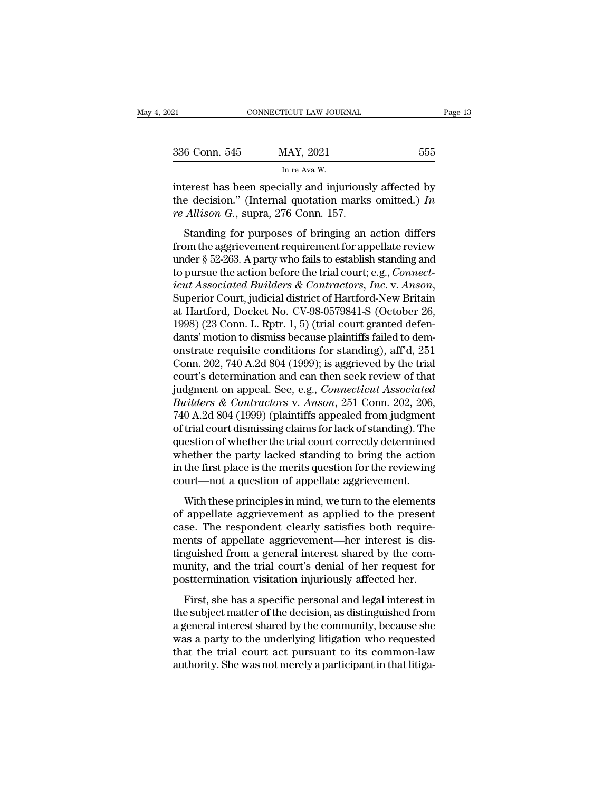| 2021          | CONNECTICUT LAW JOURNAL                                                                                                                                            | Page 13 |
|---------------|--------------------------------------------------------------------------------------------------------------------------------------------------------------------|---------|
| 336 Conn. 545 | MAY, 2021                                                                                                                                                          | 555     |
|               | In re Ava W.                                                                                                                                                       |         |
|               | interest has been specially and injuriously affected by<br>the decision." (Internal quotation marks omitted.) In<br>re $\lambda$ llicen $C$ supra $276$ Copp $157$ |         |

336 Conn. 545 MAY, 2021 555<br>
In re Ava W.<br>
interest has been specially and injuriously affected by<br>
the decision." (Internal quotation marks omitted.) *In*<br> *re Allison G.*, supra, 276 Conn. 157. <sup>236</sup> Conn. 545 MAY, 2021<br> *in re Ava W.*<br>
interest has been specially and injuriousl<br>
the decision." (Internal quotation marks<br> *re Allison G.*, supra, 276 Conn. 157.<br>
Standing for purposes of bringing an  $\frac{1}{2}$  is the set of MAY, 2021<br>
In re Ava W.<br>
In re Ava W.<br>
Lerest has been specially and injuriously affected by<br>
e decision." (Internal quotation marks omitted.) *In*<br> *Allison G.*, supra, 276 Conn. 157.<br>
Standing fo

In re Ava W.<br>
interest has been specially and injuriously affected by<br>
the decision." (Internal quotation marks omitted.) In<br>
re Allison G., supra, 276 Conn. 157.<br>
Standing for purposes of bringing an action differs<br>
from interest has been specially and injuriously affected by<br>the decision." (Internal quotation marks omitted.) In<br>re Allison G., supra, 276 Conn. 157.<br>Standing for purposes of bringing an action differs<br>from the aggrievement the decision." (Internal quotation marks omitted.) In<br>the decision." (Internal quotation marks omitted.) In<br>re Allison G., supra, 276 Conn. 157.<br>Standing for purposes of bringing an action differs<br>from the aggrievement req *icut Associated Builders & Contractors, Inc. icut Associated Builders* from the aggrievement requirement for appellate review under § 52-263. A party who fails to establish standing and to pursue the action before the t Standing for purposes of bringing an action differs<br>from the aggrievement requirement for appellate review<br>under § 52-263. A party who fails to establish standing and<br>to pursue the action before the trial court; e.g., *Con* from the aggrievement requirement for appellate review<br>under § 52-263. A party who fails to establish standing and<br>to pursue the action before the trial court; e.g., *Connect-<br>icut Associated Builders & Contractors, Inc.* under § 52-263. A party who fails to establish standing and<br>to pursue the action before the trial court; e.g., *Connect-*<br>icut Associated Builders & Contractors, Inc. v. Anson,<br>Superior Court, judicial district of Hartfor to pursue the action before the trial court; e.g., *Connect-*<br>icut Associated Builders & Contractors, Inc. v. Anson,<br>Superior Court, judicial district of Hartford-New Britain<br>at Hartford, Docket No. CV-98-0579841-S (Octobe icut Associated Builders & Contractors, Inc. v. Anson,<br>Superior Court, judicial district of Hartford-New Britain<br>at Hartford, Docket No. CV-98-0579841-S (October 26,<br>1998) (23 Conn. L. Rptr. 1, 5) (trial court granted defe Superior Court, judicial district of Hartford-New Britain<br>at Hartford, Docket No. CV-98-0579841-S (October 26,<br>1998) (23 Conn. L. Rptr. 1, 5) (trial court granted defen-<br>dants' motion to dismiss because plaintiffs failed t at Hartford, Docket No. CV-98-0579841-S (October 26,<br>1998) (23 Conn. L. Rptr. 1, 5) (trial court granted defen-<br>dants' motion to dismiss because plaintiffs failed to dem-<br>onstrate requisite conditions for standing), aff'd, 1998) (23 Conn. L. Rptr. 1, 5) (trial court granted defendants' motion to dismiss because plaintiffs failed to demonstrate requisite conditions for standing), aff'd, 251 Conn. 202, 740 A.2d 804 (1999); is aggrieved by the dants' motion to dismiss because plaintiffs failed to demonstrate requisite conditions for standing), aff'd, 251<br>Conn. 202, 740 A.2d 804 (1999); is aggrieved by the trial<br>court's determination and can then seek review of t onstrate requisite conditions for standing), aff'd, 251<br>Conn. 202, 740 A.2d 804 (1999); is aggrieved by the trial<br>court's determination and can then seek review of that<br>judgment on appeal. See, e.g., *Connecticut Associate* Conn. 202, 740 A.2d 804 (1999); is aggrieved by the trial<br>court's determination and can then seek review of that<br>judgment on appeal. See, e.g., *Connecticut Associated*<br>Builders & Contractors v. Anson, 251 Conn. 202, 206,<br> court's determination and can then seek review of that<br>judgment on appeal. See, e.g., *Connecticut Associated*<br>*Builders & Contractors v. Anson*, 251 Conn. 202, 206,<br>740 A.2d 804 (1999) (plaintiffs appealed from judgment<br>o judgment on appeal. See, e.g., *Connecticut Associated*<br>Builders & Contractors v. Anson, 251 Conn. 202, 206,<br>740 A.2d 804 (1999) (plaintiffs appealed from judgment<br>of trial court dismissing claims for lack of standing). Th Builders & Contractors v. Anson, 251 Conn. 202, 206,<br>740 A.2d 804 (1999) (plaintiffs appealed from judgment<br>of trial court dismissing claims for lack of standing). The<br>question of whether the trial court correctly determin of these principles in mind, we turn to the elements<br>trial court dismissing claims for lack of standing). The<br>estion of whether the trial court correctly determined<br>nether the party lacked standing to bring the action<br>the of and code distinsion generator of standing). The<br>question of whether the trial court correctly determined<br>whether the party lacked standing to bring the action<br>in the first place is the merits question for the reviewing<br>

mether the party lacked standing to bring the action<br>in the first place is the merits question for the reviewing<br>court—not a question of appellate aggrievement.<br>With these principles in mind, we turn to the elements<br>of app menter are party factor standing to string the dealer<br>in the first place is the merits question for the reviewing<br>court—not a question of appellate aggrievement.<br>With these principles in mind, we turn to the elements<br>of ap the most place is are morte question for an eventing<br>court—not a question of appellate aggrievement.<br>With these principles in mind, we turn to the elements<br>of appellate aggrievement as applied to the present<br>case. The resp With these principles in mind, we turn to the elements<br>of appellate aggrievement as applied to the present<br>case. The respondent clearly satisfies both require-<br>ments of appellate aggrievement—her interest is dis-<br>tinguishe With these principles in mind, we turn to the elements<br>of appellate aggrievement as applied to the present<br>case. The respondent clearly satisfies both require-<br>ments of appellate aggrievement—her interest is dis-<br>tinguishe reppendic aggreevented as applied to the present<br>se. The respondent clearly satisfies both require-<br>ents of appellate aggrievement—her interest is dis-<br>iguished from a general interest shared by the com-<br>unity, and the tri the subject matter of the decision of the community, and the trial court's denial of her request for posttermination visitation injuriously affected her.<br>First, she has a specific personal and legal interest in the subject

ments of appenate aggreventers for the methods is also<br>tinguished from a general interest shared by the com-<br>munity, and the trial court's denial of her request for<br>posttermination visitation injuriously affected her.<br>Firs munity, and the trial court's denial of her request for<br>munity, and the trial court's denial of her request for<br>posttermination visitation injuriously affected her.<br>First, she has a specific personal and legal interest in<br> manay, and are trial courts dental of her request for<br>posttermination visitation injuriously affected her.<br>First, she has a specific personal and legal interest in<br>the subject matter of the decision, as distinguished from<br> First, she has a specific personal and legal interest in<br>the subject matter of the decision, as distinguished from<br>a general interest shared by the community, because she<br>was a party to the underlying litigation who reques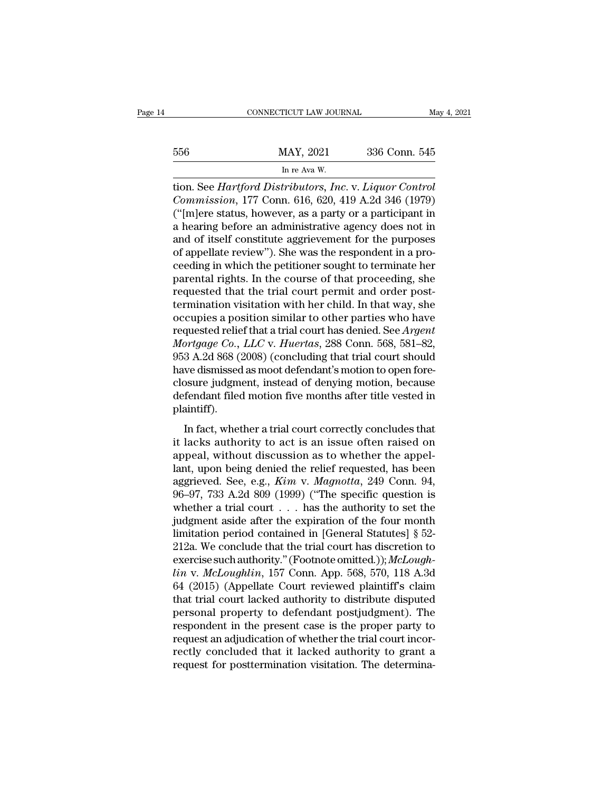|     | CONNECTICUT LAW JOURNAL                                        |               | May 4, 2021 |
|-----|----------------------------------------------------------------|---------------|-------------|
|     |                                                                |               |             |
| 556 | MAY, 2021                                                      | 336 Conn. 545 |             |
|     | In re Ava W.                                                   |               |             |
|     | tion, See <i>Hartford Distributors, Inc. v. Liguor Control</i> |               |             |

tion. See *Hartford Distributors, Inc. v. <i>Liquor Control*<br>Commission, 177 Conn. 616, 620, 419 A.2d 346 (1979)<br>Commission, 177 Conn. 616, 620, 419 A.2d 346 (1979) *Commission, 177 Commission, a* a party or a participant in the heating hefore an edministrative agency does not in MAY, 2021 336 Conn. 545<br>
In re Ava W.<br>
In re Ava W.<br>
ion. See *Hartford Distributors, Inc.* v. *Liquor Control*<br> *Commission, 177 Conn. 616, 620, 419 A.2d 346 (1979)*<br>
("[m]ere status, however, as a party or a participant  $\frac{\text{MAX, 2021}}{\text{In re Ava W.}}$ <br>
In re Ava W.<br>
tion. See *Hartford Distributors, Inc.* v. *Liquor Control Commission*, 177 Conn. 616, 620, 419 A.2d 346 (1979)<br>
("[m]ere status, however, as a party or a participant in a hearing and of itself constitute aggrievement for the purposes of appellate review"). She was the respondent in a hearing before an administrative agency does not in and of itself constitute aggrievement for the purposes of appel m re Ava w.<br>
tion. See *Hartford Distributors*, *Inc.* v. *Liquor Control*<br> *Commission*, 177 Conn. 616, 620, 419 A.2d 346 (1979)<br>
("[m]ere status, however, as a party or a participant in<br>
a hearing before an administrativ tion. See *Hartford Distributors*, *Inc.* v. *Liquor Control*<br>*Commission*, 177 Conn. 616, 620, 419 A.2d 346 (1979)<br>("[m]ere status, however, as a party or a participant in<br>a hearing before an administrative agency does no Commission, 177 Conn. 616, 620, 419 A.2d 346 (1979)<br>("[m]ere status, however, as a party or a participant in<br>a hearing before an administrative agency does not in<br>and of itself constitute aggrievement for the purposes<br>of ("[m]ere status, however, as a party or a participant in<br>a hearing before an administrative agency does not in<br>and of itself constitute aggrievement for the purposes<br>of appellate review"). She was the respondent in a pro-<br> a hearing before an administrative agency does not in<br>and of itself constitute aggrievement for the purposes<br>of appellate review"). She was the respondent in a pro-<br>ceeding in which the petitioner sought to terminate her<br>p and of itself constitute aggrievement for the purposes<br>of appellate review"). She was the respondent in a pro-<br>ceeding in which the petitioner sought to terminate her<br>parental rights. In the course of that proceeding, she of appellate review"). She was the respondent in a proceeding in which the petitioner sought to terminate her<br>parental rights. In the course of that proceeding, she<br>requested that the trial court permit and order post-<br>ter reeding in which the petitioner sought to terminate her<br>parental rights. In the course of that proceeding, she<br>requested that the trial court permit and order post-<br>termination visitation with her child. In that way, she<br>o parental rights. In the course of that proceeding, she<br>requested that the trial court permit and order post-<br>termination visitation with her child. In that way, she<br>occupies a position similar to other parties who have<br>req requested that the trial court permit and order post-<br>termination visitation with her child. In that way, she<br>occupies a position similar to other parties who have<br>requested relief that a trial court has denied. See *Argen* termination visitation with her child. In that way, she<br>occupies a position similar to other parties who have<br>requested relief that a trial court has denied. See Argent<br>Mortgage Co., LLC v. Huertas, 288 Conn. 568, 581–82,<br> occupies a position similar to other parties who have<br>requested relief that a trial court has denied. See *Argent*<br>Mortgage Co., LLC v. Huertas, 288 Conn. 568, 581–82,<br>953 A.2d 868 (2008) (concluding that trial court shoul plaintiff).  $3$  A.2d 868 (2008) (concluding that trial court should<br>ave dismissed as moot defendant's motion to open fore-<br>osure judgment, instead of denying motion, because<br>fendant filed motion five months after title vested in<br>aint For the dismissed as moot defendant's motion to open fore-<br>closure judgment, instead of denying motion, because<br>defendant filed motion five months after title vested in<br>plaintiff).<br>In fact, whether a trial court correctly

Finally distinguished as these defendants modern to sperifice<br>closure judgment, instead of denying motion, because<br>defendant filed motion five months after title vested in<br>plaintiff).<br>In fact, whether a trial court correc defendant filed motion five months after title vested in<br>plaintiff).<br>In fact, whether a trial court correctly concludes that<br>it lacks authority to act is an issue often raised on<br>appeal, without discussion as to whether t aggrieved. See, e.g., *Kim* v. *Magnotta*, 249 Conn. 94, 96–97, 733 A.2d 809 (1999) ("The specific question is whether a trial court correctly concludes that it lacks authority to act is an issue often raised on appeal, wi In fact, whether a trial court correctly concludes that<br>it lacks authority to act is an issue often raised on<br>appeal, without discussion as to whether the appel-<br>lant, upon being denied the relief requested, has been<br>aggr In fact, whether a trial court correctly concludes that<br>it lacks authority to act is an issue often raised on<br>appeal, without discussion as to whether the appel-<br>lant, upon being denied the relief requested, has been<br>aggr it lacks authority to act is an issue often raised on<br>appeal, without discussion as to whether the appel-<br>lant, upon being denied the relief requested, has been<br>aggrieved. See, e.g., *Kim v. Magnotta*, 249 Conn. 94,<br>96–97 appeal, without discussion as to whether the appellant, upon being denied the relief requested, has been aggrieved. See, e.g.,  $Kim$  v.  $Magnotta$ , 249 Conn. 94, 96–97, 733 A.2d 809 (1999) ("The specific question is whether a tri lant, upon being denied the relief requested, has been<br>aggrieved. See, e.g., *Kim v. Magnotta*, 249 Conn. 94,<br>96–97, 733 A.2d 809 (1999) ("The specific question is<br>whether a trial court  $\dots$  has the authority to set the<br>j aggrieved. See, e.g., *Kim v. Magnotta*, 249 Conn. 94, 96–97, 733 A.2d 809 (1999) ("The specific question is whether a trial court . . . has the authority to set the judgment aside after the expiration of the four month li 96–97, 733 A.2d 809 (1999) ("The specific question is<br>whether a trial court . . . has the authority to set the<br>judgment aside after the expiration of the four month<br>limitation period contained in [General Statutes] § 52-<br>2 whether a trial court . . . has the authority to set the<br>judgment aside after the expiration of the four month<br>limitation period contained in [General Statutes] § 52-<br>212a. We conclude that the trial court has discretion judgment aside after the expiration of the four month<br>limitation period contained in [General Statutes]  $\S$  52-<br>212a. We conclude that the trial court has discretion to<br>exercise such authority." (Footnote omitted.)); *McL* limitation period contained in [General Statutes] § 52-<br>212a. We conclude that the trial court has discretion to<br>exercise such authority." (Footnote omitted.)); McLough-<br> $lin$  v. McLoughlin, 157 Conn. App. 568, 570, 118 A.3 212a. We conclude that the trial court has discretion to<br>exercise such authority." (Footnote omitted.)); McLough-<br> $lin$  v. McLoughlin, 157 Conn. App. 568, 570, 118 A.3d<br>64 (2015) (Appellate Court reviewed plaintiff's claim<br> exercise such authority." (Footnote omitted.)); *McLough-*<br>lin v. *McLoughlin*, 157 Conn. App. 568, 570, 118 A.3d<br>64 (2015) (Appellate Court reviewed plaintiff's claim<br>that trial court lacked authority to distribute disput lin v. McLoughlin, 157 Conn. App. 568, 570, 118 A.3d 64 (2015) (Appellate Court reviewed plaintiff's claim that trial court lacked authority to distribute disputed personal property to defendant postjudgment). The respond 64 (2015) (Appellate Court reviewed plaintiff's claim<br>that trial court lacked authority to distribute disputed<br>personal property to defendant postjudgment). The<br>respondent in the present case is the proper party to<br>reques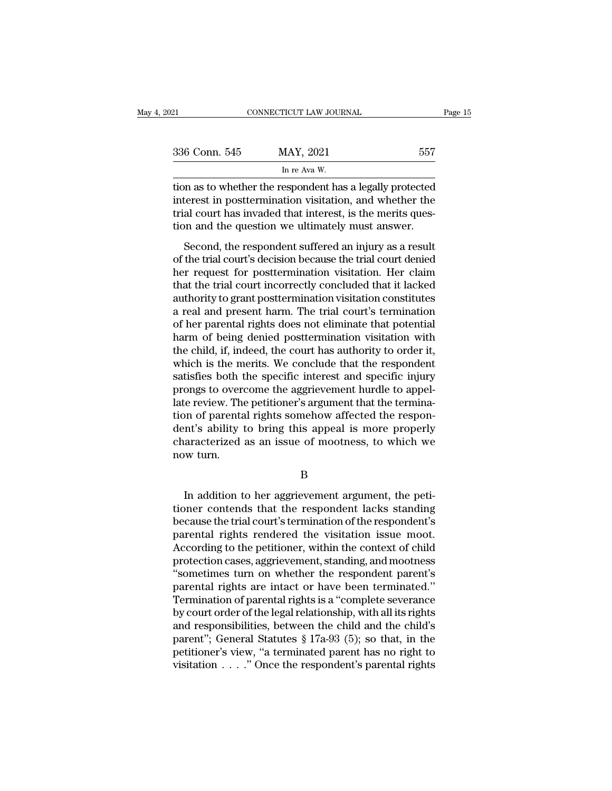| 21            | CONNECTICUT LAW JOURNAL                                                                                                                                                           | Page 15 |
|---------------|-----------------------------------------------------------------------------------------------------------------------------------------------------------------------------------|---------|
| 336 Conn. 545 | MAY, 2021                                                                                                                                                                         | 557     |
|               | In re Ava W.                                                                                                                                                                      |         |
|               | tion as to whether the respondent has a legally protected<br>interest in posttermination visitation, and whether the<br>trial court has invaded that interest is the merits quest |         |

336 Conn. 545 MAY, 2021 557<br>
In re Ava W.<br>
tion as to whether the respondent has a legally protected<br>
interest in posttermination visitation, and whether the<br>
trial court has invaded that interest, is the merits ques-<br>
tio 336 Conn. 545 MAY, 2021 557<br>
In re Ava W.<br>
tion as to whether the respondent has a legally protected<br>
interest in posttermination visitation, and whether the<br>
trial court has invaded that interest, is the merits ques-<br>
ti 336 Conn. 545 MAY, 2021 557<br>
In re Ava W.<br>
tion as to whether the respondent has a legally protected<br>
interest in posttermination visitation, and whether the<br>
trial court has invaded that interest, is the merits ques-<br>
tio  $\frac{1}{2}$  in re Ava W.<br>
In re Ava W.<br>
In an as to whether the respondent has a legally protected<br>
terest in posttermination visitation, and whether the<br>
al court has invaded that interest, is the merits ques-<br>
point and t tion as to whether the respondent has a legally protected<br>interest in posttermination visitation, and whether the<br>trial court has invaded that interest, is the merits ques-<br>tion and the question we ultimately must answer.<br>

interest in posttermination visitation, and whether the<br>trial court has invaded that interest, is the merits ques-<br>tion and the question we ultimately must answer.<br>Second, the respondent suffered an injury as a result<br>of t metrics in posternmation visitation, and whencer are<br>trial court has invaded that interest, is the merits ques-<br>tion and the question we ultimately must answer.<br>Second, the respondent suffered an injury as a result<br>of the and court has invaded that interest, is the interns question and the question we ultimately must answer.<br>Second, the respondent suffered an injury as a result<br>of the trial court's decision because the trial court denied<br>he Second, the respondent suffered an injury as a result<br>of the trial court's decision because the trial court denied<br>her request for posttermination visitation. Her claim<br>that the trial court incorrectly concluded that it la Second, the respondent suffered an injury as a result<br>of the trial court's decision because the trial court denied<br>her request for posttermination visitation. Her claim<br>that the trial court incorrectly concluded that it la of the trial court's decision because the trial court denied<br>her request for posttermination visitation. Her claim<br>that the trial court incorrectly concluded that it lacked<br>authority to grant posttermination visitation con her request for posttermination visitation. Her claim<br>that the trial court incorrectly concluded that it lacked<br>authority to grant posttermination visitation constitutes<br>a real and present harm. The trial court's terminati that the trial court incorrectly concluded that it lacked<br>authority to grant posttermination visitation constitutes<br>a real and present harm. The trial court's termination<br>of her parental rights does not eliminate that pote authority to grant posttermination visitation constitutes<br>a real and present harm. The trial court's termination<br>of her parental rights does not eliminate that potential<br>harm of being denied posttermination visitation with a real and present harm. The trial court's termination<br>of her parental rights does not eliminate that potential<br>harm of being denied posttermination visitation with<br>the child, if, indeed, the court has authority to order i of her parental rights does not eliminate that potential<br>harm of being denied posttermination visitation with<br>the child, if, indeed, the court has authority to order it,<br>which is the merits. We conclude that the respondent harm of being denied posttermination visitation with<br>the child, if, indeed, the court has authority to order it,<br>which is the merits. We conclude that the respondent<br>satisfies both the specific interest and specific injury the child, if, indeed, the court has authority to order it,<br>which is the merits. We conclude that the respondent<br>satisfies both the specific interest and specific injury<br>prongs to overcome the aggrievement hurdle to appelwhich is the merits. We conclude that the respondent<br>satisfies both the specific interest and specific injury<br>prongs to overcome the aggrievement hurdle to appel-<br>late review. The petitioner's argument that the termina-<br>ti satisfies both t<br>prongs to over<br>late review. The<br>tion of parenta<br>dent's ability t<br>characterized<br>now turn. In addition to her aggrievement argument, the peti-<br>In addition to her aggrievement argument, the peti-<br>In addition to her aggrievement argument, the peti-<br>In addition to her aggrievement argument, the peti-<br>Die contends t

B

dent's ability to bring this appeal is more properly<br>characterized as an issue of mootness, to which we<br>now turn.<br>B<br>In addition to her aggrievement argument, the peti-<br>tioner contends that the respondent lacks standing<br>bec characterized as an issue of mootness, to which we<br>now turn.<br>B<br>In addition to her aggrievement argument, the peti-<br>tioner contends that the respondent lacks standing<br>because the trial court's termination of the respondent' B<br>
B<br>
In addition to her aggrievement argument, the petitioner contends that the respondent lacks standing<br>
because the trial court's termination of the respondent's<br>
parental rights rendered the visitation issue moot.<br>
Ac B<br>
In addition to her aggrievement argument, the peti-<br>
tioner contends that the respondent lacks standing<br>
because the trial court's termination of the respondent's<br>
parental rights rendered the visitation issue moot.<br>
Ac In addition to her aggrievement argument, the petitioner contends that the respondent lacks standing<br>because the trial court's termination of the respondent's<br>parental rights rendered the visitation issue moot.<br>According t In addition to her aggrievement argument, the petitioner contends that the respondent lacks standing<br>because the trial court's termination of the respondent's<br>parental rights rendered the visitation issue moot.<br>According t tioner contends that the respondent lacks standing<br>because the trial court's termination of the respondent's<br>parental rights rendered the visitation issue moot.<br>According to the petitioner, within the context of child<br>prot because the trial court's termination of the respondent's<br>parental rights rendered the visitation issue moot.<br>According to the petitioner, within the context of child<br>protection cases, aggrievement, standing, and mootness<br> parental rights rendered the visitation issue moot.<br>According to the petitioner, within the context of child<br>protection cases, aggrievement, standing, and mootness<br>"sometimes turn on whether the respondent parent's<br>parenta According to the petitioner, within the context of child<br>protection cases, aggrievement, standing, and mootness<br>"sometimes turn on whether the respondent parent's<br>parental rights are intact or have been terminated."<br>Termi protection cases, aggrievement, standing, and mootness<br>
"sometimes turn on whether the respondent parent's<br>
parental rights are intact or have been terminated."<br>
Termination of parental rights is a "complete severance<br>
by "sometimes turn on whether the respondent parent's<br>parental rights are intact or have been terminated."<br>Termination of parental rights is a "complete severance<br>by court order of the legal relationship, with all its rights parental rights are intact or have been terminated."<br>Termination of parental rights is a "complete severance<br>by court order of the legal relationship, with all its rights<br>and responsibilities, between the child and the ch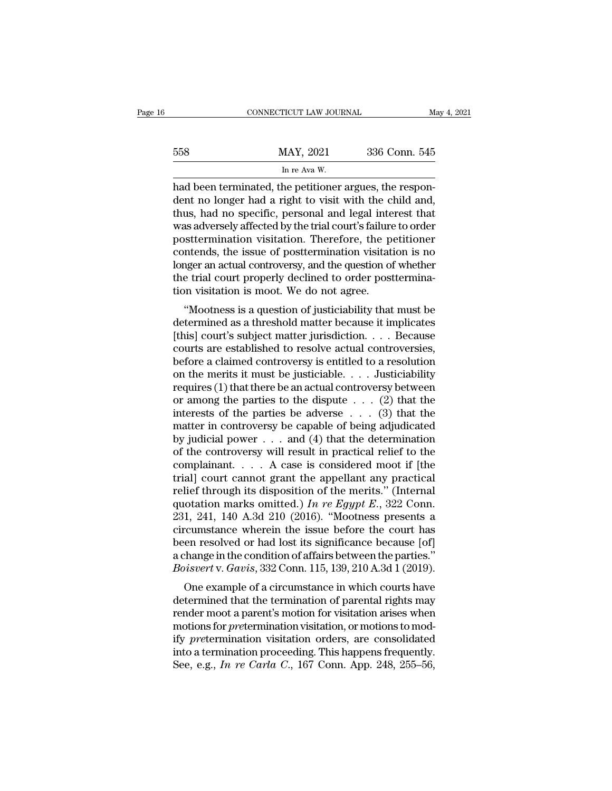|     | CONNECTICUT LAW JOURNAL                                                                                                                                                     | May 4, 2021   |
|-----|-----------------------------------------------------------------------------------------------------------------------------------------------------------------------------|---------------|
| 558 | MAY, 2021                                                                                                                                                                   | 336 Conn. 545 |
|     | In re Ava W.                                                                                                                                                                |               |
|     | had been terminated, the petitioner argues, the respon-<br>dent no longer had a right to visit with the child and,<br>thus had no specific personal and legal interest that |               |

MAY, 2021 336 Conn. 545<br>
In re Ava W.<br>
had been terminated, the petitioner argues, the respondent no longer had a right to visit with the child and,<br>
thus, had no specific, personal and legal interest that<br>
was adversely a  $\frac{\text{MAX, } 2021}{\text{In } \text{re Ava W.}}$ <br>
had been terminated, the petitioner argues, the respondent no longer had a right to visit with the child and,<br>
thus, had no specific, personal and legal interest that<br>
was adversely affecte MAY, 2021 336 Conn. 545<br>
In re Ava W.<br>
had been terminated, the petitioner argues, the respondent no longer had a right to visit with the child and,<br>
thus, had no specific, personal and legal interest that<br>
was adversely In re Ava W.<br>
In re Ava W.<br>
had been terminated, the petitioner argues, the respondent no longer had a right to visit with the child and,<br>
thus, had no specific, personal and legal interest that<br>
was adversely affected by Im re Ava W.<br>
had been terminated, the petitioner argues, the respondent no longer had a right to visit with the child and,<br>
thus, had no specific, personal and legal interest that<br>
was adversely affected by the trial cour had been terminated, the petitioner argues, the respondent no longer had a right to visit with the child and, thus, had no specific, personal and legal interest that was adversely affected by the trial court's failure to o dent no longer had a right to visit with the child and, thus, had no specific, personal and legal interest that was adversely affected by the trial court's failure to order posttermination visitation. Therefore, the petiti thus, had no specific, personal and legal inte<br>was adversely affected by the trial court's failure<br>posttermination visitation. Therefore, the p-<br>contends, the issue of posttermination visitati<br>longer an actual controversy, as adversely anected by the that court's randie to order<br>
stetermination visitation. Therefore, the petitioner<br>
ntends, the issue of posttermination visitation is no<br>
nger an actual controversy, and the question of whether posttermination visitation. Therefore, the petitioner<br>contends, the issue of posttermination visitation is no<br>longer an actual controversy, and the question of whether<br>the trial court properly declined to order posttermina

contenus, the issue of posttermination visitation is no<br>longer an actual controversy, and the question of whether<br>the trial court properly declined to order posttermina-<br>tion visitation is moot. We do not agree.<br>"Mootness folger an actual confloversy, and the question of whether<br>the trial court properly declined to order posttermina-<br>tion visitation is moot. We do not agree.<br>"Mootness is a question of justiciability that must be<br>determined tion visitation is moot. We do not agree.<br>
"Mootness is a question of justiciability that must be<br>
determined as a threshold matter because it implicates<br>
[this] court's subject matter jurisdiction. . . . Because<br>
courts a "Mootness is a question of justiciability that must be<br>determined as a threshold matter because it implicates<br>[this] court's subject matter jurisdiction. . . . Because<br>courts are established to resolve actual controversie "Mootness is a question of justiciability that must be<br>determined as a threshold matter because it implicates<br>(this] court's subject matter jurisdiction. . . . Because<br>courts are established to resolve actual controversie determined as a threshold matter because it implicates<br>[this] court's subject matter jurisdiction. . . . Because<br>courts are established to resolve actual controversies,<br>before a claimed controversy is entitled to a resolut [this] court's subject matter jurisdiction. . . . Because<br>courts are established to resolve actual controversies,<br>before a claimed controversy is entitled to a resolution<br>on the merits it must be justiciable. . . . Justic courts are established to resolve actual controversies,<br>before a claimed controversy is entitled to a resolution<br>on the merits it must be justiciable.... Justiciability<br>requires (1) that there be an actual controversy bet before a claimed controversy is entitled to a resolution<br>on the merits it must be justiciable. . . . Justiciability<br>requires (1) that there be an actual controversy between<br>or among the parties to the dispute . . . (2) th on the merits it must be justiciable. . . . Justiciability<br>requires (1) that there be an actual controversy between<br>or among the parties to the dispute . . . (2) that the<br>interests of the parties be adverse . . . (3) that requires (1) that there be an actual controversy between<br>or among the parties to the dispute . . . (2) that the<br>interests of the parties be adverse . . . (3) that the<br>matter in controversy be capable of being adjudicated<br> or among the parties to the dispute . . . (2) that the<br>interests of the parties be adverse . . . (3) that the<br>matter in controversy be capable of being adjudicated<br>by judicial power . . . and (4) that the determination<br>of interests of the parties be adverse . . . (3) that the<br>matter in controversy be capable of being adjudicated<br>by judicial power . . . and (4) that the determination<br>of the controversy will result in practical relief to the matter in controversy be capable of being adjudicated<br>by judicial power . . . and (4) that the determination<br>of the controversy will result in practical relief to the<br>complainant. . . . A case is considered moot if [the<br>t by judicial power . . . and (4) that the determination<br>of the controversy will result in practical relief to the<br>complainant. . . . A case is considered moot if [the<br>trial] court cannot grant the appellant any practical<br>r of the controversy will result in practical relief to the complainant. . . . A case is considered moot if [the trial] court cannot grant the appellant any practical relief through its disposition of the merits." (Internal complainant. . . . A case is considered moot if [the<br>trial] court cannot grant the appellant any practical<br>relief through its disposition of the merits." (Internal<br>quotation marks omitted.) In re Egypt E., 322 Conn.<br>231, trial] court cannot grant the appellant any practical<br>relief through its disposition of the merits." (Internal<br>quotation marks omitted.) In re Egypt E., 322 Conn.<br>231, 241, 140 A.3d 210 (2016). "Mootness presents a<br>circum relief through its disposition of the merits." (Internal<br>quotation marks omitted.) *In re Egypt E*., 322 Conn.<br>231, 241, 140 A.3d 210 (2016). "Mootness presents a<br>circumstance wherein the issue before the court has<br>been re otation marks omitted:) The Eggpt E., 322 Cont.<br>1, 241, 140 A.3d 210 (2016). "Mootness presents a<br>cumstance wherein the issue before the court has<br>en resolved or had lost its significance because [of]<br>change in the condit 251, 241, 140 A.5d 210 (2010). Moothess presents a<br>circumstance wherein the issue before the court has<br>been resolved or had lost its significance because [of]<br>a change in the condition of affairs between the parties."<br>*Bo* 

enculture wherein the issue before the court has<br>been resolved or had lost its significance because [of]<br>a change in the condition of affairs between the parties."<br>Boisvert v. Gavis, 332 Conn. 115, 139, 210 A.3d 1 (2019).<br> been resolved of had lost its significance because [of]<br>a change in the condition of affairs between the parties."<br>*Boisvert* v. *Gavis*, 332 Conn. 115, 139, 210 A.3d 1 (2019).<br>One example of a circumstance in which courts *a* change in the condition or analis between the parties.<br> *Boisvert* v. *Gavis*, 332 Conn. 115, 139, 210 A.3d 1 (2019).<br>
One example of a circumstance in which courts have<br>
determined that the termination of parental rig Dotsvert v. Gaves, 332 Collit. 113, 139, 210 A.3d 1 (2019).<br>
One example of a circumstance in which courts have<br>
determined that the termination of parental rights may<br>
render moot a parent's motion for visitation arises One example of a circumstance in which courts have<br>determined that the termination of parental rights may<br>render moot a parent's motion for visitation arises when<br>motions for *pre*termination visitation, or motions to mod-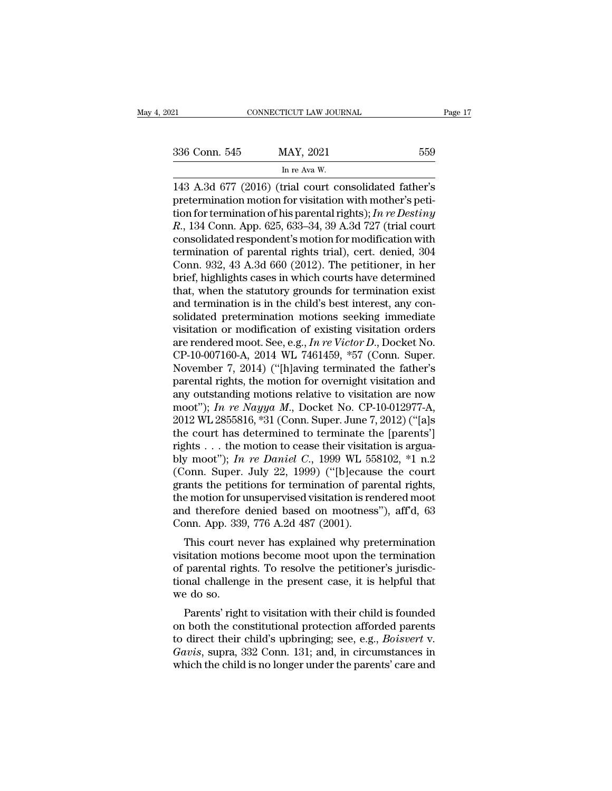ricut law jour<br>MAY, 2021<br>In re Ava W.<br>Tial court co ERECTIVE CONNECTICUT LAW JOURNAL Page 17<br>
336 Conn. 545 MAY, 2021 559<br>
In re Ava W.<br>
143 A.3d 677 (2016) (trial court consolidated father's<br>
pretermination motion for visitation with mother's peti-336 Conn. 545 MAY, 2021 559<br>
In re Ava W.<br>
143 A.3d 677 (2016) (trial court consolidated father's pretermination motion for visitation with mother's peti-<br>
tion for termination of his parental rights); In re Destiny<br>
R 134 1336 Conn. 545 MAY, 2021 559<br>
In re Ava W.<br>
143 A.3d 677 (2016) (trial court consolidated father's<br>
pretermination motion for visitation with mother's peti-<br>
tion for termination of his parental rights); *In re Destiny*<br>
R <sup>836</sup> Conn. 545 MAY, 2021 559<br>
In re Ava W.<br>
<sup>I</sup> The Ava W.<br>
143 A.3d 677 (2016) (trial court consolidated father's<br>
pretermination motion for visitation with mother's peti-<br>
tion for termination of his parental rights); In re Ava W.<br>
In re Ava W.<br>
143 A.3d 677 (2016) (trial court consolidated father's<br>
pretermination motion for visitation with mother's peti-<br>
tion for termination of his parental rights); In re Destiny<br>
R., 134 Conn. App. In re Ava W.<br>
143 A.3d 677 (2016) (trial court consolidated father's<br>
pretermination motion for visitation with mother's peti-<br>
tion for termination of his parental rights); In re Destiny<br>
R., 134 Conn. App. 625, 633–34, 143 A.3d 677 (2016) (trial court consolidated father's<br>pretermination motion for visitation with mother's peti-<br>tion for termination of his parental rights); *In re Destiny*<br> $R$ , 134 Conn. App. 625, 633–34, 39 A.3d 727 (t pretermination motion for visitation with mother's petition for termination of his parental rights); *In re Destiny*  $R$ , 134 Conn. App. 625, 633–34, 39 A.3d 727 (trial court consolidated respondent's motion for modificati tion for termination of his parental rights); *In re Destiny*  $R$ , 134 Conn. App. 625, 633–34, 39 A.3d 727 (trial court consolidated respondent's motion for modification with termination of parental rights trial), cert. d R., 134 Conn. App. 625, 633–34, 39 A.3d 727 (trial court consolidated respondent's motion for modification with termination of parental rights trial), cert. denied, 304 Conn. 932, 43 A.3d 660 (2012). The petitioner, in her consolidated respondent's motion for modification with<br>termination of parental rights trial), cert. denied, 304<br>Conn. 932, 43 A.3d 660 (2012). The petitioner, in her<br>brief, highlights cases in which courts have determined termination of parental rights trial), cert. denied, 304<br>Conn. 932, 43 A.3d 660 (2012). The petitioner, in her<br>brief, highlights cases in which courts have determined<br>that, when the statutory grounds for termination exist Conn. 932, 43 A.3d 660 (2012). The petitioner, in her brief, highlights cases in which courts have determined that, when the statutory grounds for termination exist and termination is in the child's best interest, any cons brief, highlights cases in which courts have determined<br>that, when the statutory grounds for termination exist<br>and termination is in the child's best interest, any con-<br>solidated pretermination motions seeking immediate<br>vi that, when the statutory grounds for termination exist<br>and termination is in the child's best interest, any con-<br>solidated pretermination motions seeking immediate<br>visitation or modification of existing visitation orders<br> and termination is in the child's best interest, any consolidated pretermination motions seeking immediate visitation or modification of existing visitation orders are rendered moot. See, e.g., *In re Victor D.*, Docket N solidated pretermination motions seeking immediate<br>visitation or modification of existing visitation orders<br>are rendered moot. See, e.g., *In re Victor D.*, Docket No.<br>CP-10-007160-A, 2014 WL 7461459, \*57 (Conn. Super.<br>No visitation or modification of existing visitation orders<br>are rendered moot. See, e.g., *In re Victor D.*, Docket No.<br>CP-10-007160-A, 2014 WL 7461459, \*57 (Conn. Super.<br>November 7, 2014) ("[h]aving terminated the father's<br>p are rendered moot. See, e.g., *In re Victor D.*, Docket No.<br>CP-10-007160-A, 2014 WL 7461459, \*57 (Conn. Super.<br>November 7, 2014) ("[h]aving terminated the father's<br>parental rights, the motion for overnight visitation and<br>a CP-10-007160-A, 2014 WL 7461459, \*57 (Conn. Super.<br>November 7, 2014) ("[h]aving terminated the father's<br>parental rights, the motion for overnight visitation and<br>any outstanding motions relative to visitation are now<br>moot" November 7, 2014) ("[h]aving terminated the father's parental rights, the motion for overnight visitation and any outstanding motions relative to visitation are now moot"); *In re Nayya M.*, Docket No. CP-10-012977-A, 201 parental rights, the motion for overnight visitation and<br>any outstanding motions relative to visitation are now<br>moot"); *In re Nayya M*., Docket No. CP-10-012977-A,<br>2012 WL 2855816, \*31 (Conn. Super. June 7, 2012) ("[a]s<br>t any outstanding motions relative to visitation are now<br>moot"); In re Nayya M., Docket No. CP-10-012977-A,<br>2012 WL 2855816, \*31 (Conn. Super. June 7, 2012) ("[a]s<br>the court has determined to terminate the [parents']<br>rights moot"); *In re Nayya M.*, Docket No. CP-10-012977-A, 2012 WL 2855816, \*31 (Conn. Super. June 7, 2012) ("[a]s the court has determined to terminate the [parents'] rights . . . the motion to cease their visitation is arguab 2012 WL 2855816, \*31 (Conn. Super. June 7, 2012) ("[a]s<br>the court has determined to terminate the [parents']<br>rights . . . the motion to cease their visitation is argua-<br>bly moot"); *In re Daniel C*., 1999 WL 558102, \*1 n. the court has determined to terminate the [parents']<br>rights . . . the motion to cease their visitation is argua-<br>bly moot"); *In re Daniel C*., 1999 WL 558102, \*1 n.2<br>(Conn. Super. July 22, 1999) ("[b]ecause the court<br>gra rights . . . the motion to cease their visitat<br>bly moot"); *In re Daniel C*., 1999 WL 55<br>(Conn. Super. July 22, 1999) ("[b]ecaus<br>grants the petitions for termination of par<br>the motion for unsupervised visitation is ren<br>an Find the Bandel C., 1999 WE 558162,  $\cdot$  1.1.2<br>
fonn. Super. July 22, 1999) ("[b]ecause the court<br>
ants the petitions for termination of parental rights,<br>
e motion for unsupervised visitation is rendered moot<br>
d therefore (Colum. super. July 22, 1999) (pecause the court<br>grants the petitions for termination of parental rights,<br>the motion for unsupervised visitation is rendered moot<br>and therefore denied based on mootness"), aff'd, 63<br>Conn. A

grants the petholis for termination of parental rights,<br>the motion for unsupervised visitation is rendered moot<br>and therefore denied based on mootness"), aff'd, 63<br>Conn. App. 339, 776 A.2d 487 (2001).<br>This court never has the motion for unsupervised visitation is rendered moot<br>and therefore denied based on mootness"), aff'd, 63<br>Conn. App. 339, 776 A.2d 487 (2001).<br>This court never has explained why pretermination<br>visitation motions become m and therefore<br>Conn. App. 339<br>This court n<br>visitation motio<br>of parental right<br>we do so.<br>Parents' right This court never has explained why pretermination<br>sitation motions become moot upon the termination<br>parental rights. To resolve the petitioner's jurisdic-<br>nal challenge in the present case, it is helpful that<br>e do so.<br>Pare This court never has explained wity preternination<br>visitation motions become moot upon the termination<br>of parental rights. To resolve the petitioner's jurisdic-<br>tional challenge in the present case, it is helpful that<br>we

visitation motions become moot upon the termination<br>of parental rights. To resolve the petitioner's jurisdic-<br>tional challenge in the present case, it is helpful that<br>we do so.<br>Parents' right to visitation with their child or parental rights. To resorve the petritorier's jurisdictional challenge in the present case, it is helpful that we do so.<br>Parents' right to visitation with their child is founded<br>on both the constitutional protection aff we do so.<br>
Parents' right to visitation with their child is founded<br>
on both the constitutional protection afforded parents<br>
to direct their child's upbringing; see, e.g., *Boisvert v.*<br> *Gavis*, supra, 332 Conn. 131; and,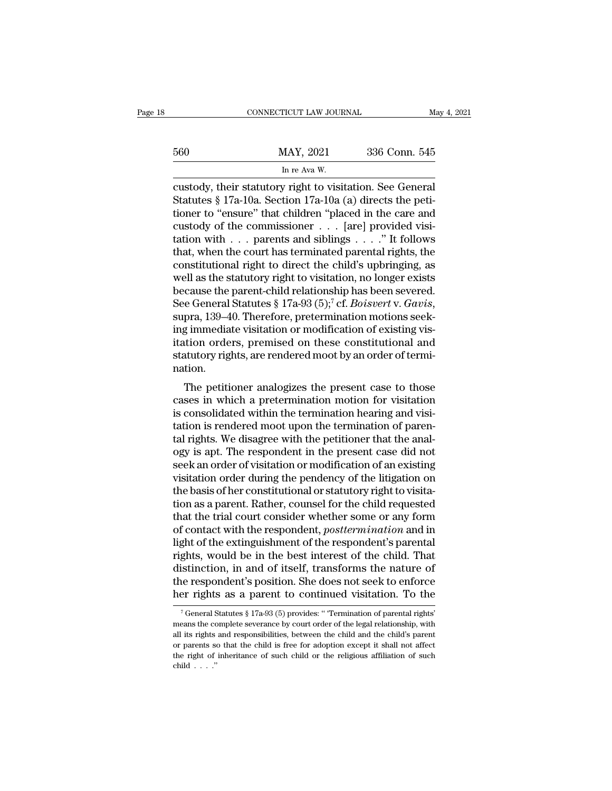|     | CONNECTICUT LAW JOURNAL                                                  |               | May 4, 2021 |
|-----|--------------------------------------------------------------------------|---------------|-------------|
|     |                                                                          |               |             |
| 560 | MAY, 2021                                                                | 336 Conn. 545 |             |
|     | In re Ava W.<br>custody their statutory right to visitation. See General |               |             |

connecticut LAW JOURNAL May 4, 20<br>
MAY, 2021 336 Conn. 545<br>
In re Ava W.<br>
custody, their statutory right to visitation. See General<br>
Statutes § 17a-10a. Section 17a-10a (a) directs the peti-Statutes § 17a-10a. Section 17a-10a (a) directs the petitioner to "ensure" that children "placed in the care and custody of the commissioner for all provided visitions. 560 MAY, 2021 336 Conn. 545<br>
In re Ava W.<br>
custody, their statutory right to visitation. See General<br>
Statutes § 17a-10a. Section 17a-10a (a) directs the peti-<br>
tioner to "ensure" that children "placed in the care and<br>
cu 560 MAY, 2021 336 Conn. 545<br>
In re Ava W.<br>
custody, their statutory right to visitation. See General<br>
Statutes § 17a-10a. Section 17a-10a (a) directs the peti-<br>
tioner to "ensure" that children "placed in the care and<br>
cu In re Ava W.<br>
The Ava W.<br>
Custody, their statutory right to visitation. See General<br>
Statutes § 17a-10a. Section 17a-10a (a) directs the peti-<br>
tioner to "ensure" that children "placed in the care and<br>
custody of the comm In re Ava W.<br>
custody, their statutory right to visitation. See General<br>
Statutes § 17a-10a. Section 17a-10a (a) directs the peti-<br>
tioner to "ensure" that children "placed in the care and<br>
custody of the commissioner . . custody, their statutory right to visitation. See General<br>Statutes § 17a-10a. Section 17a-10a (a) directs the peti-<br>tioner to "ensure" that children "placed in the care and<br>custody of the commissioner  $\dots$  [are] provided Statutes § 17a-10a. Section 17a-10a (a) directs the petitioner to "ensure" that children "placed in the care and custody of the commissioner . . . [are] provided visitation with . . . parents and siblings . . . . " It fol tioner to "ensure" that children "placed in the care and<br>custody of the commissioner . . . [are] provided visi-<br>tation with . . . parents and siblings . . . ." It follows<br>that, when the court has terminated parental right custody of the commissioner . . . [are] provided visitation with . . . parents and siblings . . . ." It follows<br>that, when the court has terminated parental rights, the<br>constitutional right to direct the child's upbringing that, when the court has terminated parental rights, the constitutional right to direct the child's upbringing, as well as the statutory right to visitation, no longer exists because the parent-child relationship has been constitutional right to direct the child's upbringing, as<br>well as the statutory right to visitation, no longer exists<br>because the parent-child relationship has been severed.<br>See General Statutes § 17a-93 (5);<sup>7</sup> cf. *Boisv* well as the statutory right to visitation, no longer exists<br>because the parent-child relationship has been severed.<br>See General Statutes § 17a-93 (5);<sup>7</sup> cf. *Boisvert* v. *Gavis*,<br>supra, 139–40. Therefore, pretermination nation. E General statutes y 17a-95 (5), CI. *Botsvert v. Gavis*,<br>pra, 139–40. Therefore, pretermination motions seek-<br>g immediate visitation or modification of existing vis-<br>tion orders, premised on these constitutional and<br>atuto supra, 155–40. Therefore, pretermination motions seek-<br>ing immediate visitation or modification of existing vis-<br>itation orders, premised on these constitutional and<br>statutory rights, are rendered moot by an order of termi

itation orders, premised on these constitutional and<br>statutory rights, are rendered moot by an order of termi-<br>nation.<br>The petitioner analogizes the present case to those<br>cases in which a pretermination motion for visitati tration orders, premised on these constructional and<br>statutory rights, are rendered moot by an order of termi-<br>nation.<br>The petitioner analogizes the present case to those<br>cases in which a pretermination motion for visitati statutory rights, are rendered moot by an order or termination.<br>The petitioner analogizes the present case to those<br>cases in which a pretermination motion for visitation<br>is consolidated within the termination hearing and v The petitioner analogizes the present case to those<br>cases in which a pretermination motion for visitation<br>is consolidated within the termination hearing and visi-<br>tation is rendered moot upon the termination of paren-<br>tal The petitioner analogizes the present case to those<br>cases in which a pretermination motion for visitation<br>is consolidated within the termination hearing and visi-<br>tation is rendered moot upon the termination of paren-<br>tal cases in which a pretermination motion for visitation<br>is consolidated within the termination hearing and visi-<br>tation is rendered moot upon the termination of paren-<br>tal rights. We disagree with the petitioner that the ana is consolidated within the termination hearing and visitation is rendered moot upon the termination of parental rights. We disagree with the petitioner that the analogy is apt. The respondent in the present case did not se tation is rendered moot upon the termination of parental rights. We disagree with the petitioner that the anal-<br>ogy is apt. The respondent in the present case did not<br>seek an order of visitation or modification of an exist tal rights. We disagree with the petitioner that the anal-<br>ogy is apt. The respondent in the present case did not<br>seek an order of visitation or modification of an existing<br>visitation order during the pendency of the litig ogy is apt. The respondent in the present case did not<br>seek an order of visitation or modification of an existing<br>visitation order during the pendency of the litigation on<br>the basis of her constitutional or statutory right seek an order of visitation or modification of an existing<br>visitation order during the pendency of the litigation on<br>the basis of her constitutional or statutory right to visita-<br>tion as a parent. Rather, counsel for the c visitation order during the pendency of the litigation on<br>the basis of her constitutional or statutory right to visita-<br>tion as a parent. Rather, counsel for the child requested<br>that the trial court consider whether some o the basis of her constitutional or statutory right to visitation as a parent. Rather, counsel for the child requested that the trial court consider whether some or any form of contact with the respondent, *posttermination* tion as a parent. Rather, counsel for the child requested<br>that the trial court consider whether some or any form<br>of contact with the respondent, *posttermination* and in<br>light of the extinguishment of the respondent's pare that the trial court consider whether some or any form<br>of contact with the respondent, *posttermination* and in<br>light of the extinguishment of the respondent's parental<br>rights, would be in the best interest of the child. ghts, would be in the best interest of the child. That<br>istinction, in and of itself, transforms the nature of<br>ie respondent's position. She does not seek to enforce<br>er rights as a parent to continued visitation. To the<br> $\$ distinction, in and of itself, transforms the nature of<br>the respondent's position. She does not seek to enforce<br>her rights as a parent to continued visitation. To the<br> $\frac{1}{16}$  reneral Statutes § 17a-93 (5) provides: "Te

the respondent's position. She does not seek to enforce<br>her rights as a parent to continued visitation. To the<br> $\frac{1}{3}$  feeneral Statutes § 17a-93 (5) provides: "Termination of parental rights'<br>means the complete severan her rights as a parent to continued visitation. To the  $\frac{1}{16}$  feneral Statutes § 17a-93 (5) provides: " Termination of parental rights' means the complete severance by court order of the legal relationship, with all i The rights as a parent to continued visitation. To the rights  $\frac{1}{2}$  of General Statutes § 17a-93 (5) provides: "Termination of parental rights" means the complete severance by court order of the legal relationship, wi means the complete severance by court order of the legal relationship, with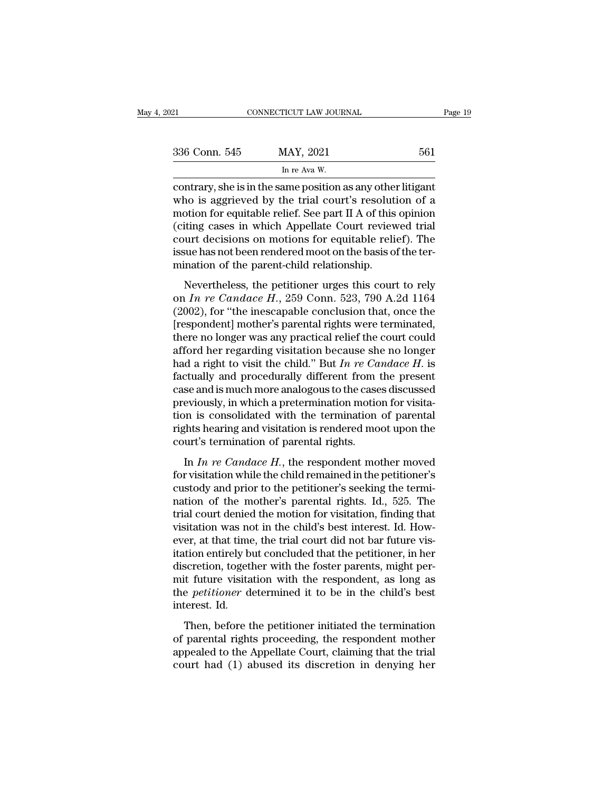| 2021          | CONNECTICUT LAW JOURNAL                                                                                                                                                                    | Page 19 |
|---------------|--------------------------------------------------------------------------------------------------------------------------------------------------------------------------------------------|---------|
|               |                                                                                                                                                                                            |         |
| 336 Conn. 545 | MAY, 2021                                                                                                                                                                                  | 561     |
|               | In re Ava W.                                                                                                                                                                               |         |
|               | contrary, she is in the same position as any other litigant<br>who is aggrieved by the trial court's resolution of a<br>motion for equitable relief. See part II $\Lambda$ of this enjoing |         |

336 Conn. 545 MAY, 2021 561<br>
In re Ava W.<br>
contrary, she is in the same position as any other litigant<br>
who is aggrieved by the trial court's resolution of a<br>
motion for equitable relief. See part II A of this opinion<br>
(ci 336 Conn. 545 MAY, 2021 561<br>
In re Ava W.<br>
contrary, she is in the same position as any other litigant<br>
who is aggrieved by the trial court's resolution of a<br>
motion for equitable relief. See part II A of this opinion<br>
(c  $\frac{336 \text{ Conn. } 545}{\text{In re Ava W.}}$ <br>  $\frac{561}{\text{contrary, she is in the same position as any other litigant}}$ <br>
who is aggrieved by the trial court's resolution of a<br>
motion for equitable relief. See part II A of this opinion<br>
(citing cases in which Appellate Court review In re Ava W.<br>
Contrary, she is in the same position as any other litigant<br>
who is aggrieved by the trial court's resolution of a<br>
motion for equitable relief. See part II A of this opinion<br>
(citing cases in which Appellat in re Ava W.<br>
contrary, she is in the same position as any other litigant<br>
who is aggrieved by the trial court's resolution of a<br>
motion for equitable relief. See part II A of this opinion<br>
(citing cases in which Appellate contrary, she is in the same position as any other who is aggrieved by the trial court's resolution for equitable relief. See part II A of this (citing cases in which Appellate Court review court decisions on motions for e Nevertheless, the petitioner urges this court of the periodic form of equitable relief. See part II A of this opinion<br>titing cases in which Appellate Court reviewed trial<br>aurt decisions on motions for equitable relief). T (citing cases in which Appellate Court reviewed trial<br>court decisions on motions for equitable relief). The<br>issue has not been rendered moot on the basis of the ter-<br>mination of the parent-child relationship.<br>Nevertheless,

(clearly cases in which rippendic count fevrewed that<br>court decisions on motions for equitable relief). The<br>issue has not been rendered moot on the basis of the ter-<br>mination of the parent-child relationship.<br>Nevertheless issue has not been rendered moot on the basis of the termination of the parent-child relationship.<br>Nevertheless, the petitioner urges this court to rely<br>on  $In$   $re$   $Candace$   $H$ ,  $259$   $Conn$ .  $523$ ,  $790$   $A.2d$   $1164$ <br> $(2002)$ mination of the parent-child relationship.<br>
Nevertheless, the petitioner urges this court to rely<br>
on *In re Candace H.*, 259 Conn. 523, 790 A.2d 1164<br>
(2002), for "the inescapable conclusion that, once the<br>
[respondent] Nevertheless, the petitioner urges this court to rely<br>on *In re Candace H.*, 259 Conn. 523, 790 A.2d 1164<br>(2002), for "the inescapable conclusion that, once the<br>[respondent] mother's parental rights were terminated,<br>there Nevertheless, the petitioner urges this court to rely<br>on  $In$   $re$   $Candace$   $H$ ., 259 Conn. 523, 790 A.2d 1164<br>(2002), for "the inescapable conclusion that, once the<br>[respondent] mother's parental rights were terminated,<br>there on *In re Candace H.*, 259 Conn. 523, 790 A.2d 1164 (2002), for "the inescapable conclusion that, once the [respondent] mother's parental rights were terminated, there no longer was any practical relief the court could af (2002), for "the inescapable conclusion that, once the [respondent] mother's parental rights were terminated, there no longer was any practical relief the court could afford her regarding visitation because she no longer [respondent] mother's parental rights were terminated, there no longer was any practical relief the court could afford her regarding visitation because she no longer had a right to visit the child." But  $In re$   $Candace$   $H$ . is there no longer was any practical relief the court could<br>afford her regarding visitation because she no longer<br>had a right to visit the child." But  $In re\text{ Candace } H$ . is<br>factually and procedurally different from the present<br>ca afford her regarding visitation because she no longer<br>had a right to visit the child." But  $In$   $re$   $Candace$   $H$ . is<br>factually and procedurally different from the present<br>case and is much more analogous to the cases discussed had a right to visit the child." But  $In re$   $Ca$  factually and procedurally different from case and is much more analogous to the case previously, in which a pretermination motio tion is consolidated with the termination rig se and is much more analogous to the cases discussed<br>eviously, in which a pretermination motion for visita-<br>on is consolidated with the termination of parental<br>ghts hearing and visitation is rendered moot upon the<br>urt's te for visitation is consolidated with the termination motion for visita-<br>tion is consolidated with the termination of parental<br>rights hearing and visitation is rendered moot upon the<br>court's termination of parental rights.<br>

previously, in which a precedual model is visitation is consolidated with the termination of parental rights.<br>
In *In re Candace H*., the respondent mother moved<br>
for visitation while the child remained in the petitioner' rights hearing and visitation is rendered moot upon the<br>court's termination of parental rights.<br>In *In re Candace H*., the respondent mother moved<br>for visitation while the child remained in the petitioner's<br>custody and pr trial court's termination of parental rights.<br>
In *In re Candace H*., the respondent mother moved<br>
for visitation while the child remained in the petitioner's<br>
custody and prior to the petitioner's seeking the termi-<br>
nat In *In re Candace H*., the respondent mother moved<br>for visitation while the child remained in the petitioner's<br>custody and prior to the petitioner's seeking the termi-<br>nation of the mother's parental rights. Id., 525. The In *In re Candace H*., the respondent mother moved<br>for visitation while the child remained in the petitioner's<br>custody and prior to the petitioner's seeking the termi-<br>nation of the mother's parental rights. Id., 525. The for visitation while the child remained in the petitioner's custody and prior to the petitioner's seeking the termination of the mother's parental rights. Id., 525. The trial court denied the motion for visitation, finding custody and prior to the petitioner's seeking the termination of the mother's parental rights. Id., 525. The trial court denied the motion for visitation, finding that visitation was not in the child's best interest. Id. H nation of the mother's parental rights. Id., 525. The<br>trial court denied the motion for visitation, finding that<br>visitation was not in the child's best interest. Id. How-<br>ever, at that time, the trial court did not bar fut trial court denied the motion for visitation, finding that<br>visitation was not in the child's best interest. Id. How-<br>ever, at that time, the trial court did not bar future vis-<br>itation entirely but concluded that the petit visitation was no<br>ever, at that time<br>itation entirely by<br>discretion, togetl<br>mit future visita<br>the *petitioner* dinterest. Id.<br>Then, before t Et, as that then, the that court did not star factor the<br>tion entirely but concluded that the petitioner, in her<br>scretion, together with the foster parents, might per-<br>it future visitation with the respondent, as long as<br>e discretion, together with the foster parents, might permit future visitation with the respondent, as long as<br>the *petitioner* determined it to be in the child's best<br>interest. Id.<br>Then, before the petitioner initiated the

abelied to the Hostel partition, the Hostel particles, the Appelmit future visitation with the respondent, as long as the *petitioner* determined it to be in the child's best interest. Id.<br>Then, before the petitioner initi Find Traditioner determined it to be in the child's best<br>the *petitioner* determined it to be in the child's best<br>interest. Id.<br>Then, before the petitioner initiated the termination<br>of parental rights proceeding, the respo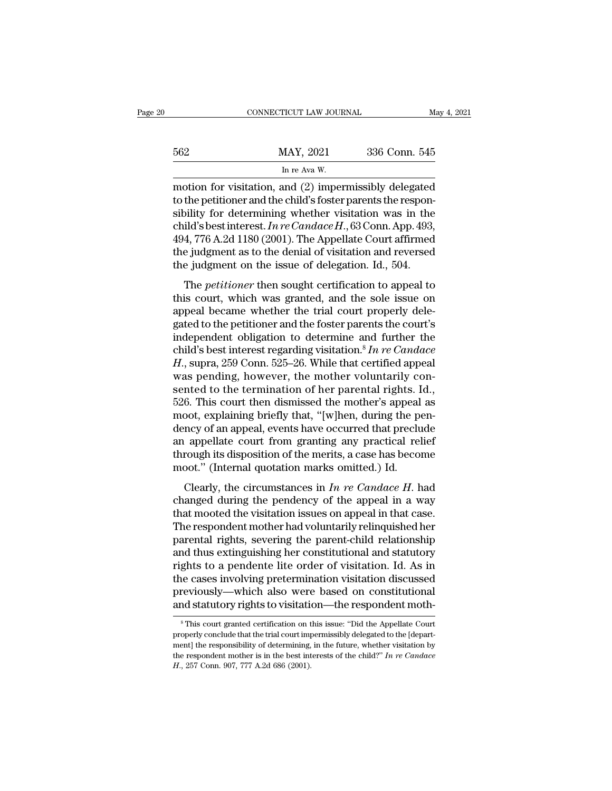|     | CONNECTICUT LAW JOURNAL | May 4, 2021   |
|-----|-------------------------|---------------|
| 562 | MAY, 2021               | 336 Conn. 545 |
|     | In re Ava W.            |               |

562 MAY, 2021 336 Conn. 545<br>
In re Ava W.<br>
motion for visitation, and (2) impermissibly delegated<br>
to the petitioner and the child's foster parents the respon-<br>
sibility for determining whether visitation was in the<br>
chil  $\frac{\text{MAX, 2021}}{\text{In re Ava W.}}$  336 Conn. 545<br>
In re Ava W.<br>
motion for visitation, and (2) impermissibly delegated<br>
to the petitioner and the child's foster parents the respon-<br>
sibility for determining whether visitation was MAY, 2021 336 Conn. 545<br>
In re Ava W.<br>
motion for visitation, and (2) impermissibly delegated<br>
to the petitioner and the child's foster parents the respon-<br>
sibility for determining whether visitation was in the<br>
child's b  $\frac{1}{2}$  In re Ava W.<br>
In re Ava W.<br>
motion for visitation, and (2) impermissibly delegated<br>
to the petitioner and the child's foster parents the respon-<br>
sibility for determining whether visitation was in the<br>
child's b In re Ava W.<br>
motion for visitation, and (2) impermissibly delegated<br>
to the petitioner and the child's foster parents the respon-<br>
sibility for determining whether visitation was in the<br>
child's best interest. In re Cand motion for visitation, and (2) impermissibly delegated<br>to the petitioner and the child's foster parents the respon-<br>sibility for determining whether visitation was in the<br>child's best interest. In re Candace H., 63 Conn. increase the petitioner and the enderstock patents are responsitive for determining whether visitation was in the ild's best interest. In re Candace H., 63 Conn. App. 493, 4, 776 A.2d 1180 (2001). The Appellate Court affir child's best interest. In re Candace H., 63 Conn. App. 493, 494, 776 A.2d 1180 (2001). The Appellate Court affirmed<br>the judgment as to the denial of visitation and reversed<br>the judgment on the issue of delegation. Id., 50

and socialized. The comatace H, so cold. Tipp. 100, 494, 776 A.2d 1180 (2001). The Appellate Court affirmed the judgment as to the denial of visitation and reversed the judgment on the issue of delegation. Id., 504.<br>The *p* to it, it of the period of the denial of visitation and reversed<br>the judgment as to the denial of visitation and reversed<br>the judgment on the issue of delegation. Id., 504.<br>The *petitioner* then sought certification to ap the judgment as to the definal of visitation and reversed<br>the judgment on the issue of delegation. Id., 504.<br>The *petitioner* then sought certification to appeal to<br>this court, which was granted, and the sole issue on<br>app The *petitioner* then sought certification to appeal to<br>this court, which was granted, and the sole issue on<br>appeal became whether the trial court properly dele-<br>gated to the petitioner and the foster parents the court's<br> The *petitioner* then sought certification to appeal to<br>this court, which was granted, and the sole issue on<br>appeal became whether the trial court properly dele-<br>gated to the petitioner and the foster parents the court's<br>i this court, which was granted, and the sole issue on<br>appeal became whether the trial court properly dele-<br>gated to the petitioner and the foster parents the court's<br>independent obligation to determine and further the<br>chil appeal became whether the trial court properly delegated to the petitioner and the foster parents the court's<br>independent obligation to determine and further the<br>child's best interest regarding visitation.<sup>8</sup> In re Candac gated to the petitioner and the foster parents the court's<br>independent obligation to determine and further the<br>child's best interest regarding visitation.<sup>8</sup> In re Candace<br>H., supra, 259 Conn. 525–26. While that certified independent obligation to determine and further the child's best interest regarding visitation.<sup>8</sup> In re Candace H., supra, 259 Conn. 525–26. While that certified appeal was pending, however, the mother voluntarily consen child's best interest regarding visitation.<sup>8</sup> In re Candace H., supra, 259 Conn. 525–26. While that certified appeal<br>was pending, however, the mother voluntarily consented to the termination of her parental rights. Id.,<br> H., supra, 259 Conn. 525–26. While that certified appeal<br>was pending, however, the mother voluntarily con-<br>sented to the termination of her parental rights. Id.,<br>526. This court then dismissed the mother's appeal as<br>moot, was pending, however, the mother voluntarily consented to the termination of her parental rights. Id., 526. This court then dismissed the mother's appeal as moot, explaining briefly that, "[w]hen, during the pendency of an sented to the termination of her parental rights. I<br>526. This court then dismissed the mother's appeal<br>moot, explaining briefly that, "[w]hen, during the po<br>dency of an appeal, events have occurred that preclu<br>an appellat oot, explaining briefly that, "[w]hen, during the pen-<br>ncy of an appeal, events have occurred that preclude<br>appellate court from granting any practical relief<br>rough its disposition of the merits, a case has become<br>poot." ( choot, explaining brienty that, [w]nent, during the pendency of an appeal, events have occurred that preclude<br>an appellate court from granting any practical relief<br>through its disposition of the merits, a case has become<br>

an appellate court from granting any practical relief<br>through its disposition of the merits, a case has become<br>moot." (Internal quotation marks omitted.) Id.<br>Clearly, the circumstances in *In re Candace H*. had<br>changed du through its disposition of the merits, a case has become<br>moot." (Internal quotation marks omitted.) Id.<br>Clearly, the circumstances in  $In re\ Candace\ H$ . had<br>changed during the pendency of the appeal in a way<br>that mooted the visi moot." (Internal quotation marks omitted.) Id.<br>
Clearly, the circumstances in *In re Candace H*. had<br>
changed during the pendency of the appeal in a way<br>
that mooted the visitation issues on appeal in that case.<br>
The resp Clearly, the circumstances in  $In$   $re$   $Candace$   $H$ . had changed during the pendency of the appeal in a way that mooted the visitation issues on appeal in that case. The respondent mother had voluntarily relinquished her pare Clearly, the circumstances in  $In$   $re$   $Candace$   $H$ . had<br>changed during the pendency of the appeal in a way<br>that mooted the visitation issues on appeal in that case.<br>The respondent mother had voluntarily relinquished her<br>pare changed during the pendency of the appeal in a way<br>that mooted the visitation issues on appeal in that case.<br>The respondent mother had voluntarily relinquished her<br>parental rights, severing the parent-child relationship<br>an that mooted the visitation issues on appeal in that case.<br>The respondent mother had voluntarily relinquished her<br>parental rights, severing the parent-child relationship<br>and thus extinguishing her constitutional and statuto The respondent mother had voluntarily relinquished her<br>parental rights, severing the parent-child relationship<br>and thus extinguishing her constitutional and statutory<br>rights to a pendente lite order of visitation. Id. As i ghts to a pendente lite order of visitation. Id. As in<br>the cases involving pretermination visitation discussed<br>reviously—which also were based on constitutional<br>indistatutory rights to visitation—the respondent moth-<br> $\frac{1$ the cases involving pretermination visitation discussed<br>previously—which also were based on constitutional<br>and statutory rights to visitation—the respondent moth-<br><sup>8</sup>This court granted certification on this issue: "Did the

previously—which also were based on constitutional<br>and statutory rights to visitation—the respondent moth-<br><sup>8</sup>This court granted certification on this issue: "Did the Appellate Court<br>properly conclude that the trial court and statutory rights to visitation—the respondent moth—<br><sup>8</sup> This court granted certification on this issue: "Did the Appellate Court<br>properly conclude that the trial court impermissibly delegated to the [depart-<br>ment] the <sup>8</sup> This court granted certification on this issue: "Did the Appellate Court properly conclude that the trial court impermissibly delegated to the [department] the responsibility of determining, in the future, whether vis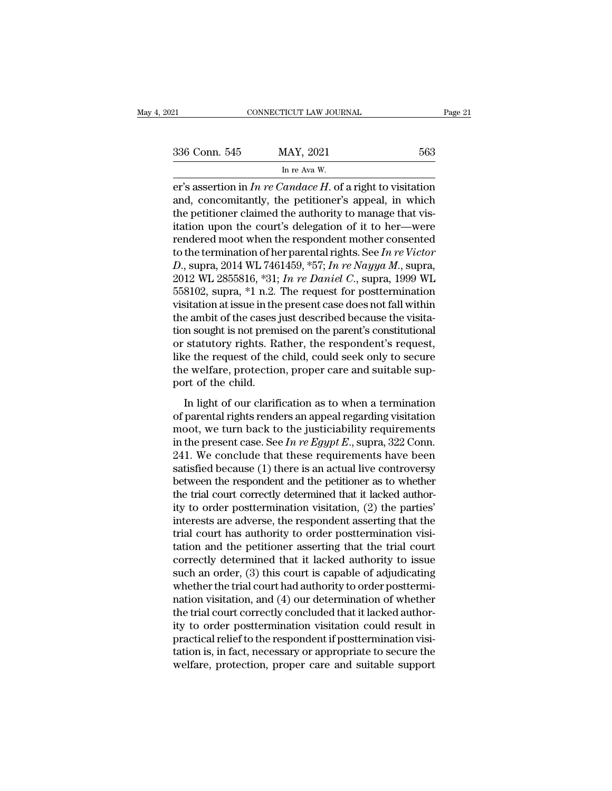| )21           | CONNECTICUT LAW JOURNAL                                                                                                                                                         | Page 21 |
|---------------|---------------------------------------------------------------------------------------------------------------------------------------------------------------------------------|---------|
|               |                                                                                                                                                                                 |         |
| 336 Conn. 545 | MAY, 2021                                                                                                                                                                       | 563     |
|               | In re Ava W.                                                                                                                                                                    |         |
|               | er's assertion in In re Candace H. of a right to visitation<br>and, concomitantly, the petitioner's appeal, in which<br>the notitioner claimed the outbority to manage that yis |         |

336 Conn. 545 MAY, 2021 563<br>
In re Ava W.<br>
er's assertion in *In re Candace H*. of a right to visitation<br>
and, concomitantly, the petitioner's appeal, in which<br>
the petitioner claimed the authority to manage that vis-<br>
it 336 Conn. 545 MAY, 2021 563<br>
In re Ava W.<br>
er's assertion in *In re Candace H*. of a right to visitation<br>
and, concomitantly, the petitioner's appeal, in which<br>
the petitioner claimed the authority to manage that vis-<br>
it 336 Conn. 545 MAY, 2021 563<br>
In re Ava W.<br>
er's assertion in *In re Candace H*. of a right to visitation<br>
and, concomitantly, the petitioner's appeal, in which<br>
the petitioner claimed the authority to manage that vis-<br>
it In real and W.<br>
The Real W.<br>
The Real W.<br>
The rendered mode and the petitioner's appeal, in which<br>
the petitioner claimed the authority to manage that vis-<br>
itation upon the court's delegation of it to her—were<br>
rendered In re Ava W.<br>
er's assertion in *In re Candace H*. of a right to visitation<br>
and, concomitantly, the petitioner's appeal, in which<br>
the petitioner claimed the authority to manage that vis-<br>
itation upon the court's delega er's assertion in *In re Candace H*. of a right to visitation<br>and, concomitantly, the petitioner's appeal, in which<br>the petitioner claimed the authority to manage that vis-<br>itation upon the court's delegation of it to her and, concomitantly, the petitioner's appeal, in which<br>the petitioner claimed the authority to manage that vis-<br>itation upon the court's delegation of it to her—were<br>rendered moot when the respondent mother consented<br>to the the petitioner claimed the authority to manage that visitation upon the court's delegation of it to her—were<br>rendered moot when the respondent mother consented<br>to the termination of her parental rights. See *In re Victor*<br> itation upon the court's delegation of it to her—were<br>rendered moot when the respondent mother consented<br>to the termination of her parental rights. See In re Victor<br>D., supra, 2014 WL 7461459, \*57; In re Nayya M., supra,<br> rendered moot when the respondent mother consented<br>to the termination of her parental rights. See In re Victor<br>D., supra, 2014 WL 7461459, \*57; In re Nayya M., supra,<br>2012 WL 2855816, \*31; In re Daniel C., supra, 1999 WL<br> to the termination of her parental rights. See *In re Victor*<br>D., supra, 2014 WL 7461459, \*57; *In re Nayya M*., supra,<br>2012 WL 2855816, \*31; *In re Daniel C.*, supra, 1999 WL<br>558102, supra, \*1 n.2. The request for postte D., supra, 2014 WL 7461459, \*57; In re Nayya M., supra, 2012 WL 2855816, \*31; In re Daniel C., supra, 1999 WL<br>558102, supra, \*1 n.2. The request for posttermination<br>visitation at issue in the present case does not fall wi 2012 WL 2855816, \*31; *In re Daniel C.*, supra, 1999 WL<br>558102, supra, \*1 n.2. The request for posttermination<br>visitation at issue in the present case does not fall within<br>the ambit of the cases just described because the 558102, supra, \*1 n.2. The request for posttermination visitation at issue in the present case does not fall within the ambit of the cases just described because the visitation sought is not premised on the parent's consti visitation at issue in the<br>the ambit of the cases j<br>tion sought is not prem<br>or statutory rights. Ra<br>like the request of the<br>the welfare, protectio<br>port of the child.<br>In light of our clarif In sought is not premised on the parent's constitutional<br>
statutory rights. Rather, the respondent's request,<br>
ce the request of the child, could seek only to secure<br>
e welfare, protection, proper care and suitable sup-<br>
p or statutory rights. Rather, the respondent's request,<br>like the request of the child, could seek only to secure<br>the welfare, protection, proper care and suitable sup-<br>port of the child.<br>In light of our clarification as to

if the request of the child, could seek only to secure<br>the welfare, protection, proper care and suitable sup-<br>port of the child.<br>In light of our clarification as to when a termination<br>of parental rights renders an appeal in the welfare, protection, proper care and suitable support of the child.<br>In light of our clarification as to when a termination<br>of parental rights renders an appeal regarding visitation<br>moot, we turn back to the justicia 241. We conclude that these requirements have been satisfied because (1) there is an actual live conclude that these requirements have been satisfied because (1) there is an actual live controversy between the present cas In light of our clarification as to when a termination<br>of parental rights renders an appeal regarding visitation<br>moot, we turn back to the justiciability requirements<br>in the present case. See In re Egypt E., supra, 322 Co In light of our clarification as to when a termination<br>of parental rights renders an appeal regarding visitation<br>moot, we turn back to the justiciability requirements<br>in the present case. See In re Egypt E., supra, 322 Co of parental rights renders an appeal regarding visitation<br>moot, we turn back to the justiciability requirements<br>in the present case. See  $In re Egypt E$ , supra, 322 Conn.<br>241. We conclude that these requirements have been<br>satisfie moot, we turn back to the justiciability requirements<br>in the present case. See *In re Egypt E*., supra, 322 Conn.<br>241. We conclude that these requirements have been<br>satisfied because (1) there is an actual live controvers in the present case. See *In re Egypt E*., supra, 322 Conn.<br>241. We conclude that these requirements have been<br>satisfied because (1) there is an actual live controversy<br>between the respondent and the petitioner as to whet 241. We conclude that these requirements have been satisfied because (1) there is an actual live controversy between the respondent and the petitioner as to whether the trial court correctly determined that it lacked autho satisfied because (1) there is an actual live controversy<br>between the respondent and the petitioner as to whether<br>the trial court correctly determined that it lacked author-<br>ity to order posttermination visitation, (2) the between the respondent and the petitioner as to whether<br>the trial court correctly determined that it lacked author-<br>ity to order posttermination visitation, (2) the parties'<br>interests are adverse, the respondent asserting the trial court correctly determined that it lacked authority to order posttermination visitation, (2) the parties'<br>interests are adverse, the respondent asserting that the<br>trial court has authority to order postterminati ity to order posttermination visitation, (2) the parties'<br>interests are adverse, the respondent asserting that the<br>trial court has authority to order posttermination visi-<br>tation and the petitioner asserting that the trial interests are adverse, the respondent asserting that the<br>trial court has authority to order posttermination visi-<br>tation and the petitioner asserting that the trial court<br>correctly determined that it lacked authority to is trial court has authority to order posttermination visitation and the petitioner asserting that the trial court<br>correctly determined that it lacked authority to issue<br>such an order, (3) this court is capable of adjudicatin tation and the petitioner asserting that the trial court<br>correctly determined that it lacked authority to issue<br>such an order, (3) this court is capable of adjudicating<br>whether the trial court had authority to order postte correctly determined that it lacked authority to issue<br>such an order, (3) this court is capable of adjudicating<br>whether the trial court had authority to order posttermi-<br>nation visitation, and (4) our determination of whet such an order, (3) this court is capable of adjudicating<br>whether the trial court had authority to order posttermi-<br>nation visitation, and (4) our determination of whether<br>the trial court correctly concluded that it lacked whether the trial court had authority to order posttermination visitation, and (4) our determination of whether<br>the trial court correctly concluded that it lacked author-<br>ity to order posttermination visitation could resul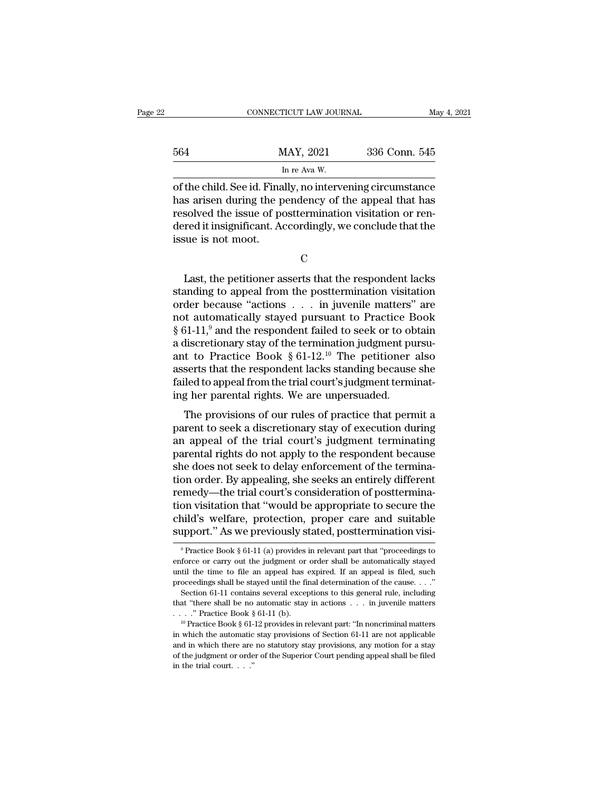|     | CONNECTICUT LAW JOURNAL                                    |               | May 4, 2021 |
|-----|------------------------------------------------------------|---------------|-------------|
| 564 | MAY, 2021                                                  | 336 Conn. 545 |             |
|     | In re Ava W.                                               |               |             |
|     | of the child. See id. Finally, no intervening circumstance |               |             |

CONNECTICUT LAW JOURNAL May 4, 2021<br>564 MAY, 2021 336 Conn. 545<br>In re Ava W.<br>of the child. See id. Finally, no intervening circumstance<br>has arisen during the pendency of the appeal that has<br>resolved the issue of posttermin MAY, 2021 336 Conn. 545<br>
In re Ava W.<br>
of the child. See id. Finally, no intervening circumstance<br>
has arisen during the pendency of the appeal that has<br>
resolved the issue of posttermination visitation or ren-MAY, 2021 336 Conn. 545<br>
In re Ava W.<br>
of the child. See id. Finally, no intervening circumstance<br>
has arisen during the pendency of the appeal that has<br>
resolved the issue of posttermination visitation or ren-<br>
dered it i MAY, 2021 336 Conn. 545<br>
In re Ava W.<br>
of the child. See id. Finally, no intervening circumstance<br>
has arisen during the pendency of the appeal that has<br>
resolved the issue of posttermination visitation or ren-<br>
dered it i Finance Controller Controller<br>
of the child. See id. Finance Assume the presolved the issue of podered it insignificant. Assue is not moot. Last, the petitioner asserts that the respondent lacks<br>
Solved the issue of posttermination visitation or ren-<br>
The respondent lacks<br>
Suart, the petitioner asserts that the respondent lacks<br>
anding to appeal from the postt

resolved the issue of posttermination visitation or rendered it insignificant. Accordingly, we conclude that the<br>issue is not moot.<br>C<br>Last, the petitioner asserts that the respondent lacks<br>standing to appeal from the postt dered it insignificant. Accordingly, we conclude that the<br>issue is not moot.<br>C<br>Last, the petitioner asserts that the respondent lacks<br>standing to appeal from the posttermination visitation<br>order because "actions . . . in j issue is not moot.<br>
C<br>
Last, the petitioner asserts that the respondent lacks<br>
standing to appeal from the posttermination visitation<br>
order because "actions . . . in juvenile matters" are<br>
not automatically stayed pursua C<br>
Last, the petitioner asserts that the respondent lacks<br>
standing to appeal from the posttermination visitation<br>
order because "actions . . . in juvenile matters" are<br>
not automatically stayed pursuant to Practice Book<br> Last, the petitioner asserts that the respondent lacks<br>standing to appeal from the posttermination visitation<br>order because "actions  $\ldots$  in juvenile matters" are<br>not automatically stayed pursuant to Practice Book<br> $\S$  6 Last, the petitioner asserts that the respondent lacks<br>standing to appeal from the posttermination visitation<br>order because "actions  $\ldots$  in juvenile matters" are<br>not automatically stayed pursuant to Practice Book<br>§ 61-1 standing to appeal from the posttermination visitation<br>order because "actions . . . in juvenile matters" are<br>not automatically stayed pursuant to Practice Book<br> $\S 61-11$ ,<sup>9</sup> and the respondent failed to seek or to obtain<br> order because "actions . . . in juvenile matters" are<br>not automatically stayed pursuant to Practice Book<br>§ 61-11,<sup>9</sup> and the respondent failed to seek or to obtain<br>a discretionary stay of the termination judgment pursu-<br>a not automatically stayed pursuant to Practice E<br>§ 61-11,<sup>9</sup> and the respondent failed to seek or to ob<br>a discretionary stay of the termination judgment pu<br>ant to Practice Book § 61-12.<sup>10</sup> The petitioner<br>asserts that the The provisions of the termination judgment pursulated to Practice Book § 61-12.<sup>10</sup> The petitioner also serts that the respondent lacks standing because she lied to appeal from the trial court's judgment terminating her p a discretionary stay of the termination judgment pursument and the respondent lacks standing because she failed to appeal from the trial court's judgment termination her parental rights. We are unpersuaded.<br>The provisions

and to Tractice Book § 01-12. The petriodict also<br>asserts that the respondent lacks standing because she<br>failed to appeal from the trial court's judgment terminat-<br>ing her parental rights. We are unpersuaded.<br>The provision failed to appeal from the trial court's judgment terminating her parental rights. We are unpersuaded.<br>The provisions of our rules of practice that permit a<br>parent to seek a discretionary stay of execution during<br>an appeal rance to appear nont the trial court's judgment terminating her parental rights. We are unpersuaded.<br>The provisions of our rules of practice that permit a<br>parent to seek a discretionary stay of execution during<br>an appeal o The provisions of our rules of practice that permit a<br>parent to seek a discretionary stay of execution during<br>an appeal of the trial court's judgment terminating<br>parental rights do not apply to the respondent because<br>she d The provisions of our rules of practice that permit a<br>parent to seek a discretionary stay of execution during<br>an appeal of the trial court's judgment terminating<br>parental rights do not apply to the respondent because<br>she d parent to seek a discretionary stay of execution during<br>an appeal of the trial court's judgment terminating<br>parental rights do not apply to the respondent because<br>she does not seek to delay enforcement of the termina-<br>tion an appeal of the trial court's judgment terminating<br>parental rights do not apply to the respondent because<br>she does not seek to delay enforcement of the termina-<br>tion order. By appealing, she seeks an entirely different<br>re parental rights do not apply to the respondent because<br>she does not seek to delay enforcement of the termina-<br>tion order. By appealing, she seeks an entirely different<br>remedy—the trial court's consideration of posttermina remedy—the trial court's consideration of posttermination visitation that "would be appropriate to secure the child's welfare, protection, proper care and suitable support." As we previously stated, posttermination visi-<br> tion visitation that "would be appropriate to secure the child's welfare, protection, proper care and suitable support." As we previously stated, posttermination visi-<br><sup>9</sup> Practice Book § 61-11 (a) provides in relevant pa

child's welfare, protection, proper care and suitable support." As we previously stated, posttermination visi-<br>
<sup>9</sup> Practice Book § 61-11 (a) provides in relevant part that "proceedings to enforce or carry out the judgmen support." As we previously stated, posttermination visi-<br>
<sup>9</sup> Practice Book § 61-11 (a) provides in relevant part that "proceedings to<br>
enforce or carry out the judgment or order shall be automatically stayed<br>
until the t Practice Book § 61-11 (a) provides in relevant part that "proceedings to<br><sup>9</sup> Practice Book § 61-11 (a) provides in relevant part that "proceedings to<br>force or carry out the judgment or order shall be automatically stayed<br> enforce or carry out the judgment or order shall be automatically stayed until the time to file an appeal has expired. If an appeal is filed, such proceedings shall be stayed until the final determination of the cause. . enforce or carry out the judgment or order shall be automatically stayed until the time to file an appeal has expired. If an appeal is filed, such proceedings shall be stayed until the final determination of the cause. .

proceedings shall be stayed until the final determination of the cause. . . ."<br>Section 61-11 contains several exceptions to this general rule, including<br>that "there shall be no automatic stay in actions . . . in juvenile Section 61-11 contains several exceptions to this general rule, including<br>that "there shall be no automatic stay in actions . . . in juvenile matters<br>. . . ." Practice Book § 61-11 (b).<br><sup>10</sup> Practice Book § 61-12 provides be the fill be no automatic stay in actions . . . in juvenile matters . . . " Practice Book § 61-11 (b).<br>
<sup>10</sup> Practice Book § 61-12 provides in relevant part: "In noncriminal matters in which the automatic stay provision <sup>10</sup> Practice Book § 61-12 provides in relevant part: "In noncriminal matters in which the automatic stay provisions of Section 61-11 are not applicable and in which there are no statutory stay provisions, any motion for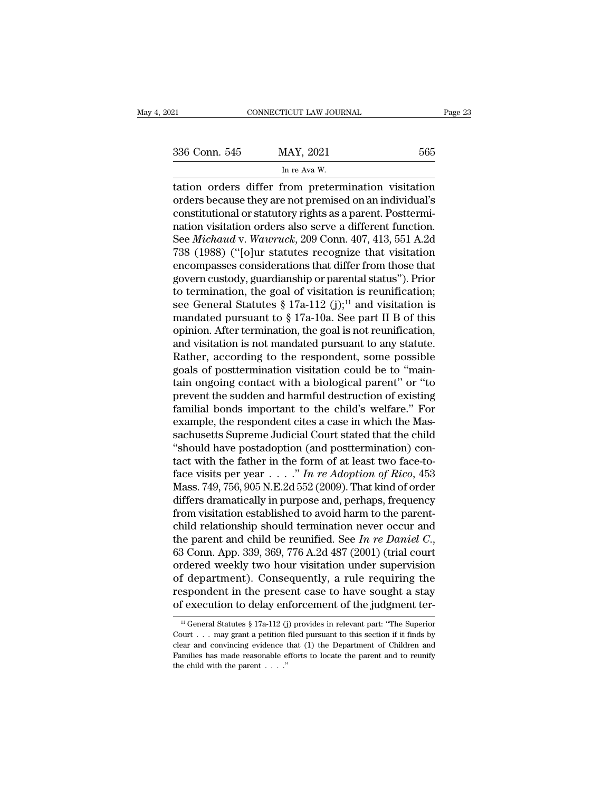| 336 Conn. 545 |  |
|---------------|--|
|               |  |

| FICUT LAW JOUF |
|----------------|
|                |
|                |
|                |
| MAY, 2021      |
| In re Ava W.   |
|                |
| rom pretern    |

EXECTIVE CONNECTICUT LAW JOURNAL Page 23<br>
336 Conn. 545 MAY, 2021 565<br>
In re Ava W.<br>
tation orders differ from pretermination visitation<br>
orders because they are not premised on an individual's<br>
constitutional or statutory 336 Conn. 545 MAY, 2021 565<br>
In re Ava W.<br>
tation orders differ from pretermination visitation<br>
orders because they are not premised on an individual's<br>
constitutional or statutory rights as a parent. Posttermination<br>
pati 336 Conn. 545 MAY, 2021 565<br>
In re Ava W.<br>
tation orders differ from pretermination visitation<br>
orders because they are not premised on an individual's<br>
constitutional or statutory rights as a parent. Posttermi-<br>
nation vi 336 Conn. 545 MAY, 2021 565<br>
In re Ava W.<br>
tation orders differ from pretermination visitation<br>
orders because they are not premised on an individual's<br>
constitutional or statutory rights as a parent. Posttermination visit In re Ava W.<br>
In re Ava W.<br>
In the Ava W.<br>
In the Ava W.<br>
In the Ava W.<br>
In the Ava W.<br>
In the Ava W.<br>
In the Ava W.<br>
In the Premised on an individual's<br>
constitutional or statutory rights as a parent. Posttermi-<br>
nation v  $\frac{1}{2}$  in re Ava w.<br>
tation orders differ from pretermination visitation<br>
orders because they are not premised on an individual's<br>
constitutional or statutory rights as a parent. Posttermi-<br>
nation visitation orders al tation orders differ from pretermination visitation<br>orders because they are not premised on an individual's<br>constitutional or statutory rights as a parent. Posttermi-<br>nation visitation orders also serve a different functio orders because they are not premised on an individual's<br>constitutional or statutory rights as a parent. Posttermi-<br>nation visitation orders also serve a different function.<br>See *Michaud* v. Wawruck, 209 Conn. 407, 413, 551 constitutional or statutory rights as a parent. Posttermination visitation orders also serve a different function.<br>See *Michaud* v. Wawruck, 209 Conn. 407, 413, 551 A.2d<br>738 (1988) ("[o]ur statutes recognize that visitati nation visitation orders also serve a different function.<br>See *Michaud* v. Wawruck, 209 Conn. 407, 413, 551 A.2d<br>738 (1988) ("[o]ur statutes recognize that visitation<br>encompasses considerations that differ from those that See *Michaud* v. Wawruck, 209 Conn. 407, 413, 551 A.2d<br>738 (1988) ("[o]ur statutes recognize that visitation<br>encompasses considerations that differ from those that<br>govern custody, guardianship or parental status"). Prior<br> 738 (1988) ("[o]ur statutes recognize that visitation<br>encompasses considerations that differ from those that<br>govern custody, guardianship or parental status"). Prior<br>to termination, the goal of visitation is reunification encompasses considerations that differ from those that<br>govern custody, guardianship or parental status"). Prior<br>to termination, the goal of visitation is reunification;<br>see General Statutes § 17a-112 (j);<sup>11</sup> and visitati govern custody, guardianship or parental status"). Prior<br>to termination, the goal of visitation is reunification;<br>see General Statutes  $\S 17a-112 (j);$ <sup>11</sup> and visitation is<br>mandated pursuant to  $\S 17a-10a$ . See part II B o to termination, the goal of visitation is reunification;<br>see General Statutes § 17a-112 (j);<sup>11</sup> and visitation is<br>mandated pursuant to § 17a-10a. See part II B of this<br>opinion. After termination, the goal is not reunific see General Statutes § 17a-112 (j);<sup>11</sup> and visitation is<br>mandated pursuant to § 17a-10a. See part II B of this<br>opinion. After termination, the goal is not reunification,<br>and visitation is not mandated pursuant to any sta mandated pursuant to  $\S$  17a-10a. See part II B of this<br>opinion. After termination, the goal is not reunification,<br>and visitation is not mandated pursuant to any statute.<br>Rather, according to the respondent, some possible opinion. After termination, the goal is not reunification,<br>and visitation is not mandated pursuant to any statute.<br>Rather, according to the respondent, some possible<br>goals of posttermination visitation could be to "main-<br>t and visitation is not mandated pursuant to any statute.<br>Rather, according to the respondent, some possible<br>goals of posttermination visitation could be to "main-<br>tain ongoing contact with a biological parent" or "to<br>preven Rather, according to the respondent, some possible<br>goals of posttermination visitation could be to "maintain ongoing contact with a biological parent" or "to<br>prevent the sudden and harmful destruction of existing<br>familial goals of posttermination visitation could be to "maintain ongoing contact with a biological parent" or "to prevent the sudden and harmful destruction of existing familial bonds important to the child's welfare." For examp tain ongoing contact with a biological parent" or "to<br>prevent the sudden and harmful destruction of existing<br>familial bonds important to the child's welfare." For<br>example, the respondent cites a case in which the Mas-<br>sac prevent the sudden and harmful destruction of existing<br>familial bonds important to the child's welfare." For<br>example, the respondent cites a case in which the Mas-<br>sachusetts Supreme Judicial Court stated that the child<br>"s familial bonds important to the child's welfare." For<br>example, the respondent cites a case in which the Mas-<br>sachusetts Supreme Judicial Court stated that the child<br>"should have postadoption (and posttermination) con-<br>tac example, the respondent cites a case in which the Massachusetts Supreme Judicial Court stated that the child<br>
"should have postadoption (and posttermination) contact with the father in the form of at least two face-to-<br>
f sachusetts Supreme Judicial Court stated that the child<br>
"should have postadoption (and posttermination) con-<br>
tact with the father in the form of at least two face-to-<br>
face visits per year  $\ldots$ ." In re Adoption of Rico "should have postadoption (and posttermination) con-<br>tact with the father in the form of at least two face-to-<br>face visits per year  $\ldots$ ." In re Adoption of Rico, 453<br>Mass. 749, 756, 905 N.E.2d 552 (2009). That kind of o tact with the father in the form of at least two face-to-<br>face visits per year . . . . " In re Adoption of Rico, 453<br>Mass. 749, 756, 905 N.E.2d 552 (2009). That kind of order<br>differs dramatically in purpose and, perhaps, Mass. 749, 756, 905 N.E.2d 552 (2009). That kind of order<br>differs dramatically in purpose and, perhaps, frequency<br>from visitation established to avoid harm to the parent-<br>child relationship should termination never occur differs dramatically in purpose and, perhaps, frequency<br>from visitation established to avoid harm to the parent-<br>child relationship should termination never occur and<br>the parent and child be reunified. See In re Daniel C. from visitation established to avoid harm to the parent-<br>child relationship should termination never occur and<br>the parent and child be reunified. See In re Daniel C.,<br>63 Conn. App. 339, 369, 776 A.2d 487 (2001) (trial cou child relationship should termination never occur and<br>the parent and child be reunified. See *In re Daniel C.*,<br>63 Conn. App. 339, 369, 776 A.2d 487 (2001) (trial court<br>ordered weekly two hour visitation under supervision rdered weekly two hour visitation under supervision<br>f department). Consequently, a rule requiring the<br>spondent in the present case to have sought a stay<br>f execution to delay enforcement of the judgment ter-<br> $\frac{11}{10}$  Ge of department). Consequently, a rule requiring the<br>respondent in the present case to have sought a stay<br>of execution to delay enforcement of the judgment ter-<br> $\frac{11}{11}$  General Statutes § 17a-112 (j) provides in relevan

respondent in the present case to have sought a stay<br>of execution to delay enforcement of the judgment ter-<br> $\frac{11}{10}$  General Statutes § 17a-112 (j) provides in relevant part: "The Superior<br>Court . . . may grant a petit Families has made reasonable efforts to locate the parent and to reunify<br>the different court . . . may grant a petition filed pursuant to this section if it finds by<br>clear and convincing evidence that (1) the Department o <sup>11</sup> General Statutes § 17a-112 (j) provides in relevant part: "The Superior Court . . . may grant a petition filed pursuant to this section if it finds by clear and convincing evidence that (1) the Department of Children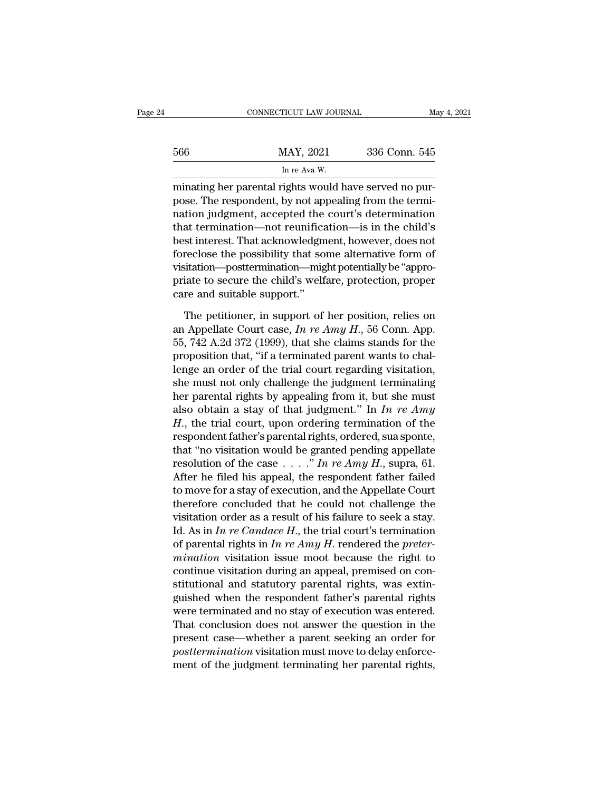|     | CONNECTICUT LAW JOURNAL | May 4, 2021   |  |
|-----|-------------------------|---------------|--|
|     |                         |               |  |
| 566 | MAY, 2021               | 336 Conn. 545 |  |
|     | In re Ava W.            |               |  |

CONNECTICUT LAW JOURNAL<br>
MAY, 2021 336 Conn. 545<br>
In re Ava W.<br>
minating her parental rights would have served no pur-<br>
pose. The respondent, by not appealing from the termination<br>
mation indepent accorded the court's dete 566 MAY, 2021 336 Conn. 545<br>
In re Ava W.<br>
minating her parental rights would have served no pur-<br>
pose. The respondent, by not appealing from the termi-<br>
mation judgment, accepted the court's determination<br>
that terminati  $\frac{\text{MAX, 2021}}{\ln \text{re Ava W.}}$ <br>
In re Ava W.<br>
minating her parental rights would have served no purpose. The respondent, by not appealing from the termination judgment, accepted the court's determination that termination—not  $\frac{\text{MAX, 2021}}{\text{In re Ava W.}}$ <br>
In re Ava W.<br>
minating her parental rights would have served no pur-<br>
pose. The respondent, by not appealing from the termi-<br>
nation judgment, accepted the court's determination<br>
that terminatio In re Ava W.<br>
In re Ava W.<br>
minating her parental rights would have served no pur-<br>
pose. The respondent, by not appealing from the termi-<br>
nation judgment, accepted the court's determination<br>
that termination—not reunific minating her parental rights would have served no purpose. The respondent, by not appealing from the termination judgment, accepted the court's determination that termination—not reunification—is in the child's best inter minating her parental rights would have served no pur-<br>pose. The respondent, by not appealing from the termi-<br>nation judgment, accepted the court's determination<br>that termination—not reunification—is in the child's<br>best in pose. The respondent, by not appealing from the termination judgment, accepted the court's determination<br>that termination—not reunification—is in the child's<br>best interest. That acknowledgment, however, does not<br>foreclose nation judgment, accepted the<br>that termination—not reunifica<br>best interest. That acknowledgm<br>foreclose the possibility that so<br>visitation—posttermination—mig<br>priate to secure the child's welf<br>care and suitable support."<br>Th st interest. That acknowledgment, however, does not<br>reclose the possibility that some alternative form of<br>sitation—posttermination—might potentially be "appro-<br>iate to secure the child's welfare, protection, proper<br>re and foreclose the possibility that some alternative form of<br>visitation—posttermination—might potentially be "appro-<br>priate to secure the child's welfare, protection, proper<br>care and suitable support."<br>The petitioner, in suppor

visitation—posttermination—might potentially be "appropriate to secure the child's welfare, protection, proper<br>care and suitable support."<br>The petitioner, in support of her position, relies on<br>an Appellate Court case,  $In re$ priate to secure the child's welfare, protection, proper<br>care and suitable support."<br>The petitioner, in support of her position, relies on<br>an Appellate Court case,  $In re Amy H., 56$  Conn. App.<br>55, 742 A.2d 372 (1999), that she c care and suitable support."<br>
The petitioner, in support of her position, relies on<br>
an Appellate Court case,  $In re Amy H., 56$  Conn. App.<br>
55, 742 A.2d 372 (1999), that she claims stands for the<br>
proposition that, "if a terminat The petitioner, in support of her position, relies on<br>an Appellate Court case, *In re Amy H*., 56 Conn. App.<br>55, 742 A.2d 372 (1999), that she claims stands for the<br>proposition that, "if a terminated parent wants to chal-The petitioner, in support of her position, relies on<br>an Appellate Court case, *In re Amy H*., 56 Conn. App.<br>55, 742 A.2d 372 (1999), that she claims stands for the<br>proposition that, "if a terminated parent wants to chalan Appellate Court case,  $In$   $re$   $Amy$   $H$ , 56 Conn. App.<br>55, 742 A.2d 372 (1999), that she claims stands for the<br>proposition that, "if a terminated parent wants to chal-<br>lenge an order of the trial court regarding visitat bb, 742 A.2d 372 (1999), that she claims stands for the<br>proposition that, "if a terminated parent wants to chal-<br>lenge an order of the trial court regarding visitation,<br>she must not only challenge the judgment terminating<br> proposition that, "if a terminated parent wants to challenge an order of the trial court regarding visitation, she must not only challenge the judgment terminating her parental rights by appealing from it, but she must al lenge an order of the trial court regarding visitation,<br>
she must not only challenge the judgment terminating<br>
her parental rights by appealing from it, but she must<br>
also obtain a stay of that judgment." In *In re Amy*<br> she must not only challenge the judgment terminating<br>her parental rights by appealing from it, but she must<br>also obtain a stay of that judgment." In *In re Amy*<br> $H$ , the trial court, upon ordering termination of the<br>respo her parental rights by appealing from it, but she must<br>also obtain a stay of that judgment." In *In re Amy*<br> $H$ ., the trial court, upon ordering termination of the<br>respondent father's parental rights, ordered, sua sponte, also obtain a stay of that judgment." In *In re Amy*<br>*H*., the trial court, upon ordering termination of the<br>respondent father's parental rights, ordered, sua sponte,<br>that "no visitation would be granted pending appellate *H*., the trial court, upon ordering termination of the<br>respondent father's parental rights, ordered, sua sponte,<br>that "no visitation would be granted pending appellate<br>resolution of the case . . . ." In re Amy H., supra, respondent father's parental rights, ordered, sua sponte,<br>that "no visitation would be granted pending appellate<br>resolution of the case . . . ." In re Amy H., supra, 61.<br>After he filed his appeal, the respondent father fa that "no visitation would be granted pending appellate<br>resolution of the case . . . ." In re Amy H., supra, 61.<br>After he filed his appeal, the respondent father failed<br>to move for a stay of execution, and the Appellate Co resolution of the case  $\ldots$  *In re Amy H.*, supra, 61.<br>After he filed his appeal, the respondent father failed<br>to move for a stay of execution, and the Appellate Court<br>therefore concluded that he could not challenge the<br> After he filed his appeal, the respondent father failed<br>to move for a stay of execution, and the Appellate Court<br>therefore concluded that he could not challenge the<br>visitation order as a result of his failure to seek a sta to move for a stay of execution, and the Appellate Court<br>therefore concluded that he could not challenge the<br>visitation order as a result of his failure to seek a stay.<br>Id. As in *In re Candace H*., the trial court's term therefore concluded that he could not challenge the<br>visitation order as a result of his failure to seek a stay.<br>Id. As in *In re Candace H*., the trial court's termination<br>of parental rights in *In re Amy H*. rendered the visitation order as a result of his failure to seek a stay.<br>Id. As in *In re Candace H*., the trial court's termination<br>of parental rights in *In re Amy H*. rendered the *preter-*<br>*mination* visitation issue moot because Id. As in *In re Candace H*., the trial court's termination<br>of parental rights in *In re Amy H*. rendered the *preter-*<br>*mination* visitation issue moot because the right to<br>continue visitation during an appeal, premised of parental rights in *In re Amy H*. rendered the *preter-*<br>mination visitation issue moot because the right to<br>continue visitation during an appeal, premised on con-<br>stitutional and statutory parental rights, was extin-<br> mination visitation issue moot because the right to<br>continue visitation during an appeal, premised on con-<br>stitutional and statutory parental rights, was extin-<br>guished when the respondent father's parental rights<br>were ter continue visitation during an appeal, premised on constitutional and statutory parental rights, was extinguished when the respondent father's parental rights were terminated and no stay of execution was entered. That concl stitutional and statutory parental rights, was extinguished when the respondent father's parental rights were terminated and no stay of execution was entered. That conclusion does not answer the question in the present cas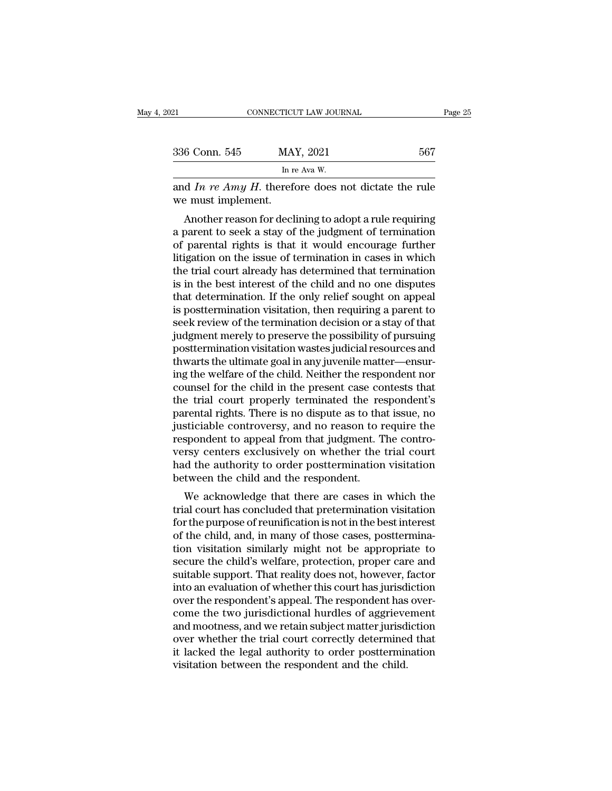| )21                | CONNECTICUT LAW JOURNAL                                                                                                                                                   | Page 25 |
|--------------------|---------------------------------------------------------------------------------------------------------------------------------------------------------------------------|---------|
|                    |                                                                                                                                                                           |         |
| 336 Conn. 545      | MAY, 2021                                                                                                                                                                 | 567     |
|                    | In re Ava W.                                                                                                                                                              |         |
| we must implement. | and In re Amy H. therefore does not dictate the rule                                                                                                                      |         |
|                    | Another reason for declining to adopt a rule requiring<br>a parent to seek a stay of the judgment of termination<br>of parantal rights is that it would apsourage further |         |

336 Conn. 545 MAY, 2021 567<br>
In re Awa W.<br>
and *In re Amy H*. therefore does not dictate the rule<br>
we must implement.<br>
Another reason for declining to adopt a rule requiring<br>
a parent to seek a stay of the judgment of ter In re Ava W.<br>
and In re Amy H. therefore does not dictate the rule<br>
we must implement.<br>
Another reason for declining to adopt a rule requiring<br>
a parent to seek a stay of the judgment of termination<br>
of parental rights is and *In re Amy H*. therefore does not dictate the rule<br>we must implement.<br>Another reason for declining to adopt a rule requiring<br>a parent to seek a stay of the judgment of termination<br>of parental rights is that it would e and *In Te Amy 11*. therefore does not dictate the rule<br>we must implement.<br>Another reason for declining to adopt a rule requiring<br>a parent to seek a stay of the judgment of termination<br>of parental rights is that it would we must implement.<br>
Another reason for declining to adopt a rule requiring<br>
a parent to seek a stay of the judgment of termination<br>
of parental rights is that it would encourage further<br>
litigation on the issue of terminat Another reason for declining to adopt a rule requiring<br>a parent to seek a stay of the judgment of termination<br>of parental rights is that it would encourage further<br>litigation on the issue of termination in cases in which<br>t a parent to seek a stay of the judgment of termination<br>of parental rights is that it would encourage further<br>litigation on the issue of termination in cases in which<br>the trial court already has determined that termination<br> of parental rights is that it would encourage further<br>litigation on the issue of termination in cases in which<br>the trial court already has determined that termination<br>is in the best interest of the child and no one dispute litigation on the issue of termination in cases in which<br>the trial court already has determined that termination<br>is in the best interest of the child and no one disputes<br>that determination. If the only relief sought on app the trial court already has determined that termination<br>is in the best interest of the child and no one disputes<br>that determination. If the only relief sought on appeal<br>is posttermination visitation, then requiring a paren is in the best interest of the child and no one disputes<br>that determination. If the only relief sought on appeal<br>is posttermination visitation, then requiring a parent to<br>seek review of the termination decision or a stay o that determination. If the only relief sought on appeal<br>is posttermination visitation, then requiring a parent to<br>seek review of the termination decision or a stay of that<br>judgment merely to preserve the possibility of pur is posttermination visitation, then requiring a parent to<br>seek review of the termination decision or a stay of that<br>judgment merely to preserve the possibility of pursuing<br>posttermination visitation wastes judicial resourc seek review of the termination decision or a stay of that<br>judgment merely to preserve the possibility of pursuing<br>posttermination visitation wastes judicial resources and<br>thwarts the ultimate goal in any juvenile matter—en judgment merely to preserve the possibility of pursuing<br>posttermination visitation wastes judicial resources and<br>thwarts the ultimate goal in any juvenile matter—ensur-<br>ing the welfare of the child. Neither the respondent posttermination visitation wastes judicial resources and<br>thwarts the ultimate goal in any juvenile matter—ensur-<br>ing the welfare of the child. Neither the respondent nor<br>counsel for the child in the present case contests t thwarts the ultimate goal in any juvenile matter—ensuring the welfare of the child. Neither the respondent nor<br>counsel for the child in the present case contests that<br>the trial court properly terminated the respondent's<br>pa ing the welfare of the child. Neither the respondent nor counsel for the child in the present case contests that<br>the trial court properly terminated the respondent's<br>parental rights. There is no dispute as to that issue, n counsel for the child in the present case contests that<br>the trial court properly terminated the respondent's<br>parental rights. There is no dispute as to that issue, no<br>justiciable controversy, and no reason to require the<br>r the trial court properly terminated the responental rights. There is no dispute as to tha<br>justiciable controversy, and no reason to r<br>respondent to appeal from that judgment. T<br>versy centers exclusively on whether the<br>had Felical Fights. There is no dispute as to that issue, no<br>sticiable controversy, and no reason to require the<br>spondent to appeal from that judgment. The contro-<br>rsy centers exclusively on whether the trial court<br>of the auth pusticiable controversy, and no reason to require the<br>respondent to appeal from that judgment. The contro-<br>versy centers exclusively on whether the trial court<br>had the authority to order posttermination visitation<br>between

For the purpose of reunification is also approximately to the purpose of reuniform is a concluded that pretermination is not in the best interest of the child, and, in many of those cases, posttermination visitation is not versy centers exclusively on whether the that could<br>had the authority to order posttermination visitation<br>between the child and the respondent.<br>We acknowledge that there are cases in which the<br>trial court has concluded tha the during to order postternination visitation<br>between the child and the respondent.<br>We acknowledge that there are cases in which the<br>trial court has concluded that pretermination visitation<br>for the purpose of reunificatio between the child and the respondent.<br>We acknowledge that there are cases in which the<br>trial court has concluded that pretermination visitation<br>for the purpose of reunification is not in the best interest<br>of the child, and We acknowledge that there are cases in which the<br>trial court has concluded that pretermination visitation<br>for the purpose of reunification is not in the best interest<br>of the child, and, in many of those cases, postterminatrial court has concluded that pretermination visitation<br>for the purpose of reunification is not in the best interest<br>of the child, and, in many of those cases, posttermina-<br>tion visitation similarly might not be appropria for the purpose of reunification is not in the best interest<br>of the child, and, in many of those cases, posttermina-<br>tion visitation similarly might not be appropriate to<br>secure the child's welfare, protection, proper care of the child, and, in many of those cases, posttermination visitation similarly might not be appropriate to secure the child's welfare, protection, proper care and suitable support. That reality does not, however, factor i tion visitation similarly might not be appropriate to<br>secure the child's welfare, protection, proper care and<br>suitable support. That reality does not, however, factor<br>into an evaluation of whether this court has jurisdicti secure the child's welfare, protection, proper care and<br>suitable support. That reality does not, however, factor<br>into an evaluation of whether this court has jurisdiction<br>over the respondent's appeal. The respondent has ov suitable support. That reality does not, however, factor<br>into an evaluation of whether this court has jurisdiction<br>over the respondent's appeal. The respondent has over-<br>come the two jurisdictional hurdles of aggrievement<br> into an evaluation of whether this court has jurisd<br>over the respondent's appeal. The respondent has<br>come the two jurisdictional hurdles of aggrieve<br>and mootness, and we retain subject matter jurisd<br>over whether the trial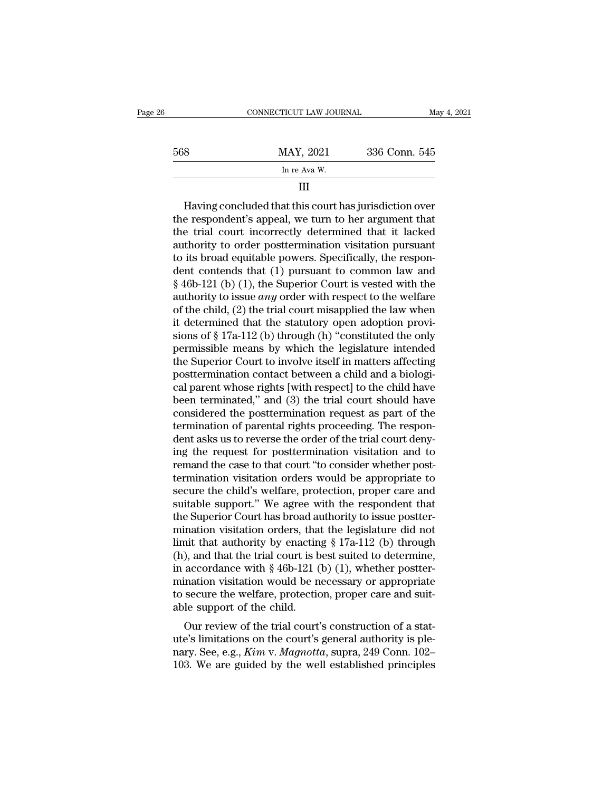|     | CONNECTICUT LAW JOURNAL | May 4, 2021   |  |
|-----|-------------------------|---------------|--|
| 568 | MAY, 2021               | 336 Conn. 545 |  |
|     | In re Ava W.            |               |  |
|     |                         |               |  |

the respondent is appeal, we turn to her argument that<br>the respondent's appeal, we turn to her argument that<br>the trial court incorrectly determined that it lacked<br>authority to order posttermination visitation pursuant  $\frac{\text{MAX, } 2021}{\text{In } \text{re Ava W.}}$ <br>
III<br>
Having concluded that this court has jurisdiction over<br>
the respondent's appeal, we turn to her argument that<br>
the trial court incorrectly determined that it lacked<br>
authority to order In re Ava W.<br>
III<br>
Having concluded that this court has jurisdiction over<br>
the respondent's appeal, we turn to her argument that<br>
the trial court incorrectly determined that it lacked<br>
authority to order posttermination vi III<br>
Having concluded that this court has jurisdiction over<br>
the respondent's appeal, we turn to her argument that<br>
the trial court incorrectly determined that it lacked<br>
authority to order posttermination visitation purs Having concluded that this court has jurisdiction over<br>the respondent's appeal, we turn to her argument that<br>the trial court incorrectly determined that it lacked<br>authority to order posttermination visitation pursuant<br>to i Having concluded that this court has jurisdiction over<br>the respondent's appeal, we turn to her argument that<br>the trial court incorrectly determined that it lacked<br>authority to order posttermination visitation pursuant<br>to the respondent's appeal, we turn to her argument that<br>the trial court incorrectly determined that it lacked<br>authority to order posttermination visitation pursuant<br>to its broad equitable powers. Specifically, the respon-<br>de the trial court incorrectly determined that it lacked<br>authority to order posttermination visitation pursuant<br>to its broad equitable powers. Specifically, the respon-<br>dent contends that (1) pursuant to common law and<br>§ 46b authority to order posttermination visitation pursuant<br>to its broad equitable powers. Specifically, the respon-<br>dent contends that (1) pursuant to common law and<br> $\S$  46b-121 (b) (1), the Superior Court is vested with the<br> to its broad equitable powers. Specifically, the respondent contends that (1) pursuant to common law and  $\S$  46b-121 (b) (1), the Superior Court is vested with the authority to issue *any* order with respect to the welfar dent contends that (1) pursuant to common law and<br>
§ 46b-121 (b) (1), the Superior Court is vested with the<br>
authority to issue *any* order with respect to the welfare<br>
of the child, (2) the trial court misapplied the law  $\S$  46b-121 (b) (1), the Superior Court is vested with the<br>authority to issue *any* order with respect to the welfare<br>of the child, (2) the trial court misapplied the law when<br>it determined that the statutory open adoptio authority to issue *any* order with respect to the welfare<br>of the child, (2) the trial court misapplied the law when<br>it determined that the statutory open adoption provi-<br>sions of § 17a-112 (b) through (h) "constituted th of the child, (2) the trial court misapplied the law when<br>it determined that the statutory open adoption provi-<br>sions of § 17a-112 (b) through (h) "constituted the only<br>permissible means by which the legislature intended<br> it determined that the statutory open adoption provisions of § 17a-112 (b) through (h) "constituted the only permissible means by which the legislature intended the Superior Court to involve itself in matters affecting pos sions of § 17a-112 (b) through (h) "constituted the only<br>permissible means by which the legislature intended<br>the Superior Court to involve itself in matters affecting<br>posttermination contact between a child and a biologi-<br> permissible means by which the legislature intended<br>the Superior Court to involve itself in matters affecting<br>posttermination contact between a child and a biologi-<br>cal parent whose rights [with respect] to the child have<br> the Superior Court to involve itself in matters affecting<br>posttermination contact between a child and a biologi-<br>cal parent whose rights [with respect] to the child have<br>been terminated," and (3) the trial court should hav posttermination contact between a child and a biological parent whose rights [with respect] to the child have<br>been terminated," and (3) the trial court should have<br>considered the posttermination request as part of the<br>term cal parent whose rights [with respect] to the child have<br>been terminated," and (3) the trial court should have<br>considered the posttermination request as part of the<br>termination of parental rights proceeding. The respon-<br>de been terminated," and (3) the trial court should have<br>considered the posttermination request as part of the<br>termination of parental rights proceeding. The respon-<br>dent asks us to reverse the order of the trial court deny-<br> considered the posttermination request as part of the<br>termination of parental rights proceeding. The respon-<br>dent asks us to reverse the order of the trial court deny-<br>ing the request for posttermination visitation and to<br> termination of parental rights proceeding. The respondent asks us to reverse the order of the trial court denying the request for posttermination visitation and to remand the case to that court "to consider whether post-<br>t dent asks us to reverse the order of the trial court deny-<br>ing the request for posttermination visitation and to<br>remand the case to that court "to consider whether post-<br>termination visitation orders would be appropriate ing the request for posttermination visitation and to<br>remand the case to that court "to consider whether post-<br>termination visitation orders would be appropriate to<br>secure the child's welfare, protection, proper care and<br> remand the case to that court "to consider whether post-<br>termination visitation orders would be appropriate to<br>secure the child's welfare, protection, proper care and<br>suitable support." We agree with the respondent that<br>t termination visitation orders would be appropriate to<br>secure the child's welfare, protection, proper care and<br>suitable support." We agree with the respondent that<br>the Superior Court has broad authority to issue postter-<br>mi secure the child's welfare, protection, proper care and<br>suitable support." We agree with the respondent that<br>the Superior Court has broad authority to issue postter-<br>mination visitation orders, that the legislature did no suitable support." We agree with the respondent that<br>the Superior Court has broad authority to issue postter-<br>mination visitation orders, that the legislature did not<br>limit that authority by enacting § 17a-112 (b) through<br> the Superior Court has broad authority to issue postter-<br>mination visitation orders, that the legislature did not<br>limit that authority by enacting  $\S 17a-112$  (b) through<br>(h), and that the trial court is best suited to de mination visitation orders, tha<br>limit that authority by enactin<br>(h), and that the trial court is b<br>in accordance with § 46b-121 (<br>mination visitation would be n<br>to secure the welfare, protectic<br>able support of the child.<br>O of the trial court is best suited to determine,<br>accordance with § 46b-121 (b) (1), whether postter-<br>ination visitation would be necessary or appropriate<br>secure the welfare, protection, proper care and suit-<br>le support of (ii), and that the that court is best suffer to determine,<br>in accordance with § 46b-121 (b) (1), whether postter-<br>mination visitation would be necessary or appropriate<br>to secure the welfare, protection, proper care and su

mination visitation would be necessary or appropriate<br>to secure the welfare, protection, proper care and suit-<br>able support of the child.<br>Our review of the trial court's construction of a stat-<br>ute's limitations on the cou Initiation visitation would be necessary of appropriate<br>to secure the welfare, protection, proper care and suit-<br>able support of the child.<br>Our review of the trial court's construction of a stat-<br>ute's limitations on the c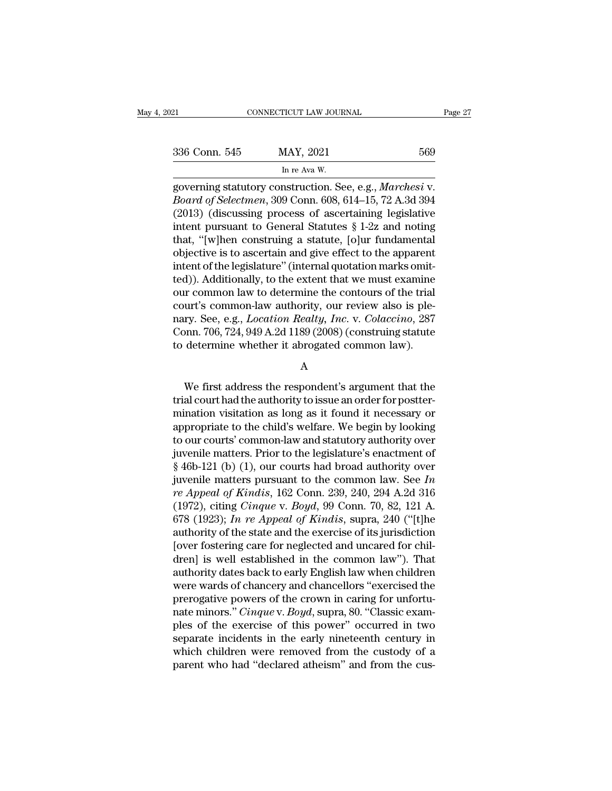| 336 Conn. 545 |  |
|---------------|--|
|               |  |

ricut law jour<br>MAY, 2021<br>In re Ava W.<br>nstruction. Se Eq. consection to the USB of Selection of Selection See, e.g., *Marchesi* v.<br>Board of Selection, 309 Conn. 608, 614–15, 72 A.3d 394 <sup>336</sup> Conn. 545 MAY, 2021 569<br>
<sup>In re Ava W.<br>
governing statutory construction. See, e.g., *Marchesi* v.<br> *Board of Selectmen*, 309 Conn. 608, 614–15, 72 A.3d 394<br>
(2013) (discussing process of ascertaining legislative<br>
in</sup> 336 Conn. 545 MAY, 2021 569<br>
In re Ava W.<br>
governing statutory construction. See, e.g., *Marchesi* v.<br> *Board of Selectmen*, 309 Conn. 608, 614–15, 72 A.3d 394<br>
(2013) (discussing process of ascertaining legislative<br>
inte 336 Conn. 545 MAY, 2021 569<br>
In re Ava W.<br>
governing statutory construction. See, e.g., *Marchesi* v.<br> *Board of Selectmen*, 309 Conn. 608, 614–15, 72 A.3d 394<br>
(2013) (discussing process of ascertaining legislative<br>
inte In re Ava W.<br>
governing statutory construction. See, e.g., *Marchesi* v.<br> *Board of Selectmen*, 309 Conn. 608, 614–15, 72 A.3d 394<br>
(2013) (discussing process of ascertaining legislative<br>
intent pursuant to General Statut in re ava w.<br>
governing statutory construction. See, e.g., *Marchesi* v.<br> *Board of Selectmen*, 309 Conn. 608, 614–15, 72 A.3d 394<br>
(2013) (discussing process of ascertaining legislative<br>
intent pursuant to General Statut governing statutory construction. See, e.g., *Marchesi* v.<br>Board of Selectmen, 309 Conn. 608, 614–15, 72 A.3d 394<br>(2013) (discussing process of ascertaining legislative<br>intent pursuant to General Statutes § 1-2z and noting Board of Selectmen, 309 Conn. 608, 614–15, 72 A.3d 394<br>(2013) (discussing process of ascertaining legislative<br>intent pursuant to General Statutes § 1-2z and noting<br>that, "[w]hen construing a statute, [o]ur fundamental<br>obj (2013) (discussing process of ascertaining legislative<br>intent pursuant to General Statutes § 1-2z and noting<br>that, "[w]hen construing a statute, [o]ur fundamental<br>objective is to ascertain and give effect to the apparent<br> intent pursuant to General Statutes § 1-2z and noting<br>that, "[w]hen construing a statute, [o]ur fundamental<br>objective is to ascertain and give effect to the apparent<br>intent of the legislature" (internal quotation marks om that, "[w]hen construing a statute, [o]ur fundamental<br>objective is to ascertain and give effect to the apparent<br>intent of the legislature" (internal quotation marks omit-<br>ted)). Additionally, to the extent that we must exa objective is to ascertain and give effect to the apparent<br>intent of the legislature" (internal quotation marks omit-<br>ted)). Additionally, to the extent that we must examine<br>our common law to determine the contours of the t intent of the legislature" (internal quotation marks omit-<br>ted)). Additionally, to the extent that we must examine<br>our common law to determine the contours of the trial<br>court's common-law authority, our review also is pleurt's common-law authority, our review also is ple-<br>ry. See, e.g., *Location Realty, Inc.* v. *Colaccino*, 287<br>pnn. 706, 724, 949 A.2d 1189 (2008) (construing statute<br>determine whether it abrogated common law).<br>A<br>We first

A

mary. See, e.g., *Location Reatty, Inc.* v. *Colaccino*, 287<br>Conn. 706, 724, 949 A.2d 1189 (2008) (construing statute<br>to determine whether it abrogated common law).<br>A<br>We first address the respondent's argument that the<br>tri Conn. 706, 724, 949 A.2d 1189 (2008) (construing statute<br>to determine whether it abrogated common law).<br>A<br>We first address the respondent's argument that the<br>trial court had the authority to issue an order for postter-<br>min to determine whether it abrogated common law).<br>
A<br>
We first address the respondent's argument that the<br>
trial court had the authority to issue an order for postter-<br>
mination visitation as long as it found it necessary or<br> A<br>We first address the respondent's argument that the<br>trial court had the authority to issue an order for postter-<br>mination visitation as long as it found it necessary or<br>appropriate to the child's welfare. We begin by lo We first address the respondent's argument that the<br>trial court had the authority to issue an order for postter-<br>mination visitation as long as it found it necessary or<br>appropriate to the child's welfare. We begin by look We first address the respondent's argument that the<br>trial court had the authority to issue an order for postter-<br>mination visitation as long as it found it necessary or<br>appropriate to the child's welfare. We begin by look trial court had the authority to issue an order for postter-<br>mination visitation as long as it found it necessary or<br>appropriate to the child's welfare. We begin by looking<br>to our courts' common-law and statutory authority mination visitation as long as it found it necessary or<br>appropriate to the child's welfare. We begin by looking<br>to our courts' common-law and statutory authority over<br>juvenile matters. Prior to the legislature's enactment appropriate to the child's welfare. We begin by looking<br>to our courts' common-law and statutory authority over<br>juvenile matters. Prior to the legislature's enactment of<br>§ 46b-121 (b) (1), our courts had broad authority ove to our courts' common-law and statutory authority over<br>juvenile matters. Prior to the legislature's enactment of<br>§ 46b-121 (b) (1), our courts had broad authority over<br>juvenile matters pursuant to the common law. See *In*<br> juvenile matters. Prior to the legislature's enactment of  $\S$  46b-121 (b) (1), our courts had broad authority over<br>juvenile matters pursuant to the common law. See *In*<br>*re Appeal of Kindis*, 162 Conn. 239, 240, 294 A.2d § 46b-121 (b) (1), our courts had broad authority over<br>juvenile matters pursuant to the common law. See *In*<br>*re Appeal of Kindis*, 162 Conn. 239, 240, 294 A.2d 316<br>(1972), citing *Cinque* v. *Boyd*, 99 Conn. 70, 82, 121 juvenile matters pursuant to the common law. See *In*<br>*re Appeal of Kindis*, 162 Conn. 239, 240, 294 A.2d 316<br>(1972), citing *Cinque* v. *Boyd*, 99 Conn. 70, 82, 121 A.<br>678 (1923); *In re Appeal of Kindis*, supra, 240 ("[ re Appeal of Kindis, 162 Conn. 239, 240, 294 A.2d 316<br>(1972), citing *Cinque v. Boyd*, 99 Conn. 70, 82, 121 A.<br>678 (1923); *In re Appeal of Kindis*, supra, 240 ("[t]he<br>authority of the state and the exercise of its jurisdi (1972), citing *Cinque* v. *Boyd*, 99 Conn. 70, 82, 121 A.<br>678 (1923); *In re Appeal of Kindis*, supra, 240 ("[t]he<br>authority of the state and the exercise of its jurisdiction<br>[over fostering care for neglected and uncare 678 (1923); *In re Appeal of Kindis*, supra, 240 ("[t]he authority of the state and the exercise of its jurisdiction [over fostering care for neglected and uncared for children] is well established in the common law"). Th authority of the state and the exercise of its jurisdiction<br>[over fostering care for neglected and uncared for chil-<br>dren] is well established in the common law"). That<br>authority dates back to early English law when childr [over fostering care for neglected and uncared for chil-<br>dren] is well established in the common law"). That<br>authority dates back to early English law when children<br>were wards of chancery and chancellors "exercised the<br>pre dren] is well established in the common law"). That<br>authority dates back to early English law when children<br>were wards of chancery and chancellors "exercised the<br>prerogative powers of the crown in caring for unfortu-<br>nate authority dates back to early English law when children<br>were wards of chancery and chancellors "exercised the<br>prerogative powers of the crown in caring for unfortu-<br>nate minors." *Cinque* v. *Boyd*, supra, 80. "Classic exa were wards of chancery and chancellors "exercised the<br>prerogative powers of the crown in caring for unfortu-<br>nate minors." *Cinque* v. *Boyd*, supra, 80. "Classic exam-<br>ples of the exercise of this power" occurred in two<br>s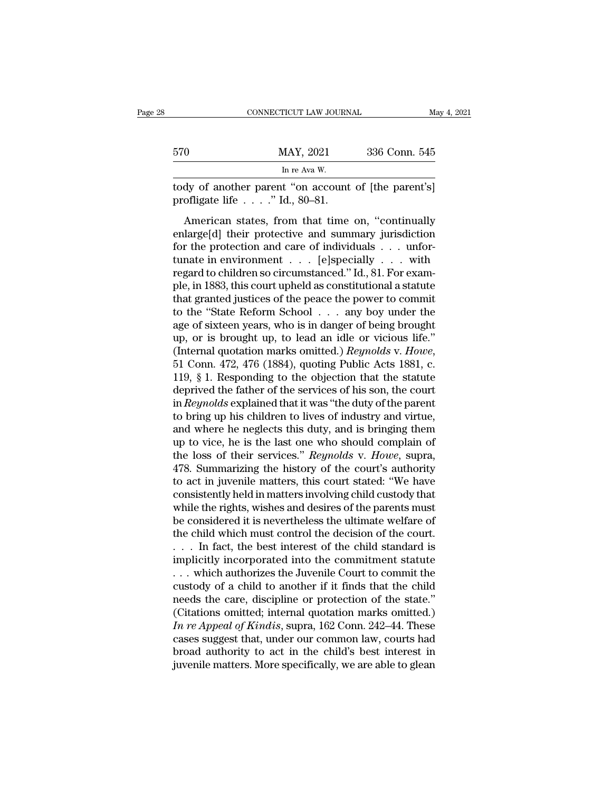|     | CONNECTICUT LAW JOURNAL                                                                        | May 4, 2021   |
|-----|------------------------------------------------------------------------------------------------|---------------|
| 570 | MAY, 2021                                                                                      | 336 Conn. 545 |
|     | In re Ava W                                                                                    |               |
|     | tody of another parent "on account of [the parent's]<br>profligate life $\ldots$ " Id., 80–81. |               |
|     | American states, from that time on, "continually                                               |               |

 $\frac{MAY}{P}$ , 2021 336 Conn. 545<br>
In re Ava W.<br>
Any of another parent "on account of [the parent's]<br>
offigate life . . . . ." Id., 80–81.<br>
American states, from that time on, "continually<br>
large[d] their protective and summ  $\frac{\text{MAX, } 2021}{\text{In } \text{re Ava W.}}$ <br>  $\frac{\text{In } \text{re Ava W.}}{\text{body of another parent "on account of [the parent's]}}$ <br>
profligate life . . . . " Id., 80–81.<br>
American states, from that time on, "continually<br>
enlarge[d] their protective and summary jurisdiction<br>
for the p In re Ava W.<br>
for the parent "on account of [the parent's]<br>
profligate life . . . . " Id., 80–81.<br>
American states, from that time on, "continually<br>
enlarge[d] their protective and summary jurisdiction<br>
for the protection tody of another parent "on account of [the parent's]<br>profligate life . . . ." Id., 80–81.<br>American states, from that time on, "continually<br>enlarge[d] their protective and summary jurisdiction<br>for the protection and care o profligate life  $\dots$ ." Id., 80–81.<br>
American states, from that time on, "continually<br>
enlarge[d] their protective and summary jurisdiction<br>
for the protection and care of individuals  $\dots$  unfor-<br>
tunate in environment  $\dots$ American states, from that time on, "continually<br>enlarge[d] their protective and summary jurisdiction<br>for the protection and care of individuals  $\dots$  unfor-<br>tunate in environment  $\dots$  [e]specially  $\dots$  with<br>regard to chil American states, from that time on, "continually<br>enlarge[d] their protective and summary jurisdiction<br>for the protection and care of individuals . . . unfor-<br>tunate in environment . . . [e]specially . . . with<br>regard to c enlarge[d] their protective and summary jurisdiction<br>for the protection and care of individuals . . . unfor-<br>tunate in environment . . . [e]specially . . . with<br>regard to children so circumstanced." Id., 81. For exam-<br>ple for the protection and care of individuals . . . unfor-<br>tunate in environment . . . [e]specially . . . with<br>regard to children so circumstanced." Id., 81. For exam-<br>ple, in 1883, this court upheld as constitutional a stat tunate in environment . . . . [e]specially . . . with<br>regard to children so circumstanced." Id., 81. For exam-<br>ple, in 1883, this court upheld as constitutional a statute<br>that granted justices of the peace the power to co regard to children so circumstanced." Id., 81. For example, in 1883, this court upheld as constitutional a statute that granted justices of the peace the power to commit to the "State Reform School . . . any boy under the that granted justices of the peace the power to commit<br>to the "State Reform School  $\ldots$  any boy under the<br>age of sixteen years, who is in danger of being brought<br>up, or is brought up, to lead an idle or vicious life."<br>(I to the "State Reform School . . . any boy under the age of sixteen years, who is in danger of being brought up, or is brought up, to lead an idle or vicious life." (Internal quotation marks omitted.) *Reynolds* v. *Howe*, age of sixteen years, who is in danger of being brought<br>up, or is brought up, to lead an idle or vicious life."<br>(Internal quotation marks omitted.) *Reynolds* v. Howe,<br>51 Conn. 472, 476 (1884), quoting Public Acts 1881, c. up, or is brought up, to lead an idle or vicious life."<br>(Internal quotation marks omitted.) *Reynolds* v. Howe,<br>51 Conn. 472, 476 (1884), quoting Public Acts 1881, c.<br>119, § 1. Responding to the objection that the statute<br> (Internal quotation marks omitted.) *Reynolds* v. Howe,<br>51 Conn. 472, 476 (1884), quoting Public Acts 1881, c.<br>119, § 1. Responding to the objection that the statute<br>deprived the father of the services of his son, the cou 51 Conn. 472, 476 (1884), quoting Public Acts 1881, c.<br>119, § 1. Responding to the objection that the statute<br>deprived the father of the services of his son, the court<br>in *Reynolds* explained that it was "the duty of the 119, § 1. Responding to the objection that the statute<br>deprived the father of the services of his son, the court<br>in *Reynolds* explained that it was "the duty of the parent<br>to bring up his children to lives of industry and deprived the father of the services of his son, the court<br>in *Reynolds* explained that it was "the duty of the parent<br>to bring up his children to lives of industry and virtue,<br>and where he neglects this duty, and is bringi in *Reynolds* explained that it was "the duty of the parent<br>to bring up his children to lives of industry and virtue,<br>and where he neglects this duty, and is bringing them<br>up to vice, he is the last one who should complain to bring up his children to lives of industry and virtue,<br>and where he neglects this duty, and is bringing them<br>up to vice, he is the last one who should complain of<br>the loss of their services." *Reynolds* v. *Howe*, supra and where he neglects this duty, and is bringing them<br>up to vice, he is the last one who should complain of<br>the loss of their services." *Reynolds* v. *Howe*, supra,<br>478. Summarizing the history of the court's authority<br>to up to vice, he is the last one who should complain of<br>the loss of their services." *Reynolds* v. *Howe*, supra,<br>478. Summarizing the history of the court's authority<br>to act in juvenile matters, this court stated: "We have<br> the loss of their services." *Reynolds* v. *Howe*, supra, 478. Summarizing the history of the court's authority to act in juvenile matters, this court stated: "We have consistently held in matters involving child custody 478. Summarizing the history of the court's authority<br>to act in juvenile matters, this court stated: "We have<br>consistently held in matters involving child custody that<br>while the rights, wishes and desires of the parents m to act in juvenile matters, this court stated: "We have<br>consistently held in matters involving child custody that<br>while the rights, wishes and desires of the parents must<br>be considered it is nevertheless the ultimate welf consistently held in matters involving child custody that<br>while the rights, wishes and desires of the parents must<br>be considered it is nevertheless the ultimate welfare of<br>the child which must control the decision of the while the rights, wishes and desires of the parents must<br>be considered it is nevertheless the ultimate welfare of<br>the child which must control the decision of the court.<br> $\dots$  In fact, the best interest of the child standa be considered it is nevertheless the ultimate welfare of<br>the child which must control the decision of the court.<br>... In fact, the best interest of the child standard is<br>implicitly incorporated into the commitment statute<br> the child which must control the decision of the court.<br>  $\ldots$  In fact, the best interest of the child standard is<br>
implicitly incorporated into the commitment statute<br>  $\ldots$  which authorizes the Juvenile Court to commit *I* In fact, the best interest of the child standard is<br>
implicitly incorporated into the commitment statute<br> *I* In the custody of a child to another if it finds that the child<br>
reeds the care, discipline or protection of implicitly incorporated into the commitment statute<br>
... which authorizes the Juvenile Court to commit the<br>
custody of a child to another if it finds that the child<br>
needs the care, discipline or protection of the state." ... which authorizes the Juvenile Court to commit the custody of a child to another if it finds that the child needs the care, discipline or protection of the state." (Citations omitted; internal quotation marks omitted.) custody of a child to another if it finds that the child<br>needs the care, discipline or protection of the state."<br>(Citations omitted; internal quotation marks omitted.)<br>In re Appeal of Kindis, supra, 162 Conn. 242–44. These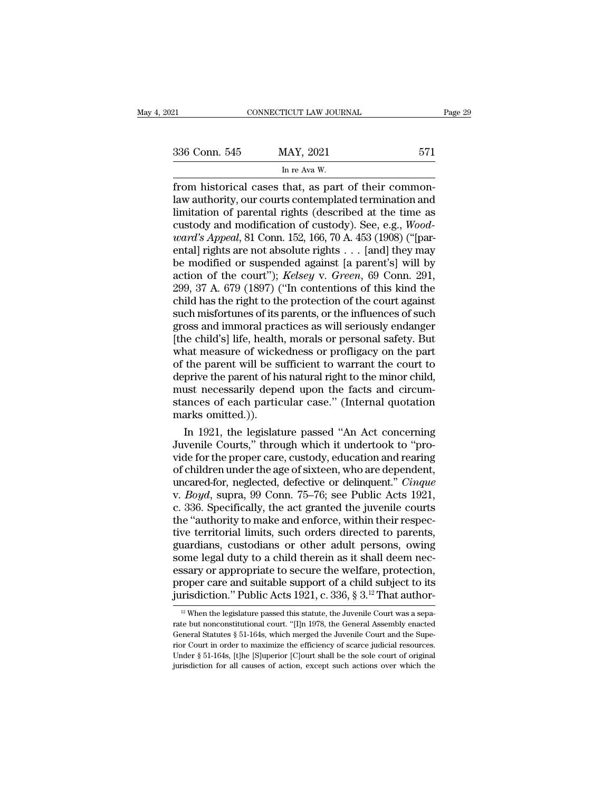# ricut LAW JOUR<br>MAY, 2021<br>In re Ava W.<br>That as part

From historical cases that, as part of their common-<br>
From historical cases that, as part of their common-<br>
law authority, our courts contemplated termination and<br>
limitation of parental rights (described at the time as 336 Conn. 545 MAY, 2021 571<br>
In re Ava W.<br>
from historical cases that, as part of their common-<br>
law authority, our courts contemplated termination and<br>
limitation of parental rights (described at the time as<br>
custody and 336 Conn. 545 MAY, 2021 571<br>
In re Ava W.<br>
from historical cases that, as part of their common-<br>
law authority, our courts contemplated termination and<br>
limitation of parental rights (described at the time as<br>
custody and Sale Conn. 545 MAY, 2021 571<br>
In re Ava W.<br>
from historical cases that, as part of their common-<br>
law authority, our courts contemplated termination and<br>
limitation of parental rights (described at the time as<br>
custody and *ward, 2021*<br> *ward, 2021*<br> *ward, 2021*<br> *ward wathority, our courts contemplated termination and limitation of parental rights (described at the time as custody and modification of custody). See, e.g., <i>Woodward's Appeal* In re Ava W.<br>
from historical cases that, as part of their common-<br>
law authority, our courts contemplated termination and<br>
limitation of parental rights (described at the time as<br>
custody and modification of custody). Se from historical cases that, as part of their common-<br>law authority, our courts contemplated termination and<br>limitation of parental rights (described at the time as<br>custody and modification of custody). See, e.g., *Wood-<br>w* law authority, our courts contemplated termination and<br>limitation of parental rights (described at the time as<br>custody and modification of custody). See, e.g., *Wood-<br>ward's Appeal*, 81 Conn. 152, 166, 70 A. 453 (1908) ("[ limitation of parental rights (described at the time as<br>custody and modification of custody). See, e.g., *Wood-<br>ward's Appeal*, 81 Conn. 152, 166, 70 A. 453 (1908) ("[par-<br>ental] rights are not absolute rights . . . [and] custody and modification of custody). See, e.g., *Wood-<br>ward's Appeal*, 81 Conn. 152, 166, 70 A. 453 (1908) ("[par-<br>ental] rights are not absolute rights . . . [and] they may<br>be modified or suspended against [a parent's] w *ward's Appeal*, 81 Conn. 152, 166, 70 A. 453 (1908) ("[parental] rights are not absolute rights . . . [and] they may<br>be modified or suspended against [a parent's] will by<br>action of the court"); *Kelsey* v. *Green*, 69 Co ental) rights are not absolute rights . . . [and] they may<br>be modified or suspended against [a parent's] will by<br>action of the court''); *Kelsey* v. *Green*, 69 Conn. 291,<br>299, 37 A. 679 (1897) ("In contentions of this kin be modified or suspended against [a parent's] will by<br>action of the court"); *Kelsey* v. *Green*, 69 Conn. 291,<br>299, 37 A. 679 (1897) ("In contentions of this kind the<br>child has the right to the protection of the court aga action of the court"); *Kelsey* v. *Green*, 69 Conn. 291, 299, 37 A. 679 (1897) ("In contentions of this kind the child has the right to the protection of the court against such misfortunes of its parents, or the influence 299, 37 A. 679 (1897) ("In contentions of this kind the child has the right to the protection of the court against such misfortunes of its parents, or the influences of such gross and immoral practices as will seriously en child has the right to the protection of the court against<br>such misfortunes of its parents, or the influences of such<br>gross and immoral practices as will seriously endanger<br>[the child's] life, health, morals or personal sa such misfortunes of its parents, or the influences of such<br>gross and immoral practices as will seriously endanger<br>[the child's] life, health, morals or personal safety. But<br>what measure of wickedness or profligacy on the p gross and immoral practices as will seriously endanger<br>[the child's] life, health, morals or personal safety. But<br>what measure of wickedness or profligacy on the part<br>of the parent will be sufficient to warrant the court t [the child's] life, health<br>what measure of wicke<br>of the parent will be su<br>deprive the parent of hi<br>must necessarily depe<br>stances of each partic<br>marks omitted.)).<br>In 1921, the legislatu nat measure of wickedness or profligacy on the part<br>the parent will be sufficient to warrant the court to<br>prive the parent of his natural right to the minor child,<br>ust necessarily depend upon the facts and circum-<br>ances of of the parent will be sufficient to warrant the court to<br>deprive the parent of his natural right to the minor child,<br>must necessarily depend upon the facts and circum-<br>stances of each particular case." (Internal quotation<br>

deprive the parent of his natural right to the minor child,<br>must necessarily depend upon the facts and circum-<br>stances of each particular case." (Internal quotation<br>marks omitted.)).<br>In 1921, the legislature passed "An Act must necessarily depend upon the facts and circum-<br>stances of each particular case." (Internal quotation<br>marks omitted.)).<br>In 1921, the legislature passed "An Act concerning<br>Juvenile Courts," through which it undertook to stances of each particular case." (Internal quotation<br>marks omitted.)).<br>In 1921, the legislature passed "An Act concerning<br>Juvenile Courts," through which it undertook to "pro-<br>vide for the proper care, custody, education marks omitted.)).<br>
In 1921, the legislature passed "An Act concerning<br>
Juvenile Courts," through which it undertook to "pro-<br>
vide for the proper care, custody, education and rearing<br>
of children under the age of sixteen, In 1921, the legislature passed "An Act concerning<br>Juvenile Courts," through which it undertook to "pro-<br>vide for the proper care, custody, education and rearing<br>of children under the age of sixteen, who are dependent,<br>unc Juvenile Courts," through which it undertook to "provide for the proper care, custody, education and rearing of children under the age of sixteen, who are dependent, uncared-for, neglected, defective or delinquent." *Cinqu* vide for the proper care, custody, education and rearing<br>of children under the age of sixteen, who are dependent,<br>uncared-for, neglected, defective or delinquent." *Cinque*<br>v. *Boyd*, supra, 99 Conn. 75–76; see Public Acts of children under the age of sixteen, who are dependent,<br>uncared-for, neglected, defective or delinquent." *Cinque*<br>v. *Boyd*, supra, 99 Conn. 75–76; see Public Acts 1921,<br>c. 336. Specifically, the act granted the juvenile uncared-for, neglected, defective or delinquent." *Cinque*<br>v. *Boyd*, supra, 99 Conn. 75–76; see Public Acts 1921,<br>c. 336. Specifically, the act granted the juvenile courts<br>the "authority to make and enforce, within their v. *Boyd*, supra, 99 Conn. 75–76; see Public Acts 1921,<br>c. 336. Specifically, the act granted the juvenile courts<br>the "authority to make and enforce, within their respec-<br>tive territorial limits, such orders directed to p c. 336. Specifically, the act granted the juvenile courts<br>the "authority to make and enforce, within their respec-<br>tive territorial limits, such orders directed to parents,<br>guardians, custodians or other adult persons, ow the "authority to make and enforce, within their respective territorial limits, such orders directed to parents, guardians, custodians or other adult persons, owing some legal duty to a child therein as it shall deem nece ome legal duty to a child therein as it shall deem nec-<br>ssary or appropriate to secure the welfare, protection,<br>roper care and suitable support of a child subject to its<br>risdiction." Public Acts 1921, c. 336, § 3.<sup>12</sup> That essary or appropriate to secure the welfare, protection,<br>proper care and suitable support of a child subject to its<br>jurisdiction." Public Acts 1921, c. 336, § 3.<sup>12</sup> That author-<br><sup>12</sup> When the legislature passed this stat

proper care and suitable support of a child subject to its<br>jurisdiction." Public Acts 1921, c. 336, § 3.<sup>12</sup> That author-<br><sup>12</sup> When the legislature passed this statute, the Juvenile Court was a sepa-<br>rate but nonconstitut proper care and sumable support of a critical range distribution." Public Acts 1921, c. 336, § 3.<sup>12</sup> That author-<br><sup>12</sup> When the legislature passed this statute, the Juvenile Court was a separate but nonconstitutional cou UNISONCLION. PUDIC ACUS 1921, C. 330, § 3.<sup>--</sup> THat attifform-<br><sup>12</sup> When the legislature passed this statute, the Juvenile Court was a separate but nonconstitutional court. "[I]n 1978, the General Assembly enacted General <sup>12</sup> When the legislature passed this statute, the Juvenile Court was a separate but nonconstitutional court. "[I]n 1978, the General Assembly enacted General Statutes § 51-164s, which merged the Juvenile Court and the Su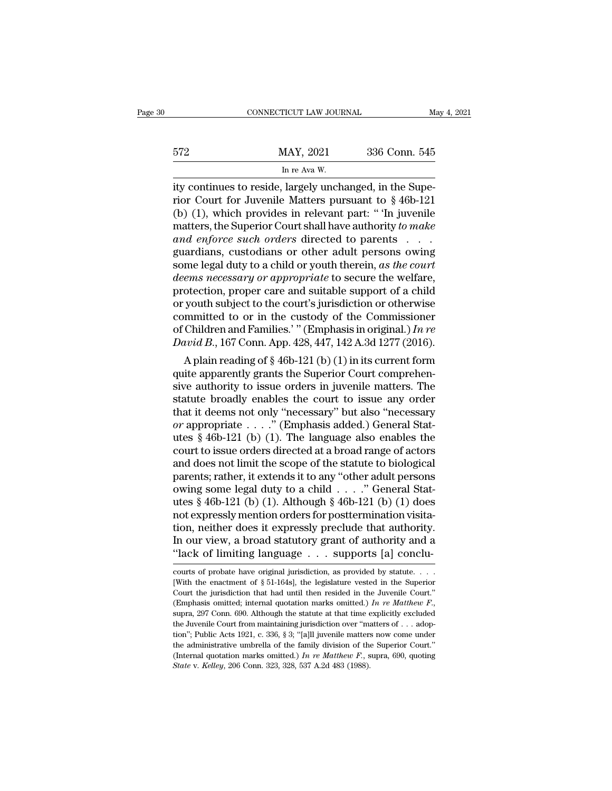|     | CONNECTICUT LAW JOURNAL                                | May 4, 2021   |
|-----|--------------------------------------------------------|---------------|
|     |                                                        |               |
| 572 | MAY, 2021                                              | 336 Conn. 545 |
|     | In re Ava W.                                           |               |
|     | ity continues to reside Jargely unchanged in the Supe- |               |

connecticut LAW JOURNAL<br>
MAY, 2021 336 Conn. 545<br>
In re Ava W.<br>
ity continues to reside, largely unchanged, in the Supe-<br>
rior Court for Juvenile Matters pursuant to §46b-121<br>
(b) (1) which provides in relevant part: " To May, 2021 336 Conn. 545<br>
In re Ava W.<br>
Ity continues to reside, largely unchanged, in the Superior Court for Juvenile Matters pursuant to § 46b-121<br>
(b) (1), which provides in relevant part: "'In juvenile<br>
matters the Supe 572 MAY, 2021 336 Conn. 545<br>
In re Ava W.<br>
ity continues to reside, largely unchanged, in the Superior Court for Juvenile Matters pursuant to § 46b-121<br>
(b) (1), which provides in relevant part: "'In juvenile<br>
matters, th MAY, 2021 336 Conn. 545<br>
In re Ava W.<br>
ity continues to reside, largely unchanged, in the Superior Court for Juvenile Matters pursuant to § 46b-121<br>
(b) (1), which provides in relevant part: "In juvenile<br>
matters, the Supe *and set of the Name Soccession*<br> *and with*<br> *and with*<br> *and with*<br> **and the Superior Court for Juvenile Matters pursuant to §46b-121<br>
(b) (1), which provides in relevant part: "The juvenile<br>
matters, the Superior Court** In re Ava W.<br>
ity continues to reside, largely unchanged, in the Superior Court for Juvenile Matters pursuant to § 46b-121<br>
(b) (1), which provides in relevant part: " 'In juvenile<br>
matters, the Superior Court shall have ity continues to reside, largely unchanged, in the Superior Court for Juvenile Matters pursuant to § 46b-121 (b) (1), which provides in relevant part: "In juvenile matters, the Superior Court shall have authority *to make* rior Court for Juvenile Matters pursuant to § 46b-121<br>
(b) (1), which provides in relevant part: "In juvenile<br>
matters, the Superior Court shall have authority *to make*<br>
and enforce such orders directed to parents<br>
guardi (b) (1), which provides in relevant part: "In juvenile matters, the Superior Court shall have authority to make and enforce such orders directed to parents  $\dots$  guardians, custodians or other adult persons owing some lega matters, the Superior Court shall have authority *to make*<br>and enforce such orders directed to parents . . . .<br>guardians, custodians or other adult persons owing<br>some legal duty to a child or youth therein, *as the court* and enforce such orders directed to parents . . . .<br>guardians, custodians or other adult persons owing<br>some legal duty to a child or youth therein, as the court<br>deems necessary or appropriate to secure the welfare,<br>protec guardians, custodians or other adult persons owing<br>some legal duty to a child or youth therein, *as the court<br>deems necessary or appropriate* to secure the welfare,<br>protection, proper care and suitable support of a child<br>o some legal duty to a child or youth therein, *as the court*<br>*deems necessary or appropriate* to secure the welfare,<br>protection, proper care and suitable support of a child<br>or youth subject to the court's jurisdiction or ot *The mas necessary or appropriate* to secure the wentare, otection, proper care and suitable support of a child youth subject to the court's jurisdiction or otherwise mmitted to or in the custody of the Commissioner Child protection, proper care and suitable support of a child<br>or youth subject to the court's jurisdiction or otherwise<br>committed to or in the custody of the Commissioner<br>of Children and Families.' " (Emphasis in original.) In

or youth subject to the court s jurisdiction or otherwise<br>committed to or in the custody of the Commissioner<br>of Children and Families.' " (Emphasis in original.) In re<br>David B., 167 Conn. App. 428, 447, 142 A.3d 1277 (201 committed to or in the custody of the Commissioner<br>of Children and Families.'" (Emphasis in original.) In re<br>David B., 167 Conn. App. 428, 447, 142 A.3d 1277 (2016).<br>A plain reading of § 46b-121 (b) (1) in its current for or Children and Families. (Emphasis in original.) *In re*<br>
David B., 167 Conn. App. 428, 447, 142 A.3d 1277 (2016).<br>
A plain reading of § 46b-121 (b) (1) in its current form<br>
quite apparently grants the Superior Court com *David B.*, 107 Conn. App. 428, 447, 142 A.5d 1277 (2010).<br>
A plain reading of § 46b-121 (b) (1) in its current form<br>
quite apparently grants the Superior Court comprehen-<br>
sive authority to issue orders in juvenile matter A plain reading of  $\S$  46b-121 (b) (1) in its current form<br>quite apparently grants the Superior Court comprehen-<br>sive authority to issue orders in juvenile matters. The<br>statute broadly enables the court to issue any order quite apparently grants the Superior Court comprehensive authority to issue orders in juvenile matters. The statute broadly enables the court to issue any order that it deems not only "necessary" but also "necessary or ap sive authority to issue orders in juvenile matters. The<br>statute broadly enables the court to issue any order<br>that it deems not only "necessary" but also "necessary<br>or appropriate  $\ldots$ ." (Emphasis added.) General Stat-<br>ut statute broadly enables the court to issue any order<br>that it deems not only "necessary" but also "necessary<br>or appropriate . . . . " (Emphasis added.) General Stat-<br>utes § 46b-121 (b) (1). The language also enables the<br>co that it deems not only "necessary" but also "necessary or appropriate . . . ." (Emphasis added.) General Stat-<br>utes § 46b-121 (b) (1). The language also enables the<br>court to issue orders directed at a broad range of actor or appropriate . . . ." (Emphasis added.) General Stat-<br>utes § 46b-121 (b) (1). The language also enables the<br>court to issue orders directed at a broad range of actors<br>and does not limit the scope of the statue to biologi utes § 46b-121 (b) (1). The language also enables the<br>court to issue orders directed at a broad range of actors<br>and does not limit the scope of the statute to biological<br>parents; rather, it extends it to any "other adult p court to issue orders directed at a broad range of actors<br>and does not limit the scope of the statute to biological<br>parents; rather, it extends it to any "other adult persons<br>owing some legal duty to a child . . . ." Gener and does not limit the scope of the statute to biological<br>parents; rather, it extends it to any "other adult persons<br>owing some legal duty to a child . . . ." General Stat-<br>utes § 46b-121 (b) (1). Although § 46b-121 (b) ( parents; rather, it extends it to any "other adult persons<br>owing some legal duty to a child . . . . " General Stat<br>utes § 46b-121 (b) (1). Although § 46b-121 (b) (1) does<br>not expressly mention orders for posttermination vi not expressly mention orders for posttermination visita-<br>tion, neither does it expressly preclude that authority.<br>In our view, a broad statutory grant of authority and a<br>"lack of limiting language . . . supports [a] conclu tion, neither does it expressly preclude that authority.<br>In our view, a broad statutory grant of authority and a "lack of limiting language  $\dots$  supports [a] conclu-<br>courts of probate have original jurisdiction, as provid

In our view, a broad statutory grant of authority and a "lack of limiting language  $\ldots$  supports [a] concluciourts of probate have original jurisdiction, as provided by statute..... [With the enactment of § 51-164s], the (Emphasis omitted; internal quotation marks omitted.) **In reduce the status** of probate have original jurisdiction, as provided by statute....<br>
(With the enactment of § 51-164s), the legislature vested in the Superior Cou courts of probate have original jurisdiction, as provided by statute. . . . . [With the enactment of § 51-164s], the legislature vested in the Superior Court the jurisdiction that had until then resided in the Juvenile Co [With the enactment of § 51-164s], the legislature vested in the Superior Court the jurisdiction that had until then resided in the Juvenile Court." (Emphasis omitted; internal quotation marks omitted.) In re Matthew F., Court the jurisdiction that had until then resided in the Juvenile Court." (Emphasis omitted, internal quotation marks omitted.) In re Matthew F., supra, 297 Conn. 690. Although the statute at that time explicitly exclude (Emphasis omitted; internal quotation marks omitted.) *In re Matthew F.*, supra, 297 Conn. 690. Although the statute at that time explicitly excluded the Juvenile Court from maintaining jurisdiction over "matters of . . . supra, 297 Conn. 690. Although the statute at that time explicitly excluded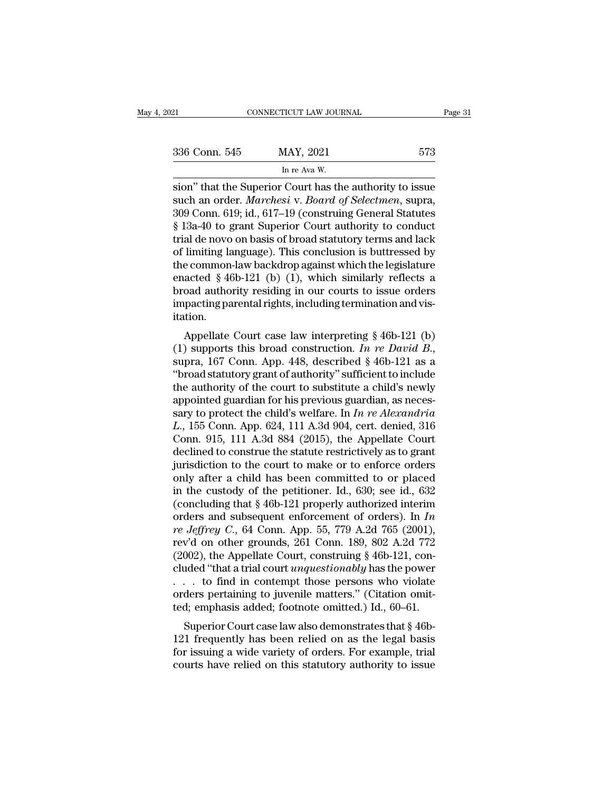| 021           | CONNECTICUT LAW JOURNAL                                                                                                                                                                     | Page 31 |
|---------------|---------------------------------------------------------------------------------------------------------------------------------------------------------------------------------------------|---------|
| 336 Conn. 545 | MAY, 2021                                                                                                                                                                                   | 573     |
|               | In re Ava W.                                                                                                                                                                                |         |
|               | sion" that the Superior Court has the authority to issue<br>such an order. <i>Marchesi</i> v. <i>Board of Selectmen</i> , supra,<br>200 Conn. 610; id., 617, 10 Construing Conoral Statutos |         |

336 Conn. 545 MAY, 2021 573<br>
In re Ava W.<br>
sion" that the Superior Court has the authority to issue<br>
such an order. *Marchesi* v. *Board of Selectmen*, supra,<br>
309 Conn. 619; id., 617–19 (construing General Statutes<br>
8.133 336 Conn. 545 MAY, 2021 573<br>
In re Ava W.<br>
sion" that the Superior Court has the authority to issue<br>
such an order. *Marchesi* v. *Board of Selectmen*, supra,<br>
309 Conn. 619; id., 617–19 (construing General Statutes<br>
§ 13 <sup>573</sup><br>
In re Ava W.<br>
In re Ava W.<br>
sion" that the Superior Court has the authority to issue<br>
such an order. *Marchesi* v. *Board of Selectmen*, supra,<br>
309 Conn. 619; id., 617–19 (construing General Statutes<br>
§ 13a-40 to g In re Ava W.<br>
Sion" that the Superior Court has the authority to issue<br>
such an order. *Marchesi* v. *Board of Selectmen*, supra,<br>
309 Conn. 619; id., 617–19 (construing General Statutes<br>
§ 13a-40 to grant Superior Court In re Ava W.<br>
sion" that the Superior Court has the authority to issue<br>
such an order. *Marchesi* v. *Board of Selectmen*, supra,<br>
309 Conn. 619; id., 617–19 (construing General Statutes<br>
§ 13a-40 to grant Superior Court sion" that the Superior Court has the authority to issue<br>such an order. *Marchesi* v. *Board of Selectmen*, supra,<br>309 Conn. 619; id., 617–19 (construing General Statutes<br>§ 13a-40 to grant Superior Court authority to condu such an order. *Marchesi* v. *Board of Selectmen*, supra,<br>309 Conn. 619; id., 617–19 (construing General Statutes<br>§ 13a-40 to grant Superior Court authority to conduct<br>trial de novo on basis of broad statutory terms and la 309 Conn. 619; id., 617–19 (construing General Statutes<br>§ 13a-40 to grant Superior Court authority to conduct<br>trial de novo on basis of broad statutory terms and lack<br>of limiting language). This conclusion is buttressed by  $\S$  13a-40 to grant Superior Court authority to conduct<br>trial de novo on basis of broad statutory terms and lack<br>of limiting language). This conclusion is buttressed by<br>the common-law backdrop against which the legislatur itation. mining language). This conclusion is buttlessed by<br>
e common-law backdrop against which the legislature<br>
acted § 46b-121 (b) (1), which similarly reflects a<br>
oad authority residing in our courts to issue orders<br>
pacting p (1) the continuon-aw backdrop against which the registature<br>enacted § 46b-121 (b) (1), which similarly reflects a<br>broad authority residing in our courts to issue orders<br>impacting parental rights, including termination and

broad authority restung in our courts to issue orders<br>
impacting parental rights, including termination and vis-<br>
itation.<br>
Appellate Court case law interpreting § 46b-121 (b)<br>
(1) supports this broad construction. In re Inipacting parental rights, including termination and visitation.<br>
Appellate Court case law interpreting § 46b-121 (b)<br>
(1) supports this broad construction. In re David B.,<br>
supra, 167 Conn. App. 448, described § 46b-121 Appellate Court case law interpreting § 46b-121 (b) (1) supports this broad construction. *In re David B.*, supra, 167 Conn. App. 448, described § 46b-121 as a "broad statutory grant of authority" sufficient to include th Appellate Court case law interpreting  $\S$  46b-121 (b)<br>(1) supports this broad construction. *In re David B*.,<br>supra, 167 Conn. App. 448, described  $\S$  46b-121 as a<br>"broad statutory grant of authority" sufficient to includ (1) supports this broad construction. *In re David B*., supra, 167 Conn. App. 448, described  $\S$  46b-121 as a "broad statutory grant of authority" sufficient to include the authority of the court to substitute a child's n supra, 167 Conn. App. 448, described § 46b-121 as a "broad statutory grant of authority" sufficient to include<br>the authority of the court to substitute a child's newly<br>appointed guardian for his previous guardian, as nece "broad statutory grant of authority" sufficient to include<br>the authority of the court to substitute a child's newly<br>appointed guardian for his previous guardian, as neces-<br>sary to protect the child's welfare. In  $In$  re Al the authority of the court to substitute a child's newly<br>appointed guardian for his previous guardian, as neces-<br>sary to protect the child's welfare. In *In re Alexandria*<br> $L$ ., 155 Conn. App. 624, 111 A.3d 904, cert. den appointed guardian for his previous guardian, as necessary to protect the child's welfare. In *In re Alexandria*  $L$ ., 155 Conn. App. 624, 111 A.3d 904, cert. denied, 316 Conn. 915, 111 A.3d 884 (2015), the Appellate Cour sary to protect the child's welfare. In *In re Alexandria L.*, 155 Conn. App. 624, 111 A.3d 904, cert. denied, 316 Conn. 915, 111 A.3d 884 (2015), the Appellate Court declined to construe the statute restrictively as to L., 155 Conn. App. 624, 111 A.3d 904, cert. denied, 316<br>Conn. 915, 111 A.3d 884 (2015), the Appellate Court<br>declined to construe the statute restrictively as to grant<br>jurisdiction to the court to make or to enforce orders Conn. 915, 111 A.3d 884 (2015), the Appellate Court<br>declined to construe the statute restrictively as to grant<br>jurisdiction to the court to make or to enforce orders<br>only after a child has been committed to or placed<br>in t declined to construe the statute restrictively as to grant<br>jurisdiction to the court to make or to enforce orders<br>only after a child has been committed to or placed<br>in the custody of the petitioner. Id., 630; see id., 632<br> jurisdiction to the court to make or to enforce orders<br>only after a child has been committed to or placed<br>in the custody of the petitioner. Id., 630; see id., 632<br>(concluding that § 46b-121 properly authorized interim<br>ord only after a child has been committed to or placed<br>in the custody of the petitioner. Id., 630; see id., 632<br>(concluding that § 46b-121 properly authorized interim<br>orders and subsequent enforcement of orders). In *In*<br>*re* in the custody of the petitioner. Id., 630; see id., 632<br>(concluding that  $§$  46b-121 properly authorized interim<br>orders and subsequent enforcement of orders). In *In*<br>*re Jeffrey C.*, 64 Conn. App. 55, 779 A.2d 765 (2001 (concluding that § 46b-121 properly authorized interim<br>orders and subsequent enforcement of orders). In *In*<br>*re Jeffrey C.*, 64 Conn. App. 55, 779 A.2d 765 (2001),<br>rev'd on other grounds, 261 Conn. 189, 802 A.2d 772<br>(200 orders and subsequent enforcement of orders). In *In*<br>*re Jeffrey C.*, 64 Conn. App. 55, 779 A.2d 765 (2001),<br>rev'd on other grounds, 261 Conn. 189, 802 A.2d 772<br>(2002), the Appellate Court, construing § 46b-121, con-<br>clu re Jeffrey C., 64 Conn. App. 55, 779 A.2d 765 (2001),<br>rev'd on other grounds, 261 Conn. 189, 802 A.2d 772<br>(2002), the Appellate Court, construing § 46b-121, con-<br>cluded "that a trial court *unquestionably* has the power<br>002), the Appellate Court, construing § 46b-121, conded "that a trial court *unquestionably* has the power to find in contempt those persons who violate ders pertaining to juvenile matters." (Citation omitd; emphasis adde (2002), the Appendie Court, Constraining  $\frac{1}{2}$  abo-121, Concluded "that a trial court *unquestionably* has the power . . . to find in contempt those persons who violate orders pertaining to juvenile matters." (Citatio

For the distribution and the power<br>
... to find in contempt those persons who violate<br>
orders pertaining to juvenile matters." (Citation omit-<br>
ted; emphasis added; footnote omitted.) Id., 60–61.<br>
Superior Court case law  $\therefore$   $\therefore$  to find in contempt those persons who violate orders pertaining to juvenile matters." (Citation omitted; emphasis added; footnote omitted.) Id., 60–61.<br>Superior Court case law also demonstrates that § 46b-<br>121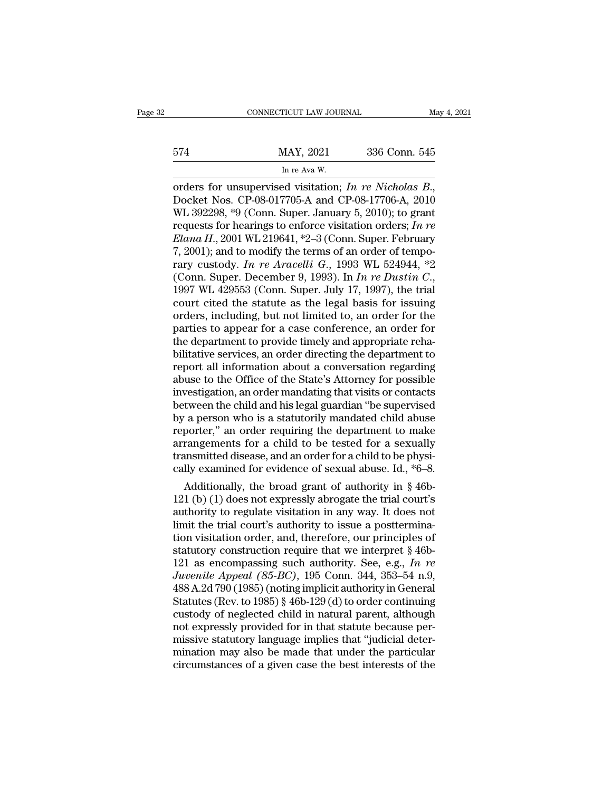|     | CONNECTICUT LAW JOURNAL                                |               | May 4, 2021 |
|-----|--------------------------------------------------------|---------------|-------------|
| 574 | MAY, 2021                                              | 336 Conn. 545 |             |
|     | In re Ava W.                                           |               |             |
|     | orders for unsupervised visitation: In re Nicholas $R$ |               |             |

cONNECTICUT LAW JOURNAL May 4, 2021<br>
MAY, 2021 336 Conn. 545<br>
In re Ava W.<br>
orders for unsupervised visitation; *In re Nicholas B*.,<br>
Docket Nos. CP-08-017705-A and CP-08-17706-A, 2010<br>
WL 392298, \*9 (Conn. Super. January 574 MAY, 2021 336 Conn. 545<br>
In re Ava W.<br>
orders for unsupervised visitation; In re Nicholas B.,<br>
Docket Nos. CP-08-017705-A and CP-08-17706-A, 2010<br>
WL 392298, \*9 (Conn. Super. January 5, 2010); to grant<br>
requests for h MAY, 2021 336 Conn. 545<br>
In re Ava W.<br>
orders for unsupervised visitation; *In re Nicholas B.*,<br>
Docket Nos. CP-08-017705-A and CP-08-17706-A, 2010<br>
WL 392298, \*9 (Conn. Super. January 5, 2010); to grant<br>
requests for hear In re Ava W.<br> **Elana H., 2001** W. The Richolas B.,<br>
Docket Nos. CP-08-017705-A and CP-08-17706-A, 2010<br>
WL 392298, \*9 (Conn. Super. January 5, 2010); to grant<br>
requests for hearings to enforce visitation orders; *In re*<br> In re Ava W.<br>
orders for unsupervised visitation; *In re Nicholas B.*,<br>
Docket Nos. CP-08-017705-A and CP-08-17706-A, 2010<br>
WL 392298, \*9 (Conn. Super. January 5, 2010); to grant<br>
requests for hearings to enforce visitati orders for unsupervised visitation; *In re Nicholas B*.,<br>Docket Nos. CP-08-017705-A and CP-08-17706-A, 2010<br>WL 392298, \*9 (Conn. Super. January 5, 2010); to grant<br>requests for hearings to enforce visitation orders; *In re<br>* Docket Nos. CP-08-017705-A and CP-08-17706-A, 2010<br>WL 392298, \*9 (Conn. Super. January 5, 2010); to grant<br>requests for hearings to enforce visitation orders; *In re*<br>*Elana H.*, 2001 WL 219641, \*2–3 (Conn. Super. February<br> requests for hearings to enforce visitation orders; *In re*<br>*Elana H.*, 2001 WL 219641, \*2–3 (Conn. Super. February<br>7, 2001); and to modify the terms of an order of tempo-<br>rary custody. *In re Aracelli G.*, 1993 WL 524944 Elana H., 2001 WL 219641, \*2–3 (Conn. Super. February<br>7, 2001); and to modify the terms of an order of tempo-<br>rary custody. In re Aracelli G., 1993 WL 524944, \*2<br>(Conn. Super. December 9, 1993). In In re Dustin C.,<br>1997 W 7, 2001); and to modify the terms of an order of temporary custody. In re Aracelli G., 1993 WL 524944, \*2 (Conn. Super. December 9, 1993). In In re Dustin C., 1997 WL 429553 (Conn. Super. July 17, 1997), the trial court c rary custody. In re Aracelli G., 1993 WL 524944, \*2<br>(Conn. Super. December 9, 1993). In In re Dustin C.,<br>1997 WL 429553 (Conn. Super. July 17, 1997), the trial<br>court cited the statute as the legal basis for issuing<br>orders (Conn. Super. December 9, 1993). In *In re Dustin C.*, 1997 WL 429553 (Conn. Super. July 17, 1997), the trial court cited the statute as the legal basis for issuing orders, including, but not limited to, an order for the 1997 WL 429553 (Conn. Super. July 17, 1997), the trial<br>court cited the statute as the legal basis for issuing<br>orders, including, but not limited to, an order for the<br>parties to appear for a case conference, an order for<br>th court cited the statute as the legal basis for issuing<br>orders, including, but not limited to, an order for the<br>parties to appear for a case conference, an order for<br>the department to provide timely and appropriate reha-<br>bi orders, including, but not limited to, an order for the parties to appear for a case conference, an order for<br>the department to provide timely and appropriate reha-<br>bilitative services, an order directing the department to parties to appear for a case conference, an order for<br>the department to provide timely and appropriate reha-<br>bilitative services, an order directing the department to<br>report all information about a conversation regarding<br>a the department to provide timely and appropriate reha-<br>bilitative services, an order directing the department to<br>report all information about a conversation regarding<br>abuse to the Office of the State's Attorney for possibl bilitative services, an order directing the department to<br>report all information about a conversation regarding<br>abuse to the Office of the State's Attorney for possible<br>investigation, an order mandating that visits or cont report all information about a conversation regarding<br>abuse to the Office of the State's Attorney for possible<br>investigation, an order mandating that visits or contacts<br>between the child and his legal guardian "be supervis abuse to the Office of the State's Attorney for possible<br>investigation, an order mandating that visits or contacts<br>between the child and his legal guardian "be supervised<br>by a person who is a statutorily mandated child abu investigation, an order mandating that visits or contacts<br>between the child and his legal guardian "be supervised<br>by a person who is a statutorily mandated child abuse<br>reporter," an order requiring the department to make<br> tween the child and his legal guardian "be supervised"<br>
a person who is a statutorily mandated child abuse<br>
porter," an order requiring the department to make<br>
rangements for a child to be tested for a sexually<br>
unsmitted by a person who is a statutorily mandated child abuse<br>reporter," an order requiring the department to make<br>arrangements for a child to be tested for a sexually<br>transmitted disease, and an order for a child to be physi-<br>ca

reporter," an order requiring the department to make<br>arrangements for a child to be tested for a sexually<br>transmitted disease, and an order for a child to be physi-<br>cally examined for evidence of sexual abuse. Id., \*6–8.<br>A arrangements for a child to be tested for a sexually<br>transmitted disease, and an order for a child to be physi-<br>cally examined for evidence of sexual abuse. Id., \*6–8.<br>Additionally, the broad grant of authority in § 46b-<br> transmitted disease, and an order for a child to be physically examined for evidence of sexual abuse. Id., \*6–8.<br>Additionally, the broad grant of authority in § 46b-<br>121 (b) (1) does not expressly abrogate the trial court cany examined for evidence of sexual abuse. Id.,  $\tau_0$ –8.<br>
Additionally, the broad grant of authority in § 46b-<br>
121 (b) (1) does not expressly abrogate the trial court's<br>
authority to regulate visitation in any way. It Additionally, the broad grant of authority in § 46b-<br>121 (b) (1) does not expressly abrogate the trial court's<br>authority to regulate visitation in any way. It does not<br>limit the trial court's authority to issue a postterm 121 (b) (1) does not expressly abrogate the trial court's<br>authority to regulate visitation in any way. It does not<br>limit the trial court's authority to issue a posttermina-<br>tion visitation order, and, therefore, our princ authority to regulate visitation in any way. It does not<br>limit the trial court's authority to issue a posttermina-<br>tion visitation order, and, therefore, our principles of<br>statutory construction require that we interpret limit the trial court's authority to issue a posttermination visitation order, and, therefore, our principles of statutory construction require that we interpret  $\S$  46b-121 as encompassing such authority. See, e.g., In r tion visitation order, and, therefore, our principles of<br>statutory construction require that we interpret § 46b-<br>121 as encompassing such authority. See, e.g., In re<br>Juvenile Appeal (85-BC), 195 Conn. 344, 353–54 n.9,<br>488 statutory construction require that we interpret  $\S$  46b-<br>121 as encompassing such authority. See, e.g., *In re*<br>Juvenile Appeal (85-BC), 195 Conn. 344, 353–54 n.9,<br>488 A.2d 790 (1985) (noting implicit authority in Genera 121 as encompassing such authority. See, e.g., In re<br>Juvenile Appeal (85-BC), 195 Conn. 344, 353–54 n.9,<br>488 A.2d 790 (1985) (noting implicit authority in General<br>Statutes (Rev. to 1985) § 46b-129 (d) to order continuing<br> Juvenile Appeal (85-BC), 195 Conn. 344, 353–54 n.9,<br>488 A.2d 790 (1985) (noting implicit authority in General<br>Statutes (Rev. to 1985) § 46b-129 (d) to order continuing<br>custody of neglected child in natural parent, although  $488$  A.2d 790 (1985) (noting implicit authority in General Statutes (Rev. to 1985)  $\S$  46b-129 (d) to order continuing custody of neglected child in natural parent, although not expressly provided for in that statute bec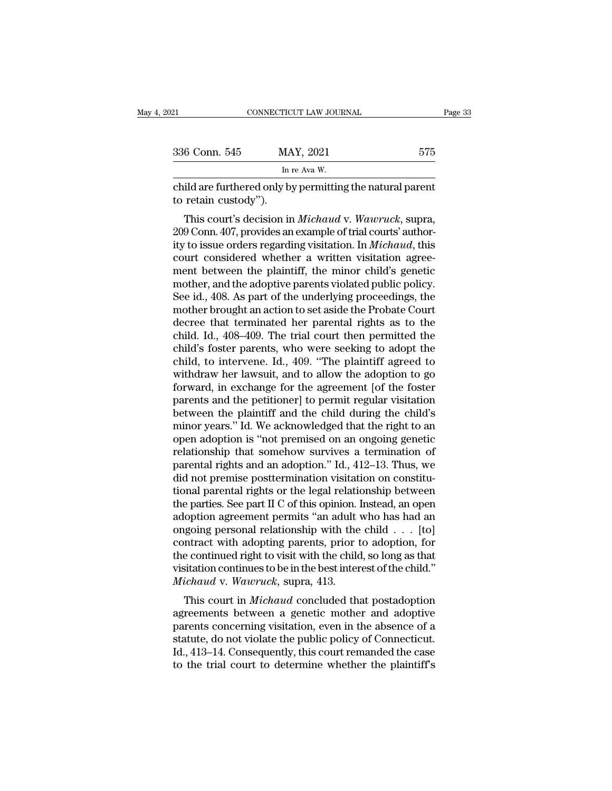| 021                  | CONNECTICUT LAW JOURNAL                                                                                                                                                                               | Page 33 |
|----------------------|-------------------------------------------------------------------------------------------------------------------------------------------------------------------------------------------------------|---------|
|                      |                                                                                                                                                                                                       |         |
| 336 Conn. 545        | MAY, 2021                                                                                                                                                                                             | 575     |
|                      | In re Ava W.                                                                                                                                                                                          |         |
| to retain custody"). | child are furthered only by permitting the natural parent                                                                                                                                             |         |
|                      | This court's decision in <i>Michaud</i> v. <i>Wawruck</i> , supra,<br>209 Conn. 407, provides an example of trial courts' author-<br>ity to issue orders regarding visitation. In <i>Michaed</i> this |         |

 $\begin{array}{lll} \text{336 Conn. } 545 & \text{MAX, } 2021 & \text{575} \ \hline \text{child are furthered only by permitting the natural parent} \ \text{total and } 575 & \text{total and } 575 \ \end{array}$ <br>
This court's decision in *Michaud v. Wawruck*, supra, 209 Conn. 407, provides an example of trial courts' author-<br>
ity to issue or In re Ava W.<br>
child are furthered only by permitting the natural parent<br>
to retain custody").<br>
This court's decision in *Michaud* v. *Wawruck*, supra,<br>
209 Conn. 407, provides an example of trial courts' author-<br>
ity to is child are furthered only by permitting the natural parent<br>to retain custody").<br>This court's decision in *Michaud* v. Wawruck, supra,<br>209 Conn. 407, provides an example of trial courts' author-<br>ity to issue orders regarding ratural patent<br>to retain custody").<br>This court's decision in *Michaud v. Wawruck*, supra,<br>209 Conn. 407, provides an example of trial courts' author-<br>ity to issue orders regarding visitation. In *Michaud*, this<br>court-consi This court's decision in *Michaud* v. Wawruck, supra, 209 Conn. 407, provides an example of trial courts' authority to issue orders regarding visitation. In *Michaud*, this court considered whether a written visitation ag This court's decision in *Michaud* v. Wawruck, supra,<br>209 Conn. 407, provides an example of trial courts' author-<br>ity to issue orders regarding visitation. In *Michaud*, this<br>court considered whether a written visitation a 209 Conn. 407, provides an example of trial courts' authority to issue orders regarding visitation. In *Michaud*, this court considered whether a written visitation agreement between the plaintiff, the minor child's genet ity to issue orders regarding visitation. In *Michaud*, this court considered whether a written visitation agreement between the plaintiff, the minor child's genetic mother, and the adoptive parents violated public policy. court considered whether a written visitation agreement between the plaintiff, the minor child's genetic mother, and the adoptive parents violated public policy.<br>See id., 408. As part of the underlying proceedings, the mot ment between the plaintiff, the minor child's genetic<br>mother, and the adoptive parents violated public policy.<br>See id., 408. As part of the underlying proceedings, the<br>mother brought an action to set aside the Probate Cour mother, and the adoptive parents violated public policy.<br>See id., 408. As part of the underlying proceedings, the<br>mother brought an action to set aside the Probate Court<br>decree that terminated her parental rights as to the See id., 408. As part of the underlying proceedings, the<br>mother brought an action to set aside the Probate Court<br>decree that terminated her parental rights as to the<br>child. Id., 408–409. The trial court then permitted the<br> mother brought an action to set aside the Probate Court<br>decree that terminated her parental rights as to the<br>child. Id., 408–409. The trial court then permitted the<br>child's foster parents, who were seeking to adopt the<br>chi decree that terminated her parental rights as to the child. Id., 408–409. The trial court then permitted the child's foster parents, who were seeking to adopt the child, to intervene. Id., 409. "The plaintiff agreed to wit child. Id., 408–409. The trial court then permitted the child's foster parents, who were seeking to adopt the child, to intervene. Id., 409. "The plaintiff agreed to withdraw her lawsuit, and to allow the adoption to go fo child's foster parents, who were seeking to adopt the child, to intervene. Id., 409. "The plaintiff agreed to withdraw her lawsuit, and to allow the adoption to go forward, in exchange for the agreement [of the foster pare child, to intervene. Id., 409. "The plaintiff agreed to<br>withdraw her lawsuit, and to allow the adoption to go<br>forward, in exchange for the agreement [of the foster<br>parents and the petitioner] to permit regular visitation<br>b withdraw her lawsuit, and to allow the adoption to go<br>forward, in exchange for the agreement [of the foster<br>parents and the petitioner] to permit regular visitation<br>between the plaintiff and the child during the child's<br>mi forward, in exchange for the agreement [of the foster<br>parents and the petitioner] to permit regular visitation<br>between the plaintiff and the child during the child's<br>minor years." Id. We acknowledged that the right to an<br>o parents and the petitioner] to permit regular visitation<br>between the plaintiff and the child during the child's<br>minor years." Id. We acknowledged that the right to an<br>open adoption is "not premised on an ongoing genetic<br>re between the plaintiff and the child during the child's<br>minor years." Id. We acknowledged that the right to an<br>open adoption is "not premised on an ongoing genetic<br>relationship that somehow survives a termination of<br>parenta minor years." Id. We acknowledged that the right to an<br>open adoption is "not premised on an ongoing genetic<br>relationship that somehow survives a termination of<br>parental rights and an adoption." Id., 412–13. Thus, we<br>did no open adoption is "not premised on an ongoing genetic<br>relationship that somehow survives a termination of<br>parental rights and an adoption." Id., 412–13. Thus, we<br>did not premise posttermination visitation on constitu-<br>tiona relationship that somehow survives a termination of<br>parental rights and an adoption." Id., 412–13. Thus, we<br>did not premise posttermination visitation on constitu-<br>tional parental rights or the legal relationship between<br>t parental rights and an adoption." Id., 412–13. Thus, we<br>did not premise posttermination visitation on constitu-<br>tional parental rights or the legal relationship between<br>the parties. See part II C of this opinion. Instead, did not premise posttermination visitation on constitutional parental rights or the legal relationship between<br>the parties. See part II C of this opinion. Instead, an open<br>adoption agreement permits "an adult who has had tional parental rights or the legal relationship between<br>the parties. See part II C of this opinion. Instead, an open<br>adoption agreement permits "an adult who has had an<br>ongoing personal relationship with the child  $\dots$  [ the parties. See part II C of this opinion. <br>
adoption agreement permits "an adult on<br>
ongoing personal relationship with the<br>
contract with adopting parents, prior t<br>
the continued right to visit with the child<br>
visitatio option agreement permits an addit who has had an<br>going personal relationship with the child . . . [to]<br>ntract with adopting parents, prior to adoption, for<br>e continued right to visit with the child, so long as that<br>sitatio ongoing personal relationship with the child  $\ldots$  [to]<br>contract with adopting parents, prior to adoption, for<br>the continued right to visit with the child, so long as that<br>visitation continues to be in the best interest o

contract with adopting parents, prior to adoption, for<br>the continued right to visit with the child, so long as that<br>visitation continues to be in the best interest of the child."<br>*Michaud v. Wawruck*, supra, 413.<br>This cour ide continued right to visit while the child, so long as that<br>visitation continues to be in the best interest of the child."<br>*Michaud v. Wawruck*, supra, 413.<br>This court in *Michaud* concluded that postadoption<br>agreements Michaud v. Wawruck, supra, 413.<br>
This court in *Michaud* concluded that postadoption<br>
agreements between a genetic mother and adoptive<br>
parents concerning visitation, even in the absence of a<br>
statute, do not violate the p This court in *Michaud* concluded that postadoption<br>agreements between a genetic mother and adoptive<br>parents concerning visitation, even in the absence of a<br>statute, do not violate the public policy of Connecticut.<br>Id., 4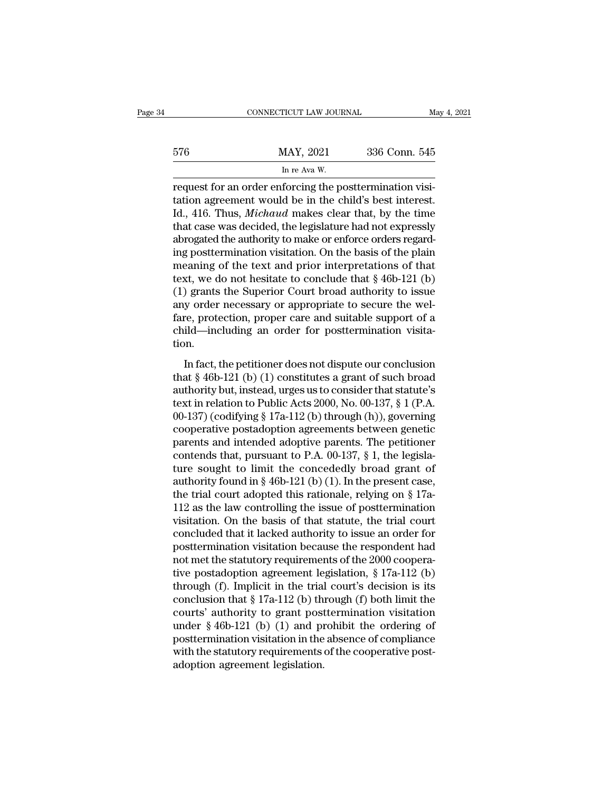|     | CONNECTICUT LAW JOURNAL                                                                                                                                                 | May 4, 2021   |
|-----|-------------------------------------------------------------------------------------------------------------------------------------------------------------------------|---------------|
| 576 | MAY, 2021                                                                                                                                                               | 336 Conn. 545 |
|     | In re Ava W.                                                                                                                                                            |               |
|     | request for an order enforcing the posttermination visi-<br>tation agreement would be in the child's best interest.<br>Id 416 Thus Michaud makes gloor that by the time |               |

the method of the child's best interests.<br>
The alumnost agreement would be in the child's best interest.<br>
The child's best interest.<br>
Id., 416. Thus, *Michaud* makes clear that, by the time<br>
that agg was docided the logisl Id., 416. Thus, *Michaud* makes clear that, by the time that case was decided, the legislature had not expressly abroated the authority to make or enforce orders regard  $MAY, 2021$  336 Conn. 545<br>
In re Ava W.<br>
request for an order enforcing the posttermination visitation agreement would be in the child's best interest.<br>
Id., 416. Thus, *Michaud* makes clear that, by the time<br>
that case wa In re Ava W.<br>
In re Ava W.<br>
request for an order enforcing the posttermination visitation agreement would be in the child's best interest.<br>
Id., 416. Thus, *Michaud* makes clear that, by the time<br>
that case was decided, th in re ava w.<br>
request for an order enforcing the posttermination visitation agreement would be in the child's best interest.<br>
Id., 416. Thus, *Michaud* makes clear that, by the time<br>
that case was decided, the legislature request for an order enforcing the posttermination visitation agreement would be in the child's best interest.<br>Id., 416. Thus, *Michaud* makes clear that, by the time<br>that case was decided, the legislature had not express tation agreement would be in the child's best interest.<br>Id., 416. Thus, *Michaud* makes clear that, by the time<br>that case was decided, the legislature had not expressly<br>abrogated the authority to make or enforce orders re Id., 416. Thus, *Michaud* makes clear that, by the time<br>that case was decided, the legislature had not expressly<br>abrogated the authority to make or enforce orders regard-<br>ing posttermination visitation. On the basis of th that case was decided, the legislature had not expressly<br>abrogated the authority to make or enforce orders regard-<br>ing posttermination visitation. On the basis of the plain<br>meaning of the text and prior interpretations of abrogated the authority to make or enforce orders regard-<br>ing posttermination visitation. On the basis of the plain<br>meaning of the text and prior interpretations of that<br>text, we do not hesitate to conclude that § 46b-121 ing posttermination visitation. On the basis of the plain meaning of the text and prior interpretations of that text, we do not hesitate to conclude that  $\S$  46b-121 (b) (1) grants the Superior Court broad authority to is tion. ) grants the Superior Court broad authority to issue<br>y order necessary or appropriate to secure the wel-<br>re, protection, proper care and suitable support of a<br>ild—including an order for posttermination visita-<br>pn.<br>In fact (1) grants are superior coard broad dialtority to issue<br>any order necessary or appropriate to secure the wel-<br>fare, protection, proper care and suitable support of a<br>child—including an order for posttermination visita-<br>ti

fare, protection, proper care and suitable support of a<br>child—including an order for posttermination visita-<br>tion.<br>In fact, the petitioner does not dispute our conclusion<br>that § 46b-121 (b) (1) constitutes a grant of such the ended on the periodic increase of postermination visitation.<br>
In fact, the petitioner does not dispute our conclusion<br>
that § 46b-121 (b) (1) constitutes a grant of such broad<br>
authority but, instead, urges us to cons ordinal meridiantly and order for possessmilatation visitation.<br>
In fact, the petitioner does not dispute our conclusion<br>
that § 46b-121 (b) (1) constitutes a grant of such broad<br>
authority but, instead, urges us to consi In fact, the petitioner does not dispute our conclusion<br>that § 46b-121 (b) (1) constitutes a grant of such broad<br>authority but, instead, urges us to consider that statute's<br>text in relation to Public Acts 2000, No. 00-137 In fact, the petitioner does not dispute our conclusion<br>that  $\S$  46b-121 (b) (1) constitutes a grant of such broad<br>authority but, instead, urges us to consider that statute's<br>text in relation to Public Acts 2000, No. 00-1 that § 46b-121 (b) (1) constitutes a grant of such broad<br>authority but, instead, urges us to consider that statute's<br>text in relation to Public Acts 2000, No. 00-137, § 1 (P.A.<br>00-137) (codifying § 17a-112 (b) through (h) authority but, instead, urges us to consider that statute's<br>text in relation to Public Acts 2000, No. 00-137, § 1 (P.A.<br>00-137) (codifying § 17a-112 (b) through (h)), governing<br>cooperative postadoption agreements between text in relation to Public Acts 2000, No. 00-137, § 1 (P.A. 00-137) (codifying § 17a-112 (b) through (h)), governing cooperative postadoption agreements between genetic parents and intended adoptive parents. The petitioner 00-137) (codifying § 17a-112 (b) through (h)), governing<br>cooperative postadoption agreements between genetic<br>parents and intended adoptive parents. The petitioner<br>contends that, pursuant to P.A. 00-137, § 1, the legisla-<br> cooperative postadoption agreements between genetic<br>parents and intended adoptive parents. The petitioner<br>contends that, pursuant to P.A. 00-137, § 1, the legisla-<br>ture sought to limit the concededly broad grant of<br>authori parents and intended adoptive parents. The petitioner<br>contends that, pursuant to P.A. 00-137, § 1, the legisla-<br>ture sought to limit the concededly broad grant of<br>authority found in § 46b-121 (b) (1). In the present case, contends that, pursuant to P.A. 00-137, § 1, the legislature sought to limit the concededly broad grant of authority found in § 46b-121 (b) (1). In the present case, the trial court adopted this rationale, relying on § 17 ture sought to limit the concededly broad grant of<br>authority found in § 46b-121 (b) (1). In the present case,<br>the trial court adopted this rationale, relying on § 17a-<br>112 as the law controlling the issue of postterminati authority found in § 46b-121 (b) (1). In the present case,<br>the trial court adopted this rationale, relying on § 17a-<br>112 as the law controlling the issue of posttermination<br>visitation. On the basis of that statute, the tr the trial court adopted this rationale, relying on § 17a-<br>112 as the law controlling the issue of posttermination<br>visitation. On the basis of that statute, the trial court<br>concluded that it lacked authority to issue an or 112 as the law controlling the issue of posttermination<br>visitation. On the basis of that statute, the trial court<br>concluded that it lacked authority to issue an order for<br>posttermination visitation because the respondent visitation. On the basis of that statute, the trial court<br>concluded that it lacked authority to issue an order for<br>posttermination visitation because the respondent had<br>not met the statutory requirements of the 2000 coope concluded that it lacked authority to issue an order for<br>posttermination visitation because the respondent had<br>not met the statutory requirements of the 2000 coopera-<br>tive postadoption agreement legislation, § 17a-112 (b) posttermination visitation because the respondent had<br>not met the statutory requirements of the 2000 coopera-<br>tive postadoption agreement legislation, § 17a-112 (b)<br>through (f). Implicit in the trial court's decision is it not met the statutory requirements of the 2000 cooperative postadoption agreement legislation, § 17a-112 (b) through (f). Implicit in the trial court's decision is its conclusion that § 17a-112 (b) through (f) both limit tive postadoption agreement legislation,  $\S 17a-112$  (b) through (f). Implicit in the trial court's decision is its conclusion that  $\S 17a-112$  (b) through (f) both limit the courts' authority to grant posttermination vis through (f). Implicit in the trial conclusion that  $\S 17a-112$  (b) the courts' authority to grant post under  $\S 46b-121$  (b) (1) and prosttermination visitation in the with the statutory requirements adoption agreement le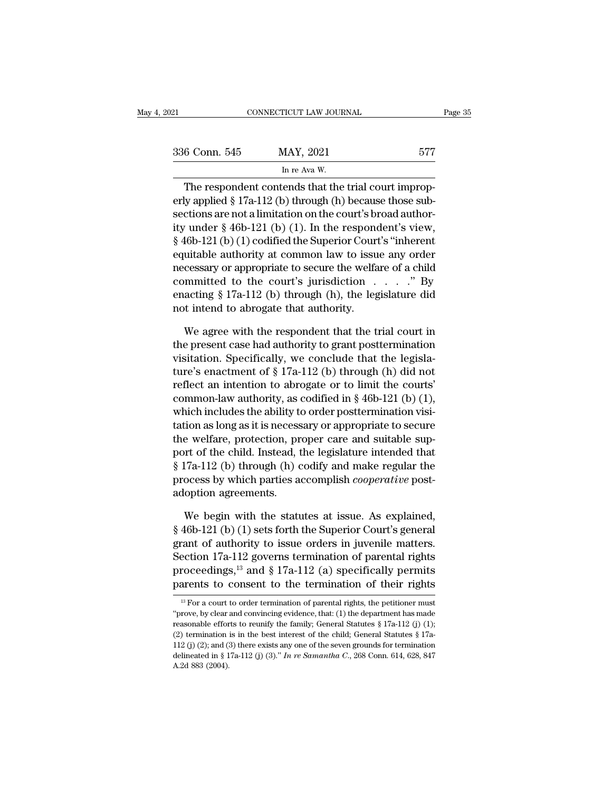| )21           | CONNECTICUT LAW JOURNAL                                                                                                                                                           | Page 35 |
|---------------|-----------------------------------------------------------------------------------------------------------------------------------------------------------------------------------|---------|
| 336 Conn. 545 | MAY, 2021                                                                                                                                                                         | 577     |
|               | In re Ava W.                                                                                                                                                                      |         |
|               | The respondent contends that the trial court improp-<br>erly applied $\S 17a-112$ (b) through (h) because those sub-<br>costions are not a limitation on the count's broad outhor |         |

336 Conn. 545 MAY, 2021 577<br>
In re Ava W.<br>
The respondent contends that the trial court improperly applied § 17a-112 (b) through (h) because those sub-<br>
sections are not a limitation on the court's broad author-<br>
ity unde 336 Conn. 545 MAY, 2021 577<br>
In re Ava W.<br>
The respondent contends that the trial court improperly applied § 17a-112 (b) through (h) because those subsections are not a limitation on the court's broad author-<br>
ity under § 336 Conn. 545 MAY, 2021 577<br>
In re Ava W.<br>
The respondent contends that the trial court improperly applied § 17a-112 (b) through (h) because those subsections are not a limitation on the court's broad authority under § 46 In re Ava W.<br>
The respondent contends that the trial court improperly applied § 17a-112 (b) through (h) because those subsections are not a limitation on the court's broad authority under § 46b-121 (b) (1). In the respond The respondent contends that the trial court improperly applied § 17a-112 (b) through (h) because those subsections are not a limitation on the court's broad authority under § 46b-121 (b) (1). In the respondent's view, § The respondent contends that the trial court improp-<br>erly applied § 17a-112 (b) through (h) because those sub-<br>sections are not a limitation on the court's broad author-<br>ity under § 46b-121 (b) (1). In the respondent's vi erly applied § 17a-112 (b) through (h) because those sub-<br>sections are not a limitation on the court's broad author-<br>ity under § 46b-121 (b) (1). In the respondent's view,<br>§ 46b-121 (b) (1) codified the Superior Court's " sections are not a limitation on the court's broad authority under § 46b-121 (b) (1). In the respondent's view, § 46b-121 (b) (1) codified the Superior Court's "inherent equitable authority at common law to issue any orde ity under § 46b-121 (b) (1). In the respondent's view,<br>§ 46b-121 (b) (1) codified the Superior Court's "inherent<br>equitable authority at common law to issue any order<br>necessary or appropriate to secure the welfare of a chi uitable authority at common law to issue any order<br>cessary or appropriate to secure the welfare of a child<br>mmitted to the court's jurisdiction  $\dots$ . " By<br>acting § 17a-112 (b) through (h), the legislature did<br>t intend to a necessary or appropriate to secure the welfare of a child<br>committed to the court's jurisdiction  $\dots$ . " By<br>enacting § 17a-112 (b) through (h), the legislature did<br>not intend to abrogate that authority.<br>We agree with the r

committed to the court's jurisdiction  $\ldots$   $\ldots$  " By enacting § 17a-112 (b) through (h), the legislature did not intend to abrogate that authority.<br>We agree with the respondent that the trial court in the present case h enacting § 17a-112 (b) through (h), the legislature did<br>not intend to abrogate that authority.<br>We agree with the respondent that the trial court in<br>the present case had authority to grant posttermination<br>visitation. Speci not intend to abrogate that authority.<br>We agree with the respondent that the trial court in<br>the present case had authority to grant posttermination<br>visitation. Specifically, we conclude that the legisla-<br>ture's enactment We agree with the respondent that the trial court in<br>the present case had authority to grant posttermination<br>visitation. Specifically, we conclude that the legisla-<br>ture's enactment of § 17a-112 (b) through (h) did not<br>re We agree with the respondent that the trial court in<br>the present case had authority to grant posttermination<br>visitation. Specifically, we conclude that the legisla-<br>ture's enactment of  $\S 17a-112$  (b) through (h) did not<br> the present case had authority to grant posttermination<br>visitation. Specifically, we conclude that the legisla-<br>ture's enactment of § 17a-112 (b) through (h) did not<br>reflect an intention to abrogate or to limit the courts visitation. Specifically, we conclude that the legislature's enactment of  $\S 17a-112$  (b) through (h) did not reflect an intention to abrogate or to limit the courts' common-law authority, as codified in  $\S 46b-121$  (b) ( ture's enactment of  $\S$  17a-112 (b) through (h) did not<br>reflect an intention to abrogate or to limit the courts'<br>common-law authority, as codified in  $\S$  46b-121 (b) (1),<br>which includes the ability to order postterminatio reflect an intention to abrogate or to limit the courts'<br>common-law authority, as codified in § 46b-121 (b) (1),<br>which includes the ability to order posttermination visi-<br>tation as long as it is necessary or appropriate to common-law authority, as codified in § 46b-121 (b) (1),<br>which includes the ability to order posttermination visi-<br>tation as long as it is necessary or appropriate to secure<br>the welfare, protection, proper care and suitable which includes the ability to<br>tation as long as it is necess<br>the welfare, protection, pr<br>port of the child. Instead, t<br>§ 17a-112 (b) through (h) c<br>process by which parties a<br>adoption agreements.<br>We begin with the statu e welfare, protection, proper care and suitable sup-<br>prt of the child. Instead, the legislature intended that<br>17a-112 (b) through (h) codify and make regular the<br>ocess by which parties accomplish *cooperative* post-<br>option port of the child. Instead, the legislature intended that<br>
§ 17a-112 (b) through (h) codify and make regular the<br>
process by which parties accomplish *cooperative* post-<br>
adoption agreements.<br>
We begin with the statutes at

§ 17a-112 (b) through (h) codify and make regular the<br>process by which parties accomplish *cooperative* post-<br>adoption agreements.<br>We begin with the statutes at issue. As explained,<br>§ 46b-121 (b) (1) sets forth the Superi process by which parties accomplish *cooperative* post-<br>adoption agreements.<br>We begin with the statutes at issue. As explained,<br>§ 46b-121 (b) (1) sets forth the Superior Court's general<br>grant of authority to issue orders adoption agreements.<br>
We begin with the statutes at issue. As explained,<br>
§ 46b-121 (b) (1) sets forth the Superior Court's general<br>
grant of authority to issue orders in juvenile matters.<br>
Section 17a-112 governs termina We begin with the statutes at issue. As explained,  $\S$  46b-121 (b) (1) sets forth the Superior Court's general grant of authority to issue orders in juvenile matters.<br>Section 17a-112 governs termination of parental rights For a court to order termination of parental rights<br>
arents to consent to the termination of their rights<br>
arents to consent to the termination of their rights<br>
<sup>13</sup> For a court to order termination of parental rights, th Section 17a-112 governs termination of parental rights<br>proceedings,<sup>13</sup> and § 17a-112 (a) specifically permits<br>parents to consent to the termination of their rights<br><sup>13</sup> For a court to order termination of parental rights

proceedings,<sup>13</sup> and § 17a-112 (a) specifically permits<br>parents to consent to the termination of their rights<br> $\frac{18}{12}$  For a court to order termination of parental rights, the petitioner must<br>"prove, by clear and convi **parents to consent to the termination of their rights**<br>
<sup>13</sup> For a court to order termination of parental rights, the petitioner must<br>
"prove, by clear and convincing evidence, that: (1) the department has made<br>
reasonab parents to consent to the termination of their rights<br>
<sup>13</sup> For a court to order termination of parental rights, the petitioner must<br>
"prove, by clear and convincing evidence, that: (1) the department has made<br>
reasonable <sup>13</sup> For a court to order termination of parental rights, the petitioner must "prove, by clear and convincing evidence, that: (1) the department has made reasonable efforts to reunify the family; General Statutes § 17a-11 "prove, by clear and convincing evidence, that: (1) the department has made reasonable efforts to reunify the family; General Statutes § 17a-112 (j) (1); (2) termination is in the best interest of the child; General Statu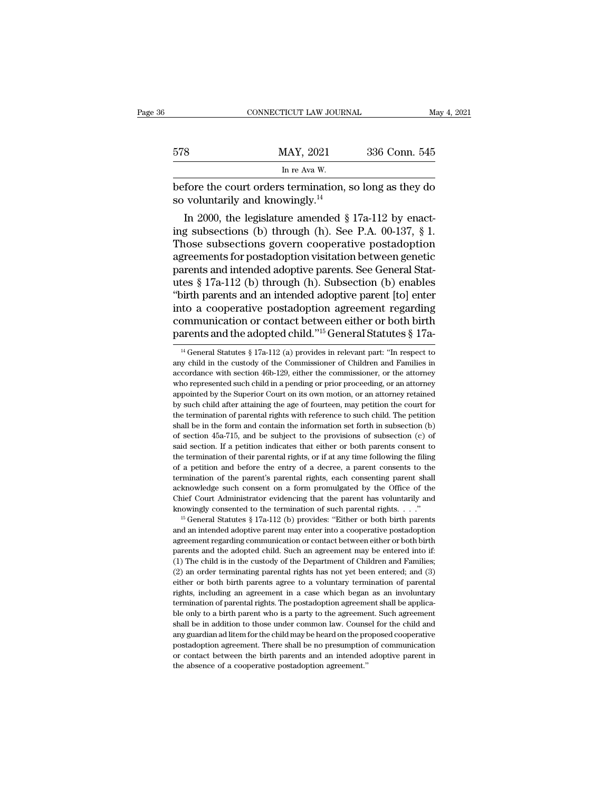|     | CONNECTICUT LAW JOURNAL                                                                                                                                                       | May 4, 2021   |
|-----|-------------------------------------------------------------------------------------------------------------------------------------------------------------------------------|---------------|
| 578 | MAY, 2021                                                                                                                                                                     | 336 Conn. 545 |
|     | In re Ava W.                                                                                                                                                                  |               |
|     | before the court orders termination, so long as they do<br>so voluntarily and knowingly. $^{14}$                                                                              |               |
|     | In 2000, the legislature amended $\S 17a-112$ by enact-<br>ing subsections (b) through (h). See P.A. $00-137$ , $\S 1$ .<br>Those subsections govern cooperative postagention |               |

578 MAY, 2021 336 Conn. 545<br>
In re Ava W.<br>
before the court orders termination, so long as they do<br>
so voluntarily and knowingly.<sup>14</sup><br>
In 2000, the legislature amended § 17a-112 by enact-<br>
ing subsections (b) through (h). In re Ava W.<br>
before the court orders termination, so long as they do<br>
so voluntarily and knowingly.<sup>14</sup><br>
In 2000, the legislature amended  $\S 17a-112$  by enact-<br>
ing subsections (b) through (h). See P.A. 00-137,  $\S 1$ .<br>
T before the court orders termination, so long as they do<br>so voluntarily and knowingly.<sup>14</sup><br>In 2000, the legislature amended  $\S 17a-112$  by enact-<br>ing subsections (b) through (h). See P.A. 00-137,  $\S 1$ .<br>Those subsections g before the court orders termination, so long as they do<br>so voluntarily and knowingly.<sup>14</sup><br>In 2000, the legislature amended  $\S 17a-112$  by enact-<br>ing subsections (b) through (h). See P.A. 00-137,  $\S 1$ .<br>Those subsections g so voluntarily and knowingly."<br>
In 2000, the legislature amended  $\S 17a-112$  by enact-<br>
ing subsections (b) through (h). See P.A. 00-137,  $\S 1$ .<br>
Those subsections govern cooperative postadoption<br>
agreements for postadopt In 2000, the legislature amended  $\S$  17a-112 by enacting subsections (b) through (h). See P.A. 00-137,  $\S$  1.<br>Those subsections govern cooperative postadoption agreements for postadoption visitation between genetic parent ing subsections (b) through (h). See P.A. 00-137, § 1.<br>Those subsections govern cooperative postadoption<br>agreements for postadoption visitation between genetic<br>parents and intended adoptive parents. See General Stat-<br>utes Those subsections govern cooperative postadoption<br>agreements for postadoption visitation between genetic<br>parents and intended adoptive parents. See General Stat-<br>utes § 17a-112 (b) through (h). Subsection (b) enables<br>"bir agreements for postadoption visitation between genetic<br>parents and intended adoptive parents. See General Stat-<br>utes § 17a-112 (b) through (h). Subsection (b) enables<br>"birth parents and an intended adoptive parent [to] en birth parents and an intended adoptive parent [to] enter<br>to a cooperative postadoption agreement regarding<br>pommunication or contact between either or both birth<br>arents and the adopted child."<sup>15</sup> General Statutes § 17a-<br><sup></sup> into a cooperative postadoption agreement regarding<br>communication or contact between either or both birth<br>parents and the adopted child."<sup>15</sup> General Statutes § 17a-<br><sup>14</sup> General Statutes § 17a-112 (a) provides in relevan

acknowledge such consent on a form promulgated by the Office of the Chief Court Administrator evidencing that the parent has voluntarily and knowingly consented to the termination of such parental rights.  $\ldots$ ."<br>
<sup>15</sup> Ge Chief Court Administrator evidencing that the parent has voluntarily and knowingly consented to the termination of such parental rights.  $\ldots$ ."<br><sup>15</sup> General Statutes § 17a-112 (b) provides: "Either or both birth parents knowingly consented to the termination of such parental rights. . . ."<br>
<sup>15</sup> General Statutes § 17a-112 (b) provides: "Either or both birth parents<br>
and an intended adoptive parent may enter into a cooperative postadoptio <sup>15</sup> General Statutes § 17a-112 (b) provides: "Either or both birth parents and an intended adoptive parent may enter into a cooperative postadoption agreement regarding communication or contact between either or both bir and an intended adoptive parent may enter into a cooperative postadoption<br>agreement regarding communication or contact between either or both birth<br>parents and the adopted child. Such an agreement may be entered into if:<br>( agreement regarding communication or contact between either or both birth parents and the adopted child. Such an agreement may be entered into if. (1) The child is in the custody of the Department of Children and Families; parents and the adopted child. Such an agreement may be entered into if: (1) The child is in the custody of the Department of Children and Families; (2) an order terminating parental rights has not yet been entered; and (3 (1) The child is in the custody of the Department of Children and Families;<br>(2) an order terminating parental rights has not yet been entered; and (3)<br>either or both birth parents agree to a voluntary termination of paren (2) an order terminating parental rights has not yet been entered; and (3) either or both birth parents agree to a voluntary termination of parental rights, including an agreement in a case which began as an involuntary t either or both birth parents agree to a voluntary termination of parental rights, including an agreement in a case which began as an involuntary termination of parental rights. The postadoption agreement shall be applicabl rights, including an agreement in a case which began as an involuntary<br>termination of parental rights. The postadoption agreement shall be applica-<br>ble only to a birth parent who is a party to the agreement. Such agreement remination of parental rights. The postadoption agreement shall be applicable only to a birth parent who is a party to the agreement. Such agreement shall be in addition to those under common law. Counsel for the child and termination of parental rights. The postadoption agreement shall be applicable only to a birth parent who is a party to the agreement. Such agreement shall be in addition to those under common law. Counsel for the child an

communication or contact between either or both birth<br>parents and the adopted child."<sup>15</sup> General Statutes § 17a-<br><sup>14</sup> General Statutes § 17a-112 (a) provides in relevant part: "In respect to<br>any child in the custody of t parents and the adopted child."<sup>15</sup> General Statutes § 17a-<br><sup>14</sup> General Statutes § 17a-112 (a) provides in relevant part: "In respect to<br>any child in the custody of the Commissioner of Children and Families in<br>accordance parents and the adopted criticity. The Hereal Statutes  $\frac{1}{8}$  17 a-<br><sup>14</sup> General Statutes  $\frac{8}{9}$  17 a-112 (a) provides in relevant part: "In respect to<br>any child in the custody of the Commissioner of Children and Fa <sup>14</sup> General Statutes § 17a-112 (a) provides in relevant part: "In respect to any child in the custody of the Commissioner of Children and Families in accordance with section 46b-129, either the commissioner, or the attor any child in the custody of the Commissioner of Children and Families in accordance with section 46b-129, either the commissioner, or the attorney who represented such child in a pending or prior proceeding, or an attorney and an exercy who represented such d6b-129, either the commissioner, or the attorney who represented such child in a pending or prior proceeding, or an attorney appointed by the Superior Court on its own motion, or an atto who represented such child in a pending or prior proceeding, or an attorney<br>appointed by the Superior Court on its own motion, or an attorney retained<br>by such child after attaining the age of fourteen, may petition the cou appointed by the Superior Court on its own motion, or an attorney retained<br>by such child after attaining the age of fourteen, may petition the court for<br>the termination of parental rights with reference to such child. The Exposed by such child after attaining the age of fourteen, may petition the court for the termination of parental rights with reference to such child. The petition shall be in the form and contain the information set fort by the termination of parental rights with reference to such child. The petition shall be in the form and contain the information set forth in subsection (b) of section 45a-715, and be subject to the provisions of subsect shall be in the form and contain the information set forth in subsection (b) of section 45a-715, and be subject to the provisions of subsection (c) of said section. If a petition indicates that either or both parents cons of section  $45a-715$ , and be subject to the provisions of subsection (c) of said section. If a petition indicates that either or both parents consent to the termination of their parental rights, or if at any time followin said section. If a petition indicates that either or both parents consent to the termination of their parental rights, or if at any time following the filing of a petition and before the entry of a decree, a parent consen the termination of their parental rights, or if at any time following the filing of a petition and before the entry of a decree, a parent consents to the termination of the parent's parental rights, each consenting parent are the minimal of the parent's parent rights, each consenting parent shall acknowledge such consent on a form promulgated by the Office of the Chief Court Administrator evidencing that the parent has voluntarily and know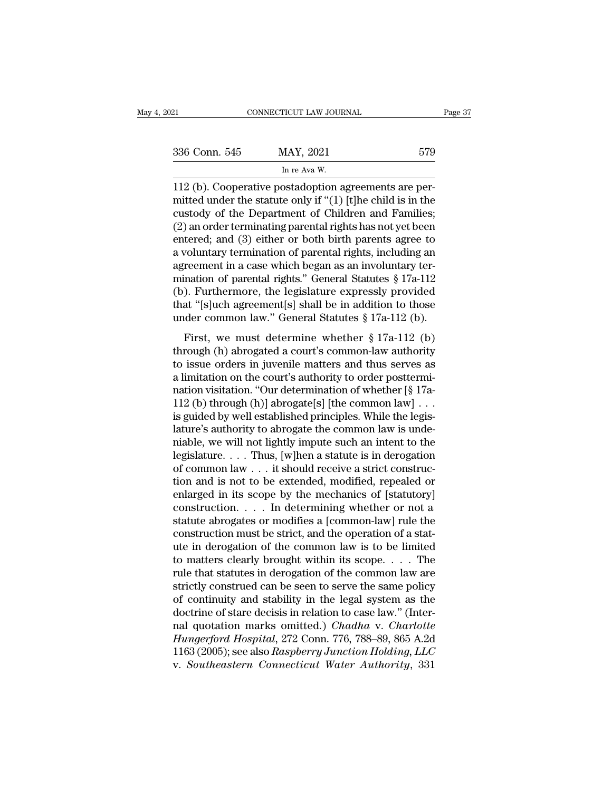| 021           | CONNECTICUT LAW JOURNAL                                                                                                                                                         | Page 37 |
|---------------|---------------------------------------------------------------------------------------------------------------------------------------------------------------------------------|---------|
| 336 Conn. 545 | MAY, 2021                                                                                                                                                                       | 579     |
|               | In re Ava W.                                                                                                                                                                    |         |
|               | 112 (b). Cooperative postadoption agreements are per-<br>mitted under the statute only if " $(1)$ [t] he child is in the<br>quetody of the Department of Children and Families. |         |

336 Conn. 545 MAY, 2021 579<br>
In re Ava W.<br>
112 (b). Cooperative postadoption agreements are per-<br>
mitted under the statute only if "(1) [t]he child is in the<br>
custody of the Department of Children and Families;<br>
(2) an or 336 Conn. 545 MAY, 2021 579<br>
In re Ava W.<br>
Il 2 (b). Cooperative postadoption agreements are permitted under the statute only if "(1) [t]he child is in the custody of the Department of Children and Families;<br>
(2) an order 336 Conn. 545 MAY, 2021 579<br>
In re Ava W.<br>
112 (b). Cooperative postadoption agreements are per-<br>
mitted under the statute only if "(1) [t]he child is in the<br>
custody of the Department of Children and Families;<br>
(2) an or In re Ava W.<br>
In re Ava W.<br>
112 (b). Cooperative postadoption agreements are per-<br>
mitted under the statute only if "(1) [t]he child is in the<br>
custody of the Department of Children and Families;<br>
(2) an order terminating a value of the statute postadoption agreements are per-<br>initted under the statute only if "(1) [t]he child is in the<br>custody of the Department of Children and Families;<br>(2) an order terminating parental rights has not yet 112 (b). Cooperative postadoption agreements are permitted under the statute only if "(1) [t]he child is in the custody of the Department of Children and Families; (2) an order terminating parental rights has not yet been mitted under the statute only if "(1) [t]he child is in the<br>custody of the Department of Children and Families;<br>(2) an order terminating parental rights has not yet been<br>entered; and (3) either or both birth parents agree custody of the Department of Children and Families;<br>(2) an order terminating parental rights has not yet been<br>entered; and (3) either or both birth parents agree to<br>a voluntary termination of parental rights, including an (2) an order terminating parental rights has not yet been<br>entered; and (3) either or both birth parents agree to<br>a voluntary termination of parental rights, including an<br>agreement in a case which began as an involuntary t entered; and (3) either or both birth parents agree to<br>a voluntary termination of parental rights, including an<br>agreement in a case which began as an involuntary ter-<br>mination of parental rights." General Statutes § 17a-1 Frame is a case which began as an involuntary termination of parental rights." General Statutes § 17a-112 (b).<br>Furthermore, the legislature expressly provided at "[s]uch agreement[s] shall be in addition to those der comm mination of parental rights." General Statutes § 17a-112<br>
(b). Furthermore, the legislature expressly provided<br>
that "[s]uch agreement[s] shall be in addition to those<br>
under common law." General Statutes § 17a-112 (b).<br>

that is parental rights. Central statutes  $\frac{1}{3}$  for  $\frac{1}{2}$ <br>
(b). Furthermore, the legislature expressly provided<br>
that "[s]uch agreement[s] shall be in addition to those<br>
under common law." General Statutes  $\frac{1}{3$ (b). Tarafermore, are registrate expressly provided<br>that "[s]uch agreement[s] shall be in addition to those<br>under common law." General Statutes § 17a-112 (b).<br>First, we must determine whether § 17a-112 (b)<br>through (h) abr native procedure of statistics  $\S 17a-112$  (b).<br>First, we must determine whether  $\S 17a-112$  (b)<br>through (h) abrogated a court's common-law authority<br>to issue orders in juvenile matters and thus serves as<br>a limitation on First, we must determine whether § 17a-112 (b).<br>
through (h) abrogated a court's common-law authority<br>
to issue orders in juvenile matters and thus serves as<br>
a limitation on the court's authority to order posttermi-<br>
nat First, we must determine whether § 17a-112 (b)<br>through (h) abrogated a court's common-law authority<br>to issue orders in juvenile matters and thus serves as<br>a limitation on the court's authority to order posttermi-<br>nation v through (h) abrogated a court's common-law authority<br>to issue orders in juvenile matters and thus serves as<br>a limitation on the court's authority to order posttermi-<br>nation visitation. "Our determination of whether  $[\S 17$ to issue orders in juvenile matters and thus serves as<br>a limitation on the court's authority to order posttermi-<br>nation visitation. "Our determination of whether [§ 17a-<br>112 (b) through (h)] abrogate[s] [the common law] . a limitation on the court's authority to order posttermination visitation. "Our determination of whether [§ 17a-<br>112 (b) through (h)] abrogate[s] [the common law] . . .<br>is guided by well established principles. While the l nation visitation. "Our determination of whether [§ 17a-112 (b) through (h)] abrogate[s] [the common law] . . . is guided by well established principles. While the legislature's authority to abrogate the common law is und 112 (b) through (h)] abrogate[s] [the common law] . . .<br>is guided by well established principles. While the legis-<br>lature's authority to abrogate the common law is unde-<br>niable, we will not lightly impute such an intent t is guided by well established principles. While the legis-<br>lature's authority to abrogate the common law is unde-<br>niable, we will not lightly impute such an intent to the<br>legislature....Thus, [w]hen a statute is in deroga lature's authority to abrogate the common law is unde-<br>niable, we will not lightly impute such an intent to the<br>legislature. . . . Thus, [w]hen a statute is in derogation<br>of common law . . . it should receive a strict con miable, we will not lightly impute such an intent to the legislature. . . . Thus, [w]hen a statute is in derogation of common law . . . it should receive a strict construction and is not to be extended, modified, repealed legislature. . . . Thus, [w]hen a statute is in derogation<br>of common law . . . it should receive a strict construc-<br>tion and is not to be extended, modified, repealed or<br>enlarged in its scope by the mechanics of [statutor of common law  $\ldots$  it should receive a strict construction and is not to be extended, modified, repealed or enlarged in its scope by the mechanics of [statutory] construction  $\ldots$  . In determining whether or not a statu tion and is not to be extended, modified, repealed or<br>enlarged in its scope by the mechanics of [statutory]<br>construction.... In determining whether or not a<br>statute abrogates or modifies a [common-law] rule the<br>constructi enlarged in its scope by the mechanics of [statutory]<br>construction. . . . In determining whether or not a<br>statute abrogates or modifies a [common-law] rule the<br>construction must be strict, and the operation of a stat-<br>ute construction. . . . In determining whether or not a<br>statute abrogates or modifies a [common-law] rule the<br>construction must be strict, and the operation of a stat-<br>ute in derogation of the common law is to be limited<br>to m statute abrogates or modifies a [common-law] rule the<br>construction must be strict, and the operation of a stat-<br>ute in derogation of the common law is to be limited<br>to matters clearly brought within its scope. . . . The<br>r construction must be strict, and the operation of a stat-<br>ute in derogation of the common law is to be limited<br>to matters clearly brought within its scope.... The<br>rule that statutes in derogation of the common law are<br>str ute in derogation of the common law is to be limited<br>to matters clearly brought within its scope. . . . The<br>rule that statutes in derogation of the common law are<br>strictly construed can be seen to serve the same policy<br>of *Hungerford Hospital, Within its scope.* . . . . The rule that statutes in derogation of the common law are strictly construed can be seen to serve the same policy of continuity and stability in the legal system as the doc rule that statutes in derogation of the common law are<br>strictly construed can be seen to serve the same policy<br>of continuity and stability in the legal system as the<br>doctrine of stare decisis in relation to case law." (Int strictly construed can be seen to serve the same policy<br>of continuity and stability in the legal system as the<br>doctrine of stare decisis in relation to case law." (Inter-<br>nal quotation marks omitted.) *Chadha* v. *Charlott*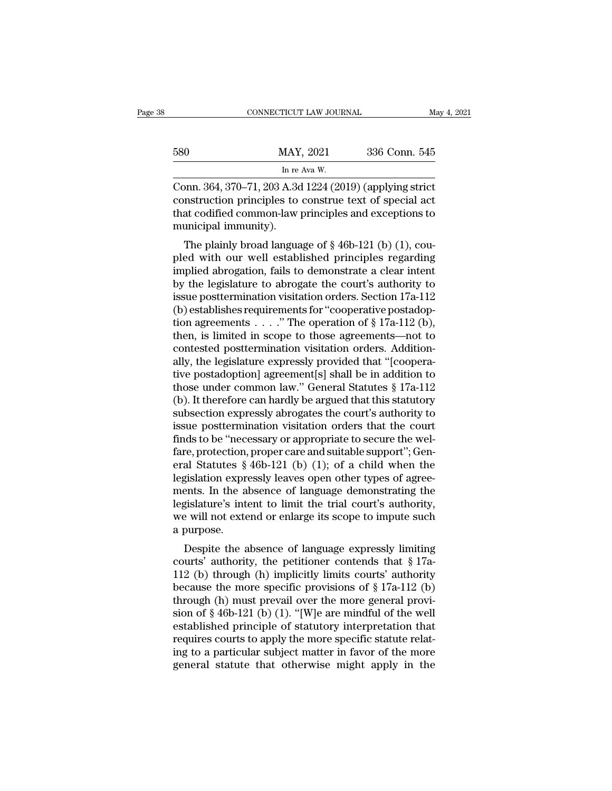|     | CONNECTICUT LAW JOURNAL                               |               | May 4, 2021 |
|-----|-------------------------------------------------------|---------------|-------------|
| 580 | MAY, 2021                                             | 336 Conn. 545 |             |
|     | In re Ava W.                                          |               |             |
|     | Conn 364 370-71 203 A 3d 1224 (2019) (applying strict |               |             |

CONNECTICUT LAW JOURNAL May 4, 202<br>
580 MAY, 2021 336 Conn. 545<br>
In re Ava W.<br>
Conn. 364, 370–71, 203 A.3d 1224 (2019) (applying strict<br>
construction principles to construe text of special act<br>
that codified common law pri 580 MAY, 2021 336 Conn. 545<br>
In re Ava W.<br>
Conn. 364, 370–71, 203 A.3d 1224 (2019) (applying strict<br>
construction principles to construe text of special act<br>
that codified common-law principles and exceptions to<br>
municipal that codified common-law principles and exceptions to municipal immunity).<br>
Same principles and exceptions to municipal immunity). MAY<br>
In re<br>
Conn. 364, 370–71, 203 A.3d<br>
construction principles to<br>
that codified common-law<br>
municipal immunity).<br>
The plainly broad langua In re Ava W.<br>
Solary Broad Manuson Construction principles to construe text of special act<br>
at codified common-law principles and exceptions to<br>
unicipal immunity).<br>
The plainly broad language of § 46b-121 (b) (1), cou-<br> Conn. 364, 370–71, 203 A.3d 1224 (2019) (applying strict<br>construction principles to construe text of special act<br>that codified common-law principles and exceptions to<br>municipal immunity).<br>The plainly broad language of  $\S$ 

Confl. 304, 370–71, 203 A.3d 1224 (2019) (applying strict<br>construction principles to construe text of special act<br>that codified common-law principles and exceptions to<br>municipal immunity).<br>The plainly broad language of § construction principles to construe text of special act<br>that codified common-law principles and exceptions to<br>municipal immunity).<br>The plainly broad language of  $\S 46b-121$  (b) (1), cou-<br>pled with our well established pri that counted common-law principles and exceptions to<br>municipal immunity).<br>The plainly broad language of § 46b-121 (b) (1), cou-<br>pled with our well established principles regarding<br>implied abrogation, fails to demonstrate The plainly broad language of  $\S$  46b-121 (b) (1), coupled with our well established principles regarding<br>implied abrogation, fails to demonstrate a clear intent<br>by the legislature to abrogate the court's authority to<br>iss The plainly broad language of § 46b-121 (b) (1), coupled with our well established principles regarding<br>implied abrogation, fails to demonstrate a clear intent<br>by the legislature to abrogate the court's authority to<br>issue pled with our well established principles regarding<br>implied abrogation, fails to demonstrate a clear intent<br>by the legislature to abrogate the court's authority to<br>issue posttermination visitation orders. Section 17a-112<br>( implied abrogation, fails to demonstrate a clear intent<br>by the legislature to abrogate the court's authority to<br>issue posttermination visitation orders. Section 17a-112<br>(b) establishes requirements for "cooperative postad by the legislature to abrogate the court's authority to<br>issue posttermination visitation orders. Section 17a-112<br>(b) establishes requirements for "cooperative postadop-<br>tion agreements . . . . . " The operation of § 17a-1 issue posttermination visitation orders. Section 17a-112<br>
(b) establishes requirements for "cooperative postadoption agreements . . . . " The operation of  $\S 17a-112$  (b),<br>
then, is limited in scope to those agreements—no (b) establishes requirements for "cooperative postadoption agreements . . . . " The operation of § 17a-112 (b), then, is limited in scope to those agreements—not to contested posttermination visitation orders. Additionall tion agreements . . . . . " The operation of § 17a-112 (b),<br>then, is limited in scope to those agreements—not to<br>contested posttermination visitation orders. Addition-<br>ally, the legislature expressly provided that "[coope then, is limited in scope to those agreements—not to<br>contested posttermination visitation orders. Addition-<br>ally, the legislature expressly provided that "[coopera-<br>tive postadoption] agreement[s] shall be in addition to<br>t contested posttermination visitation orders. Additionally, the legislature expressly provided that "[cooperative postadoption] agreement[s] shall be in addition to those under common law." General Statutes § 17a-112 (b). I ally, the legislature expressly provided that "[cooperative postadoption] agreement[s] shall be in addition to those under common law." General Statutes § 17a-112 (b). It therefore can hardly be argued that this statutory tive postadoption] agreement[s] shall be in addition to<br>those under common law." General Statutes § 17a-112<br>(b). It therefore can hardly be argued that this statutory<br>subsection expressly abrogates the court's authority to those under common law." General Statutes  $\S 17a-112$ <br>(b). It therefore can hardly be argued that this statutory<br>subsection expressly abrogates the court's authority to<br>issue posttermination visitation orders that the cou (b). It therefore can hardly be argued that this statutory<br>subsection expressly abrogates the court's authority to<br>issue posttermination visitation orders that the court<br>finds to be "necessary or appropriate to secure the subsection expressly abrogates the court's authority to<br>issue posttermination visitation orders that the court<br>finds to be "necessary or appropriate to secure the wel-<br>fare, protection, proper care and suitable support"; G issue posttermination visitation orders that the court<br>finds to be "necessary or appropriate to secure the wel-<br>fare, protection, proper care and suitable support"; Gen-<br>eral Statutes § 46b-121 (b) (1); of a child when th finds to be "necessary or appropriate to secure the welfare, protection, proper care and suitable support"; General Statutes  $\S$  46b-121 (b) (1); of a child when the legislation expressly leaves open other types of agreem fare, protection,<br>eral Statutes §<br>legislation expre<br>ments. In the a<br>legislature's int<br>we will not exte<br>a purpose.<br>Despite the a at statutes  $\S$  400-121 (0) (1), or a clind when the gislation expressly leaves open other types of agree-<br>ents. In the absence of language demonstrating the<br>gislature's intent to limit the trial court's authority,<br>e will registation expressly leaves open other types or agreements. In the absence of language demonstrating the legislature's intent to limit the trial court's authority, we will not extend or enlarge its scope to impute such a

Inents. In the absence of language denonstrating the<br>legislature's intent to limit the trial court's authority,<br>we will not extend or enlarge its scope to impute such<br>a purpose.<br>Despite the absence of language expressly l begislature s intent to finit the trial courts authority,<br>we will not extend or enlarge its scope to impute such<br>a purpose.<br>Despite the absence of language expressly limiting<br>courts' authority, the petitioner contends tha the weak with find extend of entarge its scope to impute such<br>a purpose.<br>Despite the absence of language expressly limiting<br>courts' authority, the petitioner contends that § 17a-<br>112 (b) through (h) implicitly limits cour a purpose.<br>
Despite the absence of language expressly limiting<br>
courts' authority, the petitioner contends that § 17a-<br>
112 (b) through (h) implicitly limits courts' authority<br>
because the more specific provisions of § 17 Despite the absence of language expressly limiting<br>courts' authority, the petitioner contends that § 17a-<br>112 (b) through (h) implicitly limits courts' authority<br>because the more specific provisions of § 17a-112 (b)<br>throu courts' authority, the petitioner contends that  $\S 17a-112$  (b) through (h) implicitly limits courts' authority<br>because the more specific provisions of  $\S 17a-112$  (b)<br>through (h) must prevail over the more general provi-112 (b) through (h) implicitly limits courts' authority<br>because the more specific provisions of  $\S 17a-112$  (b)<br>through (h) must prevail over the more general provi-<br>sion of  $\S 46b-121$  (b) (1). "[W]e are mindful of the w because the more specific provisions of  $\S 17a-112$  (b)<br>through (h) must prevail over the more general provi-<br>sion of  $\S 46b-121$  (b) (1). "[W]e are mindful of the well<br>established principle of statutory interpretation th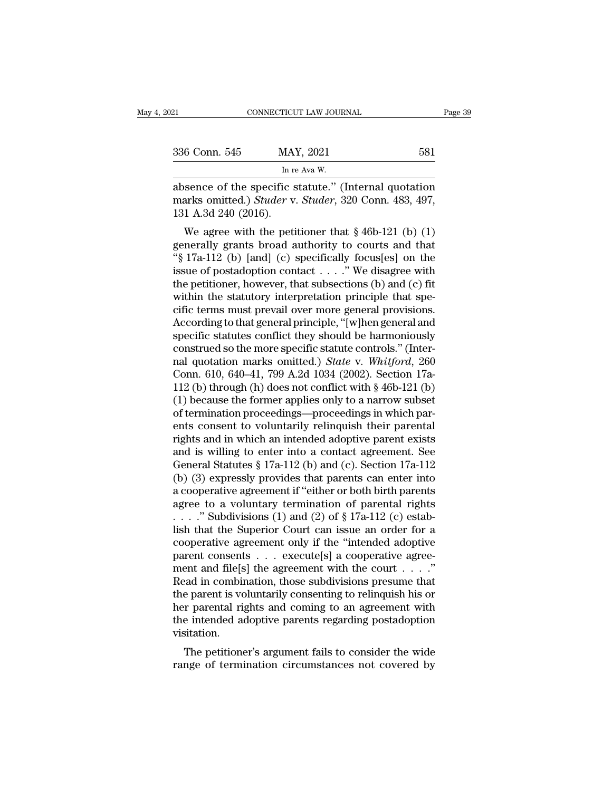| Page 39                                              |
|------------------------------------------------------|
| 581                                                  |
|                                                      |
| absence of the specific statute" (Internal quotation |

EXECTIVE SOURINAL Page 39<br>
absence of the specific statute.'' (Internal quotation<br>
marks omitted.) Studer v. Studer, 320 Conn. 483, 497,<br>
absence of the specific statute.'' (Internal quotation<br>
131 A 3d 340 (2016) 336 Conn. 545 MAY, 2021 581<br>
In re Ava W.<br>
absence of the specific statute." (Internal quotation marks omitted.) *Studer* v. *Studer*, 320 Conn. 483, 497, 131 A.3d 240 (2016). 336 Conn. 545 MA<br>
In real absence of the specific s<br>
marks omitted.) Studer v<br>
131 A.3d 240 (2016).<br>
We agree with the petitive 6 Conn. 545 MAY, 2021 581<br>
In re Ava W.<br>
Sence of the specific statute." (Internal quotation<br>
arks omitted.) *Studer* v. *Studer*, 320 Conn. 483, 497,<br>
1 A.3d 240 (2016).<br>
We agree with the petitioner that § 46b-121 (b) (

In re Ava W.<br>
absence of the specific statute." (Internal quotation<br>
marks omitted.) *Studer* v. *Studer*, 320 Conn. 483, 497,<br>
131 A.3d 240 (2016).<br>
We agree with the petitioner that § 46b-121 (b) (1)<br>
generally grants b absence of the specific statute." (Internal quotation<br>marks omitted.) *Studer* v. *Studer*, 320 Conn. 483, 497,<br>131 A.3d 240 (2016).<br>We agree with the petitioner that § 46b-121 (b) (1)<br>generally grants broad authority to absence of the specific statute. (Internal quotation<br>marks omitted.) *Studer* v. *Studer*, 320 Conn. 483, 497,<br>131 A.3d 240 (2016).<br>We agree with the petitioner that § 46b-121 (b) (1)<br>generally grants broad authority to c that is of the petitioner that  $\S$  46b-121 (b) (1)<br>we agree with the petitioner that  $\S$  46b-121 (b) (1)<br>generally grants broad authority to courts and that<br>" $\S$  17a-112 (b) [and] (c) specifically focus[es] on the<br>issue o We agree with the petitioner that  $\S$  46b-121 (b) (1)<br>generally grants broad authority to courts and that<br>" $\S$  17a-112 (b) [and] (c) specifically focus[es] on the<br>issue of postadoption contact . . . ." We disagree with<br>th We agree with the petitioner that  $\S$  46b-121 (b) (1)<br>generally grants broad authority to courts and that<br>" $\S$  17a-112 (b) [and] (c) specifically focus[es] on the<br>issue of postadoption contact . . . . "We disagree with<br>th generally grants broad authority to courts and that<br>"§ 17a-112 (b) [and] (c) specifically focus[es] on the<br>issue of postadoption contact . . . . ." We disagree with<br>the petitioner, however, that subsections (b) and (c) fit "§ 17a-112 (b) [and] (c) specifically focus[es] on the<br>issue of postadoption contact . . . . " We disagree with<br>the petitioner, however, that subsections (b) and (c) fit<br>within the statutory interpretation principle that issue of postadoption contact . . . . ." We disagree with<br>the petitioner, however, that subsections (b) and (c) fit<br>within the statutory interpretation principle that spe-<br>cific terms must prevail over more general provis the petitioner, however, that subsections (b) and (c) fit<br>within the statutory interpretation principle that spe-<br>cific terms must prevail over more general provisions.<br>According to that general principle, "[w]hen general within the statutory interpretation principle that specific terms must prevail over more general provisions.<br>According to that general principle, "[w]hen general and specific statutes conflict they should be harmoniously cific terms must prevail over more general provisions.<br>According to that general principle, "[w]hen general and<br>specific statutes conflict they should be harmoniously<br>construed so the more specific statute controls." (Int According to that general principle, "[w]hen general and<br>specific statutes conflict they should be harmoniously<br>construed so the more specific statute controls." (Inter-<br>nal quotation marks omitted.) *State* v. *Whitford* specific statutes conflict they should be harmoniously<br>construed so the more specific statute controls." (Inter-<br>nal quotation marks omitted.) *State* v. *Whitford*, 260<br>Conn. 610, 640–41, 799 A.2d 1034 (2002). Section 17 construed so the more specific statute controls." (Inter-<br>nal quotation marks omitted.) *State* v. *Whitford*, 260<br>Conn. 610, 640–41, 799 A.2d 1034 (2002). Section 17a-<br>112 (b) through (h) does not conflict with  $\S$  46b-1 rights and proton marks and its and the v. Whitford, 260<br>Conn. 610, 640–41, 799 A.2d 1034 (2002). Section 17a-<br>112 (b) through (h) does not conflict with § 46b-121 (b)<br>(1) because the former applies only to a narrow subse Conn. 610, 640–41, 799 A.2d 1034 (2002). Section 17a-<br>112 (b) through (h) does not conflict with § 46b-121 (b)<br>(1) because the former applies only to a narrow subset<br>of termination proceedings—proceedings in which par-<br>en 112 (b) through (h) does not conflict with  $\S$  46b-121 (b)<br>(1) because the former applies only to a narrow subset<br>of termination proceedings—proceedings in which par-<br>ents consent to voluntarily relinquish their parental<br> (1) because the former applies only to a narrow subset<br>of termination proceedings—proceedings in which par-<br>ents consent to voluntarily relinquish their parental<br>rights and in which an intended adoptive parent exists<br>and of termination proceedings—proceedings in which parents consent to voluntarily relinquish their parental<br>rights and in which an intended adoptive parent exists<br>and is willing to enter into a contact agreement. See<br>General ents consent to voluntarily relinquish their parental<br>rights and in which an intended adoptive parent exists<br>and is willing to enter into a contact agreement. See<br>General Statutes § 17a-112 (b) and (c). Section 17a-112<br>(b rights and in which an intended adoptive parent exists<br>and is willing to enter into a contact agreement. See<br>General Statutes § 17a-112 (b) and (c). Section 17a-112<br>(b) (3) expressly provides that parents can enter into<br>a and is willing to enter into a contact agreement. See<br>General Statutes § 17a-112 (b) and (c). Section 17a-112<br>(b) (3) expressly provides that parents can enter into<br>a cooperative agreement if "either or both birth parents General Statutes § 17a-112 (b) and (c). Section 17a-112<br>(b) (3) expressly provides that parents can enter into<br>a cooperative agreement if "either or both birth parents<br>agree to a voluntary termination of parental rights<br>(b) (3) expressly provides that parents can enter into a cooperative agreement if "either or both birth parents agree to a voluntary termination of parental rights . . . ." Subdivisions (1) and (2) of  $\S 17a-112$  (c) esta a cooperative agreement if "either or both birth parents<br>agree to a voluntary termination of parental rights<br>...." Subdivisions (1) and (2) of § 17a-112 (c) estab-<br>lish that the Superior Court can issue an order for a<br>coo agree to a voluntary termination of parental rights<br>
...." Subdivisions (1) and (2) of § 17a-112 (c) estab-<br>
lish that the Superior Court can issue an order for a<br>
cooperative agreement only if the "intended adoptive<br>
par ...." Subdivisions (1) and (2) of  $\S 17a-112$  (c) establish that the Superior Court can issue an order for a cooperative agreement only if the "intended adoptive parent consents ... execute[s] a cooperative agreement and lish that the Superior Court can issue an order for a<br>cooperative agreement only if the "intended adoptive<br>parent consents  $\dots$  execute[s] a cooperative agree-<br>ment and file[s] the agreement with the court  $\dots$ ."<br>Read in cooperative agreement only if the "intended adoptive<br>parent consents  $\ldots$  execute[s] a cooperative agreement and file[s] the agreement with the court  $\ldots$ ."<br>Read in combination, those subdivisions presume that<br>the paren visitation. Fin and metally the agreement what the court  $\ldots$  and in combination, those subdivisions presume that e parent is voluntarily consenting to relinquish his or  $\bf r$  parental rights and coming to an agreement with e intend read in combination, those subdivisions presume that<br>the parent is voluntarily consenting to relinquish his or<br>her parental rights and coming to an agreement with<br>the intended adoptive parents regarding postadoption<br>visita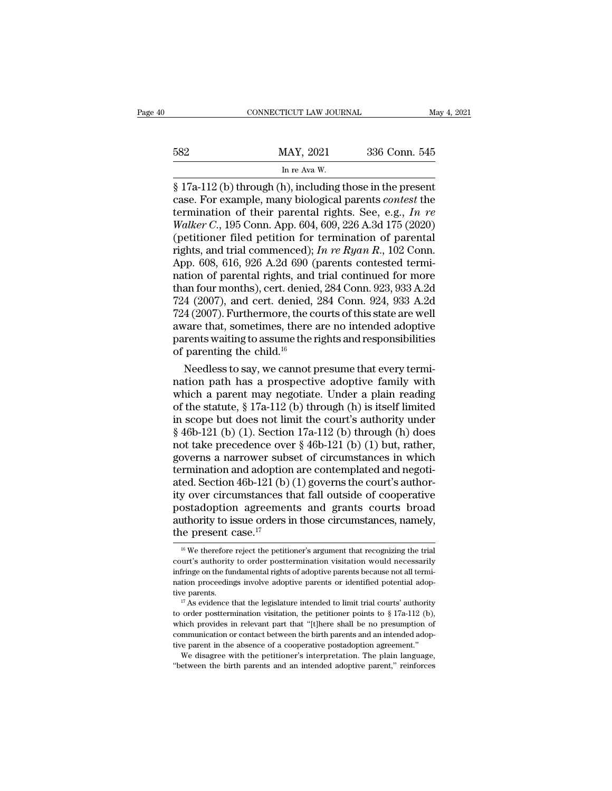## EXECUTE CONNECTICUT LAW JOURNAL May 4, 2021<br>582 MAY, 2021 336 Conn. 545<br>In re Ava W. ricut LAW JOUR<br>MAY, 2021<br>In re Ava W.<br>b) including t

CONNECTICUT LAW JOURNAL May 4, 202<br>
582 MAY, 2021 336 Conn. 545<br>
In re Ava W.<br>
§ 17a-112 (b) through (h), including those in the present<br>
case. For example, many biological parents *contest* the<br>
termination of their paren Example: MAY, 2021 336 Conn. 545<br>
In re Ava W.<br>
S 17a-112 (b) through (h), including those in the present<br>
case. For example, many biological parents *contest* the<br>
termination of their parental rights. See, e.g., *In re*<br> termination of their parental rights. See, e.g., *In re*<br>
Wareholden (h), including those in the present<br>
rese. For example, many biological parents *contest* the<br>
termination of their parental rights. See, e.g., *In re*<br> *MAY*, 2021 336 Conn. 545<br> *In re Ava W.*<br> *S* 17a-112 (b) through (h), including those in the present<br>
case. For example, many biological parents *contest* the<br>
termination of their parental rights. See, e.g., *In re<br>
Wal* (b)  $\frac{\ln 11}{\ln \text{e} + \ln 4}$  and  $\frac{\ln 12}{\ln \text{e} + \ln 4}$  and  $\frac{\ln \text{e} + \ln 4}{\ln \text{e} + \ln 4}$  and  $\frac{\ln \text{e} + \ln 4}{\ln \text{e} + \ln 4}$  and  $\frac{\ln \text{e} + \ln 4}{\ln \text{e} + \ln 4}$  and  $\frac{\ln \ln 4}{\ln 4}$  and  $\frac{\ln \ln 4}{\ln 4}$  and  $\frac{\ln \ln 4}{\ln 4$ In re Ava W.<br>
§ 17a-112 (b) through (h), including those in the present<br>
case. For example, many biological parents *contest* the<br>
termination of their parental rights. See, e.g., *In re<br>
Walker C*., 195 Conn. App. 604, 60 § 17a-112 (b) through (h), including those in the present case. For example, many biological parents *contest* the termination of their parental rights. See, e.g., *In re Walker C.*, 195 Conn. App. 604, 609, 226 A.3d 175 case. For example, many biological parents *contest* the<br>termination of their parental rights. See, e.g., *In re*<br>Walker C., 195 Conn. App. 604, 609, 226 A.3d 175 (2020)<br>(petitioner filed petition for termination of paren termination of their parental rights. See, e.g., In re<br>Walker C., 195 Conn. App. 604, 609, 226 A.3d 175 (2020)<br>(petitioner filed petition for termination of parental<br>rights, and trial commenced); In re Ryan R., 102 Conn.<br> *Walker C.*, 195 Conn. App. 604, 609, 226 A.3d 175 (2020)<br>(petitioner filed petition for termination of parental<br>rights, and trial commenced); *In re Ryan R.*, 102 Conn.<br>App. 608, 616, 926 A.2d 690 (parents contested term (petitioner filed petition for termination of parental<br>rights, and trial commenced);  $In re Ryan R$ , 102 Conn.<br>App. 608, 616, 926 A.2d 690 (parents contested termi-<br>nation of parental rights, and trial continued for more<br>than fou rights, and trial commenced); *In re Ryan R*., 102 Conn.<br>App. 608, 616, 926 A.2d 690 (parents contested termination of parental rights, and trial continued for more<br>than four months), cert. denied, 284 Conn. 923, 933 A.2d App. 608, 616, 926 A.2d 690 (parents contested termination of parental rights, and trial continued for more than four months), cert. denied, 284 Conn. 923, 933 A.2d 724 (2007), and cert. denied, 284 Conn. 924, 933 A.2d 72 nation of parental rights, and<br>than four months), cert. denied<br>724 (2007), and cert. denied,<br>724 (2007). Furthermore, the caware that, sometimes, there a<br>parents waiting to assume the r<br>of parenting the child.<sup>16</sup><br>Needless an four months), cert. denied, 284 Conn. 923, 933 A.2d<br>4 (2007), and cert. denied, 284 Conn. 924, 933 A.2d<br>4 (2007). Furthermore, the courts of this state are well<br>vare that, sometimes, there are no intended adoptive<br>rent 724 (2007), and cert. denied, 284 Conn. 924, 933 A.2d<br>
724 (2007). Furthermore, the courts of this state are well<br>
aware that, sometimes, there are no intended adoptive<br>
parents waiting to assume the rights and responsibi

 $W^{22}$  (2007). Furthermore, the courts of this state are well<br>aware that, sometimes, there are no intended adoptive<br>parents waiting to assume the rights and responsibilities<br>of parenting the child.<sup>16</sup><br>Needless to say, w aware that, sometimes, there are no intended adoptive<br>parents waiting to assume the rights and responsibilities<br>of parenting the child.<sup>16</sup><br>Needless to say, we cannot presume that every termi-<br>nation path has a prospectiv parents waiting to assume the rights and responsibilities<br>of parenting the child.<sup>16</sup><br>Needless to say, we cannot presume that every termi-<br>nation path has a prospective adoptive family with<br>which a parent may negotiate. U of parenting the child.<sup>16</sup><br>Needless to say, we cannot presume that every termi-<br>nation path has a prospective adoptive family with<br>which a parent may negotiate. Under a plain reading<br>of the statute, § 17a-112 (b) through Needless to say, we cannot presume that every termination path has a prospective adoptive family with which a parent may negotiate. Under a plain reading of the statute,  $\S$  17a-112 (b) through (h) is itself limited in sc nation path has a prospective adoptive family with<br>which a parent may negotiate. Under a plain reading<br>of the statute, § 17a-112 (b) through (h) is itself limited<br>in scope but does not limit the court's authority under<br>§ which a parent may negotiate. Under a plain reading<br>of the statute, § 17a-112 (b) through (h) is itself limited<br>in scope but does not limit the court's authority under<br>§ 46b-121 (b) (1). Section 17a-112 (b) through (h) do of the statute, § 17a-112 (b) through (h) is itself limited<br>in scope but does not limit the court's authority under<br>§ 46b-121 (b) (1). Section 17a-112 (b) through (h) does<br>not take precedence over § 46b-121 (b) (1) but, r in scope but does not limit the court's authority under<br> $\S$  46b-121 (b) (1). Section 17a-112 (b) through (h) does<br>not take precedence over  $\S$  46b-121 (b) (1) but, rather,<br>governs a narrower subset of circumstances in whi § 46b-121 (b) (1). Section 17a-112 (b) through (h) does<br>not take precedence over § 46b-121 (b) (1) but, rather,<br>governs a narrower subset of circumstances in which<br>termination and adoption are contemplated and negoti-<br>ate not take precedence over § 46b-121 (b) (1) but, rather,<br>governs a narrower subset of circumstances in which<br>termination and adoption are contemplated and negoti-<br>ated. Section 46b-121 (b) (1) governs the court's author-<br>i governs a narrower substemination and adoption<br>ated. Section 46b-121 (b)<br>ity over circumstances the<br>postadoption agreemen<br>authority to issue orders if<br>the present case.<sup>17</sup> by over circumstances that fall outside of cooperative<br>ostadoption agreements and grants courts broad<br>uthority to issue orders in those circumstances, namely,<br>ne present case.<sup>17</sup><br><sup>16</sup> We therefore reject the petitioner's postadoption agreements and grants courts broad<br>authority to issue orders in those circumstances, namely,<br>the present case.<sup>17</sup><br> $\frac{16}{16}$  We therefore reject the petitioner's argument that recognizing the trial<br>court's

authority to issue orders in those circumstances, namely,<br>the present case.<sup>17</sup><br> $\frac{16 \text{ We therefore reject the pertinent to her position of the total cost of the total cost of the total cost of the total cost of the fundamental rights of adaptive parents because not all termination procedures involve adoptive parents or identified potential adoptive parents.$ the present case.<sup>17</sup><br>
<sup>16</sup> We therefore reject the petitioner's argument that recognizing the trial<br>
court's authority to order posttermination visitation would necessarily<br>
infringe on the fundamental rights of adoptive The present case.<br>
<sup>16</sup> We therefore reject the petitioner's argument that recognizing the trial court's authority to order posttermination visitation would necessarily infringe on the fundamental rights of adoptive paren court's authority to order posttermination visitation would necessarily infringe on the fundamental rights of adoptive parents because not all termination proceedings involve adoptive parents or identified potential adopt

infringe on the fundamental rights of adoptive parents because not all termination proceedings involve adoptive parents or identified potential adoptive parents.<br>
<sup>17</sup> As evidence that the legislature intended to limit tr nation proceedings involve adoptive parents or identified potential adoptive parents.<br>
<sup>17</sup> As evidence that the legislature intended to limit trial courts' authority<br>
to order posttermination visitation, the petitioner p tive parents.<br>
<sup>17</sup> As evidence that the legislature intended to limit trial courts' authority<br>
<sup>17</sup> As evidence that the legislature intended to limit trial courts' authority<br>
to order posttermination visitation, the pet  $^{17}$  As evidence that the legislature intended to limit trial courts' authority to order posttermination visitation, the petitioner points to § 17a-112 (b), which provides in relevant part that "[t]here shall be no pres to order posttermination visitation, the petitioner points to  $\S 17a-112$  (b), which provides in relevant part that "[t]here shall be no presumption of communication or contact between the birth parents and an intended ad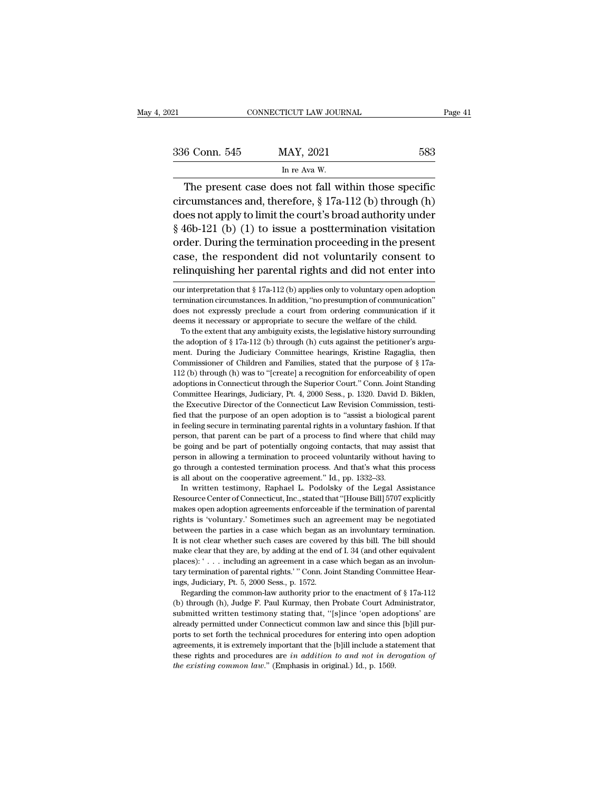| 2021          | CONNECTICUT LAW JOURNAL                                                                                            | Page 41 |
|---------------|--------------------------------------------------------------------------------------------------------------------|---------|
|               |                                                                                                                    |         |
| 336 Conn. 545 | MAY, 2021                                                                                                          | 583     |
|               | In re Ava W.                                                                                                       |         |
|               | The present case does not fall within those specific<br>circumstances and, therefore, $\S 17a-112$ (b) through (h) |         |

336 Conn. 545 MAY, 2021 583<br>
In re Ava W.<br>
The present case does not fall within those specific<br>
circumstances and, therefore, § 17a-112 (b) through (h)<br>
does not apply to limit the court's broad authority under<br>
s 40-121 336 Conn. 545 MAY, 2021 583<br>
In re Ava W.<br>
The present case does not fall within those specific<br>
circumstances and, therefore, § 17a-112 (b) through (h)<br>
does not apply to limit the court's broad authority under<br>
§ 46b-12 336 Conn. 545 MAY, 2021 583<br>
In re Ava W.<br>
The present case does not fall within those specific<br>
circumstances and, therefore, § 17a-112 (b) through (h)<br>
does not apply to limit the court's broad authority under<br>
§ 46b-12 In re Ava W.<br>
The present case does not fall within those specific<br>
circumstances and, therefore, § 17a-112 (b) through (h)<br>
does not apply to limit the court's broad authority under<br>
§ 46b-121 (b) (1) to issue a postterm The present case does not fall within those specific<br>circumstances and, therefore,  $\S$  17a-112 (b) through (h)<br>does not apply to limit the court's broad authority under<br> $\S$  46b-121 (b) (1) to issue a posttermination visit The present case does not fail within those specific<br>circumstances and, therefore, § 17a-112 (b) through (h)<br>does not apply to limit the court's broad authority under<br>§ 46b-121 (b) (1) to issue a posttermination visitatio § 46b-121 (b) (1) to issue a posttermination visitation order. During the termination proceeding in the present case, the respondent did not voluntarily consent to relinquishing her parental rights and did not enter into order. During the termination proceeding in the present<br>case, the respondent did not voluntarily consent to<br>relinquishing her parental rights and did not enter into<br>our interpretation that  $\S 17a-112$  (b) applies only to

case, the respondent did not voluntarily consent to<br>relinquishing her parental rights and did not enter into<br>our interpretation that  $\S 17a-112$  (b) applies only to voluntary open adoption<br>termination circumstances. In ad relinquishing her parental rights and did not enter into<br>
our interpretation that § 17a-112 (b) applies only to voluntary open adoption<br>
termination circumstances. In addition, "no presumption of communication"<br>
does not The extent that  $\S 17a-112$  (b) applies only to voluntary open adoption<br>miniation circumstances. In addition, "no presumption of communication"<br>res not expressly preclude a court from ordering communication if it<br>ems it n our interpretation that § 17a-112 (b) applies only to voluntary open adoption termination circumstances. In addition, "no presumption of communication" does not expressly preclude a court from ordering communication if it

be mination circumstances. In addition, "no presumption of communication"<br>does not expressly preclude a court from ordering communication if it<br>deems it necessary or appropriate to secure the welfare of the child.<br>To the e does not expressly preclude a court from ordering communication if it deems it necessary or appropriate to secure the welfare of the child. To the extent that any ambiguity exists, the legislative history surrounding the deems it necessary or appropriate to secure the welfare of the child.<br>To the extent that any ambiguity exists, the legislative history surrounding<br>the adoption of § 17a-112 (b) through (h) cuts against the petitioner's arg To the extent that any ambiguity exists, the legislative history surrounding the adoption of  $\S 17a-112$  (b) through (h) cuts against the petitioner's argument. During the Judiciary Committee hearings, Kristine Ragaglia, The adoption of § 17a-112 (b) through (h) cuts against the petitioner's argument. During the Judiciary Committee hearings, Kristine Ragaglia, then Commissioner of Children and Families, stated that the purpose of § 17a-11 ment. During the Judiciary Committee hearings, Kristine Ragaglia, then<br>ment. During the Judiciary Committee hearings, Kristine Ragaglia, then<br>Commissioner of Children and Families, stated that the purpose of § 17a-<br>112 (b) From Summissioner of Children and Families, stated that the purpose of §17a-<br>112 (b) through (h) was to "[create] a recognition for enforceability of open<br>adoptions in Connecticut through the Superior Court." Conn. Joint S 112 (b) through (h) was to "[create] a recognition for enforceability of open adoptions in Connecticut through the Superior Court." Conn. Joint Standing Committee Hearings, Judiciary, Pt. 4, 2000 Sess., p. 1320. David D. Fraction, in Connecticut through the Superior Court." Conn. Joint Standing Committee Hearings, Judiciary, Pt. 4, 2000 Sess., p. 1320. David D. Biklen, the Executive Director of the Connecticut Law Revision Commission, test Committee Hearings, Judiciary, Pt. 4, 2000 Sess., p. 1320. David D. Biklen, the Executive Director of the Connecticut Law Revision Commission, testified that the purpose of an open adoption is to "assist a biological paren be Executive Director of the Connecticut Law Revision Commission, testi-<br>fied that the purpose of an open adoption is to "assist a biological parent<br>in feeling secure in terminating parental rights in a voluntary fashion. fied that the purpose of an open adoption is to "assist a biological parent<br>in feeling secure in terminating parental rights in a voluntary fashion. If that<br>person, that parent can be part of a process to find where that c fied that the purpose of an open adoption is to "assist a biological parent in feeling secure in terminating parental rights in a voluntary fashion. If that person, that parent can be part of a process to find where that c In written testimony, Raphael L. Podolsky of the Legal Assistance Source Center of Connection in allowing a termination to proceed voluntarily without having to through a contested termination process. And that's what this be going and be part of potentially ongoing contacts, that may assist that<br>person in allowing a termination to proceed voluntarily without having to<br>go through a contested termination process. And that's what this process<br>

person in allowing a termination to proceed voluntarily without having to go through a contested termination process. And that's what this process is all about on the cooperative agreement." Id., pp. 1332–33. In written te problem at our sected termination process. And that's what this process<br>is all about on the cooperative agreement." Id., pp. 1332–33.<br>In written testimony, Raphael L. Podolsky of the Legal Assistance<br>Resource Center of Con between the cooperative agreement." Id, pp. 1332–33.<br>In written testimony, Raphael L. Podolsky of the Legal Assistance<br>Resource Center of Connecticut, Inc., stated that "[House Bill] 5707 explicitly<br>makes open adoption agr In written testimony, Raphael L. Podolsky of the Legal Assistance<br>Resource Center of Connecticut, Inc., stated that "[House Bill] 5707 explicitly<br>makes open adoption agreements enforceable if the termination of parental<br>ri makes open adoption agreements enforceable if the termination of parential makes open adoption agreements enforceable if the termination of parental rights is 'voluntary.' Sometimes such an agreement may be negotiated betw makes open adoption agreements enforceable if the termination of parental<br>rights is 'voluntary.' Sometimes such an agreement may be negotiated<br>between the parties in a case which began as an involuntary termination.<br>It is Fights is 'voluntary'. Sometimes such an agreement may be negotiated between the parties in a case which began as an involuntary termination.<br>It is not clear whether such cases are covered by this bill. The bill should ma ings, and the parties in a case which began as<br>between the parties in a case which began as<br>It is not clear whether such cases are covered<br>make clear that they are, by adding at the end<br>places): '... including an agreement is not clear whether such cases are covered by this bill. The bill should ake clear whether such cases are covered by this bill. The bill should ake clear that they are, by adding at the end of I. 34 (and other equivalent make clear that they are, by adding at the end of I. 34 (and other equivalent places): '... including an agreement in a case which began as an involuntary termination of parental rights.' " Conn. Joint Standing Committee

places):  $\cdot$ ... including an agreement in a case which began as an involuntary termination of parental rights.' " Conn. Joint Standing Committee Hearings, Judiciary, Pt. 5, 2000 Sess., p. 1572.<br>Regarding the common-law a France termination of parental rights.'" Conn. Joint Standing Committee Hearings, Judiciary, Pt. 5, 2000 Sess., p. 1572.<br>Regarding the common-law authority prior to the enactment of § 17a-112 (b) through (h), Judge F. Paul ings, Judiciary, Pt. 5, 2000 Sess., p. 1572.<br>
Regarding the common-law authority prior to the enactment of § 17a-112<br>
(b) through (h), Judge F. Paul Kurmay, then Probate Court Administrator,<br>
submitted written testimony st Regarding the common-law authority prior to the enactment of § 17a-112 (b) through (h), Judge F. Paul Kurmay, then Probate Court Administrator, submitted written testimony stating that, "[s]ince 'open adoptions' are alrea (b) through (h), Judge F. Paul Kurmay, then Probate Court Administrator, submitted written testimony stating that, "[s]ince 'open adoptions' are already permitted under Connecticut common law and since this [b]ill purport submitted written testimony stating that, "[s]ince 'open adoptions' are already permitted under Connecticut common law and since this [b]ill purports to set forth the technical procedures for entering into open adoption ag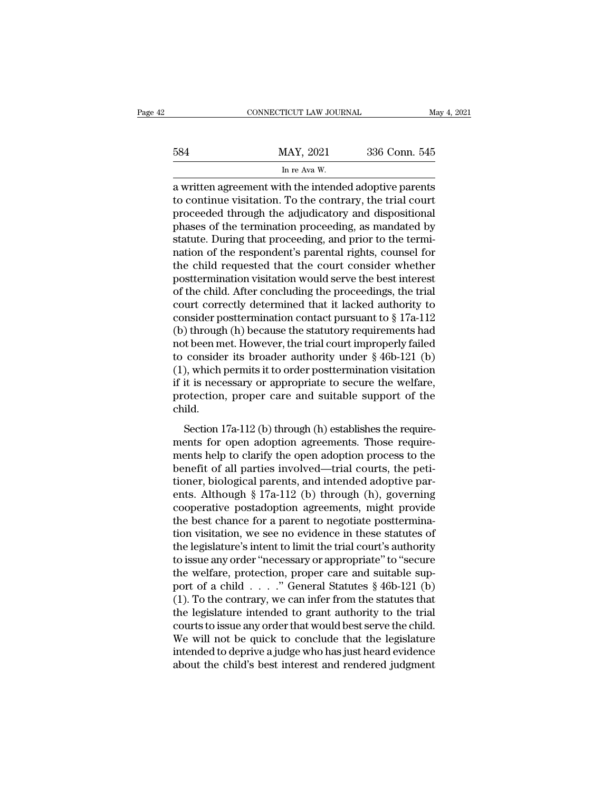|     | CONNECTICUT LAW JOURNAL                                | May 4, 2021   |
|-----|--------------------------------------------------------|---------------|
| 584 | MAY, 2021                                              | 336 Conn. 545 |
|     | In re Ava W.                                           |               |
|     | a written agreement with the intended adontive narents |               |

CONNECTICUT LAW JOURNAL May 4, 2021<br>
MAY, 2021 336 Conn. 545<br>
In re Ava W.<br>
a written agreement with the intended adoptive parents<br>
to continue visitation. To the contrary, the trial court to continue visitation. To the contrary, the trial court<br>proceeded through the adjudicatory and dispositional<br>proceeded through the adjudicatory and dispositional<br>proceeded through the adjudicatory and dispositional<br>procee  $\frac{\text{MAX, 2021}}{\text{In re Ava W.}}$ <br>  $\frac{\text{In re Ava W.}}{\text{In re Ava W.}}$ <br>
a written agreement with the intended adoptive parents<br>
to continue visitation. To the contrary, the trial court<br>
proceeded through the adjudicatory and dispositional<br>  $\frac{\text{MAX, 2021}}{\text{In re Ava W.}}$ <br>
In re Ava W.<br>
a written agreement with the intended adoptive parents<br>
to continue visitation. To the contrary, the trial court<br>
proceeded through the adjudicatory and dispositional<br>
phases of th In re Ava W.<br>
a written agreement with the intended adoptive parents<br>
to continue visitation. To the contrary, the trial court<br>
proceeded through the adjudicatory and dispositional<br>
phases of the termination proceeding, as In re Ava W.<br>
a written agreement with the intended adoptive parents<br>
to continue visitation. To the contrary, the trial court<br>
proceeded through the adjudicatory and dispositional<br>
phases of the termination proceeding, as a written agreement with the intended adoptive parents<br>to continue visitation. To the contrary, the trial court<br>proceeded through the adjudicatory and dispositional<br>phases of the termination proceeding, as mandated by<br>stat to continue visitation. To the contrary, the trial court<br>proceeded through the adjudicatory and dispositional<br>phases of the termination proceeding, as mandated by<br>statute. During that proceeding, and prior to the termi-<br>na proceeded through the adjudicatory and dispositional<br>phases of the termination proceeding, as mandated by<br>statute. During that proceeding, and prior to the termi-<br>nation of the respondent's parental rights, counsel for<br>the phases of the termination proceeding, as mandated by<br>statute. During that proceeding, and prior to the termi-<br>nation of the respondent's parental rights, counsel for<br>the child requested that the court consider whether<br>pos statute. During that proceeding, and prior to the termi-<br>nation of the respondent's parental rights, counsel for<br>the child requested that the court consider whether<br>posttermination visitation would serve the best interest<br> mation of the respondent's parental rights, counsel for<br>the child requested that the court consider whether<br>posttermination visitation would serve the best interest<br>of the child. After concluding the proceedings, the tria the child requested that the court consider whether<br>posttermination visitation would serve the best interest<br>of the child. After concluding the proceedings, the trial<br>court correctly determined that it lacked authority to posttermination visitation would serve the best interest<br>of the child. After concluding the proceedings, the trial<br>court correctly determined that it lacked authority to<br>consider posttermination contact pursuant to § 17a-1 of the child. After concluding the proceedings, the trial<br>court correctly determined that it lacked authority to<br>consider posttermination contact pursuant to  $\S 17a-112$ <br>(b) through (h) because the statutory requirements court correctly determined that it lacked authority to<br>consider posttermination contact pursuant to § 17a-112<br>(b) through (h) because the statutory requirements had<br>not been met. However, the trial court improperly failed<br> consider posttermination contact pursuant to  $\S$  17a-112<br>(b) through (h) because the statutory requirements had<br>not been met. However, the trial court improperly failed<br>to consider its broader authority under  $\S$  46b-121 child. Forecall the three considers its broader authority under  $\S$  46b-121 (b), which permits it to order posttermination visitation it is necessary or appropriate to secure the welfare, otection, proper care and suitable suppo (1), which permits it to order posttermination visitation<br>if it is necessary or appropriate to secure the welfare,<br>protection, proper care and suitable support of the<br>child.<br>Section 17a-112 (b) through (h) establishes the

The is in the operator of the velocity, which permiss help of the velocity of the child.<br>
Section 17a-112 (b) through (h) establishes the require-<br>
ments for open adoption agreements. Those require-<br>
ments help to clarify  $\mu$  is necessary or appropriate to secure are weitare,<br>protection, proper care and suitable support of the<br>child.<br>Section 17a-112 (b) through (h) establishes the require-<br>ments for open adoption agreements. Those require child.<br>Section 17a-112 (b) through (h) establishes the require-<br>ments for open adoption agreements. Those require-<br>ments help to clarify the open adoption process to the<br>benefit of all parties involved—trial courts, the p Section 17a-112 (b) through (h) establishes the require-<br>ments for open adoption agreements. Those require-<br>ments help to clarify the open adoption process to the<br>benefit of all parties involved—trial courts, the peti-<br>ti Section 17a-112 (b) through (h) establishes the requirements for open adoption agreements. Those requirements help to clarify the open adoption process to the benefit of all parties involved—trial courts, the petitioner, ments for open adoption agreements. Those requirements help to clarify the open adoption process to the benefit of all parties involved—trial courts, the petitioner, biological parents, and intended adoptive parents. Altho ments help to clarify the open adoption process to the<br>benefit of all parties involved—trial courts, the peti-<br>tioner, biological parents, and intended adoptive par-<br>ents. Although § 17a-112 (b) through (h), governing<br>coop benefit of all parties involved—trial courts, the petitioner, biological parents, and intended adoptive parents. Although § 17a-112 (b) through (h), governing cooperative postadoption agreements, might provide the best cha tioner, biological parents, and intended adoptive parents. Although § 17a-112 (b) through (h), governing<br>cooperative postadoption agreements, might provide<br>the best chance for a parent to negotiate posttermina-<br>tion visita ents. Although § 17a-112 (b) through (h), governing<br>cooperative postadoption agreements, might provide<br>the best chance for a parent to negotiate posttermina-<br>tion visitation, we see no evidence in these statutes of<br>the le cooperative postadoption agreements, might provide<br>the best chance for a parent to negotiate posttermina-<br>tion visitation, we see no evidence in these statutes of<br>the legislature's intent to limit the trial court's author the best chance for a parent to negotiate posttermination visitation, we see no evidence in these statutes of the legislature's intent to limit the trial court's authority to issue any order "necessary or appropriate" to tion visitation, we see no evidence in these statutes of<br>the legislature's intent to limit the trial court's authority<br>to issue any order "necessary or appropriate" to "secure<br>the welfare, protection, proper care and suit the legislature's intent to limit the trial court's authority<br>to issue any order "necessary or appropriate" to "secure<br>the welfare, protection, proper care and suitable sup-<br>port of a child . . . . ." General Statutes  $\S$ to issue any order "necessary or appropriate" to "secure<br>the welfare, protection, proper care and suitable sup-<br>port of a child  $\ldots$ ." General Statutes § 46b-121 (b)<br>(1). To the contrary, we can infer from the statutes t the welfare, protection, proper care and suitable support of a child  $\ldots$ ." General Statutes § 46b-121 (b) (1). To the contrary, we can infer from the statutes that the legislature intended to grant authority to the tria port of a child  $\ldots$ ." General Statutes § 46b-121 (b) (1). To the contrary, we can infer from the statutes that the legislature intended to grant authority to the trial courts to issue any order that would best serve the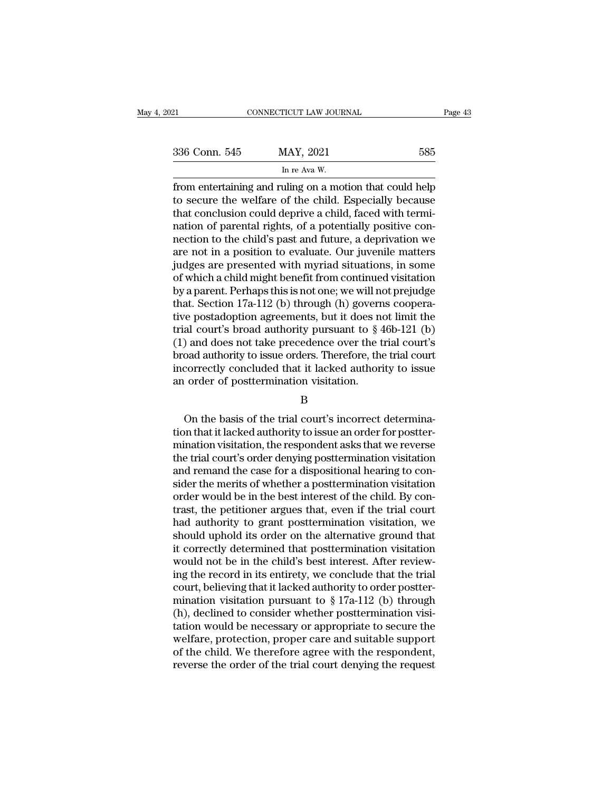| 021           | CONNECTICUT LAW JOURNAL                                                                                                                                                      | Page 43 |
|---------------|------------------------------------------------------------------------------------------------------------------------------------------------------------------------------|---------|
| 336 Conn. 545 | MAY, 2021                                                                                                                                                                    | 585     |
|               | In re Ava W.                                                                                                                                                                 |         |
|               | from entertaining and ruling on a motion that could help<br>to secure the welfare of the child. Especially because<br>that conclusion could doprive a child faced with tormi |         |

336 Conn. 545 MAY, 2021 585<br>
In re Ava W.<br>
from entertaining and ruling on a motion that could help<br>
to secure the welfare of the child. Especially because<br>
that conclusion could deprive a child, faced with termi-<br>
patien 336 Conn. 545 MAY, 2021 585<br>
In re Ava W.<br>
from entertaining and ruling on a motion that could help<br>
to secure the welfare of the child. Especially because<br>
that conclusion could deprive a child, faced with termi-<br>
nation 336 Conn. 545 MAY, 2021 585<br>
In re Ava W.<br>
from entertaining and ruling on a motion that could help<br>
to secure the welfare of the child. Especially because<br>
that conclusion could deprive a child, faced with termi-<br>
nation In re Ava W.<br>
In re Ava W.<br>
from entertaining and ruling on a motion that could help<br>
to secure the welfare of the child. Especially because<br>
that conclusion could deprive a child, faced with termi-<br>
nation of parental ri In re Ava W.<br>
from entertaining and ruling on a motion that could help<br>
to secure the welfare of the child. Especially because<br>
that conclusion could deprive a child, faced with termi-<br>
nation of parental rights, of a pot from entertaining and ruling on a motion that could help<br>to secure the welfare of the child. Especially because<br>that conclusion could deprive a child, faced with termi-<br>nation of parental rights, of a potentially positive to secure the welfare of the child. Especially because<br>that conclusion could deprive a child, faced with termi-<br>nation of parental rights, of a potentially positive con-<br>nection to the child's past and future, a deprivatio that conclusion could deprive a child, faced with termination of parental rights, of a potentially positive connection to the child's past and future, a deprivation we are not in a position to evaluate. Our juvenile matter nation of parental rights, of a potentially positive con-<br>nection to the child's past and future, a deprivation we<br>are not in a position to evaluate. Our juvenile matters<br>judges are presented with myriad situations, in so nection to the child's past and future, a deprivation we<br>are not in a position to evaluate. Our juvenile matters<br>judges are presented with myriad situations, in some<br>of which a child might benefit from continued visitatio are not in a position to evaluate. Our juvenile matters<br>judges are presented with myriad situations, in some<br>of which a child might benefit from continued visitation<br>by a parent. Perhaps this is not one; we will not preju judges are presented with myriad situations, in some<br>of which a child might benefit from continued visitation<br>by a parent. Perhaps this is not one; we will not prejudge<br>that. Section 17a-112 (b) through (h) governs coopera of which a child might benefit from continued visitation<br>by a parent. Perhaps this is not one; we will not prejudge<br>that. Section 17a-112 (b) through (h) governs coopera-<br>tive postadoption agreements, but it does not limit by a parent. Perhaps this is not one; we will not prejudge<br>that. Section 17a-112 (b) through (h) governs coopera-<br>tive postadoption agreements, but it does not limit the<br>trial court's broad authority pursuant to § 46b-121 that. Section 17a-112 (b) through (h) govern<br>tive postadoption agreements, but it does no<br>trial court's broad authority pursuant to  $\S$  4<br>(1) and does not take precedence over the t<br>broad authority to issue orders. Theref On the basis of the trial court's coad authority to issue orders. Therefore, the trial court's<br>correctly concluded that it lacked authority to issue<br>order of posttermination visitation.<br>B<br>On the basis of the trial court's

### B

broad authority to issue orders. Therefore, the trial court<br>incorrectly concluded that it lacked authority to issue<br>an order of posttermination visitation.<br>B<br>On the basis of the trial court's incorrect determina-<br>tion that incorrectly concluded that it lacked authority to issue<br>an order of posttermination visitation.<br>B<br>On the basis of the trial court's incorrect determina-<br>tion that it lacked authority to issue an order for postter-<br>mination EXEC INTERNATION STATE THE THE THE THREE THE THREE THREE THREE THREE THREE THIRD ON the basis of the trial court's incorrect determination that it lacked authority to issue an order for posttermination visitation, the resp B<br>
On the basis of the trial court's incorrect determina-<br>
tion that it lacked authority to issue an order for postter-<br>
mination visitation, the respondent asks that we reverse<br>
the trial court's order denying posttermina Shapes of the trial court's incorrect determination that it lacked authority to issue an order for posttermination visitation, the respondent asks that we reverse the trial court's order denying posttermination visitation On the basis of the trial court's incorrect determination that it lacked authority to issue an order for posttermination visitation, the respondent asks that we reverse the trial court's order denying posttermination visit tion that it lacked authority to issue an order for postter-<br>mination visitation, the respondent asks that we reverse<br>the trial court's order denying posttermination visitation<br>and remand the case for a dispositional heari mination visitation, the respondent asks that we reverse<br>the trial court's order denying posttermination visitation<br>and remand the case for a dispositional hearing to con-<br>sider the merits of whether a posttermination visi the trial court's order denying posttermination visitation<br>and remand the case for a dispositional hearing to con-<br>sider the merits of whether a posttermination visitation<br>order would be in the best interest of the child. and remand the case for a dispositional hearing to consider the merits of whether a posttermination visitation<br>order would be in the best interest of the child. By con-<br>trast, the petitioner argues that, even if the trial sider the merits of whether a posttermination visitation<br>order would be in the best interest of the child. By con-<br>trast, the petitioner argues that, even if the trial court<br>had authority to grant posttermination visitatio order would be in the best interest of the child. By contrast, the petitioner argues that, even if the trial court<br>had authority to grant posttermination visitation, we<br>should uphold its order on the alternative ground th trast, the petitioner argues that, even if the trial court<br>had authority to grant posttermination visitation, we<br>should uphold its order on the alternative ground that<br>it correctly determined that posttermination visitati had authority to grant posttermination visitation, we<br>should uphold its order on the alternative ground that<br>it correctly determined that posttermination visitation<br>would not be in the child's best interest. After reviewshould uphold its order on the alternative ground that<br>it correctly determined that posttermination visitation<br>would not be in the child's best interest. After review-<br>ing the record in its entirety, we conclude that the it correctly determined that posttermination visitation<br>would not be in the child's best interest. After review-<br>ing the record in its entirety, we conclude that the trial<br>court, believing that it lacked authority to orde would not be in the child's best interest. After reviewing the record in its entirety, we conclude that the trial court, believing that it lacked authority to order postter-<br>mination visitation pursuant to  $\S 17a-112$  (b) ing the record in its entirety, we conclude that the trial<br>court, believing that it lacked authority to order postter-<br>mination visitation pursuant to  $\S 17a-112$  (b) through<br>(h), declined to consider whether postterminat court, believing that it lacked authority to order postter-<br>mination visitation pursuant to § 17a-112 (b) through<br>(h), declined to consider whether posttermination visi-<br>tation would be necessary or appropriate to secure t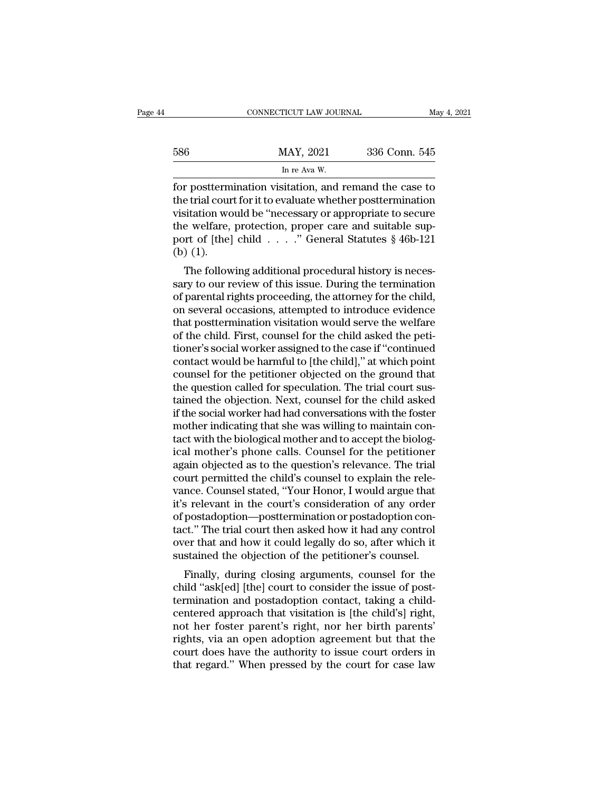|     | CONNECTICUT LAW JOURNAL                               | May 4, 2021   |
|-----|-------------------------------------------------------|---------------|
| 586 | MAY, 2021                                             | 336 Conn. 545 |
|     | In re Ava W.                                          |               |
|     | for posttermination visitation and remand the case to |               |

FORMECTICUT LAW JOURNAL May 4, 2021<br>
FORMAL MAY, 2021 336 Conn. 545<br>
In re Ava W.<br>
For posttermination visitation, and remand the case to<br>
the trial court for it to evaluate whether posttermination<br>
visitation would be "no 586 MAY, 2021 336 Conn. 545<br>
In re Ava W.<br>
for posttermination visitation, and remand the case to<br>
the trial court for it to evaluate whether posttermination<br>
visitation would be "necessary or appropriate to secure<br>
the we  $\frac{\text{MAX, 2021}}{\text{In re Ava W.}}$ <br>
In re Ava W.<br>
for posttermination visitation, and remand the case to<br>
the trial court for it to evaluate whether posttermination<br>
visitation would be "necessary or appropriate to secure<br>
the wel 586 MAY, 2021 336 Conn. 545<br>
In re Ava W.<br>
for posttermination visitation, and remand the case to<br>
the trial court for it to evaluate whether posttermination<br>
visitation would be "necessary or appropriate to secure<br>
the w In re Ava W.<br>
for posttermination visitation, and remand the case to<br>
the trial court for it to evaluate whether posttermination<br>
visitation would be "necessary or appropriate to secure<br>
the welfare, protection, proper ca for postterm<br>the trial cour<br>visitation wo<br>the welfare,<br>port of [the]<br>(b) (1).<br>The follow The following additional procedural history is neces-<br>The following additional professory or appropriate to secure<br>e welfare, protection, proper care and suitable sup-<br>prof of [the] child  $\ldots$  ." General Statutes § 46b-1 First the transformation is bevariate whether posttermination<br>visitation would be "necessary or appropriate to secure<br>the welfare, protection, proper care and suitable sup-<br>port of [the] child . . . . . " General Statutes

visitation would be hecessary of appropriate to secure<br>the welfare, protection, proper care and suitable sup-<br>port of [the] child  $\ldots$ ." General Statutes § 46b-121<br>(b) (1).<br>The following additional procedural history is the wender, protection, proper care and suitable sup-<br>port of [the] child . . . . ." General Statutes § 46b-121<br>(b) (1).<br>The following additional procedural history is neces-<br>sary to our review of this issue. During the te (b) (1).<br>The following additional procedural history is necessary to our review of this issue. During the termination<br>of parental rights proceeding, the attorney for the child,<br>on several occasions, attempted to introduce (b) (1).<br>The following additional procedural history is necessary to our review of this issue. During the termination<br>of parental rights proceeding, the attorney for the child,<br>on several occasions, attempted to introduce The following additional procedural history is necessary to our review of this issue. During the termination<br>of parental rights proceeding, the attorney for the child,<br>on several occasions, attempted to introduce evidence<br> sary to our review of this issue. During the termination<br>of parental rights proceeding, the attorney for the child,<br>on several occasions, attempted to introduce evidence<br>that posttermination visitation would serve the welf of parental rights proceeding, the attorney for the child,<br>on several occasions, attempted to introduce evidence<br>that posttermination visitation would serve the welfare<br>of the child. First, counsel for the child asked the on several occasions, attempted to introduce evidence<br>that posttermination visitation would serve the welfare<br>of the child. First, counsel for the child asked the peti-<br>tioner's social worker assigned to the case if "conti that posttermination visitation would serve the welfare<br>of the child. First, counsel for the child asked the peti-<br>tioner's social worker assigned to the case if "continued<br>contact would be harmful to [the child]," at whic of the child. First, counsel for the child asked the petitioner's social worker assigned to the case if "continued contact would be harmful to [the child]," at which point counsel for the petitioner objected on the ground tioner's social worker assigned to the case if "continued contact would be harmful to [the child]," at which point counsel for the petitioner objected on the ground that the question called for speculation. The trial court contact would be harmful to [the child]," at which point<br>counsel for the petitioner objected on the ground that<br>the question called for speculation. The trial court sus-<br>tained the objection. Next, counsel for the child as counsel for the petitioner objected on the ground that<br>the question called for speculation. The trial court sus-<br>tained the objection. Next, counsel for the child asked<br>if the social worker had had conversations with the f the question called for speculation. The trial court sus-<br>tained the objection. Next, counsel for the child asked<br>if the social worker had had conversations with the foster<br>mother indicating that she was willing to maintai tained the objection. Next, counsel for the child asked<br>if the social worker had had conversations with the foster<br>mother indicating that she was willing to maintain con-<br>tact with the biological mother and to accept the b if the social worker had had conversations with the foster<br>mother indicating that she was willing to maintain con-<br>tact with the biological mother and to accept the biolog-<br>ical mother's phone calls. Counsel for the petiti mother indicating that she was willing to maintain contact with the biological mother and to accept the biological mother's phone calls. Counsel for the petitioner again objected as to the question's relevance. The trial c tact with the biological mother and to accept the biological mother's phone calls. Counsel for the petitioner<br>again objected as to the question's relevance. The trial<br>court permitted the child's counsel to explain the rele ical mother's phone calls. Counsel for the petitioner<br>again objected as to the question's relevance. The trial<br>court permitted the child's counsel to explain the rele-<br>vance. Counsel stated, "Your Honor, I would argue that again objected as to the question's relevance. The trial<br>court permitted the child's counsel to explain the rele-<br>vance. Counsel stated, "Your Honor, I would argue that<br>it's relevant in the court's consideration of any ord court permitted the child's counsel to explain the relevance. Counsel stated, "Your Honor, I would argue that it's relevant in the court's consideration of any order of postadoption—posttermination or postadoption contact. Finally, during closing arguments, counsel for the identical form and not the identical form of the petition of the petition of the state of the state of the state of the petitioner's counsel.<br>Finally, during closing argum reflexant in the court's consideration of any order<br>of postadoption—posttermination or postadoption con-<br>tact." The trial court then asked how it had any control<br>over that and how it could legally do so, after which it<br>sus

or postadoption—postermination or postadoption contact." The trial court then asked how it had any control<br>over that and how it could legally do so, after which it<br>sustained the objection of the petitioner's counsel.<br>Final right wiseless approach that visitation is free which it sustained the objection of the petitioner's counsel.<br>Finally, during closing arguments, counsel for the child "ask[ed] [the] court to consider the issue of post-<br>ter over that and now it could legany do so, after which it<br>sustained the objection of the petitioner's counsel.<br>Finally, during closing arguments, counsel for the<br>child "ask[ed] [the] court to consider the issue of post-<br>term sustained the objection of the pertitoner's counser.<br>Finally, during closing arguments, counsel for the<br>child "ask[ed] [the] court to consider the issue of post-<br>termination and postadoption contact, taking a child-<br>center Finally, during closing arguments, counsel for the<br>child "ask[ed] [the] court to consider the issue of post-<br>termination and postadoption contact, taking a child-<br>centered approach that visitation is [the child's] right,<br>n child "ask[ed] [the] court to consider the issue of post-<br>termination and postadoption contact, taking a child-<br>centered approach that visitation is [the child's] right,<br>not her foster parent's right, nor her birth parents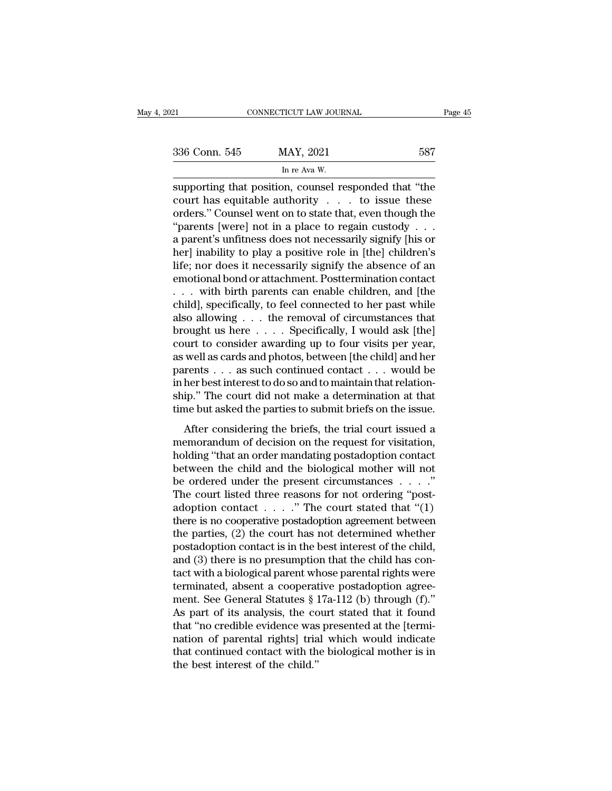| )21           | CONNECTICUT LAW JOURNAL                              | Page 45 |
|---------------|------------------------------------------------------|---------|
| 336 Conn. 545 | MAY, 2021                                            | 587     |
|               | In re Ava W.                                         |         |
|               | supporting that position counsel responded that "the |         |

Fage 45<br>
Supporting that position, counsel responded that "the<br>
court has equitable authority . . . to issue these<br>
ordors "Counsel wont on to state that even though the 336 Conn. 545 MAY, 2021 587<br>
In re Ava W.<br>
supporting that position, counsel responded that "the<br>
court has equitable authority . . . to issue these<br>
orders." Counsel went on to state that, even though the<br>
"parents [worel 336 Conn. 545 MAY, 2021 587<br>
In re Ava W.<br>
supporting that position, counsel responded that "the court has equitable authority . . . to issue these<br>
orders." Counsel went on to state that, even though the "parents [were] 336 Conn. 545 MAY, 2021 587<br>
In re Ava W.<br>
supporting that position, counsel responded that "the<br>
court has equitable authority . . . to issue these<br>
orders." Counsel went on to state that, even though the<br>
"parents [were For Fig. 1983.<br>
In re Ava W.<br>
supporting that position, counsel responded that "the<br>
court has equitable authority . . . to issue these<br>
orders." Counsel went on to state that, even though the<br>
"parents [were] not in a pl  $\frac{\ln \text{Re} \text{ A} \text{v}_{\text{B}}}{\text{F}}$  supporting that position, counsel responded that "the court has equitable authority . . . to issue these orders." Counsel went on to state that, even though the "parents [were] not in a pl supporting that position, counsel responded that "the<br>court has equitable authority  $\ldots$  to issue these<br>orders." Counsel went on to state that, even though the<br>"parents [were] not in a place to regain custody  $\ldots$ <br>a par court has equitable authority . . . to issue these<br>orders." Counsel went on to state that, even though the<br>"parents [were] not in a place to regain custody . . .<br>a parent's unfitness does not necessarily signify [his or<br>he orders." Counsel went on to state that, even though the<br>"parents [were] not in a place to regain custody . . .<br>a parent's unfitness does not necessarily signify [his or<br>her] inability to play a positive role in [the] chil "parents [were] not in a place to regain custody . . . .<br>a parent's unfitness does not necessarily signify [his or<br>her] inability to play a positive role in [the] children's<br>life; nor does it necessarily signify the absen a parent's unfitness does not necessarily signify [his or<br>her] inability to play a positive role in [the] children's<br>life; nor does it necessarily signify the absence of an<br>emotional bond or attachment. Posttermination con her] inability to play a positive role in [the] children's<br>life; nor does it necessarily signify the absence of an<br>emotional bond or attachment. Posttermination contact<br>. . . with birth parents can enable children, and [th life; nor does it necessarily signify the absence of an<br>emotional bond or attachment. Posttermination contact<br>... with birth parents can enable children, and [the<br>child], specifically, to feel connected to her past while<br>a emotional bond or attachment. Posttermination contact<br>
. . . with birth parents can enable children, and [the<br>
child], specifically, to feel connected to her past while<br>
also allowing . . . the removal of circumstances tha . . . with birth parents can enable children, and [the child], specifically, to feel connected to her past while also allowing . . . the removal of circumstances that brought us here . . . . Specifically, I would ask [the child], specifically, to feel connected to her past while<br>also allowing . . . the removal of circumstances that<br>brought us here  $\dots$  . Specifically, I would ask [the]<br>court to consider awarding up to four visits per year, also allowing  $\ldots$  the removal of circumstances that<br>brought us here  $\ldots$ . Specifically, I would ask [the]<br>court to consider awarding up to four visits per year,<br>as well as cards and photos, between [the child] and her<br> brought us here  $\dots$  . Specifically, I would ask [the]<br>court to consider awarding up to four visits per year,<br>as well as cards and photos, between [the child] and her<br>parents  $\dots$  as such continued contact  $\dots$  would be<br>i and the consider awarding the briefs of the child] and her<br>rents  $\dots$  as such continued contact  $\dots$  would be<br>her best interest to do so and to maintain that relation-<br>ip." The court did not make a determination at that<br>m memorals  $\ldots$  as such continued contact  $\ldots$  would be in her best interest to do so and to maintain that relationship." The court did not make a determination at that time but asked the parties to submit briefs on the i

 $\mu$  in her best interest to do so and to maintain that relationship." The court did not make a determination at that time but asked the parties to submit briefs on the issue.<br>After considering the briefs, the trial court miner best method to be so and to maintain diartements.<br>
Ship." The court did not make a determination at that<br>
time but asked the parties to submit briefs on the issue.<br>
After considering the briefs, the trial court issu time but asked the parties to submit briefs on the issue.<br>After considering the briefs, the trial court issued a<br>memorandum of decision on the request for visitation,<br>holding "that an order mandating postadoption contact<br> After considering the briefs, the trial court issued a<br>memorandum of decision on the request for visitation,<br>holding "that an order mandating postadoption contact<br>between the child and the biological mother will not<br>be or After considering the briefs, the trial court issued a<br>memorandum of decision on the request for visitation,<br>holding "that an order mandating postadoption contact<br>between the child and the biological mother will not<br>be or memorandum of decision on the request for visitation,<br>holding "that an order mandating postadoption contact<br>between the child and the biological mother will not<br>be ordered under the present circumstances  $\dots$ ."<br>The court holding "that an order mandating postadoption contact<br>between the child and the biological mother will not<br>be ordered under the present circumstances  $\dots$ ."<br>The court listed three reasons for not ordering "post-<br>adoption between the child and the biological mother will not<br>be ordered under the present circumstances  $\dots$ ."<br>The court listed three reasons for not ordering "post-<br>adoption contact  $\dots$ ." The court stated that "(1)<br>there is no be ordered under the present circumstances  $\dots$  ."<br>The court listed three reasons for not ordering "post-<br>adoption contact  $\dots$ ." The court stated that "(1)<br>there is no cooperative postadoption agreement between<br>the parti The court listed three reasons for not ordering "post-<br>adoption contact . . . . ." The court stated that "(1)<br>there is no cooperative postadoption agreement between<br>the parties, (2) the court has not determined whether<br>po adoption contact  $\dots$   $\cdot$  " The court stated that "(1)<br>there is no cooperative postadoption agreement between<br>the parties, (2) the court has not determined whether<br>postadoption contact is in the best interest of the chil there is no cooperative postadoption agreement between<br>the parties, (2) the court has not determined whether<br>postadoption contact is in the best interest of the child,<br>and (3) there is no presumption that the child has con the parties, (2) the court has not determined whether<br>postadoption contact is in the best interest of the child,<br>and (3) there is no presumption that the child has con-<br>tact with a biological parent whose parental rights w postadoption contact is in the best interest of the child,<br>and (3) there is no presumption that the child has con-<br>tact with a biological parent whose parental rights were<br>terminated, absent a cooperative postadoption agre and (3) there is no presumption that the child has contact with a biological parent whose parental rights were<br>terminated, absent a cooperative postadoption agreement. See General Statutes  $\S 17a-112$  (b) through (f)."<br>As tact with a biological parent whose parental rights were<br>terminated, absent a cooperative postadoption agree-<br>ment. See General Statutes § 17a-112 (b) through (f)."<br>As part of its analysis, the court stated that it found<br>t terminated, absent a cooperat<br>ment. See General Statutes § 1<br>As part of its analysis, the cc<br>that "no credible evidence was<br>nation of parental rights] tria<br>that continued contact with th<br>the best interest of the child."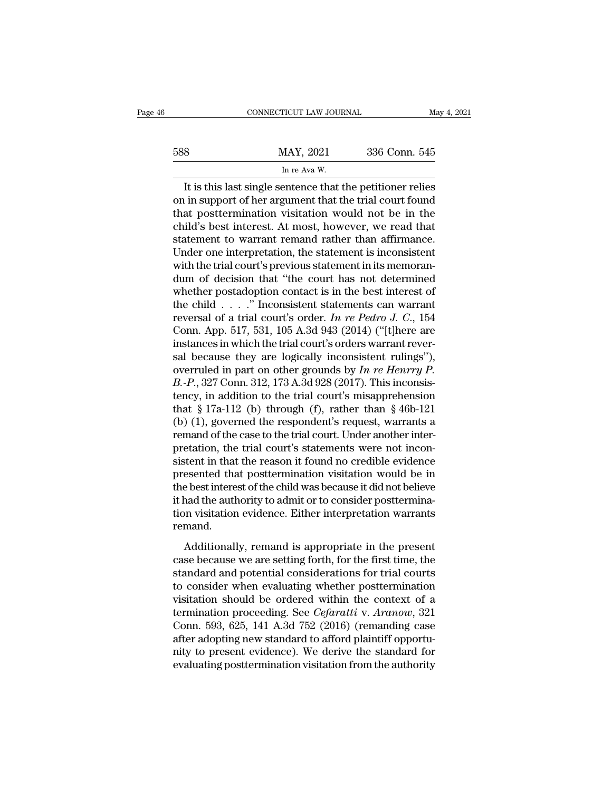|     | CONNECTICUT LAW JOURNAL                                    | May 4, 2021   |
|-----|------------------------------------------------------------|---------------|
| 588 | MAY, 2021                                                  | 336 Conn. 545 |
|     | In re Ava W.                                               |               |
|     | It is this last single sentence that the netitioner relies |               |

CONNECTICUT LAW JOURNAL May 4, 2021<br>
B MAY, 2021 336 Conn. 545<br>
In re Ava W.<br>
It is this last single sentence that the petitioner relies<br>
in support of her argument that the trial court found<br>
at posttermination visitation 588 MAY, 2021 336 Conn. 545<br>
In re Ava W.<br>
It is this last single sentence that the petitioner relies<br>
on in support of her argument that the trial court found<br>
that posttermination visitation would not be in the<br>
child's 588 MAY, 2021 336 Conn. 545<br>
In re Ava W.<br>
It is this last single sentence that the petitioner relies<br>
on in support of her argument that the trial court found<br>
that posttermination visitation would not be in the<br>
child's 588 MAY, 2021 336 Conn. 545<br>
In re Ava W.<br>
It is this last single sentence that the petitioner relies<br>
on in support of her argument that the trial court found<br>
that posttermination visitation would not be in the<br>
child's In re Ava W.<br>
It is this last single sentence that the petitioner relies<br>
on in support of her argument that the trial court found<br>
that posttermination visitation would not be in the<br>
child's best interest. At most, howev In re Ava W.<br>
It is this last single sentence that the petitioner relies<br>
on in support of her argument that the trial court found<br>
that posttermination visitation would not be in the<br>
child's best interest. At most, howe It is this last single sentence that the petitioner relies<br>on in support of her argument that the trial court found<br>that posttermination visitation would not be in the<br>child's best interest. At most, however, we read that<br> on in support of her argument that the trial court found<br>that posttermination visitation would not be in the<br>child's best interest. At most, however, we read that<br>statement to warrant remand rather than affirmance.<br>Under o that posttermination visitation would not be in the child's best interest. At most, however, we read that statement to warrant remand rather than affirmance.<br>Under one interpretation, the statement is inconsistent with th child's best interest. At most, however, we read that<br>statement to warrant remand rather than affirmance.<br>Under one interpretation, the statement is inconsistent<br>with the trial court's previous statement in its memoran-<br>d statement to warrant remand rather than affirmance.<br>Under one interpretation, the statement is inconsistent<br>with the trial court's previous statement in its memoran-<br>dum of decision that "the court has not determined<br>wheth Under one interpretation, the statement is inconsistent<br>with the trial court's previous statement in its memoran-<br>dum of decision that "the court has not determined<br>whether postadoption contact is in the best interest of<br> with the trial court's previous statement in its memorandum of decision that "the court has not determined<br>whether postadoption contact is in the best interest of<br>the child . . . . ." Inconsistent statements can warrant<br>r dum of decision that "the court has not determined<br>whether postadoption contact is in the best interest of<br>the child . . . . ." Inconsistent statements can warrant<br>reversal of a trial court's order. *In re Pedro J. C.*, 1 whether postadoption contact is in the best interest of<br>the child . . . . ." Inconsistent statements can warrant<br>reversal of a trial court's order. *In re Pedro J. C.*, 154<br>Conn. App. 517, 531, 105 A.3d 943 (2014) ("[t]he the child  $\ldots$  ." Inconsistent statements can warrant<br>reversal of a trial court's order. *In re Pedro J. C.*, 154<br>Conn. App. 517, 531, 105 A.3d 943 (2014) ("[t]here are<br>instances in which the trial court's orders warrant reversal of a trial court's order. *In re Pedro J. C.*, 154<br>Conn. App. 517, 531, 105 A.3d 943 (2014) ("[t]here are<br>instances in which the trial court's orders warrant rever-<br>sal because they are logically inconsistent rul Conn. App. 517, 531, 105 A.3d 943 (2014) ("[t]here are<br>instances in which the trial court's orders warrant rever-<br>sal because they are logically inconsistent rulings"),<br>overruled in part on other grounds by *In re Henrry* instances in which the trial court's orders warrant reversal because they are logically inconsistent rulings"),<br>overruled in part on other grounds by  $In$   $re$   $Henry$   $P$ .<br> $B.-P., 327$  Conn. 312, 173 A.3d 928 (2017). This incons sal because they are logically inconsistent rulings"),<br>overruled in part on other grounds by *In re Henrry P*.<br>*B.-P.*, 327 Conn. 312, 173 A.3d 928 (2017). This inconsis-<br>tency, in addition to the trial court's misapprehe overruled in part on other grounds by *In re Henrry P.*<br>B.-P., 327 Conn. 312, 173 A.3d 928 (2017). This inconsis-<br>tency, in addition to the trial court's misapprehension<br>that § 17a-112 (b) through (f), rather than § 46b-1 B.-P., 327 Conn. 312, 173 A.3d 928 (2017). This inconsis-<br>tency, in addition to the trial court's misapprehension<br>that § 17a-112 (b) through (f), rather than § 46b-121<br>(b) (1), governed the respondent's request, warrants a tency, in addition to the trial court's misapprehension<br>that  $\S 17a-112$  (b) through (f), rather than  $\S 46b-121$ <br>(b) (1), governed the respondent's request, warrants a<br>remand of the case to the trial court. Under another that  $\S 17a-112$  (b) through (f), rather than  $\S 46b-121$ <br>(b) (1), governed the respondent's request, warrants a<br>remand of the case to the trial court. Under another inter-<br>pretation, the trial court's statements were not (b) (1), governed the respondent's request, warrants a<br>remand of the case to the trial court. Under another inter-<br>pretation, the trial court's statements were not incon-<br>sistent in that the reason it found no credible evi remand of the case to the trial court. Under another inter-<br>pretation, the trial court's statements were not incon-<br>sistent in that the reason it found no credible evidence<br>presented that posttermination visitation would b remand. Metal in that the reason is round its erroring evidence<br>esented that posttermination visitation would be in<br>e best interest of the child was because it did not believe<br>had the authority to admit or to consider postterminapresented and posternalized. Therefore the best interest of the child was because it did not believe<br>it had the authority to admit or to consider posttermina-<br>tion visitation evidence. Either interpretation warrants<br>remand

it had the authority to admit or to consider posttermination visitation evidence. Either interpretation warrants<br>remand.<br>Additionally, remand is appropriate in the present<br>case because we are setting forth, for the first t to consider postermination visitation evidence. Either interpretation warrants<br>remand.<br>Additionally, remand is appropriate in the present<br>case because we are setting forth, for the first time, the<br>standard and potential co remand.<br>
Additionally, remand is appropriate in the present<br>
case because we are setting forth, for the first time, the<br>
standard and potential considerations for trial courts<br>
to consider when evaluating whether postterm Additionally, remand is appropriate in the present<br>case because we are setting forth, for the first time, the<br>standard and potential considerations for trial courts<br>to consider when evaluating whether posttermination<br>visit Additionally, remand is appropriate in the present<br>case because we are setting forth, for the first time, the<br>standard and potential considerations for trial courts<br>to consider when evaluating whether posttermination<br>visi case because we are setting forth, for the first time, the standard and potential considerations for trial courts to consider when evaluating whether posttermination visitation should be ordered within the context of a te standard and potential considerations for trial courts<br>to consider when evaluating whether posttermination<br>visitation should be ordered within the context of a<br>termination proceeding. See *Cefaratti* v. Aranow, 321<br>Conn. 5 to consider when evaluating whether posttermination<br>visitation should be ordered within the context of a<br>termination proceeding. See *Cefaratti* v. Aranow, 321<br>Conn. 593, 625, 141 A.3d 752 (2016) (remanding case<br>after adop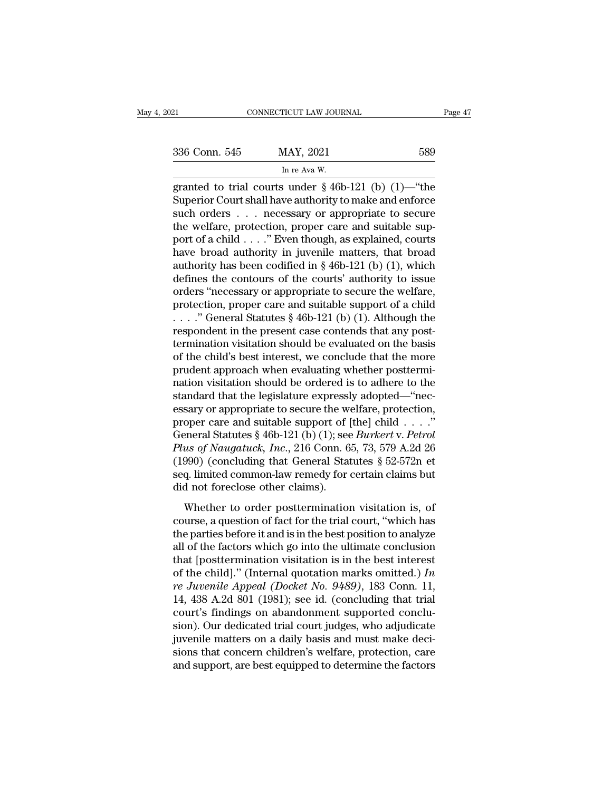| 336 Conn. 545 |  |
|---------------|--|
|               |  |

|  |  |  | --- |
|--|--|--|-----|

ricut LAW JOUR<br>MAY, 2021<br>In re Ava W.<br>3. under § 46b ERECTIVE CONNECTICUT LAW JOURNAL Page 47<br>
336 Conn. 545 MAY, 2021 589<br>
In re Ava W.<br>
France is a 46b-121 (b) (1)—"the Superior Court shall have authority to make and enforce 336 Conn. 545 MAY, 2021 589<br>
In re Ava W.<br>
granted to trial courts under § 46b-121 (b) (1)—"the<br>
Superior Court shall have authority to make and enforce<br>
such orders . . . necessary or appropriate to secure<br>
the welfare pr 336 Conn. 545 MAY, 2021 589<br>
In re Ava W.<br>
granted to trial courts under § 46b-121 (b) (1)—"the<br>
Superior Court shall have authority to make and enforce<br>
such orders . . . necessary or appropriate to secure<br>
the welfare, 336 Conn. 545 MAY, 2021 589<br>
In re Ava W.<br>
granted to trial courts under § 46b-121 (b) (1)—"the<br>
Superior Court shall have authority to make and enforce<br>
such orders . . . necessary or appropriate to secure<br>
the welfare, In re Ava W.<br>
granted to trial courts under § 46b-121 (b) (1)—"the<br>
Superior Court shall have authority to make and enforce<br>
such orders . . . necessary or appropriate to secure<br>
the welfare, protection, proper care and s have broad authority in juvenile matters, that broad authority is superior Court shall have authority to make and enforce such orders . . . necessary or appropriate to secure the welfare, protection, proper care and suita granted to trial courts under § 46b-121 (b) (1)—"the<br>Superior Court shall have authority to make and enforce<br>such orders . . . necessary or appropriate to secure<br>the welfare, protection, proper care and suitable sup-<br>port Superior Court shall have authority to make and enforce<br>such orders  $\ldots$  necessary or appropriate to secure<br>the welfare, protection, proper care and suitable sup-<br>port of a child  $\ldots$ ." Even though, as explained, courts such orders  $\ldots$  necessary or appropriate to secure<br>the welfare, protection, proper care and suitable sup-<br>port of a child  $\ldots$ ." Even though, as explained, courts<br>have broad authority in juvenile matters, that broad<br>au the welfare, protection, proper care and suitable support of a child . . . ." Even though, as explained, courts<br>have broad authority in juvenile matters, that broad<br>authority has been codified in § 46b-121 (b) (1), which<br> port of a child . . . ." Even though, as explained, courts<br>have broad authority in juvenile matters, that broad<br>authority has been codified in § 46b-121 (b) (1), which<br>defines the contours of the courts' authority to issu have broad authority in juvenile matters, that broad authority has been codified in § 46b-121 (b) (1), which defines the contours of the courts' authority to issue orders "necessary or appropriate to secure the welfare, p authority has been codified in § 46b-121 (b) (1), which<br>defines the contours of the courts' authority to issue<br>orders "necessary or appropriate to secure the welfare,<br>protection, proper care and suitable support of a chil defines the contours of the courts' authority to issue<br>orders "necessary or appropriate to secure the welfare,<br>protection, proper care and suitable support of a child<br>...." General Statutes § 46b-121 (b) (1). Although the<br> orders "necessary or appropriate to secure the welfare,<br>protection, proper care and suitable support of a child<br> $\ldots$ ." General Statutes § 46b-121 (b) (1). Although the<br>respondent in the present case contends that any pos protection, proper care and suitable support of a child<br>  $\ldots$  ." General Statutes § 46b-121 (b) (1). Although the<br>
respondent in the present case contends that any post-<br>
termination visitation should be evaluated on the ...." General Statutes § 46b-121 (b) (1). Although the respondent in the present case contends that any post-<br>termination visitation should be evaluated on the basis<br>of the child's best interest, we conclude that the more respondent in the present case contends that any post-<br>termination visitation should be evaluated on the basis<br>of the child's best interest, we conclude that the more<br>prudent approach when evaluating whether posttermi-<br>na termination visitation should be evaluated on the basis<br>of the child's best interest, we conclude that the more<br>prudent approach when evaluating whether posttermi-<br>nation visitation should be ordered is to adhere to the<br>s of the child's best interest, we conclude that the more<br>prudent approach when evaluating whether posttermi-<br>nation visitation should be ordered is to adhere to the<br>standard that the legislature expressly adopted—"nec-<br>essa prudent approach when evaluating whether posttermination visitation should be ordered is to adhere to the standard that the legislature expressly adopted—"necessary or appropriate to secure the welfare, protection, proper nation visitation should be ordered is to adhere to the<br>standard that the legislature expressly adopted—"nec-<br>essary or appropriate to secure the welfare, protection,<br>proper care and suitable support of [the] child . . . standard that the legislature expressly adopted—"nec-<br>essary or appropriate to secure the welfare, protection,<br>proper care and suitable support of [the] child . . . ."<br>General Statutes § 46b-121 (b) (1); see *Burkert* v. essary or appropriate to secure the wy<br>proper care and suitable support of [<br>General Statutes § 46b-121 (b) (1); see<br>*Plus of Naugatuck, Inc.*, 216 Conn. 6<br>(1990) (concluding that General Stat<br>seq. limited common-law remed effect that statistic suppose of  $[are]$  critics  $\cdot \cdot \cdot$ .<br>
eneral Statistics § 46b-121 (b) (1); see *Burkert* v. *Petrol*<br>
us of *Naugatuck*, *Inc.*, 216 Conn. 65, 73, 579 A.2d 26<br>
990) (concluding that General Statistics Plus of Naugatuck, Inc., 216 Conn. 65, 73, 579 A.2d 26<br>(1990) (concluding that General Statutes § 52-572n et<br>seq. limited common-law remedy for certain claims but<br>did not foreclose other claims).<br>Whether to order postterm

(1990) (concluding that General Statutes  $\S$  52-572n et<br>seq. limited common-law remedy for certain claims but<br>did not foreclose other claims).<br>Whether to order posttermination visitation is, of<br>course, a question of fact (1888) (concluding that defined backards  $\frac{1}{3}$  of  $\frac{1}{2}$  or  $\frac{1}{2}$  or  $\frac{1}{2}$  or  $\frac{1}{2}$  or  $\frac{1}{2}$  or  $\frac{1}{2}$  or  $\frac{1}{2}$  or  $\frac{1}{2}$  or  $\frac{1}{2}$  or  $\frac{1}{2}$  or  $\frac{1}{2}$  or  $\frac{1}{2}$  or  $\frac{1}{2}$  o that the solution is in the best interests of<br>did not foreclose other claims).<br>Whether to order posttermination visitation is, of<br>course, a question of fact for the trial court, "which has<br>the parties before it and is in Whether to order posttermination visitation is, of<br>course, a question of fact for the trial court, "which has<br>the parties before it and is in the best position to analyze<br>all of the factors which go into the ultimate conc Whether to order posttermination visitation is, of<br>course, a question of fact for the trial court, "which has<br>the parties before it and is in the best position to analyze<br>all of the factors which go into the ultimate concl course, a question of fact for the trial court, "which has<br>the parties before it and is in the best position to analyze<br>all of the factors which go into the ultimate conclusion<br>that [posttermination visitation is in the b the parties before it and is in the best position to analyze<br>all of the factors which go into the ultimate conclusion<br>that [posttermination visitation is in the best interest<br>of the child]." (Internal quotation marks omit all of the factors which go into the ultimate conclusion<br>that [posttermination visitation is in the best interest<br>of the child]." (Internal quotation marks omitted.) In<br>re Juvenile Appeal (Docket No. 9489), 183 Conn. 11,<br> that [posttermination visitation is in the best interest<br>of the child]." (Internal quotation marks omitted.) In<br>*re Juvenile Appeal (Docket No. 9489)*, 183 Conn. 11,<br>14, 438 A.2d 801 (1981); see id. (concluding that trial of the child]." (Internal quotation marks omitted.) In<br>re Juvenile Appeal (Docket No. 9489), 183 Conn. 11,<br>14, 438 A.2d 801 (1981); see id. (concluding that trial<br>court's findings on abandonment supported conclu-<br>sion). O re Juvenile Appeal (Docket No. 9489), 183 Conn. 11, 14, 438 A.2d 801 (1981); see id. (concluding that trial court's findings on abandonment supported conclusion). Our dedicated trial court judges, who adjudicate juvenile m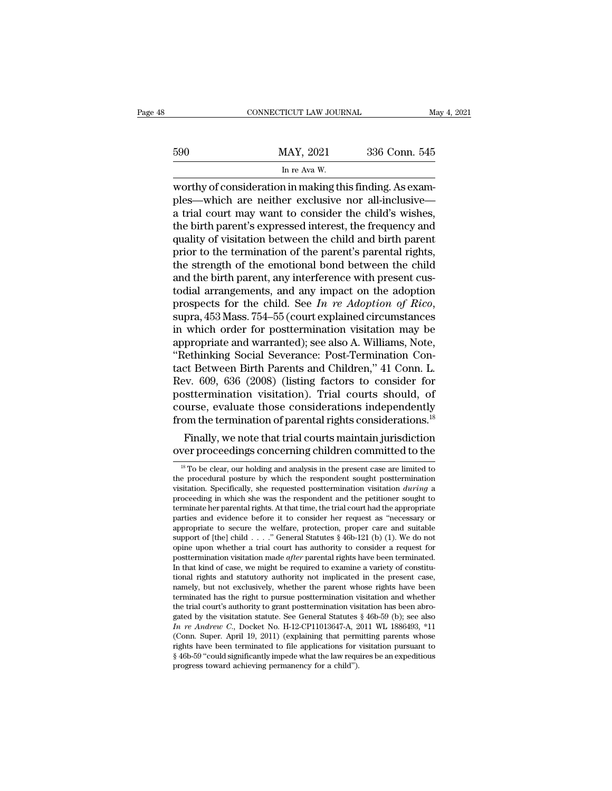|     | CONNECTICUT LAW JOURNAL                                  | May 4, 2021   |
|-----|----------------------------------------------------------|---------------|
| 590 | MAY, 2021                                                | 336 Conn. 545 |
|     | In re Ava W.                                             |               |
|     | worthy of consideration in making this finding. As exam- |               |

CONNECTICUT LAW JOURNAL<br>
MAY, 2021 336 Conn. 545<br>
In re Ava W.<br>
Worthy of consideration in making this finding. As examples—which are neither exclusive nor all-inclusive best 590 MAY, 2021 336 Conn. 545<br>
In re Ava W.<br>
worthy of consideration in making this finding. As examples—which are neither exclusive nor all-inclusive—<br>
a trial court may want to consider the child's wishes,<br>
the birth  $\frac{\text{MAY, 2021}}{\text{ln re Ava W.}}$ <br>  $\frac{\text{ln re Ava W.}}{\text{worthy of consideration in making this finding. As examples—which are neither exclusive nor all-inclusive—a trial court may want to consider the child's wishes, the birth parent's expressed interest, the frequency and quality of visitation between the child and birth parent.}$ 590 MAY, 2021 336 Conn. 545<br>
In re Ava W.<br>
worthy of consideration in making this finding. As examples—which are neither exclusive nor all-inclusive—<br>
a trial court may want to consider the child's wishes,<br>
the birth pare In re Ava W.<br>
In re Ava W.<br>
worthy of consideration in making this finding. As examples—which are neither exclusive nor all-inclusive—<br>
a trial court may want to consider the child's wishes,<br>
the birth parent's expressed i  $\frac{\ln \text{re} \text{ Ava W}}{\ln \text{re} \text{ Ava W}}$ <br>worthy of consideration in making this finding. As examples—which are neither exclusive nor all-inclusive—<br>a trial court may want to consider the child's wishes,<br>the birth parent's express worthy of consideration in making this finding. As examples—which are neither exclusive nor all-inclusive—<br>a trial court may want to consider the child's wishes,<br>the birth parent's expressed interest, the frequency and<br>qua ples—which are neither exclusive nor all-inclusive—<br>a trial court may want to consider the child's wishes,<br>the birth parent's expressed interest, the frequency and<br>quality of visitation between the child and birth parent<br>p a trial court may want to consider the child's wishes,<br>the birth parent's expressed interest, the frequency and<br>quality of visitation between the child and birth parent<br>prior to the termination of the parent's parental ri the birth parent's expressed interest, the frequency and<br>quality of visitation between the child and birth parent<br>prior to the termination of the parent's parental rights,<br>the strength of the emotional bond between the chi prior to the termination of the parent's parental rights,<br>the strength of the emotional bond between the child<br>and the birth parent, any interference with present cus-<br>todial arrangements, and any impact on the adoption<br>p the strength of the emotional bond between the child<br>and the birth parent, any interference with present cus-<br>todial arrangements, and any impact on the adoption<br>prospects for the child. See *In re Adoption of Rico*,<br>supra and the birth parent, any interference with present custodial arrangements, and any impact on the adoption<br>prospects for the child. See *In re Adoption of Rico*,<br>supra, 453 Mass. 754–55 (court explained circumstances<br>in wh todial arrangements, and any impact on the adoption<br>prospects for the child. See *In re Adoption of Rico*,<br>supra, 453 Mass. 754–55 (court explained circumstances<br>in which order for posttermination visitation may be<br>appropr prospects for the child. See *In re Adoption of Rico*,<br>supra, 453 Mass. 754–55 (court explained circumstances<br>in which order for posttermination visitation may be<br>appropriate and warranted); see also A. Williams, Note,<br>"Re supra, 453 Mass. 754–55 (court explained circumstances<br>in which order for posttermination visitation may be<br>appropriate and warranted); see also A. Williams, Note,<br>"Rethinking Social Severance: Post-Termination Con-<br>tact B in which order for posttermination visitation may be<br>appropriate and warranted); see also A. Williams, Note,<br>"Rethinking Social Severance: Post-Termination Con-<br>tact Between Birth Parents and Children," 41 Conn. L.<br>Rev. 60 appropriate and warranted); see also A. Williams, Note,<br>
"Rethinking Social Severance: Post-Termination Contact Between Birth Parents and Children," 41 Conn. L.<br>
Rev. 609, 636 (2008) (listing factors to consider for<br>
postt Friedmiking Social Severance: Post-Terntination Concentrict Between Birth Parents and Children," 41 Conn. L.<br>Fig. 809, 636 (2008) (listing factors to consider for stetermination visitation). Trial courts should, of<br>urree, Exact Between Birth Parents and Children, 41 Conn. L.<br>
Rev. 609, 636 (2008) (listing factors to consider for<br>
posttermination visitation). Trial courts should, of<br>
course, evaluate those considerations independently<br>
from

course, evaluate those considerations independently<br>from the termination of parental rights considerations.<sup>18</sup><br>Finally, we note that trial courts maintain jurisdiction<br>over proceedings concerning children committed to th Finally, we note that trial courts maintain jurisdiction<br>over proceedings concerning children committed to the<br> $\frac{18}{10}$  To be clear, our holding and analysis in the present case are limited to<br>the procedural postter by Finally, we note that trial courts maintain jurisdiction<br>over proceedings concerning children committed to the<br> $\frac{1}{8}$  To be clear, our holding and analysis in the present case are limited to<br>the proceeding in which she over proceedings concerning children committed to the  $\frac{1}{18}$  To be clear, our holding and analysis in the present case are limited to the procedural posture by which the respondent sought posttermination visitation. S <sup>18</sup> To be clear, our holding and analysis in the present case are limited to the procedural posture by which the respondent sought posttermination visitation. Specifically, she requested posttermination visitation *durin* <sup>a</sup> To be clear, our holding and analysis in the present case are limited to the procedural posttre by which the respondent sought posttermination visitation. Specifically, she requested posttermination visitation *during* the procedural posture by which the respondent sought posttermination<br>visitation. Specifically, she requested posttermination visitation *during* a<br>proceeding in which she was the respondent and the petitioner sought to<br>t visitation. Specifically, she requested posttermination visitation *during* a proceeding in which she was the respondent and the petitioner sought to terminate her parental rights. At that time, the trial court had the ap proceeding in which she was the respondent and the petitioner sought to terminate her parental rights. At that time, the trial court had the appropriate parties and evidence before it to consider her request as "necessary terminate her parental rights. At that time, the trial court had the appropriate parties and evidence before it to consider her request as "necessary or appropriate to secure the welfare, protection, proper care and suita parties and evidence before it to consider her request as "necessary or appropriate to secure the welfare, protection, proper care and suitable support of [the] child . . . ." General Statutes § 46b-121 (b) (1). We do not appropriate to secure the weltare, protection, proper care and suitable support of [the] child . . . ." General Statutes § 46b-121 (b) (1). We do not opine upon whether a trial court has authority to consider a request fo support of [the] child  $\ldots$   $\ldots$  General Statutes § 40b-121 (b) (1). We do not opine upon whether a trial court has authority to consider a request for posttermination visitation made *after* parental rights have been t opine upon whether a trial court has authority to consider a request for posttermination visitation made *after* parental rights have been terminated. In that kind of case, we might be required to examine a variety of con posttermination visitation made *after* parental rights have been terminated.<br>In that kind of case, we might be required to examine a variety of constitu-<br>tional rights and statutory authority not implicated in the presen In that kind of case, we might be required to examine a variety of constitutional rights and statutory authority not implicated in the present case, namely, but not exclusively, whether the parent whose rights have been te tional rights and statutory authority not implicated in the present case, namely, but not exclusively, whether the parent whose rights have been terminated has the right to pursue posttermination visitation and whether th namely, but not exclusively, whether the parent whose rights have been terminated has the right to pursue posttermination visitation has been abrogated by the visitation statute. See General Statutes § 46b-59 (b); see als terminated has the right to pursue posttermination visitation and whether<br>the trial court's authority to grant posttermination visitation has been abro-<br>gated by the visitation statute. See General Statutes § 46b-59 (b); the trial court's authority to grant posttermination vis<br>gated by the visitation statute. See General Statutes<br> $In re Andrew C$ , Docket No. H-12-CP11013647-A, 2<br>(Conn. Super. April 19, 2011) (explaining that perm<br>rights have been t